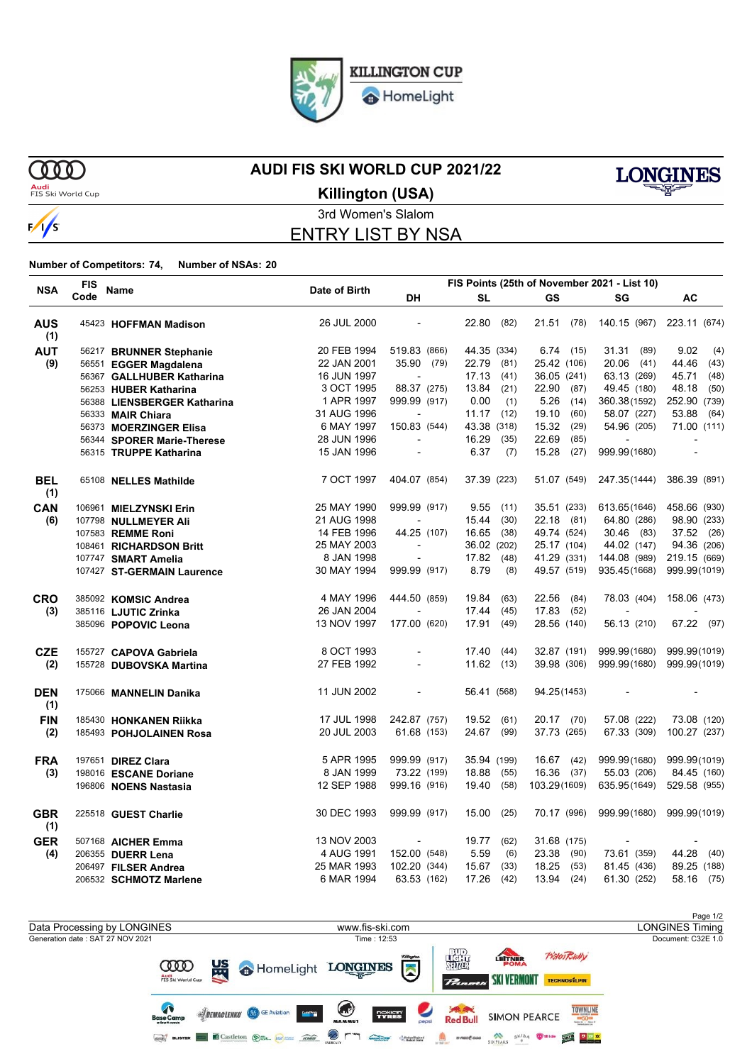

HomeLight

 $\gamma$ 

 $\frac{1}{s}$ 

### **AUDI FIS SKI WORLD CUP 2021/22**



**Audi**<br>FIS Ski World Cup

**Killington (USA)**

### 3rd Women's Slalom ENTRY LIST BY NSA

**Number of Competitors: 74, Number of NSAs: 20**

| Code<br>DH<br><b>SL</b><br>GS<br>AC<br>SG<br>22.80<br>140.15 (967) 223.11 (674)<br>26 JUL 2000<br>(82)<br>21.51<br>(78)<br><b>AUS</b><br>$\blacksquare$<br>45423 HOFFMAN Madison<br>(1)<br><b>AUT</b><br>20 FEB 1994<br>519.83 (866)<br>44.35 (334)<br>6.74<br>31.31<br>(89)<br>9.02<br>(4)<br>(15)<br>56217 BRUNNER Stephanie<br>(9)<br>35.90 (79)<br>22.79<br>25.42 (106)<br>20.06 (41)<br>44.46<br>22 JAN 2001<br>(81)<br>(43)<br>56551 EGGER Magdalena<br>17.13<br>63.13 (269)<br>45.71<br>16 JUN 1997<br>(41)<br>36.05 (241)<br>(48)<br>56367 GALLHUBER Katharina<br>3 OCT 1995<br>88.37 (275)<br>13.84<br>(21)<br>22.90<br>49.45 (180)<br>48.18<br>(50)<br>(87)<br>56253 HUBER Katharina<br>1 APR 1997<br>999.99 (917)<br>0.00<br>(1)<br>5.26<br>360.38(1592)<br>252.90 (739)<br>(14)<br>56388 LIENSBERGER Katharina<br>31 AUG 1996<br>19.10<br>(60)<br>58.07 (227)<br>53.88<br>11.17<br>(12)<br>(64)<br>56333 MAIR Chiara<br>$\blacksquare$<br>150.83 (544)<br>6 MAY 1997<br>43.38 (318)<br>15.32<br>(29)<br>54.96 (205)<br>71.00 (111)<br>56373 MOERZINGER Elisa<br>28 JUN 1996<br>16.29<br>(35)<br>22.69<br>(85)<br>56344 SPORER Marie-Therese<br>15 JAN 1996<br>6.37<br>15.28<br>999.99(1680)<br>(7)<br>(27)<br>56315 TRUPPE Katharina<br>$\overline{\phantom{a}}$<br>$\blacksquare$<br>7 OCT 1997<br>404.07 (854)<br>37.39 (223)<br>51.07 (549)<br>247.35(1444)<br>386.39 (891)<br><b>BEL</b><br>65108 NELLES Mathilde<br>(1)<br>CAN<br>25 MAY 1990<br>999.99 (917)<br>9.55<br>35.51 (233)<br>613.65(1646)<br>458.66 (930)<br>(11)<br>106961 MIELZYNSKI Erin<br>21 AUG 1998<br>15.44<br>22.18 (81)<br>64.80 (286)<br>(30)<br>98.90 (233)<br>(6)<br>107798 NULLMEYER Ali<br>14 FEB 1996<br>44.25 (107)<br>16.65<br>(38)<br>49.74 (524)<br>30.46 (83)<br>37.52 (26)<br>107583 REMME Roni<br>25 MAY 2003<br>36.02 (202)<br>25.17 (104)<br>44.02 (147)<br>94.36 (206)<br>108461 RICHARDSON Britt<br>8 JAN 1998<br>17.82<br>41.29 (331)<br>144.08 (989)<br>219.15 (669)<br>(48)<br>107747 SMART Amelia<br>30 MAY 1994<br>999.99 (917)<br>8.79<br>(8)<br>49.57 (519)<br>935.45(1668)<br>999.99(1019)<br>107427 ST-GERMAIN Laurence<br>4 MAY 1996<br>444.50 (859)<br>19.84<br>(63)<br>22.56<br>(84)<br>78.03 (404)<br>158.06 (473)<br><b>CRO</b><br>385092 KOMSIC Andrea<br>26 JAN 2004<br>17.44<br>(45)<br>17.83<br>(52)<br>(3)<br>385116 LJUTIC Zrinka<br>13 NOV 1997<br>177.00 (620)<br>17.91<br>28.56 (140)<br>56.13 (210)<br>67.22 (97)<br>(49)<br>385096 POPOVIC Leona<br>8 OCT 1993<br>17.40<br>32.87 (191)<br>999.99(1680)<br>999.99(1019)<br><b>CZE</b><br>(44)<br>155727 CAPOVA Gabriela<br>27 FEB 1992<br>$11.62$ (13)<br>39.98 (306)<br>999.99(1680)<br>999.99(1019)<br>(2)<br>155728 DUBOVSKA Martina<br>$\overline{\phantom{a}}$<br>11 JUN 2002<br>56.41 (568)<br>94.25(1453)<br><b>DEN</b><br>175066 MANNELIN Danika<br>$\blacksquare$<br>$\overline{\phantom{a}}$<br>$\overline{\phantom{a}}$<br>(1)<br><b>FIN</b><br>17 JUL 1998<br>242.87 (757)<br>19.52<br>(61)<br>20.17 (70)<br>57.08 (222)<br>73.08 (120)<br>185430 HONKANEN Riikka<br>67.33 (309)<br>(2)<br>20 JUL 2003<br>61.68 (153)<br>24.67<br>(99)<br>37.73 (265)<br>100.27 (237)<br>185493 POHJOLAINEN Rosa<br>5 APR 1995<br>999.99 (917)<br>16.67 (42)<br>999.99(1680)<br>999.99(1019)<br><b>FRA</b><br>35.94 (199)<br>197651 DIREZ Clara<br>8 JAN 1999<br>73.22 (199)<br>18.88<br>16.36 (37)<br>55.03 (206)<br>84.45 (160)<br>(3)<br>(55)<br>198016 ESCANE Doriane<br>12 SEP 1988<br>999.16 (916)<br>19.40<br>(58)<br>103.29(1609)<br>635.95(1649)<br>529.58 (955)<br>196806 NOENS Nastasia<br>30 DEC 1993<br>15.00<br>70.17 (996)<br>999.99(1680)<br>999.99 (917)<br>(25)<br>999.99(1019)<br><b>GBR</b><br>225518 GUEST Charlie<br>(1)<br><b>GER</b><br>13 NOV 2003<br>19.77<br>(62)<br>31.68 (175)<br>507168 AICHER Emma<br>4 AUG 1991<br>152.00 (548)<br>5.59<br>73.61 (359)<br>44.28<br>(4)<br>(6)<br>23.38<br>(90)<br>(40)<br>206355 DUERR Lena<br>25 MAR 1993<br>102.20 (344)<br>15.67<br>(33)<br>18.25<br>81.45 (436)<br>89.25 (188)<br>(53)<br>206497 FILSER Andrea<br>17.26<br>6 MAR 1994<br>63.53 (162)<br>(42)<br>13.94<br>(24)<br>61.30 (252)<br>58.16 (75)<br>206532 SCHMOTZ Marlene |            | <b>FIS</b> |      |               | FIS Points (25th of November 2021 - List 10) |  |  |  |  |  |  |  |
|-------------------------------------------------------------------------------------------------------------------------------------------------------------------------------------------------------------------------------------------------------------------------------------------------------------------------------------------------------------------------------------------------------------------------------------------------------------------------------------------------------------------------------------------------------------------------------------------------------------------------------------------------------------------------------------------------------------------------------------------------------------------------------------------------------------------------------------------------------------------------------------------------------------------------------------------------------------------------------------------------------------------------------------------------------------------------------------------------------------------------------------------------------------------------------------------------------------------------------------------------------------------------------------------------------------------------------------------------------------------------------------------------------------------------------------------------------------------------------------------------------------------------------------------------------------------------------------------------------------------------------------------------------------------------------------------------------------------------------------------------------------------------------------------------------------------------------------------------------------------------------------------------------------------------------------------------------------------------------------------------------------------------------------------------------------------------------------------------------------------------------------------------------------------------------------------------------------------------------------------------------------------------------------------------------------------------------------------------------------------------------------------------------------------------------------------------------------------------------------------------------------------------------------------------------------------------------------------------------------------------------------------------------------------------------------------------------------------------------------------------------------------------------------------------------------------------------------------------------------------------------------------------------------------------------------------------------------------------------------------------------------------------------------------------------------------------------------------------------------------------------------------------------------------------------------------------------------------------------------------------------------------------------------------------------------------------------------------------------------------------------------------------------------------------------------------------------------------------------------------------------------------------------------------------------------------------------------------------------------------------------------------------------------------------------------------------------------------------------------------------------------------------------------------------------------------------------------------------------------------------------------------------------------------------------------------------------------------------------------------------------------------------------------------------------------------------------------------------------------------------------------------------------------------------------------|------------|------------|------|---------------|----------------------------------------------|--|--|--|--|--|--|--|
|                                                                                                                                                                                                                                                                                                                                                                                                                                                                                                                                                                                                                                                                                                                                                                                                                                                                                                                                                                                                                                                                                                                                                                                                                                                                                                                                                                                                                                                                                                                                                                                                                                                                                                                                                                                                                                                                                                                                                                                                                                                                                                                                                                                                                                                                                                                                                                                                                                                                                                                                                                                                                                                                                                                                                                                                                                                                                                                                                                                                                                                                                                                                                                                                                                                                                                                                                                                                                                                                                                                                                                                                                                                                                                                                                                                                                                                                                                                                                                                                                                                                                                                                                                                     | <b>NSA</b> |            | Name | Date of Birth |                                              |  |  |  |  |  |  |  |
|                                                                                                                                                                                                                                                                                                                                                                                                                                                                                                                                                                                                                                                                                                                                                                                                                                                                                                                                                                                                                                                                                                                                                                                                                                                                                                                                                                                                                                                                                                                                                                                                                                                                                                                                                                                                                                                                                                                                                                                                                                                                                                                                                                                                                                                                                                                                                                                                                                                                                                                                                                                                                                                                                                                                                                                                                                                                                                                                                                                                                                                                                                                                                                                                                                                                                                                                                                                                                                                                                                                                                                                                                                                                                                                                                                                                                                                                                                                                                                                                                                                                                                                                                                                     |            |            |      |               |                                              |  |  |  |  |  |  |  |
|                                                                                                                                                                                                                                                                                                                                                                                                                                                                                                                                                                                                                                                                                                                                                                                                                                                                                                                                                                                                                                                                                                                                                                                                                                                                                                                                                                                                                                                                                                                                                                                                                                                                                                                                                                                                                                                                                                                                                                                                                                                                                                                                                                                                                                                                                                                                                                                                                                                                                                                                                                                                                                                                                                                                                                                                                                                                                                                                                                                                                                                                                                                                                                                                                                                                                                                                                                                                                                                                                                                                                                                                                                                                                                                                                                                                                                                                                                                                                                                                                                                                                                                                                                                     |            |            |      |               |                                              |  |  |  |  |  |  |  |
|                                                                                                                                                                                                                                                                                                                                                                                                                                                                                                                                                                                                                                                                                                                                                                                                                                                                                                                                                                                                                                                                                                                                                                                                                                                                                                                                                                                                                                                                                                                                                                                                                                                                                                                                                                                                                                                                                                                                                                                                                                                                                                                                                                                                                                                                                                                                                                                                                                                                                                                                                                                                                                                                                                                                                                                                                                                                                                                                                                                                                                                                                                                                                                                                                                                                                                                                                                                                                                                                                                                                                                                                                                                                                                                                                                                                                                                                                                                                                                                                                                                                                                                                                                                     |            |            |      |               |                                              |  |  |  |  |  |  |  |
|                                                                                                                                                                                                                                                                                                                                                                                                                                                                                                                                                                                                                                                                                                                                                                                                                                                                                                                                                                                                                                                                                                                                                                                                                                                                                                                                                                                                                                                                                                                                                                                                                                                                                                                                                                                                                                                                                                                                                                                                                                                                                                                                                                                                                                                                                                                                                                                                                                                                                                                                                                                                                                                                                                                                                                                                                                                                                                                                                                                                                                                                                                                                                                                                                                                                                                                                                                                                                                                                                                                                                                                                                                                                                                                                                                                                                                                                                                                                                                                                                                                                                                                                                                                     |            |            |      |               |                                              |  |  |  |  |  |  |  |
|                                                                                                                                                                                                                                                                                                                                                                                                                                                                                                                                                                                                                                                                                                                                                                                                                                                                                                                                                                                                                                                                                                                                                                                                                                                                                                                                                                                                                                                                                                                                                                                                                                                                                                                                                                                                                                                                                                                                                                                                                                                                                                                                                                                                                                                                                                                                                                                                                                                                                                                                                                                                                                                                                                                                                                                                                                                                                                                                                                                                                                                                                                                                                                                                                                                                                                                                                                                                                                                                                                                                                                                                                                                                                                                                                                                                                                                                                                                                                                                                                                                                                                                                                                                     |            |            |      |               |                                              |  |  |  |  |  |  |  |
|                                                                                                                                                                                                                                                                                                                                                                                                                                                                                                                                                                                                                                                                                                                                                                                                                                                                                                                                                                                                                                                                                                                                                                                                                                                                                                                                                                                                                                                                                                                                                                                                                                                                                                                                                                                                                                                                                                                                                                                                                                                                                                                                                                                                                                                                                                                                                                                                                                                                                                                                                                                                                                                                                                                                                                                                                                                                                                                                                                                                                                                                                                                                                                                                                                                                                                                                                                                                                                                                                                                                                                                                                                                                                                                                                                                                                                                                                                                                                                                                                                                                                                                                                                                     |            |            |      |               |                                              |  |  |  |  |  |  |  |
|                                                                                                                                                                                                                                                                                                                                                                                                                                                                                                                                                                                                                                                                                                                                                                                                                                                                                                                                                                                                                                                                                                                                                                                                                                                                                                                                                                                                                                                                                                                                                                                                                                                                                                                                                                                                                                                                                                                                                                                                                                                                                                                                                                                                                                                                                                                                                                                                                                                                                                                                                                                                                                                                                                                                                                                                                                                                                                                                                                                                                                                                                                                                                                                                                                                                                                                                                                                                                                                                                                                                                                                                                                                                                                                                                                                                                                                                                                                                                                                                                                                                                                                                                                                     |            |            |      |               |                                              |  |  |  |  |  |  |  |
|                                                                                                                                                                                                                                                                                                                                                                                                                                                                                                                                                                                                                                                                                                                                                                                                                                                                                                                                                                                                                                                                                                                                                                                                                                                                                                                                                                                                                                                                                                                                                                                                                                                                                                                                                                                                                                                                                                                                                                                                                                                                                                                                                                                                                                                                                                                                                                                                                                                                                                                                                                                                                                                                                                                                                                                                                                                                                                                                                                                                                                                                                                                                                                                                                                                                                                                                                                                                                                                                                                                                                                                                                                                                                                                                                                                                                                                                                                                                                                                                                                                                                                                                                                                     |            |            |      |               |                                              |  |  |  |  |  |  |  |
|                                                                                                                                                                                                                                                                                                                                                                                                                                                                                                                                                                                                                                                                                                                                                                                                                                                                                                                                                                                                                                                                                                                                                                                                                                                                                                                                                                                                                                                                                                                                                                                                                                                                                                                                                                                                                                                                                                                                                                                                                                                                                                                                                                                                                                                                                                                                                                                                                                                                                                                                                                                                                                                                                                                                                                                                                                                                                                                                                                                                                                                                                                                                                                                                                                                                                                                                                                                                                                                                                                                                                                                                                                                                                                                                                                                                                                                                                                                                                                                                                                                                                                                                                                                     |            |            |      |               |                                              |  |  |  |  |  |  |  |
|                                                                                                                                                                                                                                                                                                                                                                                                                                                                                                                                                                                                                                                                                                                                                                                                                                                                                                                                                                                                                                                                                                                                                                                                                                                                                                                                                                                                                                                                                                                                                                                                                                                                                                                                                                                                                                                                                                                                                                                                                                                                                                                                                                                                                                                                                                                                                                                                                                                                                                                                                                                                                                                                                                                                                                                                                                                                                                                                                                                                                                                                                                                                                                                                                                                                                                                                                                                                                                                                                                                                                                                                                                                                                                                                                                                                                                                                                                                                                                                                                                                                                                                                                                                     |            |            |      |               |                                              |  |  |  |  |  |  |  |
|                                                                                                                                                                                                                                                                                                                                                                                                                                                                                                                                                                                                                                                                                                                                                                                                                                                                                                                                                                                                                                                                                                                                                                                                                                                                                                                                                                                                                                                                                                                                                                                                                                                                                                                                                                                                                                                                                                                                                                                                                                                                                                                                                                                                                                                                                                                                                                                                                                                                                                                                                                                                                                                                                                                                                                                                                                                                                                                                                                                                                                                                                                                                                                                                                                                                                                                                                                                                                                                                                                                                                                                                                                                                                                                                                                                                                                                                                                                                                                                                                                                                                                                                                                                     |            |            |      |               |                                              |  |  |  |  |  |  |  |
|                                                                                                                                                                                                                                                                                                                                                                                                                                                                                                                                                                                                                                                                                                                                                                                                                                                                                                                                                                                                                                                                                                                                                                                                                                                                                                                                                                                                                                                                                                                                                                                                                                                                                                                                                                                                                                                                                                                                                                                                                                                                                                                                                                                                                                                                                                                                                                                                                                                                                                                                                                                                                                                                                                                                                                                                                                                                                                                                                                                                                                                                                                                                                                                                                                                                                                                                                                                                                                                                                                                                                                                                                                                                                                                                                                                                                                                                                                                                                                                                                                                                                                                                                                                     |            |            |      |               |                                              |  |  |  |  |  |  |  |
|                                                                                                                                                                                                                                                                                                                                                                                                                                                                                                                                                                                                                                                                                                                                                                                                                                                                                                                                                                                                                                                                                                                                                                                                                                                                                                                                                                                                                                                                                                                                                                                                                                                                                                                                                                                                                                                                                                                                                                                                                                                                                                                                                                                                                                                                                                                                                                                                                                                                                                                                                                                                                                                                                                                                                                                                                                                                                                                                                                                                                                                                                                                                                                                                                                                                                                                                                                                                                                                                                                                                                                                                                                                                                                                                                                                                                                                                                                                                                                                                                                                                                                                                                                                     |            |            |      |               |                                              |  |  |  |  |  |  |  |
|                                                                                                                                                                                                                                                                                                                                                                                                                                                                                                                                                                                                                                                                                                                                                                                                                                                                                                                                                                                                                                                                                                                                                                                                                                                                                                                                                                                                                                                                                                                                                                                                                                                                                                                                                                                                                                                                                                                                                                                                                                                                                                                                                                                                                                                                                                                                                                                                                                                                                                                                                                                                                                                                                                                                                                                                                                                                                                                                                                                                                                                                                                                                                                                                                                                                                                                                                                                                                                                                                                                                                                                                                                                                                                                                                                                                                                                                                                                                                                                                                                                                                                                                                                                     |            |            |      |               |                                              |  |  |  |  |  |  |  |
|                                                                                                                                                                                                                                                                                                                                                                                                                                                                                                                                                                                                                                                                                                                                                                                                                                                                                                                                                                                                                                                                                                                                                                                                                                                                                                                                                                                                                                                                                                                                                                                                                                                                                                                                                                                                                                                                                                                                                                                                                                                                                                                                                                                                                                                                                                                                                                                                                                                                                                                                                                                                                                                                                                                                                                                                                                                                                                                                                                                                                                                                                                                                                                                                                                                                                                                                                                                                                                                                                                                                                                                                                                                                                                                                                                                                                                                                                                                                                                                                                                                                                                                                                                                     |            |            |      |               |                                              |  |  |  |  |  |  |  |
|                                                                                                                                                                                                                                                                                                                                                                                                                                                                                                                                                                                                                                                                                                                                                                                                                                                                                                                                                                                                                                                                                                                                                                                                                                                                                                                                                                                                                                                                                                                                                                                                                                                                                                                                                                                                                                                                                                                                                                                                                                                                                                                                                                                                                                                                                                                                                                                                                                                                                                                                                                                                                                                                                                                                                                                                                                                                                                                                                                                                                                                                                                                                                                                                                                                                                                                                                                                                                                                                                                                                                                                                                                                                                                                                                                                                                                                                                                                                                                                                                                                                                                                                                                                     |            |            |      |               |                                              |  |  |  |  |  |  |  |
|                                                                                                                                                                                                                                                                                                                                                                                                                                                                                                                                                                                                                                                                                                                                                                                                                                                                                                                                                                                                                                                                                                                                                                                                                                                                                                                                                                                                                                                                                                                                                                                                                                                                                                                                                                                                                                                                                                                                                                                                                                                                                                                                                                                                                                                                                                                                                                                                                                                                                                                                                                                                                                                                                                                                                                                                                                                                                                                                                                                                                                                                                                                                                                                                                                                                                                                                                                                                                                                                                                                                                                                                                                                                                                                                                                                                                                                                                                                                                                                                                                                                                                                                                                                     |            |            |      |               |                                              |  |  |  |  |  |  |  |
|                                                                                                                                                                                                                                                                                                                                                                                                                                                                                                                                                                                                                                                                                                                                                                                                                                                                                                                                                                                                                                                                                                                                                                                                                                                                                                                                                                                                                                                                                                                                                                                                                                                                                                                                                                                                                                                                                                                                                                                                                                                                                                                                                                                                                                                                                                                                                                                                                                                                                                                                                                                                                                                                                                                                                                                                                                                                                                                                                                                                                                                                                                                                                                                                                                                                                                                                                                                                                                                                                                                                                                                                                                                                                                                                                                                                                                                                                                                                                                                                                                                                                                                                                                                     |            |            |      |               |                                              |  |  |  |  |  |  |  |
|                                                                                                                                                                                                                                                                                                                                                                                                                                                                                                                                                                                                                                                                                                                                                                                                                                                                                                                                                                                                                                                                                                                                                                                                                                                                                                                                                                                                                                                                                                                                                                                                                                                                                                                                                                                                                                                                                                                                                                                                                                                                                                                                                                                                                                                                                                                                                                                                                                                                                                                                                                                                                                                                                                                                                                                                                                                                                                                                                                                                                                                                                                                                                                                                                                                                                                                                                                                                                                                                                                                                                                                                                                                                                                                                                                                                                                                                                                                                                                                                                                                                                                                                                                                     |            |            |      |               |                                              |  |  |  |  |  |  |  |
|                                                                                                                                                                                                                                                                                                                                                                                                                                                                                                                                                                                                                                                                                                                                                                                                                                                                                                                                                                                                                                                                                                                                                                                                                                                                                                                                                                                                                                                                                                                                                                                                                                                                                                                                                                                                                                                                                                                                                                                                                                                                                                                                                                                                                                                                                                                                                                                                                                                                                                                                                                                                                                                                                                                                                                                                                                                                                                                                                                                                                                                                                                                                                                                                                                                                                                                                                                                                                                                                                                                                                                                                                                                                                                                                                                                                                                                                                                                                                                                                                                                                                                                                                                                     |            |            |      |               |                                              |  |  |  |  |  |  |  |
|                                                                                                                                                                                                                                                                                                                                                                                                                                                                                                                                                                                                                                                                                                                                                                                                                                                                                                                                                                                                                                                                                                                                                                                                                                                                                                                                                                                                                                                                                                                                                                                                                                                                                                                                                                                                                                                                                                                                                                                                                                                                                                                                                                                                                                                                                                                                                                                                                                                                                                                                                                                                                                                                                                                                                                                                                                                                                                                                                                                                                                                                                                                                                                                                                                                                                                                                                                                                                                                                                                                                                                                                                                                                                                                                                                                                                                                                                                                                                                                                                                                                                                                                                                                     |            |            |      |               |                                              |  |  |  |  |  |  |  |
|                                                                                                                                                                                                                                                                                                                                                                                                                                                                                                                                                                                                                                                                                                                                                                                                                                                                                                                                                                                                                                                                                                                                                                                                                                                                                                                                                                                                                                                                                                                                                                                                                                                                                                                                                                                                                                                                                                                                                                                                                                                                                                                                                                                                                                                                                                                                                                                                                                                                                                                                                                                                                                                                                                                                                                                                                                                                                                                                                                                                                                                                                                                                                                                                                                                                                                                                                                                                                                                                                                                                                                                                                                                                                                                                                                                                                                                                                                                                                                                                                                                                                                                                                                                     |            |            |      |               |                                              |  |  |  |  |  |  |  |
|                                                                                                                                                                                                                                                                                                                                                                                                                                                                                                                                                                                                                                                                                                                                                                                                                                                                                                                                                                                                                                                                                                                                                                                                                                                                                                                                                                                                                                                                                                                                                                                                                                                                                                                                                                                                                                                                                                                                                                                                                                                                                                                                                                                                                                                                                                                                                                                                                                                                                                                                                                                                                                                                                                                                                                                                                                                                                                                                                                                                                                                                                                                                                                                                                                                                                                                                                                                                                                                                                                                                                                                                                                                                                                                                                                                                                                                                                                                                                                                                                                                                                                                                                                                     |            |            |      |               |                                              |  |  |  |  |  |  |  |
|                                                                                                                                                                                                                                                                                                                                                                                                                                                                                                                                                                                                                                                                                                                                                                                                                                                                                                                                                                                                                                                                                                                                                                                                                                                                                                                                                                                                                                                                                                                                                                                                                                                                                                                                                                                                                                                                                                                                                                                                                                                                                                                                                                                                                                                                                                                                                                                                                                                                                                                                                                                                                                                                                                                                                                                                                                                                                                                                                                                                                                                                                                                                                                                                                                                                                                                                                                                                                                                                                                                                                                                                                                                                                                                                                                                                                                                                                                                                                                                                                                                                                                                                                                                     |            |            |      |               |                                              |  |  |  |  |  |  |  |
|                                                                                                                                                                                                                                                                                                                                                                                                                                                                                                                                                                                                                                                                                                                                                                                                                                                                                                                                                                                                                                                                                                                                                                                                                                                                                                                                                                                                                                                                                                                                                                                                                                                                                                                                                                                                                                                                                                                                                                                                                                                                                                                                                                                                                                                                                                                                                                                                                                                                                                                                                                                                                                                                                                                                                                                                                                                                                                                                                                                                                                                                                                                                                                                                                                                                                                                                                                                                                                                                                                                                                                                                                                                                                                                                                                                                                                                                                                                                                                                                                                                                                                                                                                                     |            |            |      |               |                                              |  |  |  |  |  |  |  |
|                                                                                                                                                                                                                                                                                                                                                                                                                                                                                                                                                                                                                                                                                                                                                                                                                                                                                                                                                                                                                                                                                                                                                                                                                                                                                                                                                                                                                                                                                                                                                                                                                                                                                                                                                                                                                                                                                                                                                                                                                                                                                                                                                                                                                                                                                                                                                                                                                                                                                                                                                                                                                                                                                                                                                                                                                                                                                                                                                                                                                                                                                                                                                                                                                                                                                                                                                                                                                                                                                                                                                                                                                                                                                                                                                                                                                                                                                                                                                                                                                                                                                                                                                                                     |            |            |      |               |                                              |  |  |  |  |  |  |  |
|                                                                                                                                                                                                                                                                                                                                                                                                                                                                                                                                                                                                                                                                                                                                                                                                                                                                                                                                                                                                                                                                                                                                                                                                                                                                                                                                                                                                                                                                                                                                                                                                                                                                                                                                                                                                                                                                                                                                                                                                                                                                                                                                                                                                                                                                                                                                                                                                                                                                                                                                                                                                                                                                                                                                                                                                                                                                                                                                                                                                                                                                                                                                                                                                                                                                                                                                                                                                                                                                                                                                                                                                                                                                                                                                                                                                                                                                                                                                                                                                                                                                                                                                                                                     |            |            |      |               |                                              |  |  |  |  |  |  |  |
|                                                                                                                                                                                                                                                                                                                                                                                                                                                                                                                                                                                                                                                                                                                                                                                                                                                                                                                                                                                                                                                                                                                                                                                                                                                                                                                                                                                                                                                                                                                                                                                                                                                                                                                                                                                                                                                                                                                                                                                                                                                                                                                                                                                                                                                                                                                                                                                                                                                                                                                                                                                                                                                                                                                                                                                                                                                                                                                                                                                                                                                                                                                                                                                                                                                                                                                                                                                                                                                                                                                                                                                                                                                                                                                                                                                                                                                                                                                                                                                                                                                                                                                                                                                     |            |            |      |               |                                              |  |  |  |  |  |  |  |
|                                                                                                                                                                                                                                                                                                                                                                                                                                                                                                                                                                                                                                                                                                                                                                                                                                                                                                                                                                                                                                                                                                                                                                                                                                                                                                                                                                                                                                                                                                                                                                                                                                                                                                                                                                                                                                                                                                                                                                                                                                                                                                                                                                                                                                                                                                                                                                                                                                                                                                                                                                                                                                                                                                                                                                                                                                                                                                                                                                                                                                                                                                                                                                                                                                                                                                                                                                                                                                                                                                                                                                                                                                                                                                                                                                                                                                                                                                                                                                                                                                                                                                                                                                                     |            |            |      |               |                                              |  |  |  |  |  |  |  |
|                                                                                                                                                                                                                                                                                                                                                                                                                                                                                                                                                                                                                                                                                                                                                                                                                                                                                                                                                                                                                                                                                                                                                                                                                                                                                                                                                                                                                                                                                                                                                                                                                                                                                                                                                                                                                                                                                                                                                                                                                                                                                                                                                                                                                                                                                                                                                                                                                                                                                                                                                                                                                                                                                                                                                                                                                                                                                                                                                                                                                                                                                                                                                                                                                                                                                                                                                                                                                                                                                                                                                                                                                                                                                                                                                                                                                                                                                                                                                                                                                                                                                                                                                                                     |            |            |      |               |                                              |  |  |  |  |  |  |  |
|                                                                                                                                                                                                                                                                                                                                                                                                                                                                                                                                                                                                                                                                                                                                                                                                                                                                                                                                                                                                                                                                                                                                                                                                                                                                                                                                                                                                                                                                                                                                                                                                                                                                                                                                                                                                                                                                                                                                                                                                                                                                                                                                                                                                                                                                                                                                                                                                                                                                                                                                                                                                                                                                                                                                                                                                                                                                                                                                                                                                                                                                                                                                                                                                                                                                                                                                                                                                                                                                                                                                                                                                                                                                                                                                                                                                                                                                                                                                                                                                                                                                                                                                                                                     |            |            |      |               |                                              |  |  |  |  |  |  |  |
|                                                                                                                                                                                                                                                                                                                                                                                                                                                                                                                                                                                                                                                                                                                                                                                                                                                                                                                                                                                                                                                                                                                                                                                                                                                                                                                                                                                                                                                                                                                                                                                                                                                                                                                                                                                                                                                                                                                                                                                                                                                                                                                                                                                                                                                                                                                                                                                                                                                                                                                                                                                                                                                                                                                                                                                                                                                                                                                                                                                                                                                                                                                                                                                                                                                                                                                                                                                                                                                                                                                                                                                                                                                                                                                                                                                                                                                                                                                                                                                                                                                                                                                                                                                     |            |            |      |               |                                              |  |  |  |  |  |  |  |
|                                                                                                                                                                                                                                                                                                                                                                                                                                                                                                                                                                                                                                                                                                                                                                                                                                                                                                                                                                                                                                                                                                                                                                                                                                                                                                                                                                                                                                                                                                                                                                                                                                                                                                                                                                                                                                                                                                                                                                                                                                                                                                                                                                                                                                                                                                                                                                                                                                                                                                                                                                                                                                                                                                                                                                                                                                                                                                                                                                                                                                                                                                                                                                                                                                                                                                                                                                                                                                                                                                                                                                                                                                                                                                                                                                                                                                                                                                                                                                                                                                                                                                                                                                                     |            |            |      |               |                                              |  |  |  |  |  |  |  |

Page 1/2<br>LONGINES Timing Data Processing by LONGINES www.fis-ski.com Generation date : SAT 27 NOV 2021 Time : 12:53 Document: C32E 1.0 羅 **Pisten Bully** LETTNER **监 COO** HomeLight LONGINES  $\sum$ Audi<br>FIS Ski World Cu SKI VERMONT TECHNOSILPIN  $P_{\text{min}}$  $\bullet$  $\bigodot$ **Saved**<br>Red Bull TOWNLINE SUEMACLENKO & GE Aviation **Serie** TYRES **SIMON PEARCE**  $\otimes$ r  $\begin{picture}(20,10) \put(0,0){\line(1,0){10}} \put(0,0){\line(1,0){10}} \put(0,0){\line(1,0){10}} \put(0,0){\line(1,0){10}} \put(0,0){\line(1,0){10}} \put(0,0){\line(1,0){10}} \put(0,0){\line(1,0){10}} \put(0,0){\line(1,0){10}} \put(0,0){\line(1,0){10}} \put(0,0){\line(1,0){10}} \put(0,0){\line(1,0){10}} \put(0,0){\line(1,0){10}} \put(0,$ SIXPLAKS SKIDA WHICH YOU REAL **GEO BLISTER CASTLETON OF AN AREA** Children ٣ŋ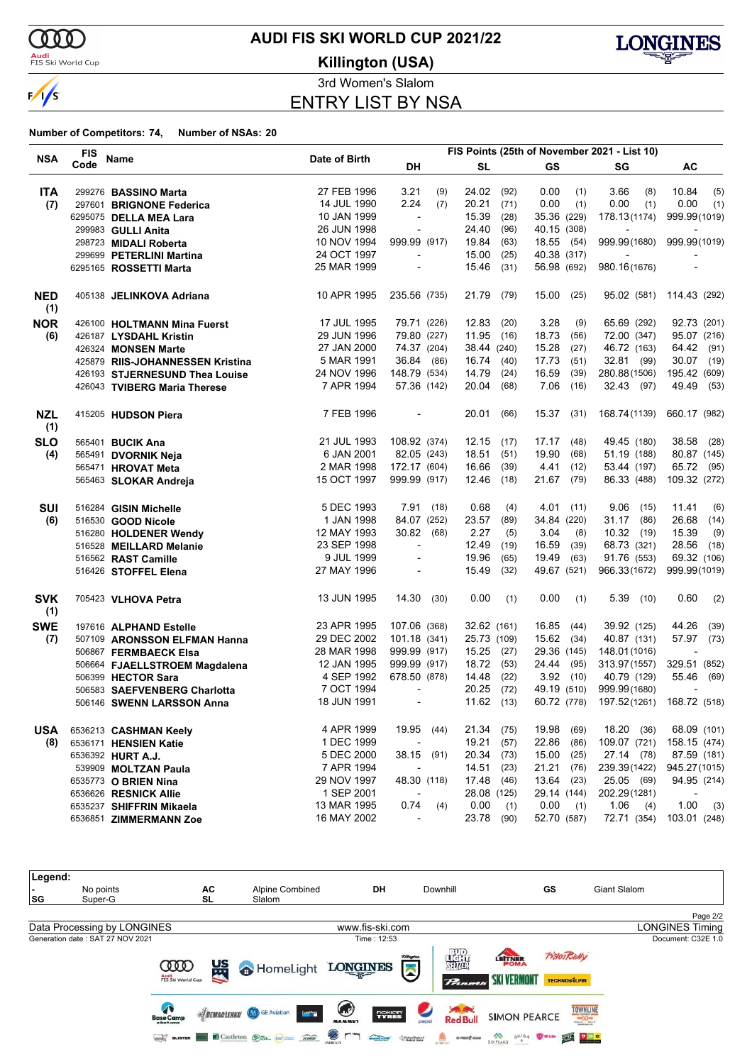

**Audi**<br>FIS Ski World Cup

# **AUDI FIS SKI WORLD CUP 2021/22**

**Killington (USA)**



3rd Women's Slalom

ENTRY LIST BY NSA

|                   | <b>FIS</b> |                                  |               | FIS Points (25th of November 2021 - List 10) |      |              |      |              |      |                            |                          |
|-------------------|------------|----------------------------------|---------------|----------------------------------------------|------|--------------|------|--------------|------|----------------------------|--------------------------|
| <b>NSA</b>        | Code       | Name                             | Date of Birth | DH                                           |      | <b>SL</b>    |      | <b>GS</b>    |      | SG                         | AC                       |
| <b>ITA</b>        |            | 299276 BASSINO Marta             | 27 FEB 1996   | 3.21                                         | (9)  | 24.02        | (92) | 0.00         | (1)  | 3.66<br>(8)                | 10.84<br>(5)             |
| (7)               |            | 297601 BRIGNONE Federica         | 14 JUL 1990   | 2.24                                         | (7)  | 20.21        | (71) | 0.00         | (1)  | 0.00<br>(1)                | 0.00<br>(1)              |
|                   |            | 6295075 DELLA MEA Lara           | 10 JAN 1999   | $\overline{\phantom{a}}$                     |      | 15.39        | (28) | 35.36 (229)  |      | 178.13(1174)               | 999.99(1019)             |
|                   |            | 299983 GULLI Anita               | 26 JUN 1998   | $\overline{\phantom{a}}$                     |      | 24.40        | (96) | 40.15 (308)  |      | $\overline{\phantom{a}}$   |                          |
|                   |            | 298723 MIDALI Roberta            | 10 NOV 1994   | 999.99 (917)                                 |      | 19.84        | (63) | 18.55 (54)   |      | 999.99(1680)               | 999.99(1019)             |
|                   |            | 299699 PETERLINI Martina         | 24 OCT 1997   | $\overline{\phantom{a}}$                     |      | 15.00        | (25) | 40.38 (317)  |      | $\overline{\phantom{a}}$   |                          |
|                   |            | 6295165 ROSSETTI Marta           | 25 MAR 1999   |                                              |      | 15.46        | (31) | 56.98 (692)  |      | 980.16(1676)               |                          |
| <b>NED</b><br>(1) |            | 405138 JELINKOVA Adriana         | 10 APR 1995   | 235.56 (735)                                 |      | 21.79        | (79) | 15.00        | (25) |                            | 95.02 (581) 114.43 (292) |
| <b>NOR</b>        |            | 426100 HOLTMANN Mina Fuerst      | 17 JUL 1995   | 79.71 (226)                                  |      | 12.83        | (20) | 3.28         | (9)  | 65.69 (292)                | 92.73 (201)              |
| (6)               |            | 426187 LYSDAHL Kristin           | 29 JUN 1996   | 79.80 (227)                                  |      | 11.95        | (16) | 18.73        | (56) | 72.00 (347)                | 95.07 (216)              |
|                   |            | 426324 MONSEN Marte              | 27 JAN 2000   | 74.37 (204)                                  |      | 38.44 (240)  |      | 15.28        | (27) | 46.72 (163)                | 64.42<br>(91)            |
|                   |            | 425879 RIIS-JOHANNESSEN Kristina | 5 MAR 1991    | 36.84 (86)                                   |      | 16.74        | (40) | 17.73        | (51) | 32.81 (99)                 | 30.07 (19)               |
|                   |            | 426193 STJERNESUND Thea Louise   | 24 NOV 1996   | 148.79 (534)                                 |      | 14.79        | (24) | 16.59        | (39) | 280.88(1506)               | 195.42 (609)             |
|                   |            | 426043 TVIBERG Maria Therese     | 7 APR 1994    | 57.36 (142)                                  |      | 20.04        | (68) | 7.06         | (16) | 32.43 (97)                 | 49.49 (53)               |
| <b>NZL</b>        |            | 415205 HUDSON Piera              | 7 FEB 1996    | $\overline{\phantom{a}}$                     |      | 20.01        | (66) | $15.37$ (31) |      | 168.74 (1139)              | 660.17 (982)             |
| (1)               |            |                                  |               |                                              |      |              |      |              |      |                            |                          |
| <b>SLO</b>        |            | 565401 BUCIK Ana                 | 21 JUL 1993   | 108.92 (374)                                 |      | 12.15        | (17) | 17.17        | (48) | 49.45 (180)                | 38.58<br>(28)            |
| (4)               |            | 565491 DVORNIK Neja              | 6 JAN 2001    | 82.05 (243)                                  |      | 18.51        | (51) | 19.90        | (68) | 51.19 (188)                | 80.87 (145)              |
|                   |            | 565471 HROVAT Meta               | 2 MAR 1998    | 172.17 (604)                                 |      | 16.66        | (39) | 4.41         | (12) | 53.44 (197)                | 65.72<br>(95)            |
|                   |            | 565463 SLOKAR Andreja            | 15 OCT 1997   | 999.99 (917)                                 |      | 12.46        | (18) | 21.67        | (79) | 86.33 (488)                | 109.32 (272)             |
| <b>SUI</b>        |            | 516284 GISIN Michelle            | 5 DEC 1993    | 7.91(18)                                     |      | 0.68         | (4)  | 4.01         | (11) | $9.06$ (15)                | 11.41<br>(6)             |
| (6)               |            | 516530 GOOD Nicole               | 1 JAN 1998    | 84.07 (252)                                  |      | 23.57        | (89) | 34.84 (220)  |      | 31.17 (86)                 | 26.68<br>(14)            |
|                   |            | 516280 HOLDENER Wendy            | 12 MAY 1993   | 30.82                                        | (68) | 2.27         | (5)  | 3.04         | (8)  | 10.32(19)                  | 15.39<br>(9)             |
|                   |            | 516528 MEILLARD Melanie          | 23 SEP 1998   | $\overline{\phantom{a}}$                     |      | 12.49        | (19) | 16.59        | (39) | 68.73 (321)                | 28.56<br>(18)            |
|                   |            | 516562 RAST Camille              | 9 JUL 1999    | $\overline{\phantom{a}}$                     |      | 19.96        | (65) | 19.49        | (63) | 91.76 (553)                | 69.32 (106)              |
|                   |            | 516426 STOFFEL Elena             | 27 MAY 1996   |                                              |      | 15.49        | (32) | 49.67 (521)  |      | 966.33(1672)               | 999.99(1019)             |
| <b>SVK</b><br>(1) |            | 705423 VLHOVA Petra              | 13 JUN 1995   | 14.30                                        | (30) | 0.00         | (1)  | 0.00         | (1)  | $5.39$ (10)                | 0.60<br>(2)              |
| <b>SWE</b>        |            | 197616 ALPHAND Estelle           | 23 APR 1995   | 107.06 (368)                                 |      | 32.62 (161)  |      | 16.85        | (44) | 39.92 (125)                | 44.26<br>(39)            |
| (7)               |            | 507109 ARONSSON ELFMAN Hanna     | 29 DEC 2002   | 101.18 (341)                                 |      | 25.73 (109)  |      | 15.62 (34)   |      | 40.87 (131)                | 57.97<br>(73)            |
|                   |            | 506867 FERMBAECK Elsa            | 28 MAR 1998   | 999.99 (917)                                 |      | 15.25        | (27) | 29.36 (145)  |      | 148.01(1016)               |                          |
|                   |            | 506664 FJAELLSTROEM Magdalena    | 12 JAN 1995   | 999.99 (917)                                 |      | 18.72        | (53) | 24.44        | (95) | 313.97 (1557)              | 329.51 (852)             |
|                   |            | 506399 HECTOR Sara               | 4 SEP 1992    | 678.50 (878)                                 |      | 14.48        | (22) | 3.92         | (10) | 40.79 (129)                | 55.46<br>(69)            |
|                   |            | 506583 SAEFVENBERG Charlotta     | 7 OCT 1994    | $\overline{\phantom{a}}$                     |      | 20.25        | (72) | 49.19 (510)  |      | 999.99(1680)               |                          |
|                   |            | 506146 SWENN LARSSON Anna        | 18 JUN 1991   | $\overline{\phantom{a}}$                     |      | $11.62$ (13) |      | 60.72 (778)  |      | 197.52(1261)               | 168.72 (518)             |
|                   |            |                                  | 4 APR 1999    | 19.95 (44)                                   |      | 21.34        | (75) | 19.98        | (69) | 18.20 (36)                 | 68.09 (101)              |
| USA               |            | 6536213 CASHMAN Keely            | 1 DEC 1999    |                                              |      | 19.21        | (57) | 22.86        | (86) | 109.07 (721)               | 158.15 (474)             |
| (8)               |            | 6536171 HENSIEN Katie            |               | $\overline{\phantom{a}}$<br>38.15 (91)       |      | 20.34        |      | 15.00        |      |                            |                          |
|                   |            | 6536392 HURT A.J.                | 5 DEC 2000    |                                              |      |              | (73) |              | (25) | 27.14 (78)<br>239.39(1422) | 87.59 (181)              |
|                   |            | 539909 MOLTZAN Paula             | 7 APR 1994    |                                              |      | 14.51        | (23) | 21.21        | (76) |                            | 945.27 (1015)            |
|                   |            | 6535773 O BRIEN Nina             | 29 NOV 1997   | 48.30 (118)                                  |      | 17.48        | (46) | 13.64        | (23) | 25.05 (69)                 | 94.95 (214)              |
|                   |            | 6536626 RESNICK Allie            | 1 SEP 2001    | $\overline{\phantom{a}}$                     |      | 28.08 (125)  |      | 29.14 (144)  |      | 202.29(1281)               |                          |
|                   |            | 6535237 SHIFFRIN Mikaela         | 13 MAR 1995   | 0.74                                         | (4)  | 0.00         | (1)  | 0.00         | (1)  | 1.06<br>(4)                | 1.00<br>(3)              |
|                   |            | 6536851 ZIMMERMANN Zoe           | 16 MAY 2002   | $\blacksquare$                               |      | 23.78        | (90) | 52.70 (587)  |      | 72.71 (354)                | 103.01 (248)             |

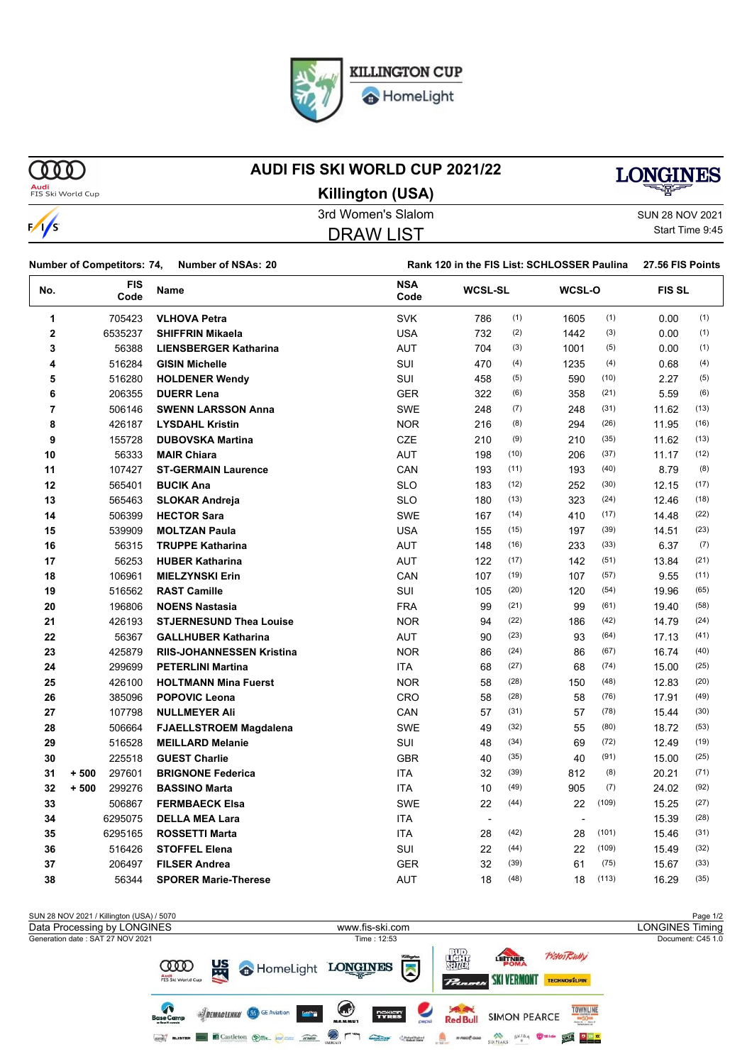

HomeLight

 $\gamma$ 

 $\sqrt{s}$ 

### **AUDI FIS SKI WORLD CUP 2021/22**



**Audi**<br>FIS Ski World Cup

3rd Women's Slalom Sun 28 NOV 2021 **Killington (USA)**

DRAW LIST

Start Time 9:45

|                |        | <b>Number of Competitors: 74,</b> | <b>Number of NSAs: 20</b>        |                    | Rank 120 in the FIS List: SCHLOSSER Paulina |      |        |       |              |      |
|----------------|--------|-----------------------------------|----------------------------------|--------------------|---------------------------------------------|------|--------|-------|--------------|------|
| No.            |        | <b>FIS</b><br>Code                | Name                             | <b>NSA</b><br>Code | <b>WCSL-SL</b>                              |      | WCSL-O |       | <b>FISSL</b> |      |
| 1              |        | 705423                            | <b>VLHOVA Petra</b>              | <b>SVK</b>         | 786                                         | (1)  | 1605   | (1)   | 0.00         | (1)  |
| $\overline{2}$ |        | 6535237                           | <b>SHIFFRIN Mikaela</b>          | <b>USA</b>         | 732                                         | (2)  | 1442   | (3)   | 0.00         | (1)  |
| 3              |        | 56388                             | <b>LIENSBERGER Katharina</b>     | <b>AUT</b>         | 704                                         | (3)  | 1001   | (5)   | 0.00         | (1)  |
| 4              |        | 516284                            | <b>GISIN Michelle</b>            | SUI                | 470                                         | (4)  | 1235   | (4)   | 0.68         | (4)  |
| 5              |        | 516280                            | <b>HOLDENER Wendy</b>            | <b>SUI</b>         | 458                                         | (5)  | 590    | (10)  | 2.27         | (5)  |
| 6              |        | 206355                            | <b>DUERR Lena</b>                | <b>GER</b>         | 322                                         | (6)  | 358    | (21)  | 5.59         | (6)  |
| 7              |        | 506146                            | <b>SWENN LARSSON Anna</b>        | <b>SWE</b>         | 248                                         | (7)  | 248    | (31)  | 11.62        | (13) |
| 8              |        | 426187                            | <b>LYSDAHL Kristin</b>           | <b>NOR</b>         | 216                                         | (8)  | 294    | (26)  | 11.95        | (16) |
| 9              |        | 155728                            | <b>DUBOVSKA Martina</b>          | <b>CZE</b>         | 210                                         | (9)  | 210    | (35)  | 11.62        | (13) |
| 10             |        | 56333                             | <b>MAIR Chiara</b>               | <b>AUT</b>         | 198                                         | (10) | 206    | (37)  | 11.17        | (12) |
| 11             |        | 107427                            | <b>ST-GERMAIN Laurence</b>       | CAN                | 193                                         | (11) | 193    | (40)  | 8.79         | (8)  |
| 12             |        | 565401                            | <b>BUCIK Ana</b>                 | <b>SLO</b>         | 183                                         | (12) | 252    | (30)  | 12.15        | (17) |
| 13             |        | 565463                            | <b>SLOKAR Andreja</b>            | <b>SLO</b>         | 180                                         | (13) | 323    | (24)  | 12.46        | (18) |
| 14             |        | 506399                            | <b>HECTOR Sara</b>               | <b>SWE</b>         | 167                                         | (14) | 410    | (17)  | 14.48        | (22) |
| 15             |        | 539909                            | <b>MOLTZAN Paula</b>             | <b>USA</b>         | 155                                         | (15) | 197    | (39)  | 14.51        | (23) |
| 16             |        | 56315                             | <b>TRUPPE Katharina</b>          | <b>AUT</b>         | 148                                         | (16) | 233    | (33)  | 6.37         | (7)  |
| 17             |        | 56253                             | <b>HUBER Katharina</b>           | <b>AUT</b>         | 122                                         | (17) | 142    | (51)  | 13.84        | (21) |
| 18             |        | 106961                            | <b>MIELZYNSKI Erin</b>           | CAN                | 107                                         | (19) | 107    | (57)  | 9.55         | (11) |
| 19             |        | 516562                            | <b>RAST Camille</b>              | SUI                | 105                                         | (20) | 120    | (54)  | 19.96        | (65) |
| 20             |        | 196806                            | <b>NOENS Nastasia</b>            | <b>FRA</b>         | 99                                          | (21) | 99     | (61)  | 19.40        | (58) |
| 21             |        | 426193                            | <b>STJERNESUND Thea Louise</b>   | <b>NOR</b>         | 94                                          | (22) | 186    | (42)  | 14.79        | (24) |
| 22             |        | 56367                             | <b>GALLHUBER Katharina</b>       | <b>AUT</b>         | 90                                          | (23) | 93     | (64)  | 17.13        | (41) |
| 23             |        | 425879                            | <b>RIIS-JOHANNESSEN Kristina</b> | <b>NOR</b>         | 86                                          | (24) | 86     | (67)  | 16.74        | (40) |
| 24             |        | 299699                            | <b>PETERLINI Martina</b>         | ITA                | 68                                          | (27) | 68     | (74)  | 15.00        | (25) |
| 25             |        | 426100                            | <b>HOLTMANN Mina Fuerst</b>      | <b>NOR</b>         | 58                                          | (28) | 150    | (48)  | 12.83        | (20) |
| 26             |        | 385096                            | <b>POPOVIC Leona</b>             | <b>CRO</b>         | 58                                          | (28) | 58     | (76)  | 17.91        | (49) |
| 27             |        | 107798                            | <b>NULLMEYER Ali</b>             | CAN                | 57                                          | (31) | 57     | (78)  | 15.44        | (30) |
| 28             |        | 506664                            | <b>FJAELLSTROEM Magdalena</b>    | <b>SWE</b>         | 49                                          | (32) | 55     | (80)  | 18.72        | (53) |
| 29             |        | 516528                            | <b>MEILLARD Melanie</b>          | <b>SUI</b>         | 48                                          | (34) | 69     | (72)  | 12.49        | (19) |
| 30             |        | 225518                            | <b>GUEST Charlie</b>             | <b>GBR</b>         | 40                                          | (35) | 40     | (91)  | 15.00        | (25) |
| 31             | $+500$ | 297601                            | <b>BRIGNONE Federica</b>         | <b>ITA</b>         | 32                                          | (39) | 812    | (8)   | 20.21        | (71) |
| 32             | $+500$ | 299276                            | <b>BASSINO Marta</b>             | <b>ITA</b>         | 10                                          | (49) | 905    | (7)   | 24.02        | (92) |
| 33             |        | 506867                            | <b>FERMBAECK Elsa</b>            | <b>SWE</b>         | 22                                          | (44) | 22     | (109) | 15.25        | (27) |
| 34             |        | 6295075                           | <b>DELLA MEA Lara</b>            | ITA                |                                             |      |        |       | 15.39        | (28) |
| 35             |        | 6295165                           | <b>ROSSETTI Marta</b>            | ITA                | 28                                          | (42) | 28     | (101) | 15.46        | (31) |
| 36             |        | 516426                            | <b>STOFFEL Elena</b>             | SUI                | 22                                          | (44) | 22     | (109) | 15.49        | (32) |
| 37             |        | 206497                            | <b>FILSER Andrea</b>             | <b>GER</b>         | 32                                          | (39) | 61     | (75)  | 15.67        | (33) |
| 38             |        | 56344                             | <b>SPORER Marie-Therese</b>      | <b>AUT</b>         | 18                                          | (48) | 18     | (113) | 16.29        | (35) |

SUN 28 NOV 2021 / Killington (USA) / 5070 Page 1/2 Data Processing by LONGINES www.fis-ski.com LONGINES TimingGeneration date : SAT 27 NOV 2021 Time : 12:53 Document: C45 1.0 擺 PistenRully LETTNER **μs COO** HomeLight LONGINES  $\sum$ Audi<br>FIS Ski World Cu SKI VERMONT TECHNOSILPIN **Prim** T  $\bigcirc$ **Saved**<br>Red Bull **TOWNLINE SIDEMACLENKO** GE Aviation **Serie** TYRES **SIMON PEARCE** George BLISTER EN Castleton (S) == 100 mm Road D F "" Contract Children"  $\begin{picture}(20,10) \put(0,0){\line(1,0){10}} \put(0,0){\line(1,0){10}} \put(0,0){\line(1,0){10}} \put(0,0){\line(1,0){10}} \put(0,0){\line(1,0){10}} \put(0,0){\line(1,0){10}} \put(0,0){\line(1,0){10}} \put(0,0){\line(1,0){10}} \put(0,0){\line(1,0){10}} \put(0,0){\line(1,0){10}} \put(0,0){\line(1,0){10}} \put(0,0){\line(1,0){10}} \put(0,$ SIXPEAKS OF SKIDA THE STATE OF THE SEARCH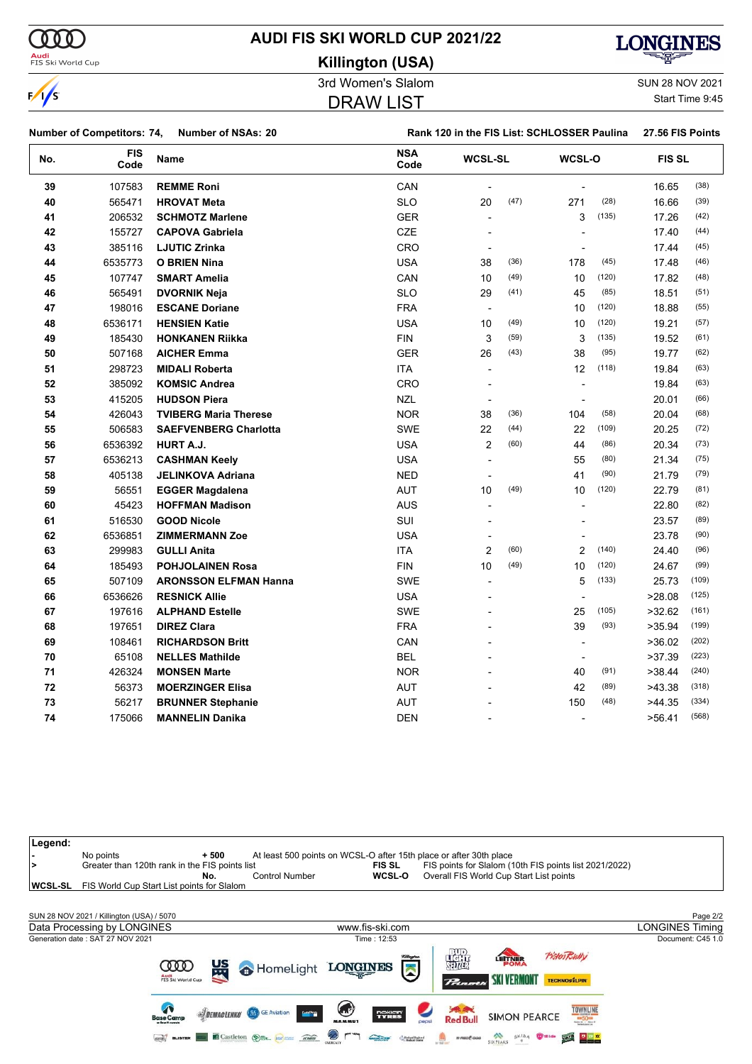

**Killington (USA)**



 $\sqrt{s}$ 

 $\bf{v}$ 

**Audi**<br>FIS Ski World Cup

DRAW LIST

3rd Women's Slalom Sun 28 NOV 2021 Start Time 9:45

| <b>Number of Competitors: 74,</b><br><b>Number of NSAs: 20</b> |                    |                              | Rank 120 in the FIS List: SCHLOSSER Paulina<br>27.56 FIS Points |                          |      |                          |       |               |       |
|----------------------------------------------------------------|--------------------|------------------------------|-----------------------------------------------------------------|--------------------------|------|--------------------------|-------|---------------|-------|
| No.                                                            | <b>FIS</b><br>Code | Name                         | <b>NSA</b><br>Code                                              | <b>WCSL-SL</b>           |      | WCSL-O                   |       | <b>FIS SL</b> |       |
| 39                                                             | 107583             | <b>REMME Roni</b>            | CAN                                                             |                          |      |                          |       | 16.65         | (38)  |
| 40                                                             | 565471             | <b>HROVAT Meta</b>           | <b>SLO</b>                                                      | 20                       | (47) | 271                      | (28)  | 16.66         | (39)  |
| 41                                                             | 206532             | <b>SCHMOTZ Marlene</b>       | <b>GER</b>                                                      |                          |      | 3                        | (135) | 17.26         | (42)  |
| 42                                                             | 155727             | <b>CAPOVA Gabriela</b>       | CZE                                                             |                          |      | ÷,                       |       | 17.40         | (44)  |
| 43                                                             | 385116             | <b>LJUTIC Zrinka</b>         | CRO                                                             | $\overline{a}$           |      |                          |       | 17.44         | (45)  |
| 44                                                             | 6535773            | <b>O BRIEN Nina</b>          | <b>USA</b>                                                      | 38                       | (36) | 178                      | (45)  | 17.48         | (46)  |
| 45                                                             | 107747             | <b>SMART Amelia</b>          | CAN                                                             | 10                       | (49) | 10                       | (120) | 17.82         | (48)  |
| 46                                                             | 565491             | <b>DVORNIK Neja</b>          | <b>SLO</b>                                                      | 29                       | (41) | 45                       | (85)  | 18.51         | (51)  |
| 47                                                             | 198016             | <b>ESCANE Doriane</b>        | <b>FRA</b>                                                      | $\blacksquare$           |      | 10                       | (120) | 18.88         | (55)  |
| 48                                                             | 6536171            | <b>HENSIEN Katie</b>         | <b>USA</b>                                                      | 10                       | (49) | 10                       | (120) | 19.21         | (57)  |
| 49                                                             | 185430             | <b>HONKANEN Riikka</b>       | <b>FIN</b>                                                      | 3                        | (59) | 3                        | (135) | 19.52         | (61)  |
| 50                                                             | 507168             | <b>AICHER Emma</b>           | <b>GER</b>                                                      | 26                       | (43) | 38                       | (95)  | 19.77         | (62)  |
| 51                                                             | 298723             | <b>MIDALI Roberta</b>        | ITA                                                             | $\blacksquare$           |      | 12                       | (118) | 19.84         | (63)  |
| 52                                                             | 385092             | <b>KOMSIC Andrea</b>         | CRO                                                             | $\overline{\phantom{a}}$ |      |                          |       | 19.84         | (63)  |
| 53                                                             | 415205             | <b>HUDSON Piera</b>          | <b>NZL</b>                                                      |                          |      |                          |       | 20.01         | (66)  |
| 54                                                             | 426043             | <b>TVIBERG Maria Therese</b> | <b>NOR</b>                                                      | 38                       | (36) | 104                      | (58)  | 20.04         | (68)  |
| 55                                                             | 506583             | <b>SAEFVENBERG Charlotta</b> | SWE                                                             | 22                       | (44) | 22                       | (109) | 20.25         | (72)  |
| 56                                                             | 6536392            | HURT A.J.                    | <b>USA</b>                                                      | $\overline{c}$           | (60) | 44                       | (86)  | 20.34         | (73)  |
| 57                                                             | 6536213            | <b>CASHMAN Keely</b>         | <b>USA</b>                                                      |                          |      | 55                       | (80)  | 21.34         | (75)  |
| 58                                                             | 405138             | <b>JELINKOVA Adriana</b>     | <b>NED</b>                                                      |                          |      | 41                       | (90)  | 21.79         | (79)  |
| 59                                                             | 56551              | <b>EGGER Magdalena</b>       | <b>AUT</b>                                                      | 10                       | (49) | 10                       | (120) | 22.79         | (81)  |
| 60                                                             | 45423              | <b>HOFFMAN Madison</b>       | <b>AUS</b>                                                      |                          |      |                          |       | 22.80         | (82)  |
| 61                                                             | 516530             | <b>GOOD Nicole</b>           | SUI                                                             |                          |      |                          |       | 23.57         | (89)  |
| 62                                                             | 6536851            | <b>ZIMMERMANN Zoe</b>        | <b>USA</b>                                                      |                          |      |                          |       | 23.78         | (90)  |
| 63                                                             | 299983             | <b>GULLI Anita</b>           | <b>ITA</b>                                                      | $\overline{2}$           | (60) | $\overline{2}$           | (140) | 24.40         | (96)  |
| 64                                                             | 185493             | <b>POHJOLAINEN Rosa</b>      | <b>FIN</b>                                                      | 10                       | (49) | 10                       | (120) | 24.67         | (99)  |
| 65                                                             | 507109             | <b>ARONSSON ELFMAN Hanna</b> | <b>SWE</b>                                                      | $\blacksquare$           |      | 5                        | (133) | 25.73         | (109) |
| 66                                                             | 6536626            | <b>RESNICK Allie</b>         | <b>USA</b>                                                      |                          |      | ł,                       |       | >28.08        | (125) |
| 67                                                             | 197616             | <b>ALPHAND Estelle</b>       | <b>SWE</b>                                                      |                          |      | 25                       | (105) | >32.62        | (161) |
| 68                                                             | 197651             | <b>DIREZ Clara</b>           | <b>FRA</b>                                                      |                          |      | 39                       | (93)  | >35.94        | (199) |
| 69                                                             | 108461             | <b>RICHARDSON Britt</b>      | CAN                                                             |                          |      |                          |       | >36.02        | (202) |
| 70                                                             | 65108              | <b>NELLES Mathilde</b>       | <b>BEL</b>                                                      |                          |      | $\overline{\phantom{a}}$ |       | >37.39        | (223) |
| 71                                                             | 426324             | <b>MONSEN Marte</b>          | <b>NOR</b>                                                      |                          |      | 40                       | (91)  | >38.44        | (240) |
| 72                                                             | 56373              | <b>MOERZINGER Elisa</b>      | <b>AUT</b>                                                      |                          |      | 42                       | (89)  | >43.38        | (318) |
| 73                                                             | 56217              | <b>BRUNNER Stephanie</b>     | <b>AUT</b>                                                      |                          |      | 150                      | (48)  | >44.35        | (334) |
| 74                                                             | 175066             | <b>MANNELIN Danika</b>       | <b>DEN</b>                                                      |                          |      | $\overline{\phantom{a}}$ |       | >56.41        | (568) |
|                                                                |                    |                              |                                                                 |                          |      |                          |       |               |       |

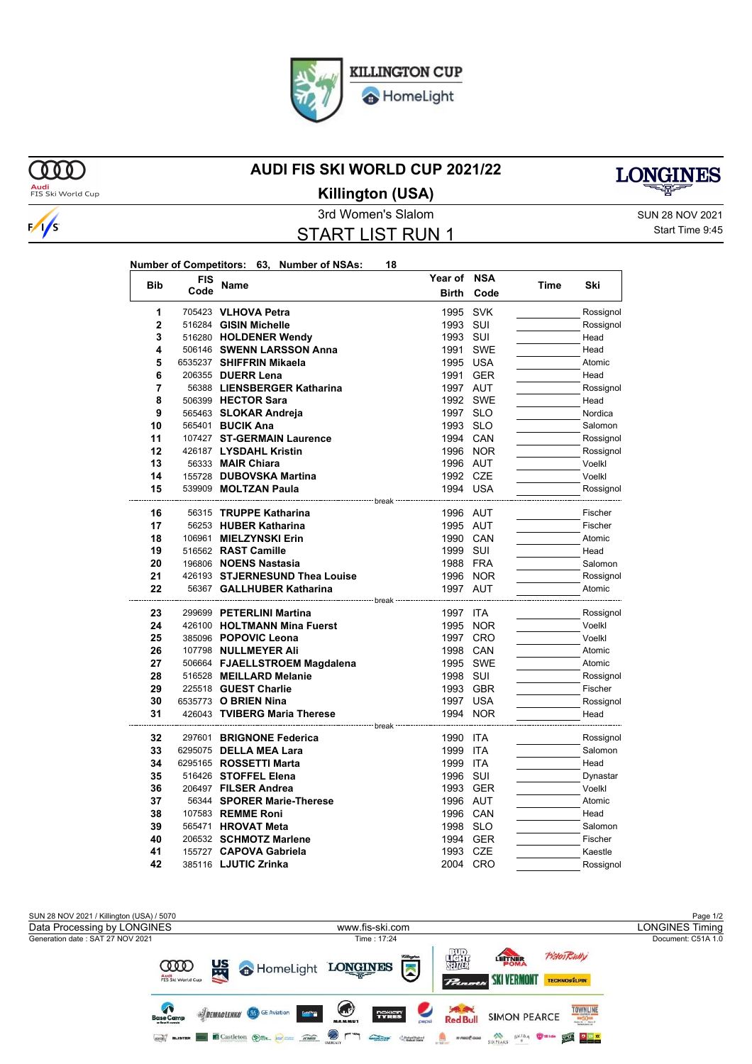HomeLight

### **MOO Audi**<br>FIS Ski World Cup

 $\sqrt{s}$ 

### **AUDI FIS SKI WORLD CUP 2021/22**



**Killington (USA)**

3rd Women's Slalom Sun 28 NOV 2021 START LIST RUN 1

Start Time 9:45

| Number of Competitors: 63, Number of NSAs: |  | 18 |
|--------------------------------------------|--|----|
|                                            |  |    |

| <b>Bib</b>     | <b>FIS</b> | Name                           | Year of             | NSA        |      | Ski       |
|----------------|------------|--------------------------------|---------------------|------------|------|-----------|
|                | Code       |                                | <b>Birth</b>        | Code       | Time |           |
| 1              |            | 705423 VLHOVA Petra            | 1995                | <b>SVK</b> |      | Rossignol |
| $\overline{2}$ |            | 516284 GISIN Michelle          | 1993                | SUI        |      | Rossignol |
| 3              |            | 516280 HOLDENER Wendy          | 1993                | SUI        |      | Head      |
| 4              |            | 506146 SWENN LARSSON Anna      | 1991                | <b>SWE</b> |      | Head      |
| 5              |            | 6535237 SHIFFRIN Mikaela       | 1995 USA            |            |      | Atomic    |
| 6              |            | 206355 DUERR Lena              |                     | 1991 GER   |      | Head      |
| 7              |            | 56388 LIENSBERGER Katharina    | 1997 AUT            |            |      | Rossignol |
| 8              |            | 506399 HECTOR Sara             |                     | 1992 SWE   |      | Head      |
| 9              |            | 565463 SLOKAR Andreja          | 1997 SLO            |            |      | Nordica   |
| 10             |            | 565401 <b>BUCIK Ana</b>        | 1993 SLO            |            |      | Salomon   |
| 11             |            | 107427 ST-GERMAIN Laurence     | 1994 CAN            |            |      | Rossignol |
| 12             |            | 426187 LYSDAHL Kristin         |                     | 1996 NOR   |      | Rossignol |
| 13             |            | 56333 <b>MAIR Chiara</b>       | 1996 AUT            |            |      | Voelkl    |
| 14             |            | 155728 DUBOVSKA Martina        | 1992 CZE            |            |      | Voelkl    |
| 15             |            | 539909 MOLTZAN Paula           | 1994 USA            |            |      | Rossignol |
| 16             |            | 56315 TRUPPE Katharina         | ∵ break<br>1996 AUT |            |      | Fischer   |
| 17             |            | 56253 HUBER Katharina          | 1995 AUT            |            |      | Fischer   |
| 18             |            | 106961 MIELZYNSKI Erin         | 1990 CAN            |            |      | Atomic    |
| 19             |            | 516562 RAST Camille            | 1999 SUI            |            |      | Head      |
| 20             |            | 196806 NOENS Nastasia          | 1988 FRA            |            |      | Salomon   |
| 21             |            | 426193 STJERNESUND Thea Louise |                     | 1996 NOR   |      | Rossignol |
| 22             |            | 56367 GALLHUBER Katharina      | 1997 AUT            |            |      | Atomic    |
|                |            |                                |                     |            |      |           |
| 23             |            | 299699 PETERLINI Martina       | 1997 ITA            |            |      | Rossignol |
| 24             |            | 426100 HOLTMANN Mina Fuerst    |                     | 1995 NOR   |      | Voelkl    |
| 25             |            | 385096 POPOVIC Leona           |                     | 1997 CRO   |      | Voelkl    |
| 26             |            | 107798 NULLMEYER Ali           | 1998 CAN            |            |      | Atomic    |
| 27             |            | 506664 FJAELLSTROEM Magdalena  |                     | 1995 SWE   |      | Atomic    |
| 28             |            | 516528 MEILLARD Melanie        | 1998 SUI            |            |      | Rossignol |
| 29             |            | 225518 GUEST Charlie           |                     | 1993 GBR   |      | Fischer   |
| 30             |            | 6535773 O BRIEN Nina           | 1997 USA            |            |      | Rossignol |
| 31             |            | 426043 TVIBERG Maria Therese   | ------- break --    | 1994 NOR   |      | Head      |
| 32             |            | 297601 BRIGNONE Federica       | 1990 ITA            |            |      | Rossignol |
| 33             |            | 6295075 DELLA MEA Lara         | 1999                | <b>ITA</b> |      | Salomon   |
| 34             |            | 6295165 ROSSETTI Marta         | 1999 ITA            |            |      | Head      |
| 35             |            | 516426 STOFFEL Elena           | 1996 SUI            |            |      | Dynastar  |
| 36             |            | 206497 FILSER Andrea           |                     | 1993 GER   |      | Voelkl    |
| 37             |            | 56344 SPORER Marie-Therese     | 1996 AUT            |            |      | Atomic    |
| 38             |            | 107583 REMME Roni              |                     | 1996 CAN   |      | Head      |
| 39             |            | 565471 HROVAT Meta             | 1998 SLO            |            |      | Salomon   |
| 40             |            | 206532 SCHMOTZ Marlene         |                     | 1994 GER   |      | Fischer   |
| 41             |            | 155727 CAPOVA Gabriela         | 1993 CZE            |            |      | Kaestle   |
| 42             |            | 385116 <b>LJUTIC Zrinka</b>    | 2004 CRO            |            |      | Rossignol |

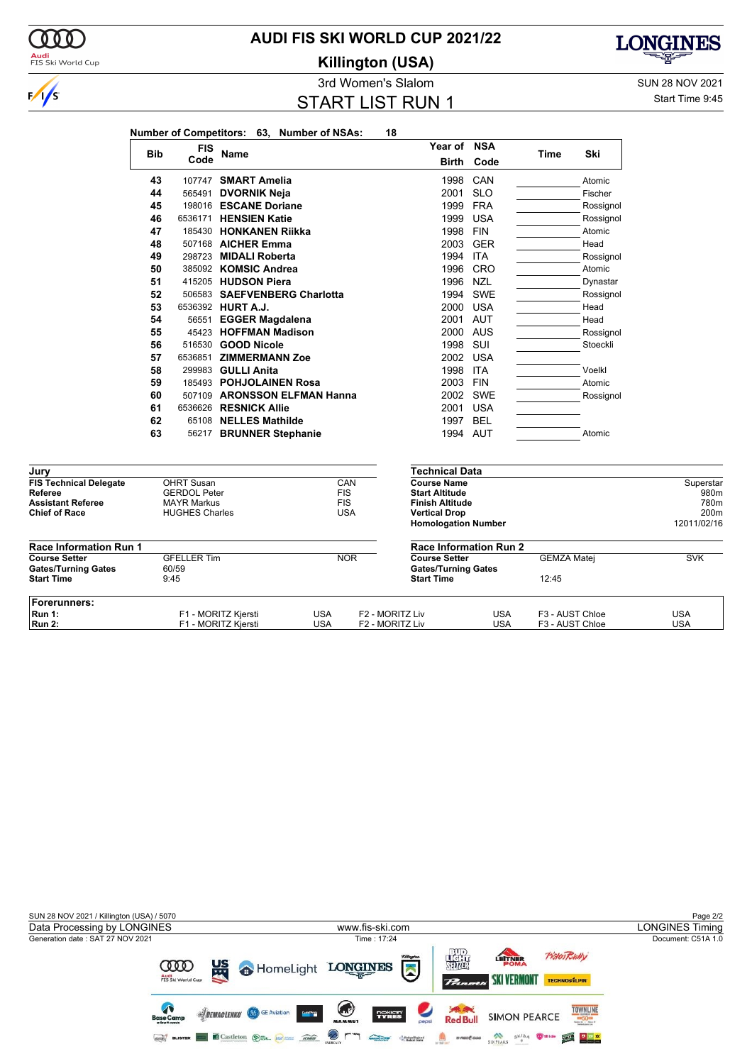

### **AUDI FIS SKI WORLD CUP 2021/22**

**Killington (USA)**



3rd Women's Slalom Sun 28 NOV 2021

Start Time 9:45

START LIST RUN 1

| <b>Bib</b> | <b>FIS</b> |                              | Year of NSA           |            |      | Ski       |
|------------|------------|------------------------------|-----------------------|------------|------|-----------|
|            | Code       | Name                         | <b>Birth</b>          | Code       | Time |           |
| 43         | 107747     | <b>SMART Amelia</b>          | 1998                  | CAN        |      | Atomic    |
| 44         | 565491     | <b>DVORNIK Neja</b>          | 2001                  | <b>SLO</b> |      | Fischer   |
| 45         | 198016     | <b>ESCANE Doriane</b>        | 1999                  | <b>FRA</b> |      | Rossignol |
| 46         | 6536171    | <b>HENSIEN Katie</b>         | 1999                  | <b>USA</b> |      | Rossignol |
| 47         | 185430     | <b>HONKANEN Riikka</b>       | 1998                  | <b>FIN</b> |      | Atomic    |
| 48         |            | 507168 AICHER Emma           | 2003                  | <b>GER</b> |      | Head      |
| 49         | 298723     | <b>MIDALI Roberta</b>        | 1994                  | <b>ITA</b> |      | Rossignol |
| 50         | 385092     | <b>KOMSIC Andrea</b>         | 1996                  | <b>CRO</b> |      | Atomic    |
| 51         | 415205     | <b>HUDSON Piera</b>          | 1996                  | <b>NZL</b> |      | Dynastar  |
| 52         |            | 506583 SAEFVENBERG Charlotta | 1994                  | <b>SWE</b> |      | Rossignol |
| 53         |            | 6536392 HURT A.J.            | 2000                  | <b>USA</b> |      | Head      |
| 54         | 56551      | <b>EGGER Magdalena</b>       | 2001                  | <b>AUT</b> |      | Head      |
| 55         | 45423      | <b>HOFFMAN Madison</b>       | 2000                  | <b>AUS</b> |      | Rossignol |
| 56         | 516530     | <b>GOOD Nicole</b>           | 1998                  | SUI        |      | Stoeckli  |
| 57         | 6536851    | <b>ZIMMERMANN Zoe</b>        | 2002                  | <b>USA</b> |      |           |
| 58         | 299983     | <b>GULLI Anita</b>           | 1998                  | <b>ITA</b> |      | Voelkl    |
| 59         | 185493     | <b>POHJOLAINEN Rosa</b>      | 2003                  | <b>FIN</b> |      | Atomic    |
| 60         | 507109     | <b>ARONSSON ELFMAN Hanna</b> | 2002                  | <b>SWE</b> |      | Rossignol |
| 61         | 6536626    | <b>RESNICK Allie</b>         | 2001                  | <b>USA</b> |      |           |
| 62         | 65108      | <b>NELLES Mathilde</b>       | 1997                  | <b>BEL</b> |      |           |
| 63         | 56217      | <b>BRUNNER Stephanie</b>     | 1994                  | AUT        |      | Atomic    |
|            |            |                              | <b>Technical Data</b> |            |      |           |

| <b>Assistant Referee</b><br><b>Chief of Race</b> | <b>MAYR Markus</b><br><b>HUGHES Charles</b> | <b>FIS</b> | USA                         | <b>Finish Altitude</b><br><b>Vertical Drop</b><br><b>Homologation Number</b> |                 | 780m<br>200 <sub>m</sub><br>12011/02/16 |
|--------------------------------------------------|---------------------------------------------|------------|-----------------------------|------------------------------------------------------------------------------|-----------------|-----------------------------------------|
| <b>Race Information Run 1</b>                    |                                             |            |                             | <b>Race Information Run 2</b>                                                |                 |                                         |
| <b>Course Setter</b>                             | <b>GFELLER Tim</b>                          |            | <b>NOR</b>                  | <b>GEMZA Matei</b><br><b>Course Setter</b>                                   |                 | <b>SVK</b>                              |
| <b>Gates/Turning Gates</b>                       | 60/59                                       |            | <b>Gates/Turning Gates</b>  |                                                                              |                 |                                         |
| <b>Start Time</b>                                | 9:45                                        |            | <b>Start Time</b>           |                                                                              | 12:45           |                                         |
| Forerunners:                                     |                                             |            |                             |                                                                              |                 |                                         |
| Run 1:                                           | F1 - MORITZ Kjersti                         | USA        | F <sub>2</sub> - MORITZ Liv | USA                                                                          | F3 - AUST Chloe | <b>USA</b>                              |
| <b>Run 2:</b>                                    | F1 - MORITZ Kiersti                         | USA        | F <sub>2</sub> - MORITZ Liv | USA                                                                          | F3 - AUST Chloe | USA                                     |

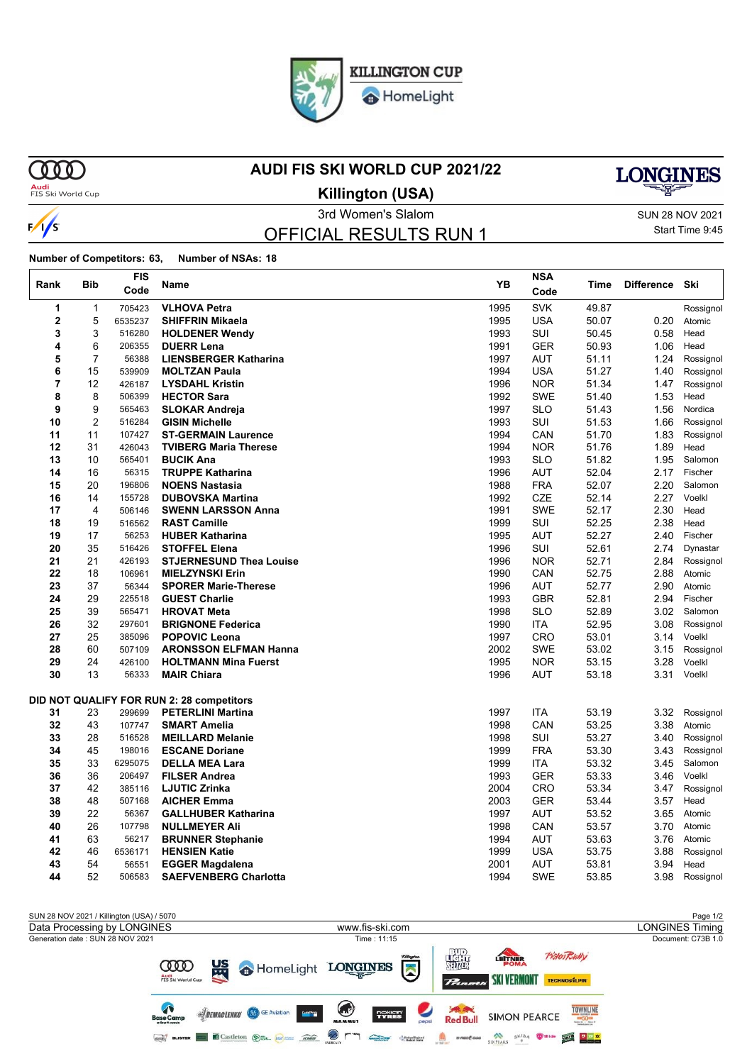

HomeLight

**MM** 

 $\frac{1}{s}$ 

### **AUDI FIS SKI WORLD CUP 2021/22**



**Audi**<br>FIS Ski World Cup

**Killington (USA)**

OFFICIAL RESULTS RUN 1

3rd Women's Slalom Sun 28 NOV 2021 Start Time 9:45

**Number of Competitors: 63, Number of NSAs: 18**

|      |                | <b>FIS</b> |                                           | YB   | <b>NSA</b> |       |                   |           |
|------|----------------|------------|-------------------------------------------|------|------------|-------|-------------------|-----------|
| Rank | <b>Bib</b>     | Code       | Name                                      |      | Code       | Time  | <b>Difference</b> | Ski       |
| 1    | 1              | 705423     | <b>VLHOVA Petra</b>                       | 1995 | <b>SVK</b> | 49.87 |                   | Rossignol |
| 2    | 5              | 6535237    | <b>SHIFFRIN Mikaela</b>                   | 1995 | <b>USA</b> | 50.07 | 0.20              | Atomic    |
| 3    | 3              | 516280     | <b>HOLDENER Wendy</b>                     | 1993 | SUI        | 50.45 | 0.58              | Head      |
| 4    | 6              | 206355     | <b>DUERR Lena</b>                         | 1991 | <b>GER</b> | 50.93 | 1.06              | Head      |
| 5    | 7              | 56388      | <b>LIENSBERGER Katharina</b>              | 1997 | AUT        | 51.11 | 1.24              | Rossignol |
| 6    | 15             | 539909     | <b>MOLTZAN Paula</b>                      | 1994 | <b>USA</b> | 51.27 | 1.40              | Rossignol |
| 7    | 12             | 426187     | <b>LYSDAHL Kristin</b>                    | 1996 | <b>NOR</b> | 51.34 | 1.47              | Rossignol |
| 8    | 8              | 506399     | <b>HECTOR Sara</b>                        | 1992 | <b>SWE</b> | 51.40 | 1.53              | Head      |
| 9    | 9              | 565463     | <b>SLOKAR Andreja</b>                     | 1997 | <b>SLO</b> | 51.43 | 1.56              | Nordica   |
| 10   | $\overline{2}$ | 516284     | <b>GISIN Michelle</b>                     | 1993 | SUI        | 51.53 | 1.66              | Rossignol |
| 11   | 11             | 107427     | <b>ST-GERMAIN Laurence</b>                | 1994 | CAN        | 51.70 | 1.83              | Rossignol |
| 12   | 31             | 426043     | <b>TVIBERG Maria Therese</b>              | 1994 | <b>NOR</b> | 51.76 | 1.89              | Head      |
| 13   | 10             | 565401     | <b>BUCIK Ana</b>                          | 1993 | <b>SLO</b> | 51.82 | 1.95              | Salomon   |
| 14   | 16             | 56315      | <b>TRUPPE Katharina</b>                   | 1996 | AUT        | 52.04 | 2.17              | Fischer   |
| 15   | 20             | 196806     | <b>NOENS Nastasia</b>                     | 1988 | <b>FRA</b> | 52.07 | 2.20              | Salomon   |
| 16   | 14             | 155728     | <b>DUBOVSKA Martina</b>                   | 1992 | <b>CZE</b> | 52.14 | 2.27              | Voelkl    |
| 17   | 4              | 506146     | <b>SWENN LARSSON Anna</b>                 | 1991 | <b>SWE</b> | 52.17 | 2.30              | Head      |
| 18   | 19             | 516562     | <b>RAST Camille</b>                       | 1999 | SUI        | 52.25 | 2.38              | Head      |
| 19   | 17             | 56253      | <b>HUBER Katharina</b>                    | 1995 | <b>AUT</b> | 52.27 | 2.40              | Fischer   |
| 20   | 35             | 516426     | <b>STOFFEL Elena</b>                      | 1996 | SUI        | 52.61 | 2.74              | Dynastar  |
| 21   | 21             | 426193     | <b>STJERNESUND Thea Louise</b>            | 1996 | <b>NOR</b> | 52.71 | 2.84              | Rossignol |
| 22   | 18             | 106961     | <b>MIELZYNSKI Erin</b>                    | 1990 | CAN        | 52.75 | 2.88              | Atomic    |
| 23   | 37             | 56344      | <b>SPORER Marie-Therese</b>               | 1996 | <b>AUT</b> | 52.77 | 2.90              | Atomic    |
| 24   | 29             | 225518     | <b>GUEST Charlie</b>                      | 1993 | <b>GBR</b> | 52.81 | 2.94              | Fischer   |
| 25   | 39             | 565471     | <b>HROVAT Meta</b>                        | 1998 | <b>SLO</b> | 52.89 | 3.02              | Salomon   |
| 26   | 32             | 297601     | <b>BRIGNONE Federica</b>                  | 1990 | ITA        | 52.95 | 3.08              | Rossignol |
| 27   | 25             | 385096     | <b>POPOVIC Leona</b>                      | 1997 | <b>CRO</b> | 53.01 | 3.14              | Voelkl    |
| 28   | 60             | 507109     | <b>ARONSSON ELFMAN Hanna</b>              | 2002 | SWE        | 53.02 | 3.15              | Rossignol |
| 29   | 24             | 426100     | <b>HOLTMANN Mina Fuerst</b>               | 1995 | <b>NOR</b> | 53.15 | 3.28              | Voelkl    |
| 30   | 13             | 56333      | <b>MAIR Chiara</b>                        | 1996 | <b>AUT</b> | 53.18 | 3.31              | Voelkl    |
|      |                |            | DID NOT QUALIFY FOR RUN 2: 28 competitors |      |            |       |                   |           |
| 31   | 23             | 299699     | <b>PETERLINI Martina</b>                  | 1997 | ITA        | 53.19 | 3.32              | Rossignol |
| 32   | 43             | 107747     | <b>SMART Amelia</b>                       | 1998 | CAN        | 53.25 | 3.38              | Atomic    |
| 33   | 28             | 516528     | <b>MEILLARD Melanie</b>                   | 1998 | SUI        | 53.27 | 3.40              | Rossignol |
| 34   | 45             | 198016     | <b>ESCANE Doriane</b>                     | 1999 | <b>FRA</b> | 53.30 | 3.43              | Rossignol |
| 35   | 33             | 6295075    | <b>DELLA MEA Lara</b>                     | 1999 | ITA        | 53.32 | 3.45              | Salomon   |
| 36   | 36             | 206497     | <b>FILSER Andrea</b>                      | 1993 | <b>GER</b> | 53.33 | 3.46              | Voelkl    |
| 37   | 42             | 385116     | <b>LJUTIC Zrinka</b>                      | 2004 | <b>CRO</b> | 53.34 | 3.47              | Rossignol |
| 38   | 48             | 507168     | <b>AICHER Emma</b>                        | 2003 | <b>GER</b> | 53.44 | 3.57              | Head      |
| 39   | 22             | 56367      | <b>GALLHUBER Katharina</b>                | 1997 | <b>AUT</b> | 53.52 | 3.65              | Atomic    |
| 40   | 26             | 107798     | <b>NULLMEYER Ali</b>                      | 1998 | CAN        | 53.57 | 3.70              | Atomic    |
| 41   | 63             | 56217      | <b>BRUNNER Stephanie</b>                  | 1994 | AUT        | 53.63 | 3.76              | Atomic    |
| 42   | 46             | 6536171    | <b>HENSIEN Katie</b>                      | 1999 | <b>USA</b> | 53.75 | 3.88              | Rossignol |
| 43   | 54             | 56551      | <b>EGGER Magdalena</b>                    | 2001 | <b>AUT</b> | 53.81 | 3.94              | Head      |
| 44   | 52             | 506583     | <b>SAEFVENBERG Charlotta</b>              | 1994 | <b>SWE</b> | 53.85 | 3.98              | Rossianol |

SUN 28 NOV 2021 / Killington (USA) / 5070<br>
Data Processing by LONGINES<br>
Page 1/2 Data Processing by LONGINES www.fis-ski.com Generation date : SUN 28 NOV 2021 Time : 11:15 Document: C73B 1.0 擺 PistenRully LETTNER 뗣 **COOD A** HomeLight LONGINES  $\sum_{i=1}^{n}$ Audi<br>FIS Ski World ( **SKI VERMONT** TECHNOSILPIN  $P_{\text{max}}$  $\sqrt{2}$ **Saved**<br>Red Bull **TOWNLINE SIDEMACLENKO & GE Aviation Septe** nokian'<br>TYRES **SIMON PEARCE**  $\begin{array}{|c|c|c|c|c|} \hline \textbf{0} & \textbf{0} & \textbf{0} & \textbf{0} & \textbf{0} \\ \hline \textbf{0} & \textbf{0} & \textbf{0} & \textbf{0} & \textbf{0} & \textbf{0} \\ \hline \textbf{0} & \textbf{0} & \textbf{0} & \textbf{0} & \textbf{0} & \textbf{0} & \textbf{0} \\ \hline \textbf{0} & \textbf{0} & \textbf{0} & \textbf{0} & \textbf{0} & \textbf{0} & \textbf{0} & \textbf{0} & \textbf{0} \\ \h$ SIXPEAKS OF SKIDA THE STATE OF THE SEARCH **GEO BLISTER CASTLETON OF AN AREA**  $\odot$  r ٦  $\begin{array}{c}\n\overbrace{\text{number}} \\
\overbrace{\text{number}} \\
\end{array}$ Calledge Region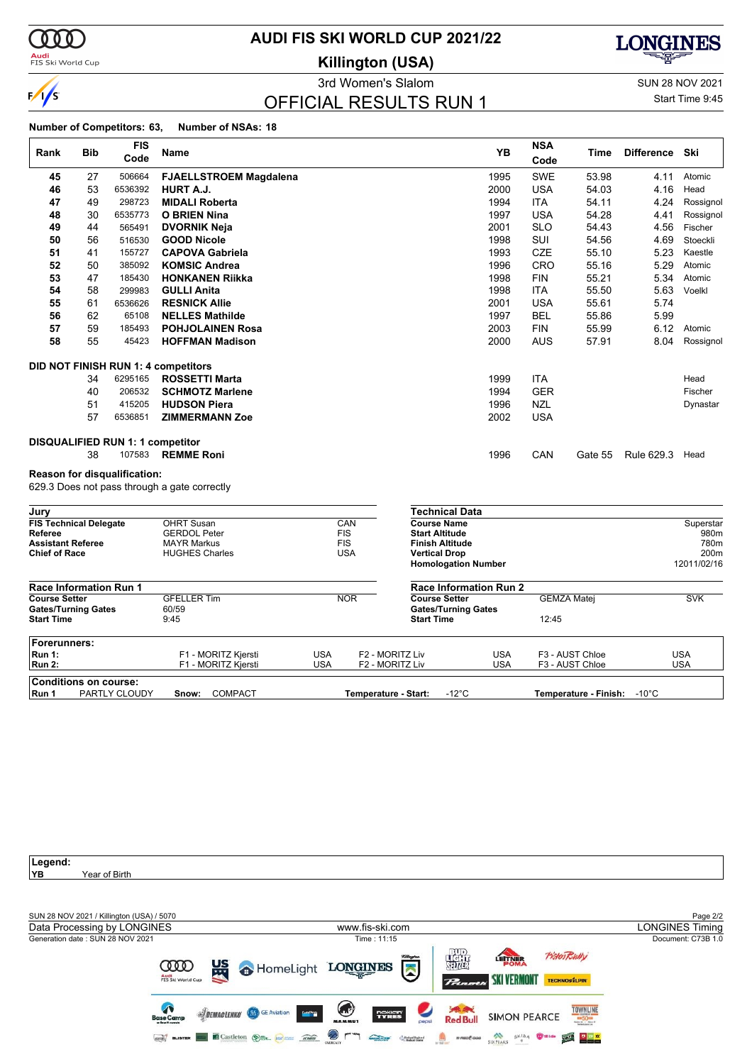

**Audi**<br>FIS Ski World Cup

### **AUDI FIS SKI WORLD CUP 2021/22**

**Killington (USA)**

### OFFICIAL RESULTS RUN 1

3rd Women's Slalom Sun 28 NOV 2021 Start Time 9:45

#### **Number of Competitors: 63, Number of NSAs: 18**

| Rank                                            | <b>Bib</b> | <b>FIS</b>                              | Name                                         |                          |                          |                                                 | YB                       | <b>NSA</b> | Time                               | <b>Difference</b> | Ski                      |
|-------------------------------------------------|------------|-----------------------------------------|----------------------------------------------|--------------------------|--------------------------|-------------------------------------------------|--------------------------|------------|------------------------------------|-------------------|--------------------------|
|                                                 |            | Code                                    |                                              |                          |                          |                                                 |                          | Code       |                                    |                   |                          |
| 45                                              | 27         | 506664                                  | <b>FJAELLSTROEM Magdalena</b>                |                          |                          |                                                 | 1995                     | <b>SWE</b> | 53.98                              | 4.11              | Atomic                   |
| 46                                              | 53         | 6536392                                 | HURT A.J.                                    |                          |                          |                                                 | 2000                     | <b>USA</b> | 54.03                              | 4.16              | Head                     |
| 47                                              | 49         | 298723                                  | <b>MIDALI Roberta</b>                        |                          |                          |                                                 | 1994                     | <b>ITA</b> | 54.11                              | 4.24              | Rossignol                |
| 48                                              | 30         | 6535773                                 | <b>O BRIEN Nina</b>                          |                          |                          |                                                 | 1997                     | <b>USA</b> | 54.28                              | 4.41              | Rossignol                |
| 49                                              | 44         | 565491                                  | <b>DVORNIK Neja</b>                          |                          |                          |                                                 | 2001                     | <b>SLO</b> | 54.43                              | 4.56              | Fischer                  |
| 50                                              | 56         | 516530                                  | <b>GOOD Nicole</b>                           |                          |                          |                                                 | 1998                     | SUI        | 54.56                              | 4.69              | Stoeckli                 |
| 51                                              | 41         | 155727                                  | <b>CAPOVA Gabriela</b>                       |                          |                          |                                                 | 1993                     | <b>CZE</b> | 55.10                              | 5.23              | Kaestle                  |
| 52                                              | 50         | 385092                                  | <b>KOMSIC Andrea</b>                         |                          |                          |                                                 | 1996                     | CRO        | 55.16                              | 5.29              | Atomic                   |
| 53                                              | 47         | 185430                                  | <b>HONKANEN Riikka</b>                       |                          |                          |                                                 | 1998                     | <b>FIN</b> | 55.21                              | 5.34              | Atomic                   |
| 54                                              | 58         | 299983                                  | <b>GULLI Anita</b>                           |                          |                          |                                                 | 1998                     | <b>ITA</b> | 55.50                              | 5.63              | Voelkl                   |
| 55                                              | 61         | 6536626                                 | <b>RESNICK Allie</b>                         |                          |                          |                                                 | 2001                     | <b>USA</b> | 55.61                              | 5.74              |                          |
| 56                                              | 62         | 65108                                   | <b>NELLES Mathilde</b>                       |                          |                          |                                                 | 1997                     | <b>BEL</b> | 55.86                              | 5.99              |                          |
| 57                                              | 59         | 185493                                  | <b>POHJOLAINEN Rosa</b>                      |                          |                          |                                                 | 2003                     | <b>FIN</b> | 55.99                              | 6.12              | Atomic                   |
| 58                                              | 55         | 45423                                   | <b>HOFFMAN Madison</b>                       |                          |                          |                                                 | 2000                     | <b>AUS</b> | 57.91                              | 8.04              | Rossignol                |
|                                                 |            |                                         | <b>DID NOT FINISH RUN 1: 4 competitors</b>   |                          |                          |                                                 |                          |            |                                    |                   |                          |
|                                                 | 34         | 6295165                                 | <b>ROSSETTI Marta</b>                        |                          |                          |                                                 | 1999                     | <b>ITA</b> |                                    |                   | Head                     |
|                                                 | 40         | 206532                                  | <b>SCHMOTZ Marlene</b>                       |                          |                          |                                                 | 1994                     | <b>GER</b> |                                    |                   | Fischer                  |
|                                                 | 51         | 415205                                  | <b>HUDSON Piera</b>                          |                          |                          |                                                 | 1996                     | <b>NZL</b> |                                    |                   | Dynastar                 |
|                                                 | 57         | 6536851                                 | <b>ZIMMERMANN Zoe</b>                        |                          |                          |                                                 | 2002                     | <b>USA</b> |                                    |                   |                          |
|                                                 |            | <b>DISQUALIFIED RUN 1: 1 competitor</b> |                                              |                          |                          |                                                 |                          |            |                                    |                   |                          |
|                                                 | 38         | 107583                                  | <b>REMME Roni</b>                            |                          |                          |                                                 | 1996                     | CAN        | Gate 55                            | Rule 629.3        | Head                     |
|                                                 |            | Reason for disqualification:            |                                              |                          |                          |                                                 |                          |            |                                    |                   |                          |
|                                                 |            |                                         | 629.3 Does not pass through a gate correctly |                          |                          |                                                 |                          |            |                                    |                   |                          |
| Jury                                            |            |                                         |                                              |                          |                          | <b>Technical Data</b>                           |                          |            |                                    |                   |                          |
| <b>FIS Technical Delegate</b>                   |            |                                         | <b>OHRT Susan</b>                            |                          | CAN                      | <b>Course Name</b>                              |                          |            |                                    |                   | Superstar                |
| Referee<br><b>Assistant Referee</b>             |            |                                         | <b>GERDOL Peter</b><br><b>MAYR Markus</b>    |                          | <b>FIS</b><br><b>FIS</b> | <b>Start Altitude</b><br><b>Finish Altitude</b> |                          |            |                                    |                   | 980m<br>780m             |
| <b>Chief of Race</b>                            |            |                                         | <b>HUGHES Charles</b>                        |                          | <b>USA</b>               | <b>Vertical Drop</b>                            |                          |            |                                    |                   | 200m                     |
|                                                 |            |                                         |                                              |                          |                          | <b>Homologation Number</b>                      |                          |            |                                    |                   | 12011/02/16              |
| <b>Race Information Run 1</b>                   |            |                                         |                                              |                          |                          | <b>Race Information Run 2</b>                   |                          |            |                                    |                   |                          |
| <b>Course Setter</b>                            |            |                                         | <b>GFELLER Tim</b>                           |                          | <b>NOR</b>               | <b>Course Setter</b>                            |                          |            | <b>GEMZA Matei</b>                 |                   | <b>SVK</b>               |
| <b>Gates/Turning Gates</b><br><b>Start Time</b> |            |                                         | 60/59<br>9:45                                |                          |                          | <b>Gates/Turning Gates</b><br><b>Start Time</b> |                          | 12:45      |                                    |                   |                          |
|                                                 |            |                                         |                                              |                          |                          |                                                 |                          |            |                                    |                   |                          |
| Forerunners:                                    |            |                                         |                                              |                          |                          |                                                 |                          |            |                                    |                   |                          |
| <b>Run 1:</b><br><b>Run 2:</b>                  |            |                                         | F1 - MORITZ Kjersti<br>F1 - MORITZ Kjersti   | <b>USA</b><br><b>USA</b> |                          | F2 - MORITZ Liv<br>F2 - MORITZ Liv              | <b>USA</b><br><b>USA</b> |            | F3 - AUST Chloe<br>F3 - AUST Chloe |                   | <b>USA</b><br><b>USA</b> |
|                                                 |            |                                         |                                              |                          |                          |                                                 |                          |            |                                    |                   |                          |
| <b>Conditions on course:</b>                    |            |                                         |                                              |                          |                          |                                                 |                          |            |                                    |                   |                          |
| Run 1                                           |            | PARTLY CLOUDY                           | Snow:<br><b>COMPACT</b>                      |                          | Temperature - Start:     | $-12^{\circ}$ C                                 |                          |            | Temperature - Finish: -10°C        |                   |                          |

Legend:<br>YB Year of Birth SUN 28 NOV 2021 / Killington (USA) / 5070<br>
Data Processing by LONGINES<br>
Page 2/2 Data Processing by LONGINES www.fis-ski.com Generation date : SUN 28 NOV 2021 Time : 11:15 Document: C73B 1.0 羅 **Pisten Bully** LETTNER 监 **COOD** HomeLight LONGINES  $\sum$ Audi<br>FIS Ski World Cu **SKI VERMONT** TECHNOSILPIN  $P_{tan}$  $\bullet$  $\left( \begin{array}{c} \end{array} \right)$ **Saved**<br>Red Bull **TOWNLINE SUEMACLENKO & GE Aviation Serie TYRES SIMON PEARCE GEO BLISTER CASTLETON OF AN AREA**  $\odot$  r **Contact Contact Contact Contact Contact Contact Contact Contact Contact Contact Contact Contact Contact Contact Contact Contact Contact Contact Contact Contact Contact Contact Contact Contact Contact Contact Contact Conta A** *amaze* SIXPEAKS SKID4 WHICH YOU A REPORT ግ

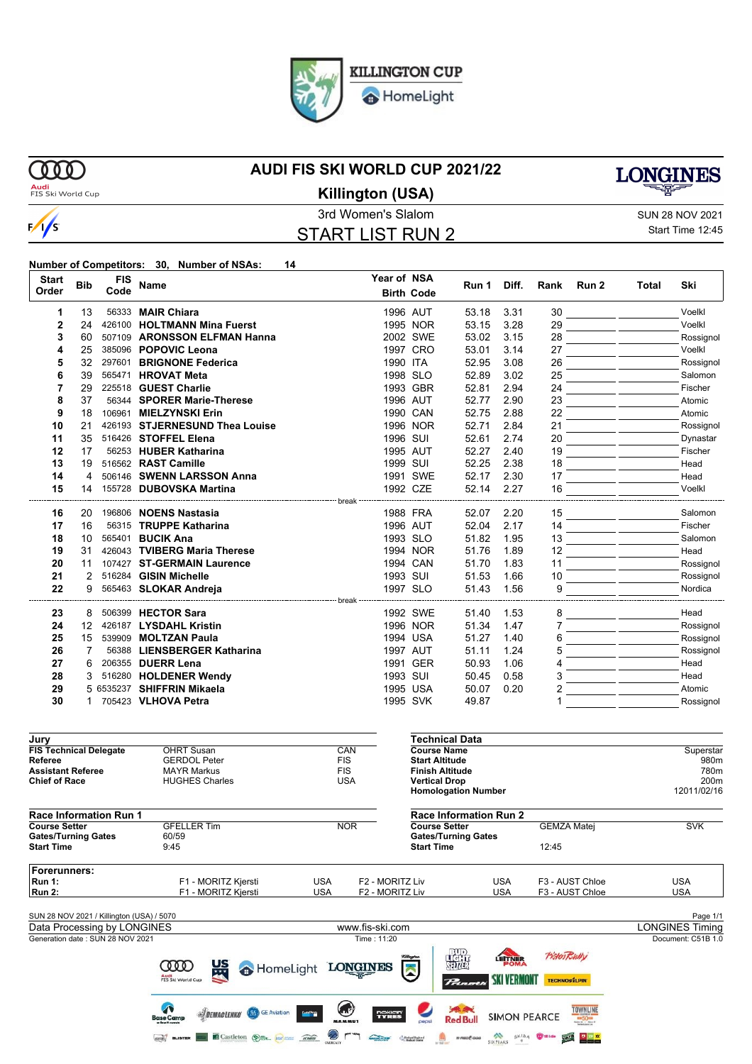

HomeLight

**OOO** 

 $\sqrt{s}$ 

### **AUDI FIS SKI WORLD CUP 2021/22**



**Audi**<br>FIS Ski World Cup

### 3rd Women's Slalom SUN 28 NOV 2021 START LIST RUN 2 **Killington (USA)**

# Start Time 12:45

### **Number of Competitors: 30, Number of NSAs: 14**

| <b>Start</b>                                    |              | <b>FIS</b> |                                                   |                    | Year of NSA     |                        |                               |                     |                     |                                                                                                   |       |                                    |
|-------------------------------------------------|--------------|------------|---------------------------------------------------|--------------------|-----------------|------------------------|-------------------------------|---------------------|---------------------|---------------------------------------------------------------------------------------------------|-------|------------------------------------|
| Order                                           | <b>Bib</b>   | Code       | Name                                              |                    |                 | <b>Birth Code</b>      | Run 1                         | Diff.               | Rank                | Run 2                                                                                             | Total | Ski                                |
| 1                                               | 13           |            | 56333 MAIR Chiara                                 |                    | 1996 AUT        |                        | 53.18                         | 3.31                | 30                  |                                                                                                   |       | Voelkl                             |
| $\mathbf{2}$                                    | 24           |            | 426100 HOLTMANN Mina Fuerst                       |                    |                 | 1995 NOR               | 53.15                         | 3.28                | 29                  |                                                                                                   |       | Voelkl                             |
| 3                                               | 60           |            | 507109 ARONSSON ELFMAN Hanna                      |                    |                 | 2002 SWE               | 53.02                         | 3.15                | 28                  |                                                                                                   |       | Rossignol                          |
| 4                                               | 25           |            | 385096 POPOVIC Leona                              |                    |                 | 1997 CRO               | 53.01                         | 3.14                | 27                  |                                                                                                   |       | Voelkl                             |
| 5                                               | 32           |            | 297601 BRIGNONE Federica                          |                    | 1990 ITA        |                        | 52.95                         | 3.08                | 26                  |                                                                                                   |       | Rossignol                          |
| 6                                               | 39           |            | 565471 HROVAT Meta                                |                    | 1998 SLO        |                        | 52.89                         | 3.02                | 25                  |                                                                                                   |       | Salomon                            |
| 7                                               | 29           |            | 225518 GUEST Charlie                              |                    |                 | 1993 GBR               | 52.81                         | 2.94                | 24                  |                                                                                                   |       | Fischer                            |
| 8                                               | 37           |            | 56344 SPORER Marie-Therese                        |                    | 1996 AUT        |                        | 52.77                         | 2.90                | 23                  |                                                                                                   |       | Atomic                             |
| 9                                               | 18           |            | 106961 MIELZYNSKI Erin                            |                    | 1990 CAN        |                        | 52.75                         | 2.88                | 22                  |                                                                                                   |       | Atomic                             |
| 10                                              | 21           |            | 426193 STJERNESUND Thea Louise                    |                    |                 | 1996 NOR               | 52.71                         | 2.84                | 21                  |                                                                                                   |       | Rossignol                          |
| 11                                              | 35           |            | 516426 STOFFEL Elena                              |                    | 1996 SUI        |                        | 52.61                         | 2.74                | 20                  |                                                                                                   |       | Dynastar                           |
| 12                                              | 17           |            | 56253 HUBER Katharina                             |                    | 1995 AUT        |                        | 52.27                         | 2.40                | 19                  |                                                                                                   |       | Fischer                            |
| 13                                              | 19           |            | 516562 RAST Camille                               |                    | 1999 SUI        |                        | 52.25                         | 2.38                | 18                  |                                                                                                   |       | Head                               |
| 14                                              | 4            |            | 506146 SWENN LARSSON Anna                         |                    |                 | 1991 SWE               | 52.17                         | 2.30                | 17                  |                                                                                                   |       | Head                               |
| 15                                              | 14           |            | 155728 DUBOVSKA Martina                           |                    | 1992 CZE        |                        | 52.14                         | 2.27                | 16                  |                                                                                                   |       | Voelkl                             |
| 16                                              | 20           |            | 196806 <b>NOENS Nastasia</b>                      |                    |                 | 1988 FRA               | 52.07                         | 2.20                | 15                  |                                                                                                   |       | Salomon                            |
| 17                                              | 16           |            | 56315 TRUPPE Katharina                            |                    | 1996 AUT        |                        | 52.04                         | 2.17                | 14                  | <u> 1999 - Jan James James III, primeirant politik (</u><br><u> 1999 - Jan Barnett, politik e</u> |       | Fischer                            |
| 18                                              | 10           |            | 565401 BUCIK Ana                                  |                    | 1993 SLO        |                        | 51.82                         | 1.95                | 13                  |                                                                                                   |       | Salomon                            |
| 19                                              | 31           |            | 426043 TVIBERG Maria Therese                      |                    |                 | 1994 NOR               | 51.76                         | 1.89                | 12                  |                                                                                                   |       | Head                               |
| 20                                              | 11           |            | 107427 ST-GERMAIN Laurence                        |                    | 1994 CAN        |                        | 51.70                         | 1.83                | 11                  |                                                                                                   |       | Rossignol                          |
| 21                                              | 2            |            | 516284 GISIN Michelle                             |                    | 1993 SUI        |                        | 51.53                         | 1.66                | 10                  |                                                                                                   |       | Rossignol                          |
| 22                                              | 9            |            | 565463 SLOKAR Andreja                             |                    | 1997 SLO        |                        | 51.43                         | 1.56                | 9                   |                                                                                                   |       | Nordica                            |
|                                                 |              |            |                                                   |                    |                 | 1992 SWE               |                               |                     |                     |                                                                                                   |       |                                    |
| 23                                              | 8            |            | 506399 HECTOR Sara                                |                    |                 |                        | 51.40                         | 1.53                | 8<br>7              |                                                                                                   |       | Head                               |
| 24                                              | 12           |            | 426187 LYSDAHL Kristin                            |                    |                 | 1996 NOR<br>1994 USA   | 51.34                         | 1.47                |                     |                                                                                                   |       | Rossignol                          |
| 25                                              | 15           |            | 539909 MOLTZAN Paula                              |                    |                 |                        | 51.27                         | 1.40                | 6                   |                                                                                                   |       | Rossignol                          |
| 26                                              | 7            |            | 56388 LIENSBERGER Katharina                       |                    | 1997 AUT        |                        | 51.11                         | 1.24                | 5                   |                                                                                                   |       | Rossignol                          |
| 27                                              | 6            |            | 206355 DUERR Lena                                 |                    |                 | 1991 GER               | 50.93                         | 1.06                | 4                   |                                                                                                   |       | Head                               |
| 28                                              | 3            |            | 516280 HOLDENER Wendy                             |                    | 1993 SUI        |                        | 50.45                         | 0.58                | 3                   | the company of the company                                                                        |       | Head<br>Atomic                     |
| 29<br>30                                        | $\mathbf{1}$ |            | 5 6535237 SHIFFRIN Mikaela<br>705423 VLHOVA Petra |                    | 1995 SVK        | 1995 USA               | 50.07<br>49.87                | 0.20                | 2                   |                                                                                                   |       | Rossignol                          |
|                                                 |              |            |                                                   |                    |                 |                        |                               |                     |                     |                                                                                                   |       |                                    |
|                                                 |              |            |                                                   |                    |                 |                        |                               |                     |                     |                                                                                                   |       |                                    |
| Jury<br><b>FIS Technical Delegate</b>           |              |            | <b>OHRT Susan</b>                                 | CAN                |                 | <b>Course Name</b>     | <b>Technical Data</b>         |                     |                     |                                                                                                   |       | Superstar                          |
| Referee                                         |              |            | <b>GERDOL Peter</b>                               | <b>FIS</b>         |                 | <b>Start Altitude</b>  |                               |                     |                     |                                                                                                   |       | 980m                               |
| <b>Assistant Referee</b>                        |              |            | <b>MAYR Markus</b>                                | <b>FIS</b>         |                 | <b>Finish Altitude</b> |                               |                     |                     |                                                                                                   |       | 780m                               |
| <b>Chief of Race</b>                            |              |            | <b>HUGHES Charles</b>                             | USA                |                 | <b>Vertical Drop</b>   |                               |                     |                     |                                                                                                   |       | 200m                               |
|                                                 |              |            |                                                   |                    |                 |                        | <b>Homologation Number</b>    |                     |                     |                                                                                                   |       | 12011/02/16                        |
| <b>Race Information Run 1</b>                   |              |            |                                                   |                    |                 |                        | <b>Race Information Run 2</b> |                     |                     |                                                                                                   |       |                                    |
| <b>Course Setter</b>                            |              |            | <b>GFELLER Tim</b>                                | <b>NOR</b>         |                 | <b>Course Setter</b>   |                               |                     | <b>GEMZA Matej</b>  |                                                                                                   |       | <b>SVK</b>                         |
| <b>Gates/Turning Gates</b><br><b>Start Time</b> |              |            | 60/59<br>9:45                                     |                    |                 | <b>Start Time</b>      | <b>Gates/Turning Gates</b>    |                     | 12:45               |                                                                                                   |       |                                    |
|                                                 |              |            |                                                   |                    |                 |                        |                               |                     |                     |                                                                                                   |       |                                    |
| Forerunners:<br><b>Run 1:</b>                   |              |            | F1 - MORITZ Kjersti                               | <b>USA</b>         | F2 - MORITZ Liv |                        |                               | <b>USA</b>          |                     | F3 - AUST Chloe                                                                                   |       | <b>USA</b>                         |
| <b>Run 2:</b>                                   |              |            | F1 - MORITZ Kjersti                               | <b>USA</b>         | F2 - MORITZ Liv |                        |                               | <b>USA</b>          |                     | F3 - AUST Chloe                                                                                   |       | <b>USA</b>                         |
|                                                 |              |            |                                                   |                    |                 |                        |                               |                     |                     |                                                                                                   |       |                                    |
| Data Processing by LONGINES                     |              |            | SUN 28 NOV 2021 / Killington (USA) / 5070         | www.fis-ski.com    |                 |                        |                               |                     |                     |                                                                                                   |       | Page 1/1<br><b>LONGINES Timing</b> |
| Generation date: SUN 28 NOV 2021                |              |            |                                                   |                    | Time: 11:20     |                        |                               |                     |                     |                                                                                                   |       | Document: C51B 1.0                 |
|                                                 |              |            |                                                   |                    |                 |                        |                               |                     | PistenBully         |                                                                                                   |       |                                    |
|                                                 |              |            | <b>COOC</b>                                       | HomeLight LONGINES |                 |                        | <b>Shirt</b>                  | LEITNER             |                     |                                                                                                   |       |                                    |
|                                                 |              |            | Audi<br>FIS Ski World Cup                         |                    |                 |                        |                               | <b>SKI VERMONT</b>  | <b>TECHNOSILPIN</b> |                                                                                                   |       |                                    |
|                                                 |              |            |                                                   |                    |                 |                        | Primarki                      |                     |                     |                                                                                                   |       |                                    |
|                                                 |              |            |                                                   |                    |                 |                        |                               |                     |                     |                                                                                                   |       |                                    |
|                                                 |              |            | Æ<br><b>SE Aviation</b><br><b>Base Camp</b>       |                    | <b>TYRES</b>    |                        | <b>Red Bul</b>                | <b>SIMON PEARCE</b> |                     | <b>TOWNLINE</b><br>mm50mm                                                                         |       |                                    |

Good BLISTER E E Castleton State for the company of the Castleton Company of the survey of the State of the Castleton State of the Castleton State of the Castleton State of the Castleton State of the Castleton State of the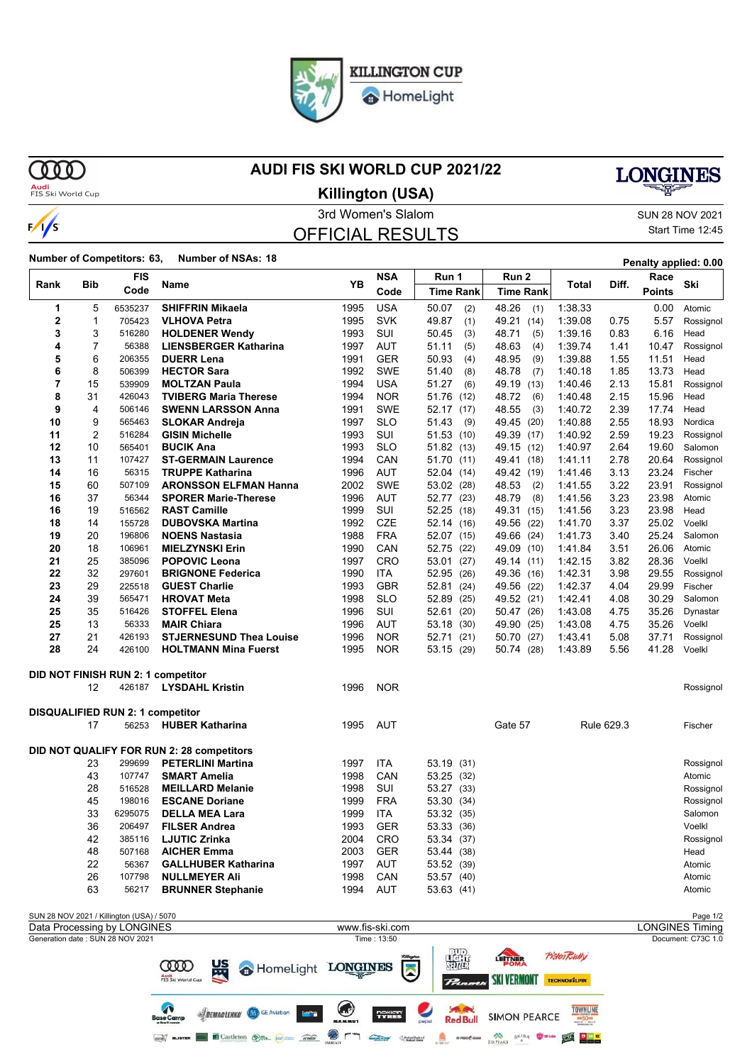

HomeLight

**MD** 

 $\frac{1}{s}$ 

### **AUDI FIS SKI WORLD CUP 2021/22**

# **LONGINES**

**Audi**<br>FIS Ski World Cup

3rd Women's Slalom Sun 28 NOV 2021 OFFICIAL RESULTS **Killington (USA)**

Start Time 12:45

### **Number of Competitors: 63, Number of NSAs: <sup>18</sup> Penalty applied: 0.00**

| <b>Bib</b><br>Rank                                                   |                | <b>FIS</b>                                | Name                                             | YB                  | <b>NSA</b>        | Run 1                          | Run 2                    |                     | Diff.        | Race           | Ski                    |
|----------------------------------------------------------------------|----------------|-------------------------------------------|--------------------------------------------------|---------------------|-------------------|--------------------------------|--------------------------|---------------------|--------------|----------------|------------------------|
|                                                                      |                | Code                                      |                                                  |                     | Code              | <b>Time Rank</b>               | <b>Time Rank</b>         | Total               |              | <b>Points</b>  |                        |
| 1                                                                    | 5              | 6535237                                   | <b>SHIFFRIN Mikaela</b>                          | 1995                | <b>USA</b>        | 50.07<br>(2)                   | 48.26<br>(1)             | 1:38.33             |              | 0.00           | Atomic                 |
| 2                                                                    | 1              | 705423                                    | <b>VLHOVA Petra</b>                              | 1995                | <b>SVK</b>        | 49.87<br>(1)                   | 49.21<br>(14)            | 1:39.08             | 0.75         | 5.57           | Rossignol              |
| 3                                                                    | 3              | 516280                                    | <b>HOLDENER Wendy</b>                            | 1993                | SUI               | 50.45<br>(3)                   | 48.71<br>(5)             | 1:39.16             | 0.83         | 6.16           | Head                   |
| 4                                                                    | 7              | 56388                                     | <b>LIENSBERGER Katharina</b>                     | 1997                | <b>AUT</b>        | (5)<br>51.11                   | 48.63<br>(4)             | 1:39.74             | 1.41         | 10.47          | Rossignol              |
| 5                                                                    | 6              | 206355                                    | <b>DUERR Lena</b>                                | 1991                | <b>GER</b>        | 50.93<br>(4)                   | 48.95<br>(9)             | 1:39.88             | 1.55         | 11.51          | Head                   |
| 6                                                                    | 8              | 506399                                    | <b>HECTOR Sara</b>                               | 1992                | <b>SWE</b>        | 51.40<br>(8)                   | 48.78<br>(7)             | 1:40.18             | 1.85         | 13.73          | Head                   |
| 7                                                                    | 15             | 539909                                    | <b>MOLTZAN Paula</b>                             | 1994                | <b>USA</b>        | 51.27<br>(6)                   | 49.19<br>(13)            | 1:40.46             | 2.13         | 15.81          | Rossignol              |
| 8                                                                    | 31             | 426043                                    | <b>TVIBERG Maria Therese</b>                     | 1994                | <b>NOR</b>        | 51.76<br>(12)                  | 48.72<br>(6)             | 1:40.48             | 2.15         | 15.96          | Head                   |
| 9                                                                    | 4              | 506146                                    | <b>SWENN LARSSON Anna</b>                        | 1991                | <b>SWE</b>        | 52.17<br>(17)                  | 48.55<br>(3)             | 1:40.72             | 2.39         | 17.74          | Head                   |
| 10                                                                   | 9              | 565463                                    | <b>SLOKAR Andreja</b>                            | 1997                | <b>SLO</b>        | 51.43<br>(9)                   | 49.45 (20)               | 1:40.88             | 2.55         | 18.93          | Nordica                |
| 11                                                                   | $\overline{2}$ | 516284                                    | <b>GISIN Michelle</b>                            | 1993                | SUI               | 51.53<br>(10)                  | 49.39 (17)               | 1:40.92             | 2.59         | 19.23          | Rossignol              |
| 12                                                                   | 10             | 565401                                    | <b>BUCIK Ana</b>                                 | 1993                | <b>SLO</b>        | 51.82 (13)                     | 49.15 (12)               | 1:40.97             | 2.64         | 19.60          | Salomon                |
| 13                                                                   | 11             | 107427                                    | <b>ST-GERMAIN Laurence</b>                       | 1994                | CAN               | 51.70<br>(11)                  | 49.41 (18)               | 1:41.11             | 2.78         | 20.64          | Rossignol              |
| 14                                                                   | 16             | 56315                                     | <b>TRUPPE Katharina</b>                          | 1996                | <b>AUT</b>        | 52.04<br>(14)                  | 49.42 (19)               | 1:41.46             | 3.13         | 23.24          | Fischer                |
| 15                                                                   | 60             | 507109                                    | <b>ARONSSON ELFMAN Hanna</b>                     | 2002                | <b>SWE</b>        | 53.02<br>(28)                  | 48.53<br>(2)             | 1:41.55             | 3.22         | 23.91          | Rossignol              |
| 16                                                                   | 37             | 56344                                     | <b>SPORER Marie-Therese</b>                      | 1996                | <b>AUT</b>        | 52.77<br>(23)                  | 48.79<br>(8)             | 1:41.56             | 3.23         | 23.98          | Atomic                 |
| 16                                                                   | 19             | 516562                                    | <b>RAST Camille</b>                              | 1999                | SUI               | 52.25<br>(18)                  | 49.31 (15)               | 1:41.56             | 3.23         | 23.98          | Head                   |
| 18                                                                   | 14             | 155728                                    | <b>DUBOVSKA Martina</b>                          | 1992                | <b>CZE</b>        | 52.14 (16)                     | 49.56 (22)               | 1:41.70             | 3.37         | 25.02          | Voelkl                 |
| 19                                                                   | 20             | 196806                                    | <b>NOENS Nastasia</b>                            | 1988                | <b>FRA</b>        | 52.07 (15)                     | 49.66 (24)               | 1:41.73             | 3.40         | 25.24          | Salomon                |
| 20                                                                   | 18             | 106961                                    | <b>MIELZYNSKI Erin</b>                           | 1990                | CAN               | 52.75<br>(22)                  | 49.09 (10)               | 1:41.84             | 3.51         | 26.06          | Atomic                 |
| 21                                                                   | 25<br>32       | 385096                                    | <b>POPOVIC Leona</b>                             | 1997                | CRO<br><b>ITA</b> | 53.01<br>(27)                  | 49.14 (11)               | 1:42.15             | 3.82         | 28.36          | Voelkl                 |
| 22<br>23                                                             | 29             | 297601<br>225518                          | <b>BRIGNONE Federica</b><br><b>GUEST Charlie</b> | 1990<br>1993        | <b>GBR</b>        | 52.95<br>(26)                  | 49.36 (16)               | 1:42.31<br>1:42.37  | 3.98<br>4.04 | 29.55<br>29.99 | Rossignol<br>Fischer   |
| 24                                                                   | 39             | 565471                                    | <b>HROVAT Meta</b>                               | 1998                | <b>SLO</b>        | 52.81<br>(24)<br>52.89<br>(25) | 49.56 (22)<br>49.52 (21) | 1:42.41             | 4.08         | 30.29          | Salomon                |
| 25                                                                   | 35             | 516426                                    | <b>STOFFEL Elena</b>                             | 1996                | SUI               | 52.61<br>(20)                  | 50.47 (26)               | 1:43.08             | 4.75         | 35.26          | Dynastar               |
| 25                                                                   | 13             | 56333                                     | <b>MAIR Chiara</b>                               | 1996                | AUT               | 53.18<br>(30)                  | 49.90 (25)               | 1:43.08             | 4.75         | 35.26          | Voelkl                 |
| 27                                                                   | 21             | 426193                                    | <b>STJERNESUND Thea Louise</b>                   | 1996                | <b>NOR</b>        | 52.71<br>(21)                  | 50.70 (27)               | 1.43.41             | 5.08         | 37.71          | Rossignol              |
| 28                                                                   | 24             | 426100                                    | <b>HOLTMANN Mina Fuerst</b>                      | 1995                | <b>NOR</b>        | 53.15 (29)                     | 50.74 (28)               | 1:43.89             | 5.56         | 41.28          | Voelkl                 |
|                                                                      |                |                                           |                                                  |                     |                   |                                |                          |                     |              |                |                        |
|                                                                      |                |                                           | DID NOT FINISH RUN 2: 1 competitor               |                     |                   |                                |                          |                     |              |                |                        |
|                                                                      | 12             | 426187                                    | <b>LYSDAHL Kristin</b>                           | 1996                | <b>NOR</b>        |                                |                          |                     |              |                | Rossignol              |
|                                                                      |                | DISQUALIFIED RUN 2: 1 competitor          |                                                  |                     |                   |                                |                          |                     |              |                |                        |
|                                                                      | 17             | 56253                                     | <b>HUBER Katharina</b>                           | 1995                | AUT               |                                | Gate 57                  |                     | Rule 629.3   |                | Fischer                |
|                                                                      |                |                                           |                                                  |                     |                   |                                |                          |                     |              |                |                        |
|                                                                      |                |                                           | DID NOT QUALIFY FOR RUN 2: 28 competitors        |                     |                   |                                |                          |                     |              |                |                        |
|                                                                      | 23             | 299699                                    | <b>PETERLINI Martina</b>                         | 1997                | ITA               | 53.19<br>(31)                  |                          |                     |              |                | Rossignol              |
|                                                                      | 43             | 107747                                    | <b>SMART Amelia</b>                              | 1998                | CAN               | 53.25 (32)                     |                          |                     |              |                | Atomic                 |
|                                                                      | 28             | 516528                                    | <b>MEILLARD Melanie</b>                          | 1998                | SUI               | 53.27 (33)                     |                          |                     |              |                | Rossignol              |
|                                                                      | 45             | 198016                                    | <b>ESCANE Doriane</b>                            | 1999                | <b>FRA</b>        | 53.30 (34)                     |                          |                     |              |                | Rossignol              |
|                                                                      | 33             | 6295075                                   | <b>DELLA MEA Lara</b>                            | 1999                | <b>ITA</b>        | 53.32<br>(35)                  |                          |                     |              |                | Salomon                |
|                                                                      | 36             | 206497                                    | <b>FILSER Andrea</b>                             | 1993                | <b>GER</b>        | 53.33 (36)                     |                          |                     |              |                | Voelkl                 |
|                                                                      | 42             | 385116                                    | <b>LJUTIC Zrinka</b>                             | 2004                | CRO               | 53.34 (37)                     |                          |                     |              |                | Rossignol              |
|                                                                      | 48             | 507168                                    | <b>AICHER Emma</b>                               | 2003                | <b>GER</b>        | 53.44 (38)                     |                          |                     |              |                | Head                   |
|                                                                      | 22             | 56367                                     | <b>GALLHUBER Katharina</b>                       | 1997                | AUT               | 53.52 (39)                     |                          |                     |              |                | Atomic                 |
|                                                                      | 26             | 107798                                    | <b>NULLMEYER Ali</b>                             | 1998                | CAN               | 53.57 (40)                     |                          |                     |              |                | Atomic                 |
| 63<br>56217<br><b>BRUNNER Stephanie</b><br>1994<br>AUT<br>53.63 (41) |                |                                           |                                                  |                     |                   |                                |                          |                     |              | Atomic         |                        |
|                                                                      |                | SUN 28 NOV 2021 / Killington (USA) / 5070 |                                                  |                     |                   |                                |                          |                     |              |                | Page 1/2               |
|                                                                      |                | Data Processing by LONGINES               |                                                  |                     | www.fis-ski.com   |                                |                          |                     |              |                | <b>LONGINES Timing</b> |
|                                                                      |                | Generation date: SUN 28 NOV 2021          |                                                  |                     | Time: 13:50       |                                |                          |                     |              |                | Document: C73C 1.0     |
|                                                                      |                |                                           | $US_2$<br>$\infty$                               | <b>T ONIGTNITIO</b> |                   | ₩                              | LETTNER                  | <b>Fisten Bully</b> |              |                |                        |

**STATE COOD** 监 HomeLight LONGINES  $\blacksquare$ Audi<br>FIS Ski World C  $P_{tan}$ SKI VERMONT TECHNOSILPIN  $\bigodot$ **Saved**<br>Red Bull **SIDEMACLENKO** GE Aviation **Serie** TYRES **SIMON PEARCE** Gen BLISTER **CONTROLLED BELLEVILLE STATE**  $\begin{picture}(20,10) \put(0,0){\line(1,0){10}} \put(0,0){\line(1,0){10}} \put(0,0){\line(1,0){10}} \put(0,0){\line(1,0){10}} \put(0,0){\line(1,0){10}} \put(0,0){\line(1,0){10}} \put(0,0){\line(1,0){10}} \put(0,0){\line(1,0){10}} \put(0,0){\line(1,0){10}} \put(0,0){\line(1,0){10}} \put(0,0){\line(1,0){10}} \put(0,0){\line(1,0){10}} \put(0,$ SIXPEAKS OF SKIDA THE STATE OF THE SEARCH  $\otimes$  r ٦ Children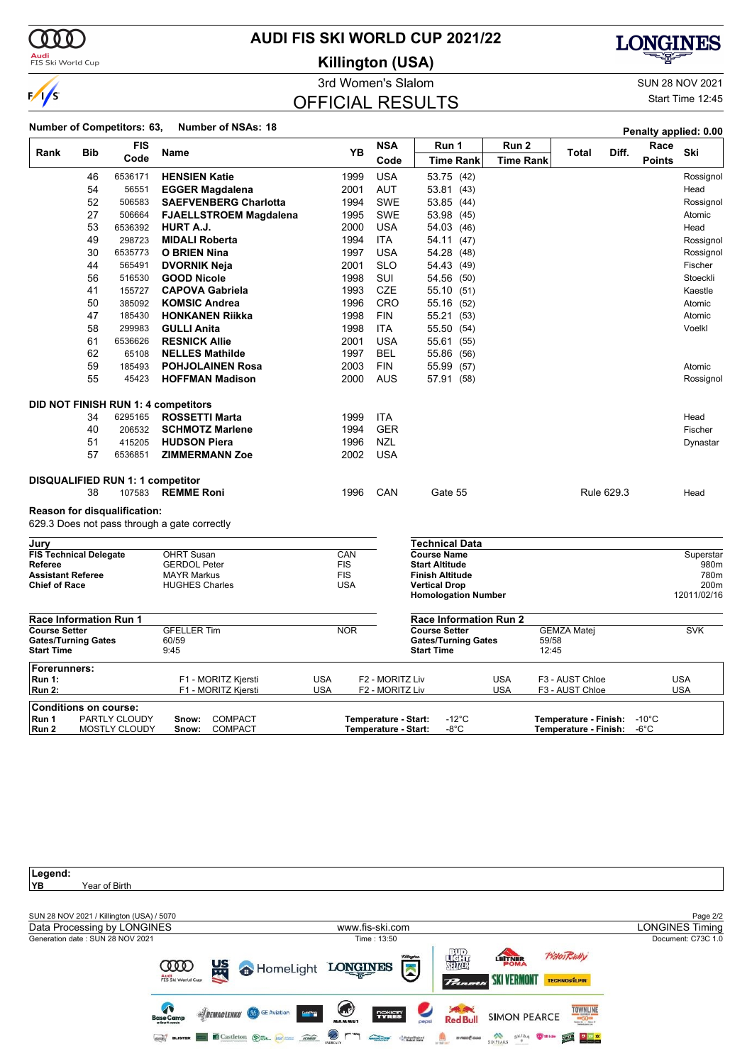

**Audi**<br>FIS Ski World Cup

### **AUDI FIS SKI WORLD CUP 2021/22**

**Killington (USA)**



3rd Women's Slalom Sun 28 NOV 2021 Start Time 12:45

### OFFICIAL RESULTS

### **Number of Competitors: 63, Number of NSAs: <sup>18</sup> Penalty applied: 0.00**

| Rank                                            |     | <b>FIS</b>                            | Name                                               |                   | <b>YB</b> | <b>NSA</b>                                   | Run 1                                           | Run 2            |                | Diff.                                                | Race           | Ski               |
|-------------------------------------------------|-----|---------------------------------------|----------------------------------------------------|-------------------|-----------|----------------------------------------------|-------------------------------------------------|------------------|----------------|------------------------------------------------------|----------------|-------------------|
|                                                 | Bib | Code                                  |                                                    |                   |           | Code                                         | <b>Time Rank</b>                                | <b>Time Rank</b> |                | <b>Total</b>                                         | <b>Points</b>  |                   |
|                                                 | 46  | 6536171                               | <b>HENSIEN Katie</b>                               |                   | 1999      | <b>USA</b>                                   | 53.75 (42)                                      |                  |                |                                                      |                | Rossignol         |
|                                                 | 54  | 56551                                 | <b>EGGER Magdalena</b>                             |                   | 2001      | <b>AUT</b>                                   | 53.81 (43)                                      |                  |                |                                                      |                | Head              |
|                                                 | 52  | 506583                                | <b>SAEFVENBERG Charlotta</b>                       |                   | 1994      | <b>SWE</b>                                   | 53.85 (44)                                      |                  |                |                                                      |                | Rossignol         |
|                                                 | 27  | 506664                                | <b>FJAELLSTROEM Magdalena</b>                      |                   | 1995      | <b>SWE</b>                                   | 53.98 (45)                                      |                  |                |                                                      |                | Atomic            |
|                                                 | 53  | 6536392                               | HURT A.J.                                          |                   | 2000      | <b>USA</b>                                   | 54.03 (46)                                      |                  |                |                                                      |                | Head              |
|                                                 | 49  | 298723                                | <b>MIDALI Roberta</b>                              |                   | 1994      | <b>ITA</b>                                   | 54.11 (47)                                      |                  |                |                                                      |                | Rossignol         |
|                                                 | 30  | 6535773                               | <b>O BRIEN Nina</b>                                |                   | 1997      | <b>USA</b>                                   | 54.28 (48)                                      |                  |                |                                                      |                | Rossignol         |
|                                                 | 44  | 565491                                | <b>DVORNIK Neja</b>                                |                   | 2001      | <b>SLO</b>                                   | 54.43 (49)                                      |                  |                |                                                      |                | Fischer           |
|                                                 | 56  | 516530                                | <b>GOOD Nicole</b>                                 |                   | 1998      | <b>SUI</b>                                   | 54.56 (50)                                      |                  |                |                                                      |                | Stoeckli          |
|                                                 | 41  | 155727                                | <b>CAPOVA Gabriela</b>                             |                   | 1993      | CZE                                          | 55.10 (51)                                      |                  |                |                                                      |                | Kaestle           |
|                                                 | 50  | 385092                                | <b>KOMSIC Andrea</b>                               |                   | 1996      | <b>CRO</b>                                   | 55.16 (52)                                      |                  |                |                                                      |                | Atomic            |
|                                                 | 47  | 185430                                | <b>HONKANEN Rijkka</b>                             |                   | 1998      | <b>FIN</b>                                   | 55.21 (53)                                      |                  |                |                                                      |                | Atomic            |
|                                                 | 58  | 299983                                | <b>GULLI Anita</b>                                 |                   | 1998      | <b>ITA</b>                                   | 55.50 (54)                                      |                  |                |                                                      |                | Voelkl            |
|                                                 | 61  | 6536626                               | <b>RESNICK Allie</b>                               |                   | 2001      | <b>USA</b>                                   | 55.61 (55)                                      |                  |                |                                                      |                |                   |
|                                                 | 62  | 65108                                 | <b>NELLES Mathilde</b>                             |                   | 1997      | <b>BEL</b>                                   | 55.86 (56)                                      |                  |                |                                                      |                |                   |
|                                                 | 59  | 185493                                | <b>POHJOLAINEN Rosa</b>                            |                   | 2003      | <b>FIN</b>                                   | 55.99 (57)                                      |                  |                |                                                      |                | Atomic            |
|                                                 | 55  | 45423                                 | <b>HOFFMAN Madison</b>                             |                   | 2000      | <b>AUS</b>                                   | 57.91 (58)                                      |                  |                |                                                      |                | Rossignol         |
|                                                 |     |                                       | DID NOT FINISH RUN 1: 4 competitors                |                   |           |                                              |                                                 |                  |                |                                                      |                |                   |
|                                                 | 34  | 6295165                               | <b>ROSSETTI Marta</b>                              |                   | 1999      | <b>ITA</b>                                   |                                                 |                  |                |                                                      |                | Head              |
|                                                 | 40  | 206532                                | <b>SCHMOTZ Marlene</b>                             |                   | 1994      | <b>GER</b>                                   |                                                 |                  |                |                                                      |                | Fischer           |
|                                                 | 51  | 415205                                | <b>HUDSON Piera</b>                                |                   | 1996      | NZL                                          |                                                 |                  |                |                                                      |                | Dynastar          |
|                                                 | 57  | 6536851                               | <b>ZIMMERMANN Zoe</b>                              |                   | 2002      | <b>USA</b>                                   |                                                 |                  |                |                                                      |                |                   |
|                                                 |     | DISQUALIFIED RUN 1: 1 competitor      |                                                    |                   |           |                                              |                                                 |                  |                |                                                      |                |                   |
|                                                 | 38  | 107583                                | <b>REMME Roni</b>                                  |                   | 1996      | CAN                                          | Gate 55                                         |                  |                | Rule 629.3                                           |                | Head              |
|                                                 |     | <b>Reason for disqualification:</b>   |                                                    |                   |           |                                              |                                                 |                  |                |                                                      |                |                   |
|                                                 |     |                                       | 629.3 Does not pass through a gate correctly       |                   |           |                                              |                                                 |                  |                |                                                      |                |                   |
| Jury                                            |     |                                       |                                                    |                   |           |                                              | Technical Data                                  |                  |                |                                                      |                |                   |
| <b>FIS Technical Delegate</b><br><b>Referee</b> |     |                                       | <b>OHRT Susan</b><br><b>GERDOL Peter</b>           | CAN<br><b>FIS</b> |           |                                              | <b>Course Name</b><br><b>Start Altitude</b>     |                  |                |                                                      |                | Superstar<br>980m |
| <b>Assistant Referee</b>                        |     |                                       | <b>MAYR Markus</b>                                 | <b>FIS</b>        |           |                                              | <b>Finish Altitude</b>                          |                  |                |                                                      |                | 780m              |
| <b>Chief of Race</b>                            |     |                                       | <b>HUGHES Charles</b>                              | <b>USA</b>        |           |                                              | <b>Vertical Drop</b>                            |                  |                |                                                      |                | 200m              |
|                                                 |     |                                       |                                                    |                   |           |                                              | <b>Homologation Number</b>                      |                  |                |                                                      |                | 12011/02/16       |
| <b>Race Information Run 1</b>                   |     |                                       |                                                    |                   |           |                                              | <b>Race Information Run 2</b>                   |                  |                |                                                      |                |                   |
| <b>Course Setter</b>                            |     |                                       | <b>GFELLER Tim</b>                                 | <b>NOR</b>        |           |                                              | <b>Course Setter</b>                            |                  |                | <b>GEMZA Matej</b>                                   |                | <b>SVK</b>        |
| <b>Gates/Turning Gates</b><br><b>Start Time</b> |     |                                       | 60/59<br>9:45                                      |                   |           |                                              | <b>Gates/Turning Gates</b><br><b>Start Time</b> |                  | 59/58<br>12:45 |                                                      |                |                   |
| Forerunners:                                    |     |                                       |                                                    |                   |           |                                              |                                                 |                  |                |                                                      |                |                   |
| <b>Run 1:</b>                                   |     |                                       | F1 - MORITZ Kjersti                                | <b>USA</b>        |           | F <sub>2</sub> - MORITZ Liv                  |                                                 | <b>USA</b>       |                | F3 - AUST Chloe                                      |                | <b>USA</b>        |
| <b>Run 2:</b>                                   |     |                                       | F1 - MORITZ Kjersti                                | <b>USA</b>        |           | F2 - MORITZ Liv                              |                                                 | <b>USA</b>       |                | F3 - AUST Chloe                                      |                | <b>USA</b>        |
| <b>Conditions on course:</b>                    |     |                                       |                                                    |                   |           |                                              |                                                 |                  |                |                                                      |                |                   |
| Run 1<br>Run 2                                  |     | PARTLY CLOUDY<br><b>MOSTLY CLOUDY</b> | <b>COMPACT</b><br>Snow:<br><b>COMPACT</b><br>Snow: |                   |           | Temperature - Start:<br>Temperature - Start: | $-12^{\circ}$ C<br>-8°C                         |                  |                | Temperature - Finish: -10°C<br>Temperature - Finish: | $-6^{\circ}$ C |                   |

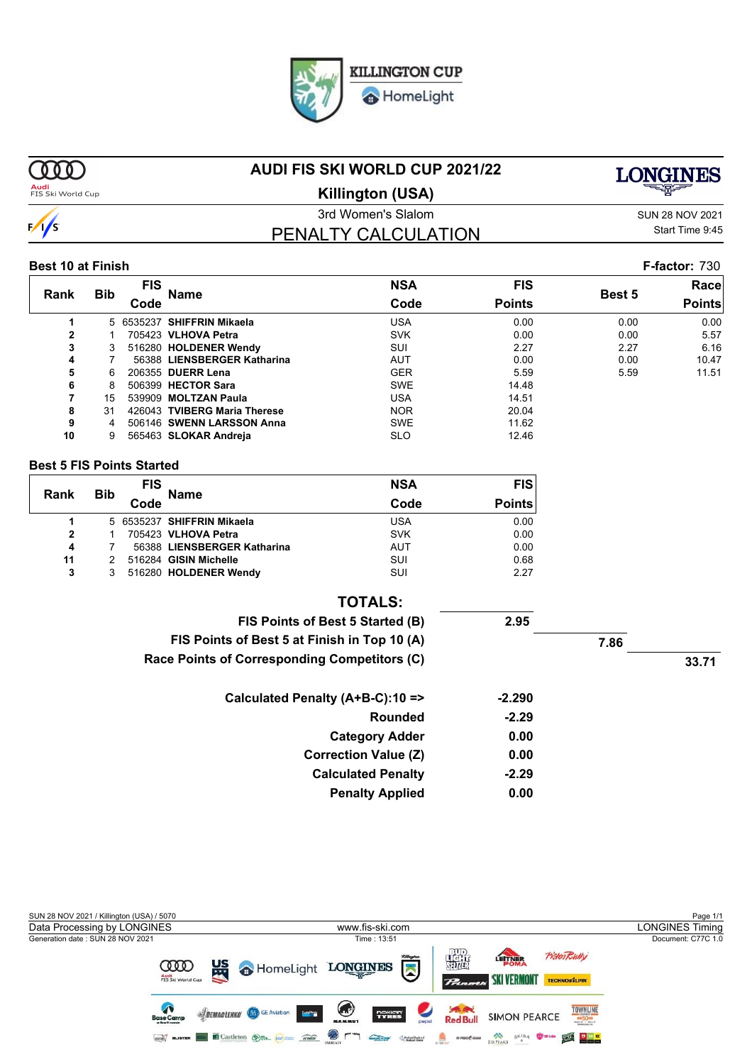HomeLight

**MM Audi**<br>FIS Ski World Cup **AUDI FIS SKI WORLD CUP 2021/22**



3rd Women's Slalom Sun 28 NOV 2021 **Killington (USA)**

PENALTY CALCULATION

Start Time 9:45

### **Best 10 at Finish F-factor:** 730

|              |            | FIS  | <b>NSA</b><br><b>Name</b>    | <b>FIS</b> |               | Racel  |               |
|--------------|------------|------|------------------------------|------------|---------------|--------|---------------|
| Rank         | <b>Bib</b> | Code |                              | Code       | <b>Points</b> | Best 5 | <b>Points</b> |
|              |            |      | 5 6535237 SHIFFRIN Mikaela   | USA        | 0.00          | 0.00   | 0.00          |
| $\mathbf{2}$ |            |      | 705423 VLHOVA Petra          | <b>SVK</b> | 0.00          | 0.00   | 5.57          |
| 3            |            |      | 516280 HOLDENER Wendy        | SUI        | 2.27          | 2.27   | 6.16          |
| 4            |            |      | 56388 LIENSBERGER Katharina  | AUT        | 0.00          | 0.00   | 10.47         |
| 5            | 6.         |      | 206355 DUERR Lena            | <b>GER</b> | 5.59          | 5.59   | 11.51         |
| 6            | 8          |      | 506399 HECTOR Sara           | <b>SWE</b> | 14.48         |        |               |
| 7            | 15         |      | 539909 MOLTZAN Paula         | USA        | 14.51         |        |               |
| 8            | 31         |      | 426043 TVIBERG Maria Therese | <b>NOR</b> | 20.04         |        |               |
| 9            | 4          |      | 506146 SWENN LARSSON Anna    | <b>SWE</b> | 11.62         |        |               |
| 10           | 9          |      | 565463 SLOKAR Andreja        | <b>SLO</b> | 12.46         |        |               |
|              |            |      |                              |            |               |        |               |

### **Best 5 FIS Points Started**

| Rank | <b>Bib</b> | <b>FIS</b> | <b>Name</b>                 | <b>NSA</b> | <b>FIS</b>    |
|------|------------|------------|-----------------------------|------------|---------------|
|      |            | Code       |                             | Code       | <b>Points</b> |
|      |            |            | 5 6535237 SHIFFRIN Mikaela  | USA        | 0.00          |
| 2    |            |            | 705423 VLHOVA Petra         | <b>SVK</b> | 0.00          |
| 4    |            |            | 56388 LIENSBERGER Katharina | AUT        | 0.00          |
| 11   |            |            | 516284 GISIN Michelle       | SUI        | 0.68          |
| 3    | 3          |            | 516280 HOLDENER Wendy       | SUI        | 2.27          |

|       |      |          | <b>TOTALS:</b>                               |
|-------|------|----------|----------------------------------------------|
|       |      | 2.95     | FIS Points of Best 5 Started (B)             |
|       | 7.86 |          | FIS Points of Best 5 at Finish in Top 10 (A) |
| 33.71 |      |          | Race Points of Corresponding Competitors (C) |
|       |      | $-2.290$ | Calculated Penalty (A+B-C):10 =>             |
|       |      | $-2.29$  | Rounded                                      |
|       |      | 0.00     | <b>Category Adder</b>                        |
|       |      | 0.00     | <b>Correction Value (Z)</b>                  |
|       |      | $-2.29$  | <b>Calculated Penalty</b>                    |
|       |      | 0.00     | <b>Penalty Applied</b>                       |



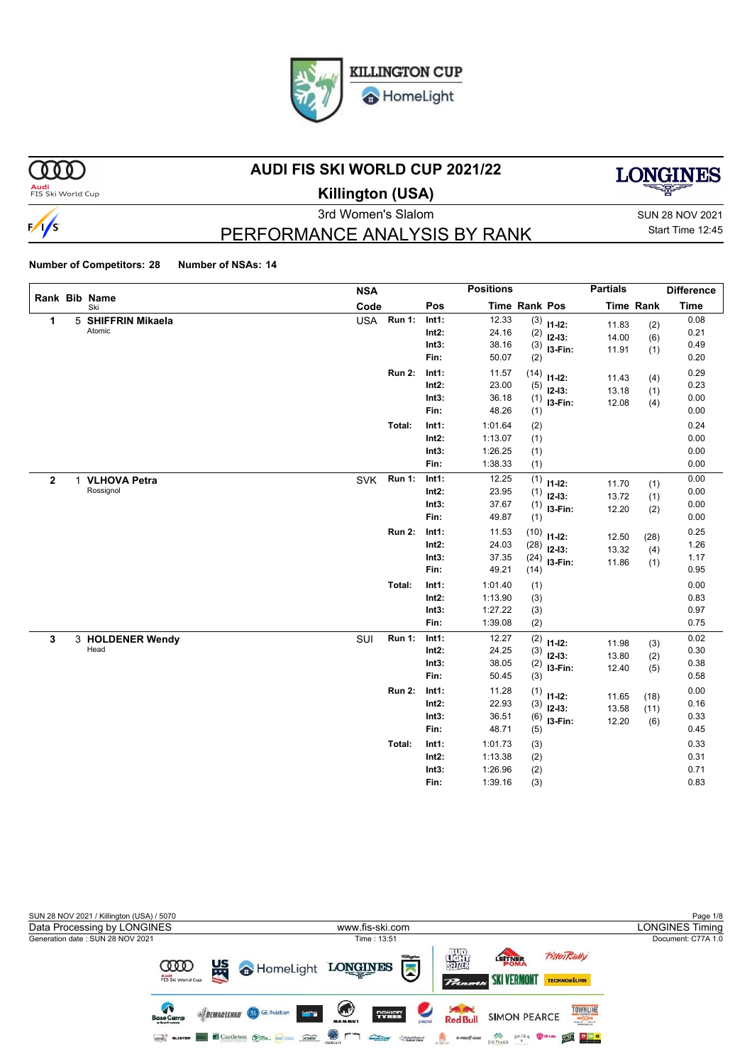

 $000$ 

 $\frac{1}{s}$ 

### **AUDI FIS SKI WORLD CUP 2021/22**



**Audi**<br>FIS Ski World Cup

# **Killington (USA)**

3rd Women's Slalom Sun 28 NOV 2021 Start Time 12:45

# PERFORMANCE ANALYSIS BY RANK

|                |                      | <b>NSA</b> |               |          | <b>Positions</b> |                      |               | <b>Partials</b> |                  | <b>Difference</b> |
|----------------|----------------------|------------|---------------|----------|------------------|----------------------|---------------|-----------------|------------------|-------------------|
|                | Rank Bib Name<br>Ski | Code       |               | Pos      |                  | <b>Time Rank Pos</b> |               |                 | <b>Time Rank</b> | <b>Time</b>       |
| 1              | 5 SHIFFRIN Mikaela   | <b>USA</b> | <b>Run 1:</b> | Int1:    | 12.33            |                      | $(3)$ 11-12:  | 11.83           | (2)              | 0.08              |
|                | Atomic               |            |               | $Int2$ : | 24.16            | (2)                  | $12-13:$      | 14.00           | (6)              | 0.21              |
|                |                      |            |               | Int3:    | 38.16            |                      | $(3)$ 13-Fin: | 11.91           | (1)              | 0.49              |
|                |                      |            |               | Fin:     | 50.07            | (2)                  |               |                 |                  | 0.20              |
|                |                      |            | <b>Run 2:</b> | Int1:    | 11.57            | (14)                 | $11 - 12$ :   | 11.43           | (4)              | 0.29              |
|                |                      |            |               | Int2:    | 23.00            | (5)                  | $12 - 13$ :   | 13.18           | (1)              | 0.23              |
|                |                      |            |               | Int3:    | 36.18            | (1)                  | I3-Fin:       | 12.08           | (4)              | 0.00              |
|                |                      |            |               | Fin:     | 48.26            | (1)                  |               |                 |                  | 0.00              |
|                |                      |            | Total:        | Int1:    | 1:01.64          | (2)                  |               |                 |                  | 0.24              |
|                |                      |            |               | $Int2$ : | 1:13.07          | (1)                  |               |                 |                  | 0.00              |
|                |                      |            |               | Int3:    | 1:26.25          | (1)                  |               |                 |                  | 0.00              |
|                |                      |            |               | Fin:     | 1:38.33          | (1)                  |               |                 |                  | 0.00              |
| $\overline{2}$ | 1 VLHOVA Petra       | SVK        | <b>Run 1:</b> | Int1:    | 12.25            | (1)                  | $11 - 12$ :   | 11.70           | (1)              | 0.00              |
|                | Rossignol            |            |               | Int2:    | 23.95            | (1)                  | $12-13:$      | 13.72           | (1)              | 0.00              |
|                |                      |            |               | Int3:    | 37.67            | (1)                  | I3-Fin:       | 12.20           | (2)              | 0.00              |
|                |                      |            |               | Fin:     | 49.87            | (1)                  |               |                 |                  | 0.00              |
|                |                      |            | <b>Run 2:</b> | Int1:    | 11.53            | (10)                 | $11 - 12$ :   | 12.50           | (28)             | 0.25              |
|                |                      |            |               | Int2:    | 24.03            | (28)                 | $12-13:$      | 13.32           | (4)              | 1.26              |
|                |                      |            |               | Int3:    | 37.35            | (24)                 | I3-Fin:       | 11.86           | (1)              | 1.17              |
|                |                      |            |               | Fin:     | 49.21            | (14)                 |               |                 |                  | 0.95              |
|                |                      |            | Total:        | Int1:    | 1:01.40          | (1)                  |               |                 |                  | 0.00              |
|                |                      |            |               | $Int2$ : | 1:13.90          | (3)                  |               |                 |                  | 0.83              |
|                |                      |            |               | Int3:    | 1:27.22          | (3)                  |               |                 |                  | 0.97              |
|                |                      |            |               | Fin:     | 1:39.08          | (2)                  |               |                 |                  | 0.75              |
| $\mathbf{3}$   | 3 HOLDENER Wendy     | SUI        | <b>Run 1:</b> | Int1:    | 12.27            | (2)                  | $11 - 12$ :   | 11.98           | (3)              | 0.02              |
|                | Head                 |            |               | Int2:    | 24.25            | (3)                  | $12-13:$      | 13.80           | (2)              | 0.30              |
|                |                      |            |               | Int3:    | 38.05            | (2)                  | I3-Fin:       | 12.40           | (5)              | 0.38              |
|                |                      |            |               | Fin:     | 50.45            | (3)                  |               |                 |                  | 0.58              |
|                |                      |            | <b>Run 2:</b> | Int1:    | 11.28            |                      | $(1)$ 11-12:  | 11.65           | (18)             | 0.00              |
|                |                      |            |               | $Int2$ : | 22.93            | (3)                  | $12-13:$      | 13.58           | (11)             | 0.16              |
|                |                      |            |               | Int3:    | 36.51            | (6)                  | 13-Fin:       | 12.20           | (6)              | 0.33              |
|                |                      |            |               | Fin:     | 48.71            | (5)                  |               |                 |                  | 0.45              |
|                |                      |            | Total:        | Int1:    | 1:01.73          | (3)                  |               |                 |                  | 0.33              |
|                |                      |            |               | Int2:    | 1:13.38          | (2)                  |               |                 |                  | 0.31              |
|                |                      |            |               | Int3:    | 1:26.96          | (2)                  |               |                 |                  | 0.71              |
|                |                      |            |               | Fin:     | 1:39.16          | (3)                  |               |                 |                  | 0.83              |

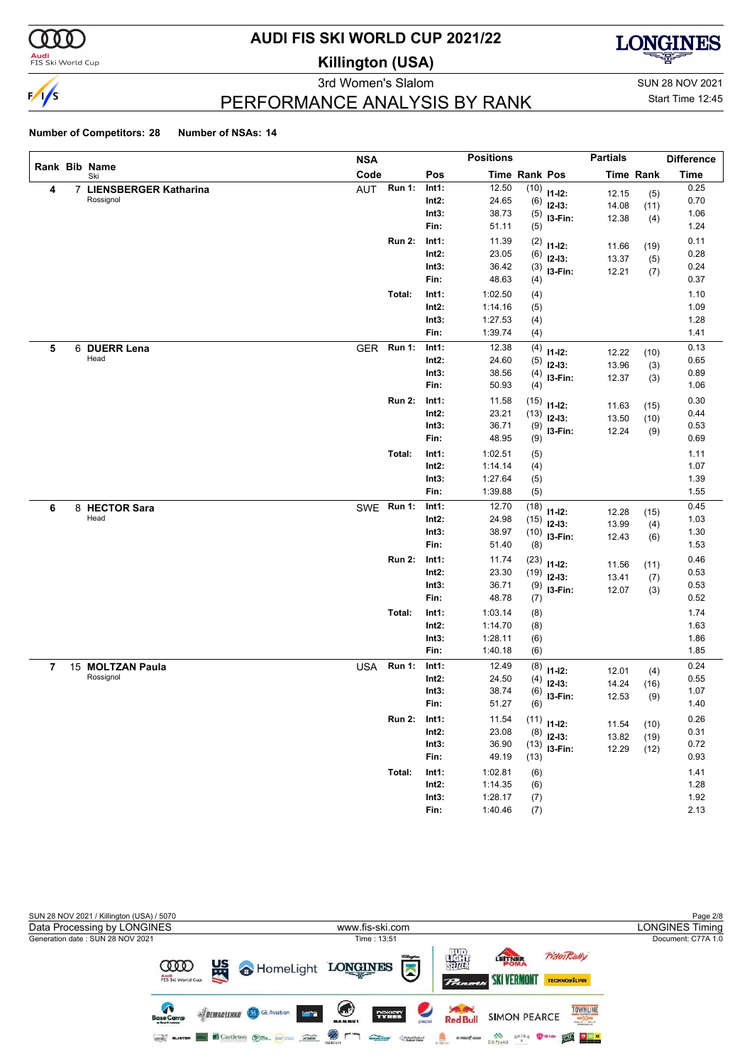

#### **Audi**<br>FIS Ski World Cup

# **AUDI FIS SKI WORLD CUP 2021/22**

**Killington (USA)**



3rd Women's Slalom Sun 28 NOV 2021

# Start Time 12:45

### PERFORMANCE ANALYSIS BY RANK

|   |                         | <b>NSA</b> |               |          | <b>Positions</b> |                      |                | <b>Partials</b> |                  | <b>Difference</b> |
|---|-------------------------|------------|---------------|----------|------------------|----------------------|----------------|-----------------|------------------|-------------------|
|   | Rank Bib Name<br>Ski    | Code       |               | Pos      |                  | <b>Time Rank Pos</b> |                |                 | <b>Time Rank</b> | <b>Time</b>       |
| 4 | 7 LIENSBERGER Katharina | AUT        | <b>Run 1:</b> | Int1:    | 12.50            | (10)                 | $11 - 12$ :    | 12.15           | (5)              | 0.25              |
|   | Rossignol               |            |               | $Int2$ : | 24.65            | (6)                  | $12-13:$       | 14.08           | (11)             | 0.70              |
|   |                         |            |               | Int3:    | 38.73            | (5)                  | I3-Fin:        | 12.38           | (4)              | 1.06              |
|   |                         |            |               | Fin:     | 51.11            | (5)                  |                |                 |                  | 1.24              |
|   |                         |            | <b>Run 2:</b> | Int1:    | 11.39            | (2)                  | $11 - 12$ :    | 11.66           | (19)             | 0.11              |
|   |                         |            |               | $Int2$ : | 23.05            | (6)                  | $12-13:$       | 13.37           | (5)              | 0.28              |
|   |                         |            |               | Int3:    | 36.42            | (3)                  | I3-Fin:        | 12.21           | (7)              | 0.24              |
|   |                         |            |               | Fin:     | 48.63            | (4)                  |                |                 |                  | 0.37              |
|   |                         |            | Total:        | Int1:    | 1:02.50          | (4)                  |                |                 |                  | 1.10              |
|   |                         |            |               | $Int2$ : | 1:14.16          | (5)                  |                |                 |                  | 1.09              |
|   |                         |            |               | Int3:    | 1:27.53          | (4)                  |                |                 |                  | 1.28              |
|   |                         |            |               | Fin:     | 1:39.74          | (4)                  |                |                 |                  | 1.41              |
| 5 | 6 DUERR Lena            | <b>GER</b> | <b>Run 1:</b> | Int1:    | 12.38            | (4)                  | $11 - 12$ :    | 12.22           | (10)             | 0.13              |
|   | Head                    |            |               | $Int2$ : | 24.60            | (5)                  | $12-13:$       | 13.96           | (3)              | 0.65              |
|   |                         |            |               | Int3:    | 38.56            | (4)                  | I3-Fin:        | 12.37           | (3)              | 0.89              |
|   |                         |            |               | Fin:     | 50.93            | (4)                  |                |                 |                  | 1.06              |
|   |                         |            | <b>Run 2:</b> | Int1:    | 11.58            | (15)                 | $11 - 12$ :    | 11.63           | (15)             | 0.30              |
|   |                         |            |               | $Int2$ : | 23.21            | (13)                 | $12-13:$       | 13.50           | (10)             | 0.44              |
|   |                         |            |               | Int3:    | 36.71            | (9)                  | I3-Fin:        | 12.24           | (9)              | 0.53              |
|   |                         |            |               | Fin:     | 48.95            | (9)                  |                |                 |                  | 0.69              |
|   |                         |            | Total:        | Int1:    | 1:02.51          | (5)                  |                |                 |                  | 1.11              |
|   |                         |            |               | $Int2$ : | 1:14.14          | (4)                  |                |                 |                  | 1.07              |
|   |                         |            |               | Int3:    | 1:27.64          | (5)                  |                |                 |                  | 1.39              |
|   |                         |            |               | Fin:     | 1:39.88          | (5)                  |                |                 |                  | 1.55              |
| 6 | 8 HECTOR Sara           |            | SWE Run 1:    | Int1:    | 12.70            | (18)                 | $11 - 12$ :    | 12.28           | (15)             | 0.45              |
|   | Head                    |            |               | $Int2$ : | 24.98            | (15)                 | $12-13:$       | 13.99           | (4)              | 1.03              |
|   |                         |            |               | Int3:    | 38.97            | (10)                 | I3-Fin:        | 12.43           | (6)              | 1.30              |
|   |                         |            |               | Fin:     | 51.40            | (8)                  |                |                 |                  | 1.53              |
|   |                         |            | <b>Run 2:</b> | Int1:    | 11.74            | (23)                 | $11 - 12$ :    | 11.56           | (11)             | 0.46              |
|   |                         |            |               | $Int2$ : | 23.30            | (19)                 | $12-13:$       | 13.41           | (7)              | 0.53              |
|   |                         |            |               | Int3:    | 36.71            | (9)                  | I3-Fin:        | 12.07           | (3)              | 0.53              |
|   |                         |            |               | Fin:     | 48.78            | (7)                  |                |                 |                  | 0.52              |
|   |                         |            | Total:        | Int1:    | 1:03.14          | (8)                  |                |                 |                  | 1.74              |
|   |                         |            |               | $Int2$ : | 1:14.70          | (8)                  |                |                 |                  | 1.63              |
|   |                         |            |               | Int3:    | 1:28.11          | (6)                  |                |                 |                  | 1.86              |
|   |                         |            |               | Fin:     | 1:40.18          | (6)                  |                |                 |                  | 1.85              |
| 7 | 15 MOLTZAN Paula        | <b>USA</b> | <b>Run 1:</b> | Int1:    | 12.49            | (8)                  | $11 - 12$ :    | 12.01           | (4)              | 0.24              |
|   | Rossignol               |            |               | Int2:    | 24.50            | (4)                  | $12-13:$       | 14.24           | (16)             | 0.55              |
|   |                         |            |               | Int3:    | 38.74            | (6)                  | I3-Fin:        | 12.53           | (9)              | 1.07              |
|   |                         |            |               | Fin:     | 51.27            | (6)                  |                |                 |                  | 1.40              |
|   |                         |            | <b>Run 2:</b> | Int1:    | 11.54            |                      | $(11)$ 11-12:  | 11.54           | (10)             | 0.26              |
|   |                         |            |               | $Int2$ : | 23.08            | (8)                  | $12-13:$       | 13.82           | (19)             | 0.31              |
|   |                         |            |               | Int3:    | 36.90            |                      | $(13)$ 13-Fin: | 12.29           | (12)             | 0.72              |
|   |                         |            |               | Fin:     | 49.19            | (13)                 |                |                 |                  | 0.93              |
|   |                         |            | Total:        | Int1:    | 1:02.81          | (6)                  |                |                 |                  | 1.41              |
|   |                         |            |               | $Int2$ : | 1:14.35          | (6)                  |                |                 |                  | 1.28              |
|   |                         |            |               | Int3:    | 1:28.17          | (7)                  |                |                 |                  | 1.92              |
|   |                         |            |               | Fin:     | 1:40.46          | (7)                  |                |                 |                  | 2.13              |

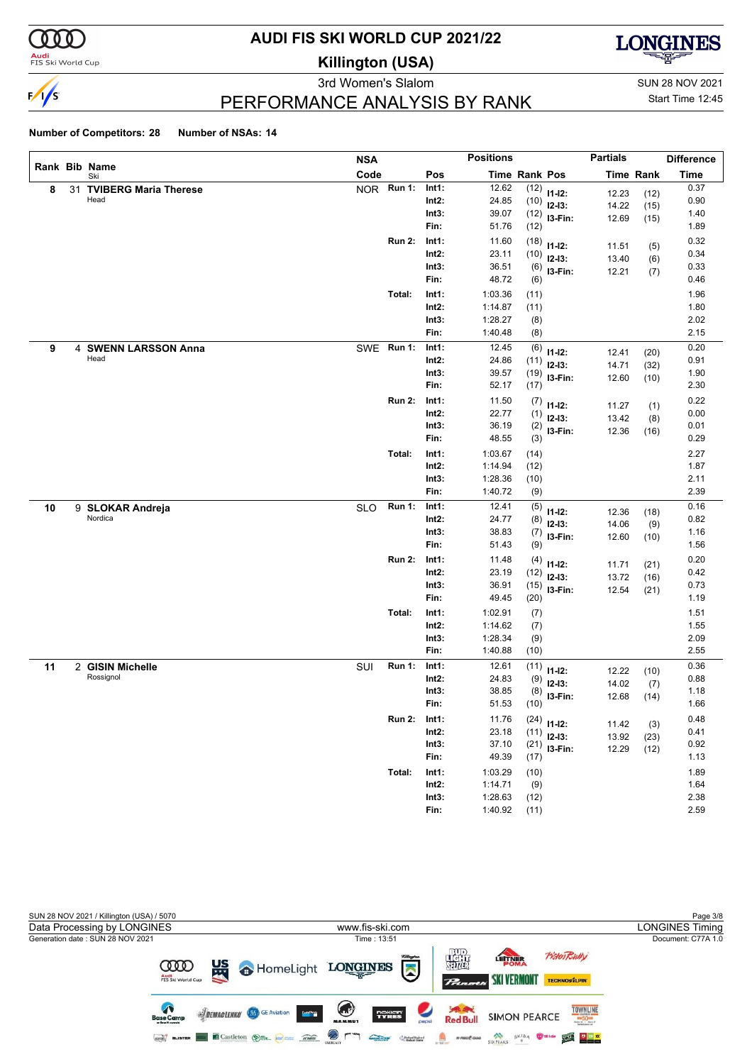

#### **Audi**<br>FIS Ski World Cup

# **AUDI FIS SKI WORLD CUP 2021/22**

**Killington (USA)**



3rd Women's Slalom Sun 28 NOV 2021

Start Time 12:45

### PERFORMANCE ANALYSIS BY RANK

|    |                          | <b>NSA</b> |               |          | <b>Positions</b> |               |                | <b>Partials</b> |                  | <b>Difference</b> |
|----|--------------------------|------------|---------------|----------|------------------|---------------|----------------|-----------------|------------------|-------------------|
|    | Rank Bib Name<br>Ski     | Code       |               | Pos      |                  | Time Rank Pos |                |                 | <b>Time Rank</b> | <b>Time</b>       |
| 8  | 31 TVIBERG Maria Therese |            | NOR Run 1:    | Int1:    | 12.62            | (12)          | $11 - 12$ :    | 12.23           | (12)             | 0.37              |
|    | Head                     |            |               | $Int2$ : | 24.85            | (10)          | $12-13:$       | 14.22           | (15)             | 0.90              |
|    |                          |            |               | Int3:    | 39.07            | (12)          | I3-Fin:        | 12.69           | (15)             | 1.40              |
|    |                          |            |               | Fin:     | 51.76            | (12)          |                |                 |                  | 1.89              |
|    |                          |            | <b>Run 2:</b> | Int1:    | 11.60            | (18)          | $11 - 12$ :    | 11.51           | (5)              | 0.32              |
|    |                          |            |               | $Int2$ : | 23.11            | (10)          | $12-13:$       | 13.40           | (6)              | 0.34              |
|    |                          |            |               | Int3:    | 36.51            | (6)           | I3-Fin:        | 12.21           | (7)              | 0.33              |
|    |                          |            |               | Fin:     | 48.72            | (6)           |                |                 |                  | 0.46              |
|    |                          |            | Total:        | Int1:    | 1:03.36          | (11)          |                |                 |                  | 1.96              |
|    |                          |            |               | $Int2$ : | 1:14.87          | (11)          |                |                 |                  | 1.80              |
|    |                          |            |               | Int3:    | 1:28.27          | (8)           |                |                 |                  | 2.02              |
|    |                          |            |               | Fin:     | 1:40.48          | (8)           |                |                 |                  | 2.15              |
| 9  | 4 SWENN LARSSON Anna     |            | SWE Run 1:    | Int1:    | 12.45            | (6)           | $11 - 12$ :    | 12.41           | (20)             | 0.20              |
|    | Head                     |            |               | Int2:    | 24.86            | (11)          | $12-13:$       | 14.71           | (32)             | 0.91              |
|    |                          |            |               | Int3:    | 39.57            | (19)          | I3-Fin:        | 12.60           | (10)             | 1.90              |
|    |                          |            |               | Fin:     | 52.17            | (17)          |                |                 |                  | 2.30              |
|    |                          |            | <b>Run 2:</b> | Int1:    | 11.50            | (7)           | $11 - 12$ :    | 11.27           | (1)              | 0.22              |
|    |                          |            |               | $Int2$ : | 22.77            | (1)           | $12-13:$       | 13.42           | (8)              | 0.00              |
|    |                          |            |               | Int3:    | 36.19            | (2)           | I3-Fin:        | 12.36           | (16)             | 0.01              |
|    |                          |            |               | Fin:     | 48.55            | (3)           |                |                 |                  | 0.29              |
|    |                          |            | Total:        | Int1:    | 1:03.67          | (14)          |                |                 |                  | 2.27              |
|    |                          |            |               | $Int2$ : | 1:14.94          | (12)          |                |                 |                  | 1.87              |
|    |                          |            |               | Int3:    | 1:28.36          | (10)          |                |                 |                  | 2.11              |
|    |                          |            |               | Fin:     | 1:40.72          | (9)           |                |                 |                  | 2.39              |
| 10 | 9 SLOKAR Andreja         | <b>SLO</b> | Run 1:        | Int1:    | 12.41            | (5)           | $11 - 12$ :    | 12.36           | (18)             | 0.16              |
|    | Nordica                  |            |               | $Int2$ : | 24.77            | (8)           | $12-13:$       | 14.06           | (9)              | 0.82              |
|    |                          |            |               | Int3:    | 38.83            | (7)           | I3-Fin:        | 12.60           | (10)             | 1.16              |
|    |                          |            |               | Fin:     | 51.43            | (9)           |                |                 |                  | 1.56              |
|    |                          |            | <b>Run 2:</b> | Int1:    | 11.48            | (4)           | $11 - 12$ :    | 11.71           | (21)             | 0.20              |
|    |                          |            |               | $Int2$ : | 23.19            | (12)          | $12-13:$       | 13.72           | (16)             | 0.42              |
|    |                          |            |               | Int3:    | 36.91            | (15)          | I3-Fin:        | 12.54           | (21)             | 0.73              |
|    |                          |            |               | Fin:     | 49.45            | (20)          |                |                 |                  | 1.19              |
|    |                          |            | Total:        | Int1:    | 1:02.91          | (7)           |                |                 |                  | 1.51              |
|    |                          |            |               | $Int2$ : | 1:14.62          | (7)           |                |                 |                  | 1.55              |
|    |                          |            |               | Int3:    | 1:28.34          | (9)           |                |                 |                  | 2.09              |
|    |                          |            |               | Fin:     | 1:40.88          | (10)          |                |                 |                  | 2.55              |
| 11 | 2 GISIN Michelle         | SUI        | <b>Run 1:</b> | Int1:    | 12.61            | (11)          | $11 - 12$ :    | 12.22           | (10)             | 0.36              |
|    | Rossignol                |            |               | Int2:    | 24.83            | (9)           | $12-13:$       | 14.02           | (7)              | 0.88              |
|    |                          |            |               | Int3:    | 38.85            | (8)           | I3-Fin:        | 12.68           | (14)             | 1.18              |
|    |                          |            |               | Fin:     | 51.53            | (10)          |                |                 |                  | 1.66              |
|    |                          |            | <b>Run 2:</b> | Int1:    | 11.76            |               | $(24)$ 11-12:  | 11.42           |                  | 0.48              |
|    |                          |            |               | Int2:    | 23.18            |               | $(11)$ 12-13:  | 13.92           | (3)<br>(23)      | 0.41              |
|    |                          |            |               | Int3:    | 37.10            |               | $(21)$ 13-Fin: | 12.29           | (12)             | 0.92              |
|    |                          |            |               | Fin:     | 49.39            | (17)          |                |                 |                  | 1.13              |
|    |                          |            | Total:        | Int1:    | 1:03.29          | (10)          |                |                 |                  | 1.89              |
|    |                          |            |               | $Int2$ : | 1:14.71          | (9)           |                |                 |                  | 1.64              |
|    |                          |            |               | Int3:    | 1:28.63          | (12)          |                |                 |                  | 2.38              |
|    |                          |            |               | Fin:     | 1:40.92          | (11)          |                |                 |                  | 2.59              |

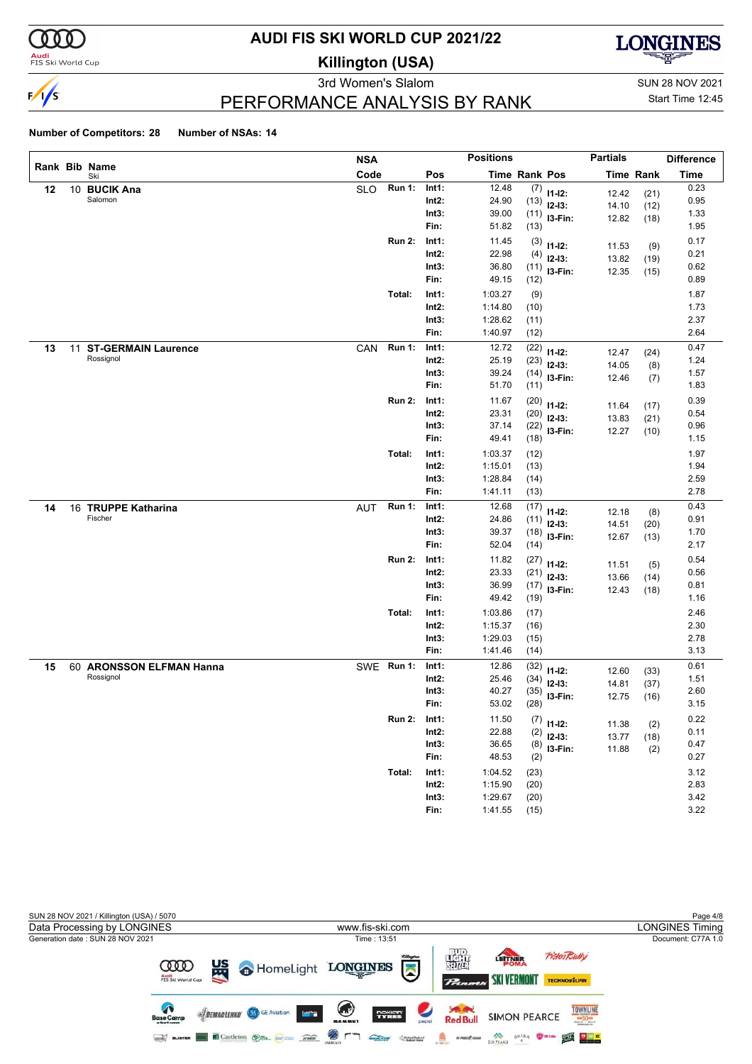

#### **Audi**<br>FIS Ski World Cup

# **AUDI FIS SKI WORLD CUP 2021/22**

**Killington (USA)**



3rd Women's Slalom Sun 28 NOV 2021

Start Time 12:45

### PERFORMANCE ANALYSIS BY RANK

|    |                                     | <b>NSA</b> |               |                   | <b>Positions</b>     |              |                         | <b>Partials</b> |                  | <b>Difference</b> |
|----|-------------------------------------|------------|---------------|-------------------|----------------------|--------------|-------------------------|-----------------|------------------|-------------------|
|    | Rank Bib Name<br>Ski                | Code       |               | Pos               | <b>Time Rank Pos</b> |              |                         |                 | <b>Time Rank</b> | <b>Time</b>       |
| 12 | 10 BUCIK Ana                        | <b>SLO</b> | <b>Run 1:</b> | Int1:             | 12.48                |              | $(7)$ 11-12:            | 12.42           | (21)             | 0.23              |
|    | Salomon                             |            |               | $Int2$ :          | 24.90                | (13)         | $12-13:$                | 14.10           | (12)             | 0.95              |
|    |                                     |            |               | Int3:             | 39.00                |              | $(11)$ 13-Fin:          | 12.82           | (18)             | 1.33              |
|    |                                     |            |               | Fin:              | 51.82                | (13)         |                         |                 |                  | 1.95              |
|    |                                     |            | <b>Run 2:</b> | Int1:             | 11.45                | (3)          | $11 - 12$ :             | 11.53           | (9)              | 0.17              |
|    |                                     |            |               | $Int2$ :          | 22.98                | (4)          | $12 - 13$ :             | 13.82           | (19)             | 0.21              |
|    |                                     |            |               | Int3:             | 36.80                | (11)         | I3-Fin:                 | 12.35           | (15)             | 0.62              |
|    |                                     |            |               | Fin:              | 49.15                | (12)         |                         |                 |                  | 0.89              |
|    |                                     |            | Total:        | Int1:             | 1:03.27              | (9)          |                         |                 |                  | 1.87              |
|    |                                     |            |               | $Int2$ :          | 1:14.80              | (10)         |                         |                 |                  | 1.73              |
|    |                                     |            |               | Int3:             | 1:28.62              | (11)         |                         |                 |                  | 2.37              |
|    |                                     |            |               | Fin:              | 1:40.97              | (12)         |                         |                 |                  | 2.64              |
| 13 | 11 ST-GERMAIN Laurence<br>Rossignol | CAN        | <b>Run 1:</b> | Int1:             | 12.72                | (22)         | $11 - 12$ :             | 12.47           | (24)             | 0.47              |
|    |                                     |            |               | $Int2$ :          | 25.19                | (23)         | $12 - 13$ :             | 14.05           | (8)              | 1.24              |
|    |                                     |            |               | Int3:<br>Fin:     | 39.24<br>51.70       | (14)<br>(11) | I3-Fin:                 | 12.46           | (7)              | 1.57<br>1.83      |
|    |                                     |            |               |                   |                      |              |                         |                 |                  |                   |
|    |                                     |            | <b>Run 2:</b> | Int1:             | 11.67                | (20)         | $11 - 12$ :             | 11.64           | (17)             | 0.39              |
|    |                                     |            |               | Int2:             | 23.31                | (20)         | $12-13:$                | 13.83           | (21)             | 0.54              |
|    |                                     |            |               | Int3:<br>Fin:     | 37.14<br>49.41       | (22)<br>(18) | I3-Fin:                 | 12.27           | (10)             | 0.96<br>1.15      |
|    |                                     |            |               |                   |                      |              |                         |                 |                  |                   |
|    |                                     |            | Total:        | Int1:<br>$Int2$ : | 1:03.37<br>1:15.01   | (12)         |                         |                 |                  | 1.97<br>1.94      |
|    |                                     |            |               | Int3:             | 1:28.84              | (13)<br>(14) |                         |                 |                  | 2.59              |
|    |                                     |            |               | Fin:              | 1:41.11              | (13)         |                         |                 |                  | 2.78              |
| 14 | 16 TRUPPE Katharina                 | <b>AUT</b> | <b>Run 1:</b> | Int1:             | 12.68                | (17)         |                         |                 |                  | 0.43              |
|    | Fischer                             |            |               | $Int2$ :          | 24.86                | (11)         | $11 - 12$ :             | 12.18           | (8)              | 0.91              |
|    |                                     |            |               | Int3:             | 39.37                | (18)         | $12 - 13$ :             | 14.51           | (20)             | 1.70              |
|    |                                     |            |               | Fin:              | 52.04                | (14)         | I3-Fin:                 | 12.67           | (13)             | 2.17              |
|    |                                     |            | <b>Run 2:</b> | Int1:             | 11.82                | (27)         |                         |                 |                  | 0.54              |
|    |                                     |            |               | $Int2$ :          | 23.33                | (21)         | $11 - 12$ :<br>$12-13:$ | 11.51           | (5)              | 0.56              |
|    |                                     |            |               | Int3:             | 36.99                | (17)         | I3-Fin:                 | 13.66<br>12.43  | (14)             | 0.81              |
|    |                                     |            |               | Fin:              | 49.42                | (19)         |                         |                 | (18)             | 1.16              |
|    |                                     |            | Total:        | Int1:             | 1:03.86              | (17)         |                         |                 |                  | 2.46              |
|    |                                     |            |               | $Int2$ :          | 1:15.37              | (16)         |                         |                 |                  | 2.30              |
|    |                                     |            |               | Int3:             | 1:29.03              | (15)         |                         |                 |                  | 2.78              |
|    |                                     |            |               | Fin:              | 1:41.46              | (14)         |                         |                 |                  | 3.13              |
| 15 | 60 ARONSSON ELFMAN Hanna            |            | SWE Run 1:    | Int1:             | 12.86                | (32)         | $11 - 12$ :             | 12.60           | (33)             | 0.61              |
|    | Rossignol                           |            |               | Int2:             | 25.46                | (34)         | $12 - 13$ :             | 14.81           | (37)             | 1.51              |
|    |                                     |            |               | Int3:             | 40.27                | (35)         | I3-Fin:                 | 12.75           | (16)             | 2.60              |
|    |                                     |            |               | Fin:              | 53.02                | (28)         |                         |                 |                  | 3.15              |
|    |                                     |            | <b>Run 2:</b> | Int1:             | 11.50                |              | $(7)$ 11-12:            | 11.38           | (2)              | 0.22              |
|    |                                     |            |               | $Int2$ :          | 22.88                | (2)          | $12-13:$                | 13.77           | (18)             | 0.11              |
|    |                                     |            |               | Int3:             | 36.65                | (8)          | $13-Fin:$               | 11.88           | (2)              | 0.47              |
|    |                                     |            |               | Fin:              | 48.53                | (2)          |                         |                 |                  | 0.27              |
|    |                                     |            | Total:        | Int1:             | 1:04.52              | (23)         |                         |                 |                  | 3.12              |
|    |                                     |            |               | $Int2$ :          | 1:15.90              | (20)         |                         |                 |                  | 2.83              |
|    |                                     |            |               | Int3:             | 1:29.67              | (20)         |                         |                 |                  | 3.42              |
|    |                                     |            |               | Fin:              | 1:41.55              | (15)         |                         |                 |                  | 3.22              |

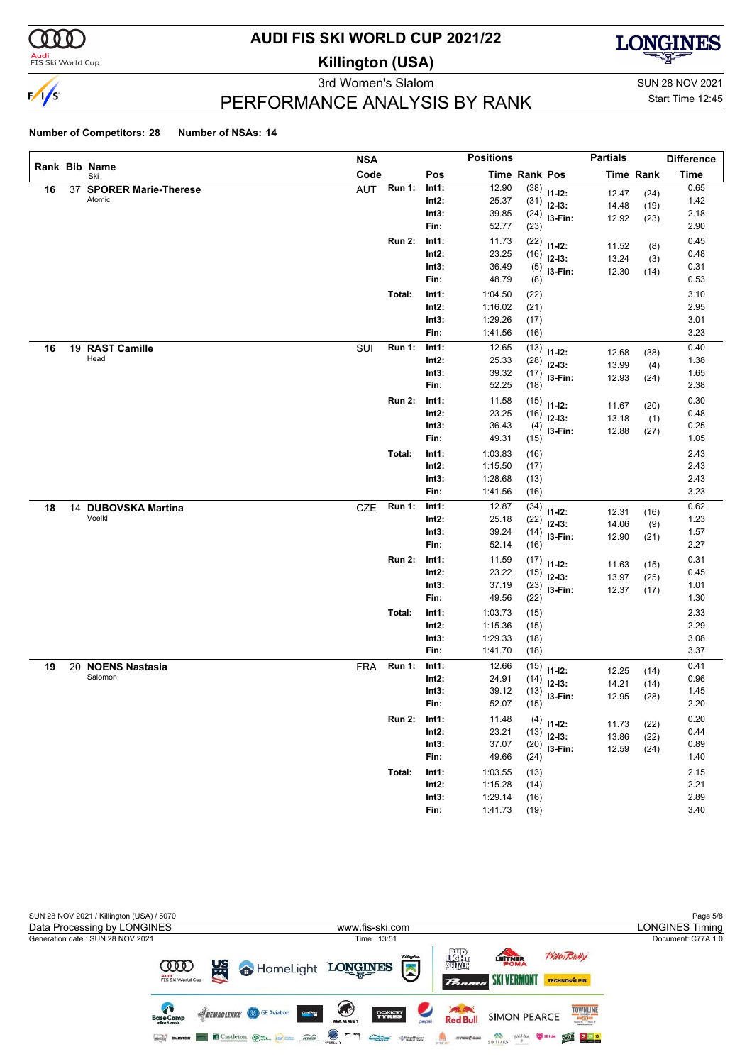

#### **Audi**<br>FIS Ski World Cup

# **AUDI FIS SKI WORLD CUP 2021/22**

**Killington (USA)**



3rd Women's Slalom Sun 28 NOV 2021

Start Time 12:45

### PERFORMANCE ANALYSIS BY RANK

|    |                               | <b>NSA</b> |               |                   | <b>Positions</b>   |              |                            | <b>Partials</b> |                  | <b>Difference</b> |
|----|-------------------------------|------------|---------------|-------------------|--------------------|--------------|----------------------------|-----------------|------------------|-------------------|
|    | Rank Bib Name<br>Ski          | Code       |               | Pos               | Time Rank Pos      |              |                            |                 | <b>Time Rank</b> | <b>Time</b>       |
| 16 | 37 SPORER Marie-Therese       | AUT        | <b>Run 1:</b> | Int1:             | 12.90              | (38)         | $11-12:$                   | 12.47           | (24)             | 0.65              |
|    | Atomic                        |            |               | $Int2$ :          | 25.37              | (31)         | $12-13:$                   | 14.48           | (19)             | 1.42              |
|    |                               |            |               | Int3:             | 39.85              |              | $(24)$ 13-Fin:             | 12.92           | (23)             | 2.18              |
|    |                               |            |               | Fin:              | 52.77              | (23)         |                            |                 |                  | 2.90              |
|    |                               |            | <b>Run 2:</b> | Int1:             | 11.73              | (22)         | $11 - 12$ :                | 11.52           | (8)              | 0.45              |
|    |                               |            |               | $Int2$ :          | 23.25              | (16)         | $12-13:$                   | 13.24           | (3)              | 0.48              |
|    |                               |            |               | Int3:             | 36.49              |              | $(5)$ 13-Fin:              | 12.30           | (14)             | 0.31              |
|    |                               |            |               | Fin:              | 48.79              | (8)          |                            |                 |                  | 0.53              |
|    |                               |            | Total:        | Int1:             | 1:04.50            | (22)         |                            |                 |                  | 3.10              |
|    |                               |            |               | $Int2$ :          | 1:16.02            | (21)         |                            |                 |                  | 2.95              |
|    |                               |            |               | Int3:             | 1:29.26            | (17)         |                            |                 |                  | 3.01              |
|    |                               |            |               | Fin:              | 1:41.56            | (16)         |                            |                 |                  | 3.23              |
| 16 | 19 RAST Camille<br>Head       | SUI        | <b>Run 1:</b> | Int1:             | 12.65              | (13)         | $11 - 12$ :                | 12.68           | (38)             | 0.40              |
|    |                               |            |               | $Int2$ :          | 25.33              | (28)         | $12 - 13$ :                | 13.99           | (4)              | 1.38              |
|    |                               |            |               | Int3:<br>Fin:     | 39.32<br>52.25     | (17)         | I3-Fin:                    | 12.93           | (24)             | 1.65<br>2.38      |
|    |                               |            |               |                   |                    | (18)         |                            |                 |                  |                   |
|    |                               |            | <b>Run 2:</b> | Int1:             | 11.58              | (15)         | $11 - 12$ :                | 11.67           | (20)             | 0.30              |
|    |                               |            |               | Int2:             | 23.25              | (16)         | $12-13:$                   | 13.18           | (1)              | 0.48              |
|    |                               |            |               | Int3:<br>Fin:     | 36.43<br>49.31     | (15)         | $(4)$ 13-Fin:              | 12.88           | (27)             | 0.25<br>1.05      |
|    |                               |            |               |                   |                    |              |                            |                 |                  |                   |
|    |                               |            | Total:        | Int1:             | 1:03.83            | (16)         |                            |                 |                  | 2.43<br>2.43      |
|    |                               |            |               | $Int2$ :<br>Int3: | 1:15.50<br>1:28.68 | (17)         |                            |                 |                  | 2.43              |
|    |                               |            |               | Fin:              | 1:41.56            | (13)<br>(16) |                            |                 |                  | 3.23              |
|    |                               | CZE        | <b>Run 1:</b> | Int1:             | 12.87              | (34)         |                            |                 |                  | 0.62              |
| 18 | 14 DUBOVSKA Martina<br>Voelkl |            |               | Int2:             | 25.18              | (22)         | $11-12:$                   | 12.31           | (16)             | 1.23              |
|    |                               |            |               | Int3:             | 39.24              | (14)         | $12 - 13$ :                | 14.06           | (9)              | 1.57              |
|    |                               |            |               | Fin:              | 52.14              | (16)         | I3-Fin:                    | 12.90           | (21)             | 2.27              |
|    |                               |            | <b>Run 2:</b> | Int1:             | 11.59              | (17)         |                            |                 |                  | 0.31              |
|    |                               |            |               | $Int2$ :          | 23.22              | (15)         | $11-12:$                   | 11.63           | (15)             | 0.45              |
|    |                               |            |               | Int3:             | 37.19              |              | $12-13:$<br>$(23)$ 13-Fin: | 13.97           | (25)             | 1.01              |
|    |                               |            |               | Fin:              | 49.56              | (22)         |                            | 12.37           | (17)             | 1.30              |
|    |                               |            | Total:        | Int1:             | 1:03.73            | (15)         |                            |                 |                  | 2.33              |
|    |                               |            |               | $Int2$ :          | 1:15.36            | (15)         |                            |                 |                  | 2.29              |
|    |                               |            |               | Int3:             | 1:29.33            | (18)         |                            |                 |                  | 3.08              |
|    |                               |            |               | Fin:              | 1:41.70            | (18)         |                            |                 |                  | 3.37              |
| 19 | 20 NOENS Nastasia             | FRA        | <b>Run 1:</b> | Int1:             | 12.66              | (15)         | $11 - 12$ :                | 12.25           | (14)             | 0.41              |
|    | Salomon                       |            |               | Int2:             | 24.91              | (14)         | $12 - 13$ :                | 14.21           | (14)             | 0.96              |
|    |                               |            |               | Int3:             | 39.12              | (13)         | I3-Fin:                    | 12.95           | (28)             | 1.45              |
|    |                               |            |               | Fin:              | 52.07              | (15)         |                            |                 |                  | 2.20              |
|    |                               |            | <b>Run 2:</b> | Int1:             | 11.48              |              | $(4)$ 11-12:               | 11.73           | (22)             | 0.20              |
|    |                               |            |               | $Int2$ :          | 23.21              | (13)         | $12-13:$                   | 13.86           | (22)             | 0.44              |
|    |                               |            |               | Int3:             | 37.07              |              | $(20)$ 13-Fin:             | 12.59           | (24)             | 0.89              |
|    |                               |            |               | Fin:              | 49.66              | (24)         |                            |                 |                  | 1.40              |
|    |                               |            | Total:        | Int1:             | 1:03.55            | (13)         |                            |                 |                  | 2.15              |
|    |                               |            |               | $Int2$ :          | 1:15.28            | (14)         |                            |                 |                  | 2.21              |
|    |                               |            |               | Int3:             | 1:29.14            | (16)         |                            |                 |                  | 2.89              |
|    |                               |            |               | Fin:              | 1:41.73            | (19)         |                            |                 |                  | 3.40              |

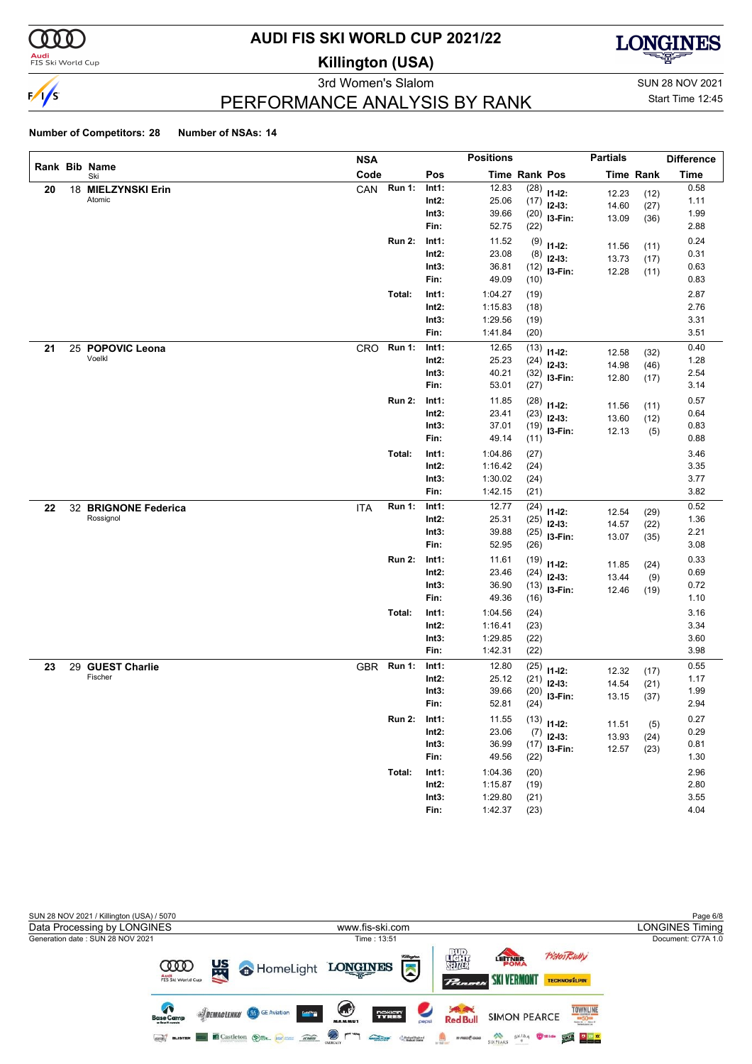

#### **Audi**<br>FIS Ski World Cup

# **AUDI FIS SKI WORLD CUP 2021/22**

**Killington (USA)**



3rd Women's Slalom Sun 28 NOV 2021

Start Time 12:45

### PERFORMANCE ANALYSIS BY RANK

|    |                      | <b>NSA</b> |               |          | <b>Positions</b>     |      |                | <b>Partials</b> |                  | <b>Difference</b> |
|----|----------------------|------------|---------------|----------|----------------------|------|----------------|-----------------|------------------|-------------------|
|    | Rank Bib Name<br>Ski | Code       |               | Pos      | <b>Time Rank Pos</b> |      |                |                 | <b>Time Rank</b> | <b>Time</b>       |
| 20 | 18 MIELZYNSKI Erin   | CAN        | <b>Run 1:</b> | Int1:    | 12.83                | (28) | $11 - 12$ :    | 12.23           | (12)             | 0.58              |
|    | Atomic               |            |               | $Int2$ : | 25.06                | (17) | $12-13:$       | 14.60           | (27)             | 1.11              |
|    |                      |            |               | Int3:    | 39.66                |      | $(20)$ 13-Fin: | 13.09           | (36)             | 1.99              |
|    |                      |            |               | Fin:     | 52.75                | (22) |                |                 |                  | 2.88              |
|    |                      |            | <b>Run 2:</b> | Int1:    | 11.52                | (9)  | $11 - 12$ :    | 11.56           | (11)             | 0.24              |
|    |                      |            |               | $Int2$ : | 23.08                | (8)  | $12-13:$       | 13.73           | (17)             | 0.31              |
|    |                      |            |               | Int3:    | 36.81                | (12) | I3-Fin:        | 12.28           | (11)             | 0.63              |
|    |                      |            |               | Fin:     | 49.09                | (10) |                |                 |                  | 0.83              |
|    |                      |            | Total:        | Int1:    | 1:04.27              | (19) |                |                 |                  | 2.87              |
|    |                      |            |               | $Int2$ : | 1:15.83              | (18) |                |                 |                  | 2.76              |
|    |                      |            |               | Int3:    | 1:29.56              | (19) |                |                 |                  | 3.31              |
|    |                      |            |               | Fin:     | 1:41.84              | (20) |                |                 |                  | 3.51              |
| 21 | 25 POPOVIC Leona     | CRO        | <b>Run 1:</b> | Int1:    | 12.65                | (13) | $11 - 12$ :    | 12.58           | (32)             | 0.40              |
|    | Voelkl               |            |               | $Int2$ : | 25.23                | (24) | $12-13:$       | 14.98           | (46)             | 1.28              |
|    |                      |            |               | Int3:    | 40.21                | (32) | I3-Fin:        | 12.80           | (17)             | 2.54              |
|    |                      |            |               | Fin:     | 53.01                | (27) |                |                 |                  | 3.14              |
|    |                      |            | <b>Run 2:</b> | Int1:    | 11.85                | (28) | $11 - 12$ :    | 11.56           | (11)             | 0.57              |
|    |                      |            |               | $Int2$ : | 23.41                | (23) | $12-13:$       | 13.60           | (12)             | 0.64              |
|    |                      |            |               | Int3:    | 37.01                | (19) | I3-Fin:        | 12.13           | (5)              | 0.83              |
|    |                      |            |               | Fin:     | 49.14                | (11) |                |                 |                  | 0.88              |
|    |                      |            | Total:        | Int1:    | 1:04.86              | (27) |                |                 |                  | 3.46              |
|    |                      |            |               | $Int2$ : | 1:16.42              | (24) |                |                 |                  | 3.35              |
|    |                      |            |               | Int3:    | 1:30.02              | (24) |                |                 |                  | 3.77              |
|    |                      |            |               | Fin:     | 1:42.15              | (21) |                |                 |                  | 3.82              |
| 22 | 32 BRIGNONE Federica | <b>ITA</b> | <b>Run 1:</b> | Int1:    | 12.77                | (24) | $11 - 12$ :    | 12.54           | (29)             | 0.52              |
|    | Rossignol            |            |               | $Int2$ : | 25.31                | (25) | $12-13:$       | 14.57           | (22)             | 1.36              |
|    |                      |            |               | Int3:    | 39.88                | (25) | I3-Fin:        | 13.07           | (35)             | 2.21              |
|    |                      |            |               | Fin:     | 52.95                | (26) |                |                 |                  | 3.08              |
|    |                      |            | <b>Run 2:</b> | Int1:    | 11.61                | (19) | $11 - 12$ :    | 11.85           | (24)             | 0.33              |
|    |                      |            |               | $Int2$ : | 23.46                | (24) | $12-13:$       | 13.44           | (9)              | 0.69              |
|    |                      |            |               | Int3:    | 36.90                | (13) | I3-Fin:        | 12.46           | (19)             | 0.72              |
|    |                      |            |               | Fin:     | 49.36                | (16) |                |                 |                  | 1.10              |
|    |                      |            | Total:        | Int1:    | 1:04.56              | (24) |                |                 |                  | 3.16              |
|    |                      |            |               | $Int2$ : | 1:16.41              | (23) |                |                 |                  | 3.34              |
|    |                      |            |               | Int3:    | 1:29.85              | (22) |                |                 |                  | 3.60              |
|    |                      |            |               | Fin:     | 1:42.31              | (22) |                |                 |                  | 3.98              |
| 23 | 29 GUEST Charlie     |            | GBR Run 1:    | Int1:    | 12.80                | (25) | $11 - 12$ :    | 12.32           | (17)             | 0.55              |
|    | Fischer              |            |               | Int2:    | 25.12                | (21) | $12-13:$       | 14.54           | (21)             | 1.17              |
|    |                      |            |               | Int3:    | 39.66                | (20) | I3-Fin:        | 13.15           | (37)             | 1.99              |
|    |                      |            |               | Fin:     | 52.81                | (24) |                |                 |                  | 2.94              |
|    |                      |            | <b>Run 2:</b> | Int1:    | 11.55                |      | $(13)$ 11-12:  | 11.51           | (5)              | 0.27              |
|    |                      |            |               | $Int2$ : | 23.06                | (7)  | $12-13:$       | 13.93           | (24)             | 0.29              |
|    |                      |            |               | Int3:    | 36.99                |      | $(17)$ 13-Fin: | 12.57           | (23)             | 0.81              |
|    |                      |            |               | Fin:     | 49.56                | (22) |                |                 |                  | 1.30              |
|    |                      |            | Total:        | Int1:    | 1:04.36              | (20) |                |                 |                  | 2.96              |
|    |                      |            |               | $Int2$ : | 1:15.87              | (19) |                |                 |                  | 2.80              |
|    |                      |            |               | Int3:    | 1:29.80              | (21) |                |                 |                  | 3.55              |
|    |                      |            |               | Fin:     | 1:42.37              | (23) |                |                 |                  | 4.04              |

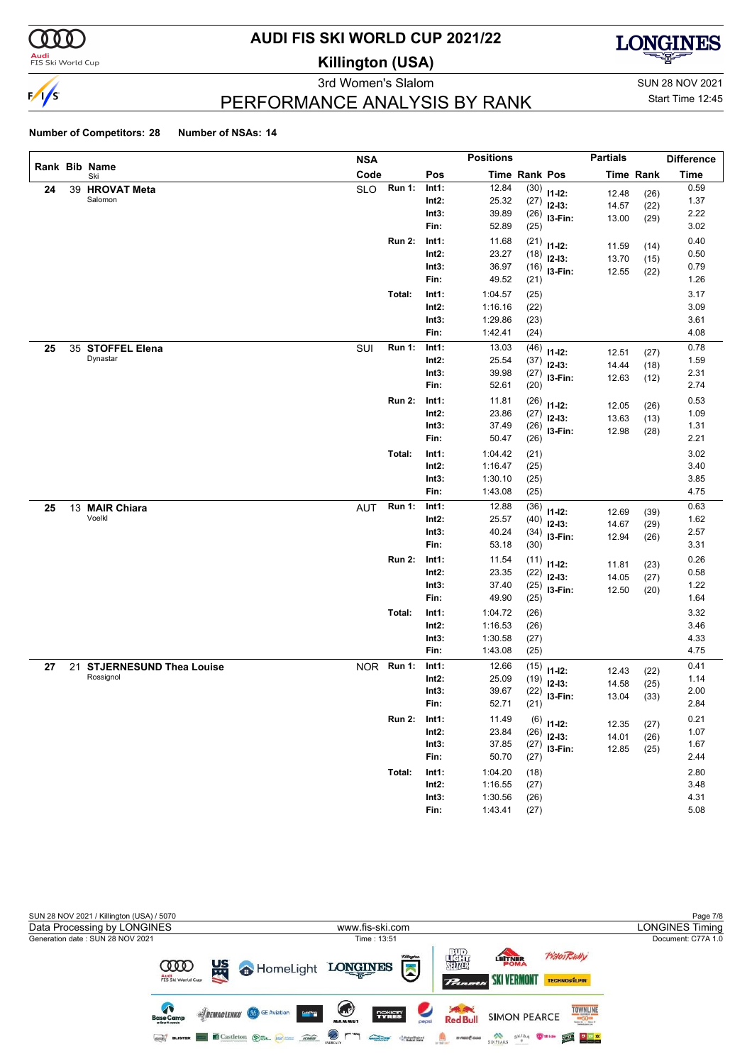

#### **Audi**<br>FIS Ski World Cup

# **AUDI FIS SKI WORLD CUP 2021/22**

**Killington (USA)**



3rd Women's Slalom Sun 28 NOV 2021

# Start Time 12:45

### PERFORMANCE ANALYSIS BY RANK

|    |    |                                             | <b>NSA</b> |               |                   | <b>Positions</b>   |                      |              | <b>Partials</b> |                  | <b>Difference</b> |
|----|----|---------------------------------------------|------------|---------------|-------------------|--------------------|----------------------|--------------|-----------------|------------------|-------------------|
|    |    | Rank Bib Name<br>Ski                        | Code       |               | Pos               |                    | <b>Time Rank Pos</b> |              |                 | <b>Time Rank</b> | <b>Time</b>       |
| 24 | 39 | <b>HROVAT Meta</b>                          | <b>SLO</b> | <b>Run 1:</b> | Int1:             | 12.84              | (30)                 | $11 - 12$ :  | 12.48           | (26)             | 0.59              |
|    |    | Salomon                                     |            |               | $Int2$ :          | 25.32              | (27)                 | $12-13:$     | 14.57           | (22)             | 1.37              |
|    |    |                                             |            |               | Int3:             | 39.89              | (26)                 | I3-Fin:      | 13.00           | (29)             | 2.22              |
|    |    |                                             |            |               | Fin:              | 52.89              | (25)                 |              |                 |                  | 3.02              |
|    |    |                                             |            | <b>Run 2:</b> | Int1:             | 11.68              | (21)                 | $11 - 12$ :  | 11.59           | (14)             | 0.40              |
|    |    |                                             |            |               | $Int2$ :          | 23.27              | (18)                 | $12-13:$     | 13.70           | (15)             | 0.50              |
|    |    |                                             |            |               | Int3:             | 36.97              | (16)                 | I3-Fin:      | 12.55           | (22)             | 0.79              |
|    |    |                                             |            |               | Fin:              | 49.52              | (21)                 |              |                 |                  | 1.26              |
|    |    |                                             |            | Total:        | Int1:             | 1:04.57            | (25)                 |              |                 |                  | 3.17              |
|    |    |                                             |            |               | $Int2$ :          | 1:16.16            | (22)                 |              |                 |                  | 3.09              |
|    |    |                                             |            |               | Int3:             | 1:29.86            | (23)                 |              |                 |                  | 3.61              |
|    |    |                                             |            |               | Fin:              | 1:42.41            | (24)                 |              |                 |                  | 4.08              |
| 25 |    | 35 STOFFEL Elena                            | SUI        | <b>Run 1:</b> | Int1:             | 13.03              | (46)                 | $11 - 12$ :  | 12.51           | (27)             | 0.78              |
|    |    | Dynastar                                    |            |               | $Int2$ :          | 25.54              | (37)                 | $12-13:$     | 14.44           | (18)             | 1.59              |
|    |    |                                             |            |               | Int3:             | 39.98              | (27)                 | I3-Fin:      | 12.63           | (12)             | 2.31              |
|    |    |                                             |            |               | Fin:              | 52.61              | (20)                 |              |                 |                  | 2.74              |
|    |    |                                             |            | <b>Run 2:</b> | Int1:             | 11.81              | (26)                 | $11 - 12$ :  | 12.05           | (26)             | 0.53              |
|    |    |                                             |            |               | $Int2$ :          | 23.86              | (27)                 | $12-13:$     | 13.63           | (13)             | 1.09              |
|    |    |                                             |            |               | Int3:             | 37.49              | (26)                 | I3-Fin:      | 12.98           | (28)             | 1.31              |
|    |    |                                             |            |               | Fin:              | 50.47              | (26)                 |              |                 |                  | 2.21              |
|    |    |                                             |            | Total:        | Int1:             | 1:04.42            | (21)                 |              |                 |                  | 3.02              |
|    |    |                                             |            |               | $Int2$ :          | 1:16.47            | (25)                 |              |                 |                  | 3.40              |
|    |    |                                             |            |               | Int3:             | 1:30.10            | (25)                 |              |                 |                  | 3.85              |
|    |    |                                             |            |               | Fin:              | 1:43.08            | (25)                 |              |                 |                  | 4.75              |
| 25 |    | 13 MAIR Chiara                              | <b>AUT</b> | <b>Run 1:</b> | Int1:             | 12.88              | (36)                 | $11 - 12$ :  | 12.69           | (39)             | 0.63              |
|    |    | Voelkl                                      |            |               | $Int2$ :          | 25.57              | (40)                 | $12-13:$     | 14.67           | (29)             | 1.62              |
|    |    |                                             |            |               | Int3:             | 40.24              | (34)                 | I3-Fin:      | 12.94           | (26)             | 2.57              |
|    |    |                                             |            |               | Fin:              | 53.18              | (30)                 |              |                 |                  | 3.31              |
|    |    |                                             |            | <b>Run 2:</b> | Int1:             | 11.54              | (11)                 | $11 - 12$ :  | 11.81           | (23)             | 0.26              |
|    |    |                                             |            |               | $Int2$ :          | 23.35              | (22)                 | $12 - 13:$   | 14.05           | (27)             | 0.58              |
|    |    |                                             |            |               | Int3:             | 37.40              | (25)                 | I3-Fin:      | 12.50           | (20)             | 1.22              |
|    |    |                                             |            |               | Fin:              | 49.90              | (25)                 |              |                 |                  | 1.64              |
|    |    |                                             |            | Total:        | Int1:             | 1:04.72            | (26)                 |              |                 |                  | 3.32              |
|    |    |                                             |            |               | $Int2$ :          | 1:16.53            | (26)                 |              |                 |                  | 3.46              |
|    |    |                                             |            |               | Int3:<br>Fin:     | 1:30.58<br>1:43.08 | (27)<br>(25)         |              |                 |                  | 4.33<br>4.75      |
|    |    |                                             |            |               |                   |                    |                      |              |                 |                  |                   |
| 27 | 21 | <b>STJERNESUND Thea Louise</b><br>Rossignol |            | NOR Run 1:    | Int1:<br>Int2:    | 12.66<br>25.09     | (15)                 | $11 - 12$ :  | 12.43           | (22)             | 0.41<br>1.14      |
|    |    |                                             |            |               | Int3:             | 39.67              | (19)<br>(22)         | $12-13:$     | 14.58           | (25)             | 2.00              |
|    |    |                                             |            |               | Fin:              | 52.71              | (21)                 | I3-Fin:      | 13.04           | (33)             | 2.84              |
|    |    |                                             |            |               |                   |                    |                      |              |                 |                  |                   |
|    |    |                                             |            | Run 2:        | Int1:<br>$Int2$ : | 11.49<br>23.84     | (26)                 | $(6)$ 11-12: | 12.35           | (27)             | 0.21<br>1.07      |
|    |    |                                             |            |               | Int3:             | 37.85              |                      | $12-13:$     | 14.01           | (26)             | 1.67              |
|    |    |                                             |            |               | Fin:              | 50.70              | (27)<br>(27)         | $13-Fin:$    | 12.85           | (25)             | 2.44              |
|    |    |                                             |            | Total:        | Int1:             | 1:04.20            |                      |              |                 |                  | 2.80              |
|    |    |                                             |            |               | $Int2$ :          | 1:16.55            | (18)<br>(27)         |              |                 |                  | 3.48              |
|    |    |                                             |            |               | Int3:             | 1:30.56            | (26)                 |              |                 |                  | 4.31              |
|    |    |                                             |            |               | Fin:              | 1:43.41            | (27)                 |              |                 |                  | 5.08              |

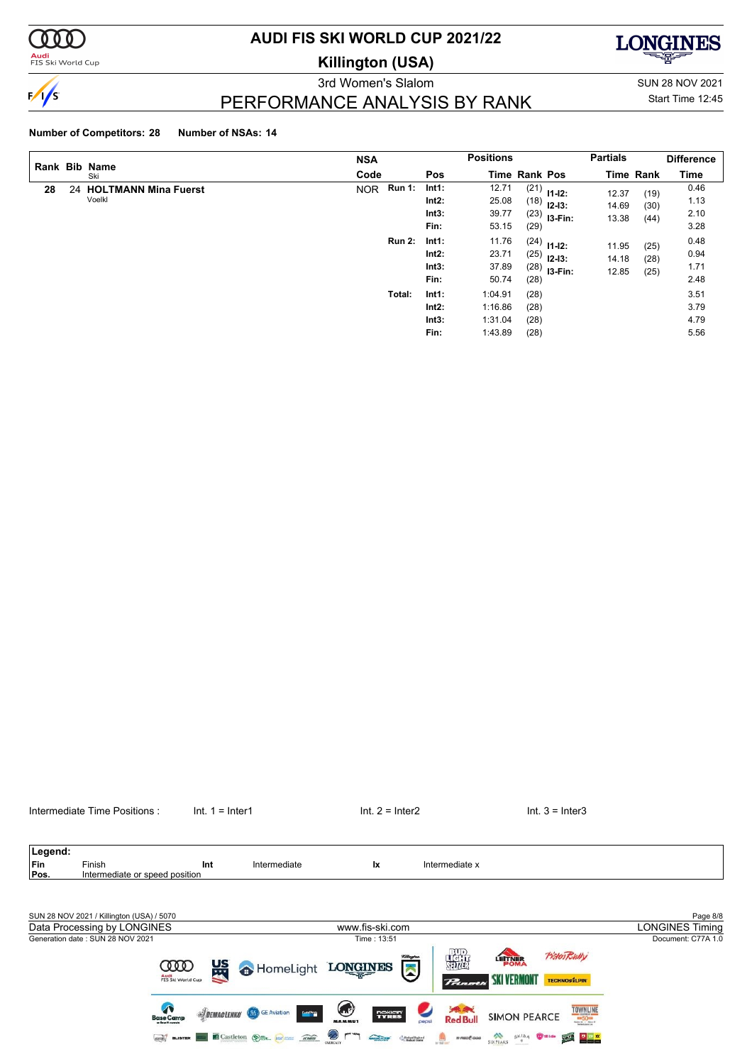

**Audi**<br>FIS Ski World Cup

# **AUDI FIS SKI WORLD CUP 2021/22**

**Killington (USA)**



PERFORMANCE ANALYSIS BY RANK

3rd Women's Slalom Sun 28 NOV 2021 Start Time 12:45

### **Number of Competitors: 28 Number of NSAs: 14**

|    | Rank Bib Name                     | <b>NSA</b>                  |                                 | <b>Positions</b>                                                           | <b>Partials</b>                                         |                      | <b>Difference</b>            |
|----|-----------------------------------|-----------------------------|---------------------------------|----------------------------------------------------------------------------|---------------------------------------------------------|----------------------|------------------------------|
|    | Ski                               | Code                        | <b>Pos</b>                      | <b>Time Rank Pos</b>                                                       |                                                         | <b>Time Rank</b>     | Time                         |
| 28 | 24 HOLTMANN Mina Fuerst<br>Voelkl | <b>Run 1:</b><br><b>NOR</b> | Int1:<br>Int2:<br>Int3:<br>Fin: | 12.71<br>$(21)$ 11-12:<br>25.08<br>$(18)$ 12-13:<br>39.77<br>53.15<br>(29) | 12.37<br>14.69<br>$(23)$ 13-Fin:<br>13.38               | (19)<br>(30)<br>(44) | 0.46<br>1.13<br>2.10<br>3.28 |
|    |                                   | <b>Run 2:</b>               | Int1:<br>Int2:<br>Int3:<br>Fin: | 11.76<br>$(24)$ 11-12:<br>23.71<br>(25)<br>37.89<br>(28)<br>50.74          | 11.95<br>$12 - 13:$<br>14.18<br>$(28)$ 13-Fin:<br>12.85 | (25)<br>(28)<br>(25) | 0.48<br>0.94<br>1.71<br>2.48 |
|    |                                   | Total:                      | Int1:<br>Int2:<br>Int3:<br>Fin: | 1:04.91<br>(28)<br>1:16.86<br>(28)<br>1:31.04<br>(28)<br>1:43.89<br>(28)   |                                                         |                      | 3.51<br>3.79<br>4.79<br>5.56 |



Children

 $\odot$  r ٦

**GEO BLISTER CASTLETON OF AN AREA** 

 $\begin{picture}(20,10) \put(0,0){\line(1,0){10}} \put(0,0){\line(1,0){10}} \put(0,0){\line(1,0){10}} \put(0,0){\line(1,0){10}} \put(0,0){\line(1,0){10}} \put(0,0){\line(1,0){10}} \put(0,0){\line(1,0){10}} \put(0,0){\line(1,0){10}} \put(0,0){\line(1,0){10}} \put(0,0){\line(1,0){10}} \put(0,0){\line(1,0){10}} \put(0,0){\line(1,0){10}} \put(0,$ 

SIXPAKS SKIDA WHICH SEE REEL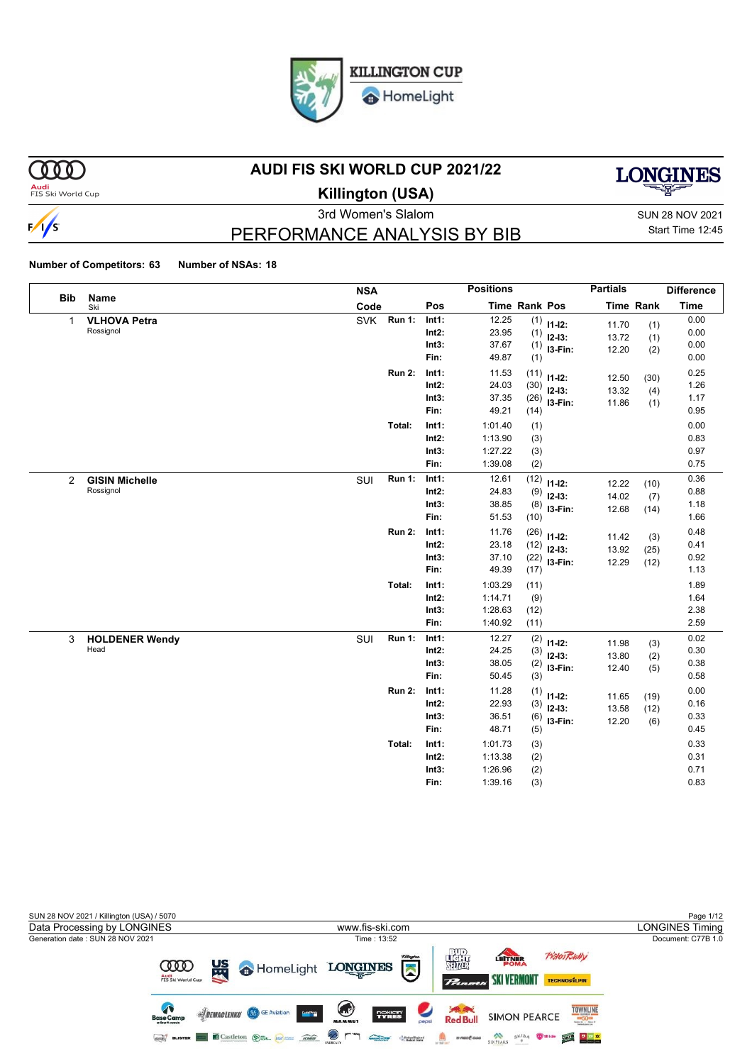

HomeLight

# $000$

### **AUDI FIS SKI WORLD CUP 2021/22**

**Audi**<br>FIS Ski World Cup



**Killington (USA)**



# PERFORMANCE ANALYSIS BY BIB

3rd Women's Slalom Sun 28 NOV 2021 Start Time 12:45

|                |                       | <b>NSA</b>                  |          | <b>Positions</b>             | <b>Partials</b>  |           | <b>Difference</b> |
|----------------|-----------------------|-----------------------------|----------|------------------------------|------------------|-----------|-------------------|
| <b>Bib</b>     | Name<br>Ski           | Code                        | Pos      | Time Rank Pos                |                  | Time Rank | <b>Time</b>       |
| $\mathbf{1}$   | <b>VLHOVA Petra</b>   | <b>SVK</b><br><b>Run 1:</b> | Int1:    | 12.25<br>(1)<br>$11 - 12$ :  | 11.70            | (1)       | 0.00              |
|                | Rossignol             |                             | $Int2$ : | 23.95<br>(1)<br>$12-13:$     | 13.72            | (1)       | 0.00              |
|                |                       |                             | Int3:    | 37.67<br>(1)                 | I3-Fin:<br>12.20 | (2)       | 0.00              |
|                |                       |                             | Fin:     | 49.87<br>(1)                 |                  |           | 0.00              |
|                |                       | <b>Run 2:</b>               | Int1:    | 11.53<br>(11)<br>$11 - 12$ : | 12.50            | (30)      | 0.25              |
|                |                       |                             | Int2:    | 24.03<br>(30)<br>$12 - 13$ : | 13.32            | (4)       | 1.26              |
|                |                       |                             | Int3:    | 37.35<br>(26)                | I3-Fin:<br>11.86 | (1)       | 1.17              |
|                |                       |                             | Fin:     | 49.21<br>(14)                |                  |           | 0.95              |
|                |                       | Total:                      | Int1:    | 1:01.40<br>(1)               |                  |           | 0.00              |
|                |                       |                             | Int2:    | 1:13.90<br>(3)               |                  |           | 0.83              |
|                |                       |                             | Int3:    | 1:27.22<br>(3)               |                  |           | 0.97              |
|                |                       |                             | Fin:     | 1:39.08<br>(2)               |                  |           | 0.75              |
| $\overline{2}$ | <b>GISIN Michelle</b> | Run 1:<br>SUI               | Int1:    | 12.61<br>(12)<br>$11 - 12$ : | 12.22            | (10)      | 0.36              |
|                | Rossignol             |                             | $Int2$ : | 24.83<br>(9)<br>$12 - 13:$   | 14.02            | (7)       | 0.88              |
|                |                       |                             | Int3:    | 38.85<br>(8)                 | I3-Fin:<br>12.68 | (14)      | 1.18              |
|                |                       |                             | Fin:     | 51.53<br>(10)                |                  |           | 1.66              |
|                |                       | <b>Run 2:</b>               | Int1:    | 11.76<br>(26)<br>$11 - 12$ : | 11.42            | (3)       | 0.48              |
|                |                       |                             | Int2:    | 23.18<br>(12)<br>$12-13:$    | 13.92            | (25)      | 0.41              |
|                |                       |                             | Int3:    | 37.10<br>(22)                | I3-Fin:<br>12.29 | (12)      | 0.92              |
|                |                       |                             | Fin:     | 49.39<br>(17)                |                  |           | 1.13              |
|                |                       | Total:                      | Int1:    | 1:03.29<br>(11)              |                  |           | 1.89              |
|                |                       |                             | $Int2$ : | 1:14.71<br>(9)               |                  |           | 1.64              |
|                |                       |                             | Int3:    | 1:28.63<br>(12)              |                  |           | 2.38              |
|                |                       |                             | Fin:     | 1:40.92<br>(11)              |                  |           | 2.59              |
| 3              | <b>HOLDENER Wendy</b> | Run 1:<br>SUI               | Int1:    | 12.27<br>(2)<br>$11-12:$     | 11.98            | (3)       | 0.02              |
|                | Head                  |                             | Int2:    | 24.25<br>(3)<br>$12 - 13:$   | 13.80            | (2)       | 0.30              |
|                |                       |                             | Int3:    | 38.05<br>(2)                 | I3-Fin:<br>12.40 | (5)       | 0.38              |
|                |                       |                             | Fin:     | 50.45<br>(3)                 |                  |           | 0.58              |
|                |                       | <b>Run 2:</b>               | Int1:    | 11.28<br>(1)<br>$11 - 12$ :  | 11.65            | (19)      | 0.00              |
|                |                       |                             | $Int2$ : | 22.93<br>(3)<br>$12 - 13:$   | 13.58            | (12)      | 0.16              |
|                |                       |                             | Int3:    | 36.51<br>(6)                 | I3-Fin:<br>12.20 | (6)       | 0.33              |
|                |                       |                             | Fin:     | 48.71<br>(5)                 |                  |           | 0.45              |
|                |                       | Total:                      | Int1:    | 1:01.73<br>(3)               |                  |           | 0.33              |
|                |                       |                             | $Int2$ : | 1:13.38<br>(2)               |                  |           | 0.31              |
|                |                       |                             | Int3:    | 1:26.96<br>(2)               |                  |           | 0.71              |
|                |                       |                             | Fin:     | 1:39.16<br>(3)               |                  |           | 0.83              |

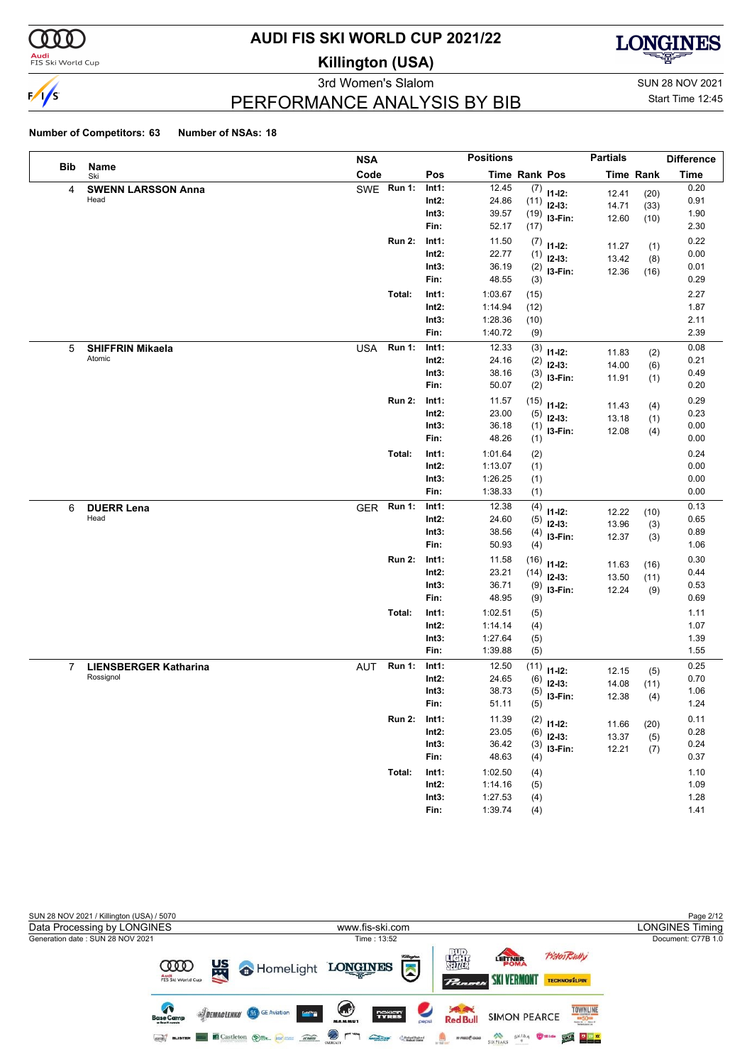

**Audi**<br>FIS Ski World Cup

# **AUDI FIS SKI WORLD CUP 2021/22**

**Killington (USA)**



3rd Women's Slalom Sun 28 NOV 2021 PERFORMANCE ANALYSIS BY BIB

Start Time 12:45

|                |                              | <b>NSA</b> |               |          | <b>Positions</b> |      |             | <b>Partials</b> |                  | <b>Difference</b> |
|----------------|------------------------------|------------|---------------|----------|------------------|------|-------------|-----------------|------------------|-------------------|
| Bib            | Name<br>Ski                  | Code       |               | Pos      | Time Rank Pos    |      |             |                 | <b>Time Rank</b> | <b>Time</b>       |
| 4              | <b>SWENN LARSSON Anna</b>    |            | SWE Run 1:    | Int1:    | 12.45            | (7)  | $11 - 12$ : | 12.41           | (20)             | 0.20              |
|                | Head                         |            |               | $Int2$ : | 24.86            | (11) | $12-13:$    | 14.71           | (33)             | 0.91              |
|                |                              |            |               | Int3:    | 39.57            | (19) | I3-Fin:     | 12.60           | (10)             | 1.90              |
|                |                              |            |               | Fin:     | 52.17            | (17) |             |                 |                  | 2.30              |
|                |                              |            | <b>Run 2:</b> | Int1:    | 11.50            | (7)  | $11 - 12$ : | 11.27           | (1)              | 0.22              |
|                |                              |            |               | Int2:    | 22.77            | (1)  | $12-13:$    | 13.42           | (8)              | 0.00              |
|                |                              |            |               | Int3:    | 36.19            | (2)  | I3-Fin:     | 12.36           | (16)             | 0.01              |
|                |                              |            |               | Fin:     | 48.55            | (3)  |             |                 |                  | 0.29              |
|                |                              |            | Total:        | Int1:    | 1:03.67          | (15) |             |                 |                  | 2.27              |
|                |                              |            |               | Int2:    | 1:14.94          | (12) |             |                 |                  | 1.87              |
|                |                              |            |               | Int3:    | 1:28.36          | (10) |             |                 |                  | 2.11              |
|                |                              |            |               | Fin:     | 1:40.72          | (9)  |             |                 |                  | 2.39              |
| 5              | <b>SHIFFRIN Mikaela</b>      | <b>USA</b> | <b>Run 1:</b> | Int1:    | 12.33            | (3)  | $11 - 12$ : | 11.83           | (2)              | 0.08              |
|                | Atomic                       |            |               | $Int2$ : | 24.16            | (2)  | $12-13:$    | 14.00           | (6)              | 0.21              |
|                |                              |            |               | Int3:    | 38.16            | (3)  | I3-Fin:     | 11.91           | (1)              | 0.49              |
|                |                              |            |               | Fin:     | 50.07            | (2)  |             |                 |                  | 0.20              |
|                |                              |            | <b>Run 2:</b> | Int1:    | 11.57            | (15) | $11 - 12$ : | 11.43           | (4)              | 0.29              |
|                |                              |            |               | Int2:    | 23.00            | (5)  | $12-13:$    | 13.18           | (1)              | 0.23              |
|                |                              |            |               | Int3:    | 36.18            | (1)  | I3-Fin:     | 12.08           | (4)              | 0.00              |
|                |                              |            |               | Fin:     | 48.26            | (1)  |             |                 |                  | 0.00              |
|                |                              |            | Total:        | Int1:    | 1:01.64          | (2)  |             |                 |                  | 0.24              |
|                |                              |            |               | $Int2$ : | 1:13.07          | (1)  |             |                 |                  | 0.00              |
|                |                              |            |               | Int3:    | 1:26.25          | (1)  |             |                 |                  | 0.00              |
|                |                              |            |               | Fin:     | 1:38.33          | (1)  |             |                 |                  | 0.00              |
| 6              | <b>DUERR Lena</b>            | <b>GER</b> | <b>Run 1:</b> | Int1:    | 12.38            | (4)  | $11 - 12$ : | 12.22           | (10)             | 0.13              |
|                | Head                         |            |               | $Int2$ : | 24.60            | (5)  | $12-13:$    | 13.96           | (3)              | 0.65              |
|                |                              |            |               | Int3:    | 38.56            | (4)  | I3-Fin:     | 12.37           | (3)              | 0.89              |
|                |                              |            |               | Fin:     | 50.93            | (4)  |             |                 |                  | 1.06              |
|                |                              |            | <b>Run 2:</b> | Int1:    | 11.58            | (16) | $11 - 12$ : | 11.63           | (16)             | 0.30              |
|                |                              |            |               | $Int2$ : | 23.21            | (14) | $12-13:$    | 13.50           | (11)             | 0.44              |
|                |                              |            |               | Int3:    | 36.71            | (9)  | I3-Fin:     | 12.24           | (9)              | 0.53              |
|                |                              |            |               | Fin:     | 48.95            | (9)  |             |                 |                  | 0.69              |
|                |                              |            | Total:        | Int1:    | 1:02.51          | (5)  |             |                 |                  | 1.11              |
|                |                              |            |               | $Int2$ : | 1:14.14          | (4)  |             |                 |                  | 1.07              |
|                |                              |            |               | Int3:    | 1:27.64          | (5)  |             |                 |                  | 1.39              |
|                |                              |            |               | Fin:     | 1:39.88          | (5)  |             |                 |                  | 1.55              |
| $\overline{7}$ | <b>LIENSBERGER Katharina</b> | <b>AUT</b> | <b>Run 1:</b> | Int1:    | 12.50            | (11) | $11 - 12$ : | 12.15           | (5)              | 0.25              |
|                | Rossignol                    |            |               | Int2:    | 24.65            | (6)  | $12-13:$    | 14.08           | (11)             | 0.70              |
|                |                              |            |               | Int3:    | 38.73            | (5)  | I3-Fin:     | 12.38           | (4)              | 1.06              |
|                |                              |            |               | Fin:     | 51.11            | (5)  |             |                 |                  | 1.24              |
|                |                              |            | Run 2:        | Int1:    | 11.39            | (2)  | $11 - 12$ : | 11.66           | (20)             | 0.11              |
|                |                              |            |               | $Int2$ : | 23.05            | (6)  | $12-13:$    | 13.37           | (5)              | 0.28              |
|                |                              |            |               | Int3:    | 36.42            | (3)  | $13-Fin:$   | 12.21           | (7)              | 0.24              |
|                |                              |            |               | Fin:     | 48.63            | (4)  |             |                 |                  | 0.37              |
|                |                              |            | Total:        | Int1:    | 1:02.50          | (4)  |             |                 |                  | 1.10              |
|                |                              |            |               | $Int2$ : | 1:14.16          | (5)  |             |                 |                  | 1.09              |
|                |                              |            |               | Int3:    | 1:27.53          | (4)  |             |                 |                  | 1.28              |
|                |                              |            |               | Fin:     | 1:39.74          | (4)  |             |                 |                  | 1.41              |

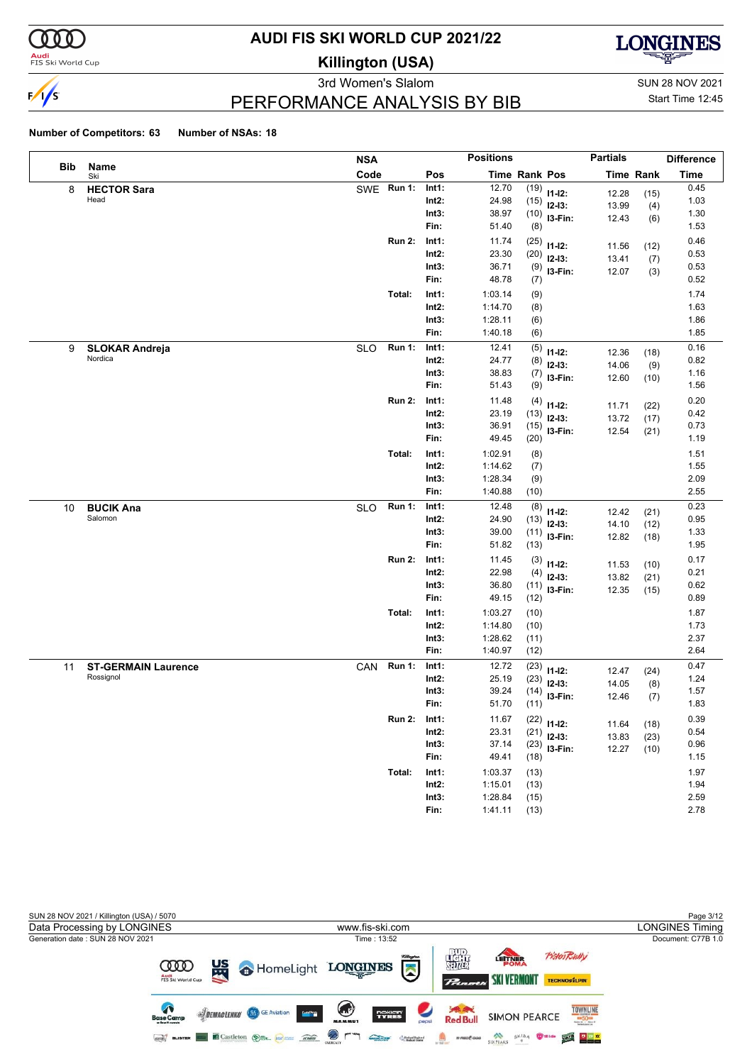

**Audi**<br>FIS Ski World Cup

# **AUDI FIS SKI WORLD CUP 2021/22**

**Killington (USA)**



PERFORMANCE ANALYSIS BY BIB

3rd Women's Slalom Sun 28 NOV 2021 Start Time 12:45

|     |                                  | <b>NSA</b> |               |                   | <b>Positions</b>   |               |                | <b>Partials</b> |                  | Difference   |
|-----|----------------------------------|------------|---------------|-------------------|--------------------|---------------|----------------|-----------------|------------------|--------------|
| Bib | Name<br>Ski                      | Code       |               | Pos               |                    | Time Rank Pos |                |                 | <b>Time Rank</b> | <b>Time</b>  |
| 8   | <b>HECTOR Sara</b>               |            | SWE Run 1:    | Int1:             | 12.70              | (19)          | $11 - 12$ :    | 12.28           | (15)             | 0.45         |
|     | Head                             |            |               | $Int2$ :          | 24.98              | (15)          | $12-13:$       | 13.99           | (4)              | 1.03         |
|     |                                  |            |               | Int3:             | 38.97              | (10)          | I3-Fin:        | 12.43           | (6)              | 1.30         |
|     |                                  |            |               | Fin:              | 51.40              | (8)           |                |                 |                  | 1.53         |
|     |                                  |            | <b>Run 2:</b> | Int1:             | 11.74              | (25)          | $11 - 12$ :    | 11.56           | (12)             | 0.46         |
|     |                                  |            |               | $Int2$ :          | 23.30              | (20)          | $12-13:$       | 13.41           | (7)              | 0.53         |
|     |                                  |            |               | Int3:             | 36.71              | (9)           | I3-Fin:        | 12.07           | (3)              | 0.53         |
|     |                                  |            |               | Fin:              | 48.78              | (7)           |                |                 |                  | 0.52         |
|     |                                  |            | Total:        | Int1:             | 1:03.14            | (9)           |                |                 |                  | 1.74         |
|     |                                  |            |               | $Int2$ :<br>Int3: | 1:14.70<br>1:28.11 | (8)           |                |                 |                  | 1.63<br>1.86 |
|     |                                  |            |               | Fin:              | 1:40.18            | (6)<br>(6)    |                |                 |                  | 1.85         |
|     |                                  |            | <b>Run 1:</b> | Int1:             | 12.41              |               |                |                 |                  | 0.16         |
| 9   | <b>SLOKAR Andreja</b><br>Nordica | <b>SLO</b> |               | $Int2$ :          | 24.77              | (5)           | $11 - 12$ :    | 12.36           | (18)             | 0.82         |
|     |                                  |            |               | Int3:             | 38.83              | (8)<br>(7)    | $12-13:$       | 14.06           | (9)              | 1.16         |
|     |                                  |            |               | Fin:              | 51.43              | (9)           | I3-Fin:        | 12.60           | (10)             | 1.56         |
|     |                                  |            | <b>Run 2:</b> | Int1:             | 11.48              | (4)           |                |                 |                  | 0.20         |
|     |                                  |            |               | $Int2$ :          | 23.19              | (13)          | $11 - 12$ :    | 11.71           | (22)             | 0.42         |
|     |                                  |            |               | Int3:             | 36.91              | (15)          | $12-13:$       | 13.72           | (17)             | 0.73         |
|     |                                  |            |               | Fin:              | 49.45              | (20)          | I3-Fin:        | 12.54           | (21)             | 1.19         |
|     |                                  |            | Total:        | Int1:             | 1:02.91            | (8)           |                |                 |                  | 1.51         |
|     |                                  |            |               | $Int2$ :          | 1:14.62            | (7)           |                |                 |                  | 1.55         |
|     |                                  |            |               | Int3:             | 1:28.34            | (9)           |                |                 |                  | 2.09         |
|     |                                  |            |               | Fin:              | 1:40.88            | (10)          |                |                 |                  | 2.55         |
| 10  | <b>BUCIK Ana</b>                 | <b>SLO</b> | <b>Run 1:</b> | Int1:             | 12.48              | (8)           | $11 - 12$ :    | 12.42           |                  | 0.23         |
|     | Salomon                          |            |               | $Int2$ :          | 24.90              | (13)          | $12-13:$       | 14.10           | (21)<br>(12)     | 0.95         |
|     |                                  |            |               | Int3:             | 39.00              | (11)          | I3-Fin:        | 12.82           | (18)             | 1.33         |
|     |                                  |            |               | Fin:              | 51.82              | (13)          |                |                 |                  | 1.95         |
|     |                                  |            | <b>Run 2:</b> | Int1:             | 11.45              | (3)           | $11 - 12$ :    | 11.53           | (10)             | 0.17         |
|     |                                  |            |               | $Int2$ :          | 22.98              | (4)           | $12-13:$       | 13.82           | (21)             | 0.21         |
|     |                                  |            |               | Int3:             | 36.80              | (11)          | I3-Fin:        | 12.35           | (15)             | 0.62         |
|     |                                  |            |               | Fin:              | 49.15              | (12)          |                |                 |                  | 0.89         |
|     |                                  |            | Total:        | Int1:             | 1:03.27            | (10)          |                |                 |                  | 1.87         |
|     |                                  |            |               | $Int2$ :          | 1:14.80            | (10)          |                |                 |                  | 1.73         |
|     |                                  |            |               | Int3:             | 1:28.62            | (11)          |                |                 |                  | 2.37         |
|     |                                  |            |               | Fin:              | 1:40.97            | (12)          |                |                 |                  | 2.64         |
| 11  | <b>ST-GERMAIN Laurence</b>       | CAN        | <b>Run 1:</b> | Int1:             | 12.72              | (23)          | $11 - 12$ :    | 12.47           | (24)             | 0.47         |
|     | Rossignol                        |            |               | $Int2$ :          | 25.19              | (23)          | $12-13:$       | 14.05           | (8)              | 1.24         |
|     |                                  |            |               | Int3:<br>Fin:     | 39.24<br>51.70     | (14)          | I3-Fin:        | 12.46           | (7)              | 1.57<br>1.83 |
|     |                                  |            |               |                   |                    | (11)          |                |                 |                  |              |
|     |                                  |            | <b>Run 2:</b> | Int1:<br>$Int2$ : | 11.67<br>23.31     |               | $(22)$ 11-12:  | 11.64           | (18)             | 0.39<br>0.54 |
|     |                                  |            |               | Int3:             | 37.14              | (21)          | $12-13:$       | 13.83           | (23)             | 0.96         |
|     |                                  |            |               | Fin:              | 49.41              | (18)          | $(23)$ 13-Fin: | 12.27           | (10)             | 1.15         |
|     |                                  |            | Total:        | Int1:             | 1:03.37            |               |                |                 |                  | 1.97         |
|     |                                  |            |               | $Int2$ :          | 1:15.01            | (13)<br>(13)  |                |                 |                  | 1.94         |
|     |                                  |            |               | Int3:             | 1:28.84            | (15)          |                |                 |                  | 2.59         |
|     |                                  |            |               | Fin:              | 1:41.11            | (13)          |                |                 |                  | 2.78         |
|     |                                  |            |               |                   |                    |               |                |                 |                  |              |

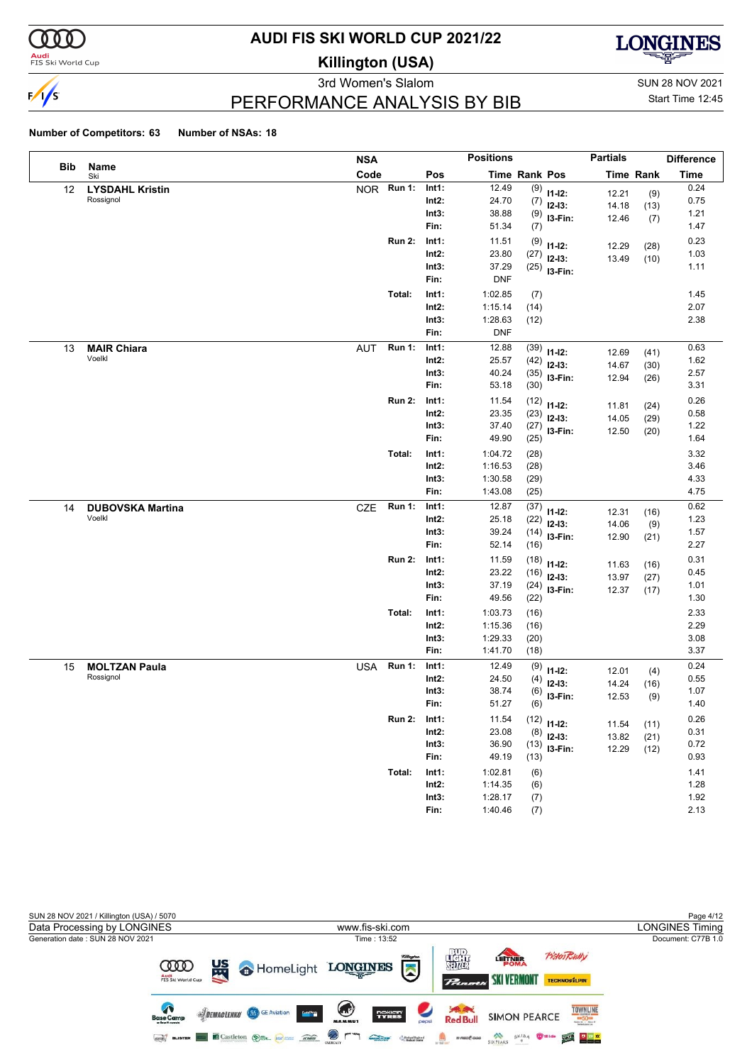

**Audi**<br>FIS Ski World Cup

# **AUDI FIS SKI WORLD CUP 2021/22**

**Killington (USA)**



3rd Women's Slalom Sun 28 NOV 2021 PERFORMANCE ANALYSIS BY BIB

Start Time 12:45

|            |                         | <b>NSA</b> |               |          | <b>Positions</b> |               |                | <b>Partials</b> |                  | <b>Difference</b> |
|------------|-------------------------|------------|---------------|----------|------------------|---------------|----------------|-----------------|------------------|-------------------|
| <b>Bib</b> | Name<br>Ski             | Code       |               | Pos      |                  | Time Rank Pos |                |                 | <b>Time Rank</b> | <b>Time</b>       |
| 12         | <b>LYSDAHL Kristin</b>  | <b>NOR</b> | <b>Run 1:</b> | Int1:    | 12.49            |               | $(9)$ 11-12:   | 12.21           | (9)              | 0.24              |
|            | Rossignol               |            |               | $Int2$ : | 24.70            | (7)           | $12-13:$       | 14.18           | (13)             | 0.75              |
|            |                         |            |               | Int3:    | 38.88            | (9)           | I3-Fin:        | 12.46           | (7)              | 1.21              |
|            |                         |            |               | Fin:     | 51.34            | (7)           |                |                 |                  | 1.47              |
|            |                         |            | <b>Run 2:</b> | Int1:    | 11.51            | (9)           | $11 - 12$ :    | 12.29           | (28)             | 0.23              |
|            |                         |            |               | Int2:    | 23.80            | (27)          | $12-13:$       | 13.49           | (10)             | 1.03              |
|            |                         |            |               | Int3:    | 37.29            | (25)          | I3-Fin:        |                 |                  | 1.11              |
|            |                         |            |               | Fin:     | <b>DNF</b>       |               |                |                 |                  |                   |
|            |                         |            | Total:        | Int1:    | 1:02.85          | (7)           |                |                 |                  | 1.45              |
|            |                         |            |               | Int2:    | 1:15.14          | (14)          |                |                 |                  | 2.07              |
|            |                         |            |               | Int3:    | 1:28.63          | (12)          |                |                 |                  | 2.38              |
|            |                         |            |               | Fin:     | <b>DNF</b>       |               |                |                 |                  |                   |
| 13         | <b>MAIR Chiara</b>      | <b>AUT</b> | <b>Run 1:</b> | Int1:    | 12.88            | (39)          | $11 - 12$ :    | 12.69           | (41)             | 0.63              |
|            | Voelkl                  |            |               | Int2:    | 25.57            | (42)          | $12-13:$       | 14.67           | (30)             | 1.62              |
|            |                         |            |               | Int3:    | 40.24            | (35)          | I3-Fin:        | 12.94           | (26)             | 2.57              |
|            |                         |            |               | Fin:     | 53.18            | (30)          |                |                 |                  | 3.31              |
|            |                         |            | <b>Run 2:</b> | Int1:    | 11.54            | (12)          | $11 - 12$ :    | 11.81           | (24)             | 0.26              |
|            |                         |            |               | Int2:    | 23.35            | (23)          | $12-13:$       | 14.05           | (29)             | 0.58              |
|            |                         |            |               | Int3:    | 37.40            | (27)          | I3-Fin:        | 12.50           | (20)             | 1.22              |
|            |                         |            |               | Fin:     | 49.90            | (25)          |                |                 |                  | 1.64              |
|            |                         |            | Total:        | Int1:    | 1:04.72          | (28)          |                |                 |                  | 3.32              |
|            |                         |            |               | Int2:    | 1:16.53          | (28)          |                |                 |                  | 3.46              |
|            |                         |            |               | Int3:    | 1:30.58          | (29)          |                |                 |                  | 4.33              |
|            |                         |            |               | Fin:     | 1:43.08          | (25)          |                |                 |                  | 4.75              |
| 14         | <b>DUBOVSKA Martina</b> | CZE        | Run 1:        | Int1:    | 12.87            | (37)          | $11 - 12$ :    | 12.31           | (16)             | 0.62              |
|            | Voelkl                  |            |               | Int2:    | 25.18            | (22)          | $12-13:$       | 14.06           | (9)              | 1.23              |
|            |                         |            |               | Int3:    | 39.24            | (14)          | I3-Fin:        | 12.90           | (21)             | 1.57              |
|            |                         |            |               | Fin:     | 52.14            | (16)          |                |                 |                  | 2.27              |
|            |                         |            | <b>Run 2:</b> | Int1:    | 11.59            | (18)          | $11 - 12$ :    | 11.63           | (16)             | 0.31              |
|            |                         |            |               | Int2:    | 23.22            | (16)          | $12-13:$       | 13.97           | (27)             | 0.45              |
|            |                         |            |               | Int3:    | 37.19            | (24)          | I3-Fin:        | 12.37           | (17)             | 1.01              |
|            |                         |            |               | Fin:     | 49.56            | (22)          |                |                 |                  | 1.30              |
|            |                         |            | Total:        | Int1:    | 1:03.73          | (16)          |                |                 |                  | 2.33              |
|            |                         |            |               | Int2:    | 1:15.36          | (16)          |                |                 |                  | 2.29              |
|            |                         |            |               | Int3:    | 1:29.33          | (20)          |                |                 |                  | 3.08              |
|            |                         |            |               | Fin:     | 1:41.70          | (18)          |                |                 |                  | 3.37              |
| 15         | <b>MOLTZAN Paula</b>    | USA        | <b>Run 1:</b> | Int1:    | 12.49            | (9)           | $11 - 12$ :    | 12.01           | (4)              | 0.24              |
|            | Rossignol               |            |               | Int2:    | 24.50            | (4)           | $12-13:$       | 14.24           | (16)             | 0.55              |
|            |                         |            |               | Int3:    | 38.74            | (6)           | I3-Fin:        | 12.53           | (9)              | 1.07              |
|            |                         |            |               | Fin:     | 51.27            | (6)           |                |                 |                  | 1.40              |
|            |                         |            | <b>Run 2:</b> | Int1:    | 11.54            |               | $(12)$ 11-12:  | 11.54           | (11)             | 0.26              |
|            |                         |            |               | $Int2$ : | 23.08            | (8)           | $12-13:$       | 13.82           | (21)             | 0.31              |
|            |                         |            |               | Int3:    | 36.90            |               | $(13)$ 13-Fin: | 12.29           | (12)             | 0.72              |
|            |                         |            |               | Fin:     | 49.19            | (13)          |                |                 |                  | 0.93              |
|            |                         |            | Total:        | Int1:    | 1:02.81          | (6)           |                |                 |                  | 1.41              |
|            |                         |            |               | $Int2$ : | 1:14.35          | (6)           |                |                 |                  | 1.28              |
|            |                         |            |               | Int3:    | 1:28.17          | (7)           |                |                 |                  | 1.92              |
|            |                         |            |               | Fin:     | 1:40.46          | (7)           |                |                 |                  | 2.13              |

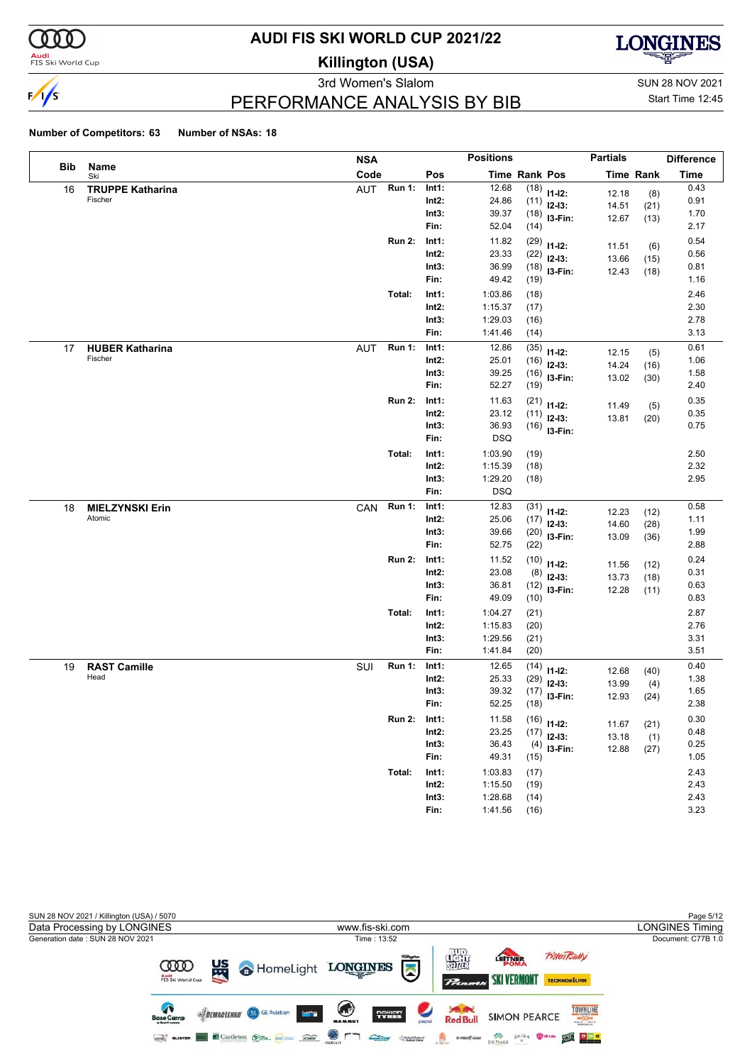

#### **Audi**<br>FIS Ski World Cup

# **AUDI FIS SKI WORLD CUP 2021/22**

**Killington (USA)**



PERFORMANCE ANALYSIS BY BIB

3rd Women's Slalom Sun 28 NOV 2021 Start Time 12:45

|     |                                   | <b>NSA</b>                  |                   | <b>Positions</b>                   |                            | <b>Partials</b> |                  | <b>Difference</b> |
|-----|-----------------------------------|-----------------------------|-------------------|------------------------------------|----------------------------|-----------------|------------------|-------------------|
| Bib | Name<br>Ski                       | Code                        | Pos               | <b>Time Rank Pos</b>               |                            |                 | <b>Time Rank</b> | <b>Time</b>       |
| 16  | <b>TRUPPE Katharina</b>           | <b>Run 1:</b><br>AUT        | Int1:             | 12.68<br>(18)                      | $11-12:$                   | 12.18           | (8)              | 0.43              |
|     | Fischer                           |                             | $Int2$ :          | 24.86                              | $(11)$ 12-13:              | 14.51           | (21)             | 0.91              |
|     |                                   |                             | Int3:             | 39.37                              | $(18)$ 13-Fin:             | 12.67           | (13)             | 1.70              |
|     |                                   |                             | Fin:              | 52.04<br>(14)                      |                            |                 |                  | 2.17              |
|     |                                   | <b>Run 2:</b>               | Int1:             | 11.82<br>(29)                      | $11 - 12$ :                | 11.51           | (6)              | 0.54              |
|     |                                   |                             | $Int2$ :          | 23.33<br>(22)                      | $12-13:$                   | 13.66           | (15)             | 0.56              |
|     |                                   |                             | Int3:<br>Fin:     | 36.99<br>49.42                     | $(18)$ 13-Fin:             | 12.43           | (18)             | 0.81              |
|     |                                   |                             |                   | (19)                               |                            |                 |                  | 1.16              |
|     |                                   | Total:                      | Int1:             | 1:03.86<br>(18)                    |                            |                 |                  | 2.46              |
|     |                                   |                             | $Int2$ :          | 1:15.37<br>(17)                    |                            |                 |                  | 2.30              |
|     |                                   |                             | Int3:<br>Fin:     | 1:29.03<br>(16)<br>1:41.46         |                            |                 |                  | 2.78<br>3.13      |
|     |                                   |                             |                   | (14)                               |                            |                 |                  |                   |
| 17  | <b>HUBER Katharina</b><br>Fischer | <b>Run 1:</b><br><b>AUT</b> | Int1:<br>$Int2$ : | 12.86<br>(35)<br>25.01             | $11 - 12$ :                | 12.15           | (5)              | 0.61<br>1.06      |
|     |                                   |                             | Int3:             | (16)<br>39.25                      | $12-13:$                   | 14.24           | (16)             | 1.58              |
|     |                                   |                             | Fin:              | 52.27<br>(19)                      | $(16)$ 13-Fin:             | 13.02           | (30)             | 2.40              |
|     |                                   |                             |                   |                                    |                            |                 |                  |                   |
|     |                                   | <b>Run 2:</b>               | Int1:<br>$Int2$ : | 11.63<br>23.12                     | $(21)$ 11-12:              | 11.49           | (5)              | 0.35<br>0.35      |
|     |                                   |                             | Int3:             | (11)<br>36.93                      | $12-13:$                   | 13.81           | (20)             | 0.75              |
|     |                                   |                             | Fin:              | <b>DSQ</b>                         | $(16)$ 13-Fin:             |                 |                  |                   |
|     |                                   |                             |                   |                                    |                            |                 |                  | 2.50              |
|     |                                   | Total:                      | Int1:<br>$Int2$ : | 1:03.90<br>(19)<br>1:15.39<br>(18) |                            |                 |                  | 2.32              |
|     |                                   |                             | Int3:             | 1:29.20<br>(18)                    |                            |                 |                  | 2.95              |
|     |                                   |                             | Fin:              | <b>DSQ</b>                         |                            |                 |                  |                   |
| 18  | <b>MIELZYNSKI Erin</b>            | <b>Run 1:</b><br>CAN        | Int1:             | 12.83<br>(31)                      |                            |                 |                  | 0.58              |
|     | Atomic                            |                             | $Int2$ :          | 25.06<br>(17)                      | $11 - 12$ :                | 12.23           | (12)             | 1.11              |
|     |                                   |                             | Int3:             | 39.66                              | $12-13:$<br>$(20)$ 13-Fin: | 14.60           | (28)             | 1.99              |
|     |                                   |                             | Fin:              | 52.75<br>(22)                      |                            | 13.09           | (36)             | 2.88              |
|     |                                   | <b>Run 2:</b>               | Int1:             | 11.52<br>(10)                      |                            |                 |                  | 0.24              |
|     |                                   |                             | $Int2$ :          | 23.08<br>(8)                       | $11-12:$<br>$12-13:$       | 11.56           | (12)             | 0.31              |
|     |                                   |                             | Int3:             | 36.81                              | $(12)$ 13-Fin:             | 13.73<br>12.28  | (18)<br>(11)     | 0.63              |
|     |                                   |                             | Fin:              | 49.09<br>(10)                      |                            |                 |                  | 0.83              |
|     |                                   | Total:                      | Int1:             | 1:04.27<br>(21)                    |                            |                 |                  | 2.87              |
|     |                                   |                             | $Int2$ :          | 1:15.83<br>(20)                    |                            |                 |                  | 2.76              |
|     |                                   |                             | Int3:             | 1:29.56<br>(21)                    |                            |                 |                  | 3.31              |
|     |                                   |                             | Fin:              | 1:41.84<br>(20)                    |                            |                 |                  | 3.51              |
| 19  | <b>RAST Camille</b>               | <b>Run 1:</b><br>SUI        | Int1:             | 12.65<br>(14)                      | $11 - 12$ :                | 12.68           | (40)             | 0.40              |
|     | Head                              |                             | Int2:             | 25.33<br>(29)                      | $12-13:$                   | 13.99           | (4)              | 1.38              |
|     |                                   |                             | Int3:             | 39.32                              | $(17)$ 13-Fin:             | 12.93           | (24)             | 1.65              |
|     |                                   |                             | Fin:              | 52.25<br>(18)                      |                            |                 |                  | 2.38              |
|     |                                   | <b>Run 2:</b>               | Int1:             | 11.58                              | $(16)$ 11-12:              | 11.67           | (21)             | 0.30              |
|     |                                   |                             | $Int2$ :          | 23.25<br>(17)                      | $12-13:$                   | 13.18           | (1)              | 0.48              |
|     |                                   |                             | Int3:             | 36.43                              | $(4)$ 13-Fin:              | 12.88           | (27)             | 0.25              |
|     |                                   |                             | Fin:              | 49.31<br>(15)                      |                            |                 |                  | 1.05              |
|     |                                   | Total:                      | Int1:             | 1:03.83<br>(17)                    |                            |                 |                  | 2.43              |
|     |                                   |                             | $Int2$ :          | 1:15.50<br>(19)                    |                            |                 |                  | 2.43              |
|     |                                   |                             | Int3:             | 1:28.68<br>(14)                    |                            |                 |                  | 2.43              |
|     |                                   |                             | Fin:              | 1:41.56<br>(16)                    |                            |                 |                  | 3.23              |

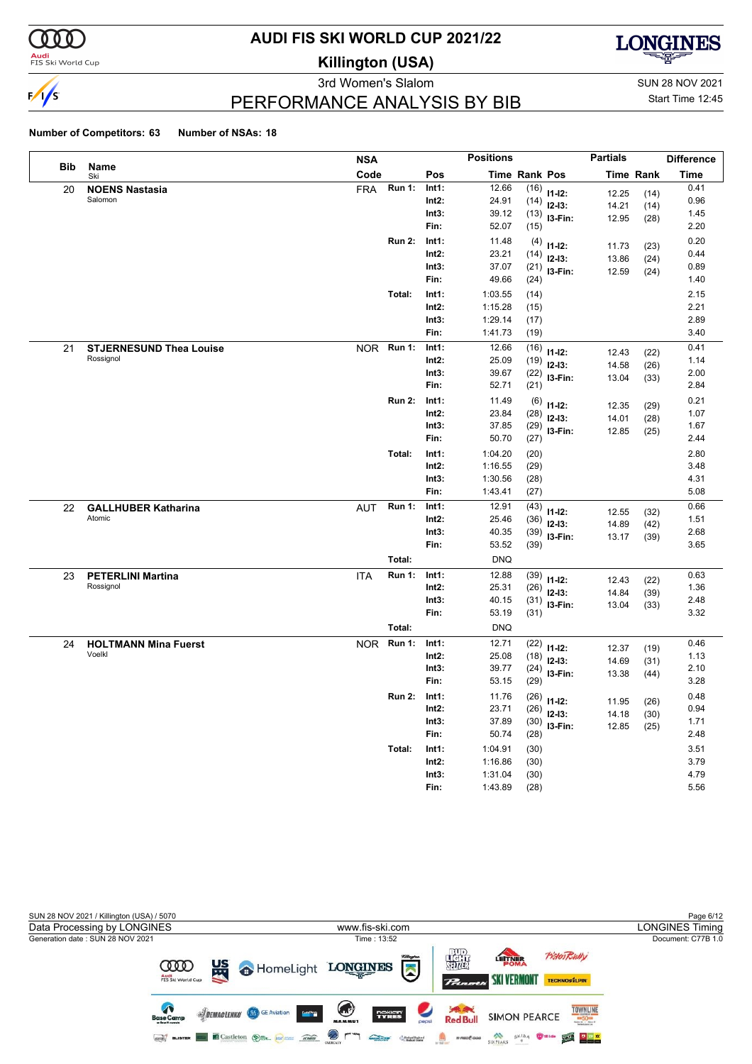

**Audi**<br>FIS Ski World Cup

# **AUDI FIS SKI WORLD CUP 2021/22**

**Killington (USA)**



3rd Women's Slalom Sun 28 NOV 2021

Start Time 12:45

### PERFORMANCE ANALYSIS BY BIB

|     |                                | <b>NSA</b> |               |          | <b>Positions</b> |               |             | <b>Partials</b> |                  | <b>Difference</b> |
|-----|--------------------------------|------------|---------------|----------|------------------|---------------|-------------|-----------------|------------------|-------------------|
| Bib | Name<br>Ski                    | Code       |               | Pos      |                  | Time Rank Pos |             |                 | <b>Time Rank</b> | Time              |
| 20  | <b>NOENS Nastasia</b>          | <b>FRA</b> | <b>Run 1:</b> | Int1:    | 12.66            | (16)          | $11 - 12$ : | 12.25           | (14)             | 0.41              |
|     | Salomon                        |            |               | Int2:    | 24.91            | (14)          | $12-13:$    | 14.21           | (14)             | 0.96              |
|     |                                |            |               | Int3:    | 39.12            | (13)          | $13-Fin:$   | 12.95           | (28)             | 1.45              |
|     |                                |            |               | Fin:     | 52.07            | (15)          |             |                 |                  | 2.20              |
|     |                                |            | <b>Run 2:</b> | Int1:    | 11.48            | (4)           | $11 - 12$ : | 11.73           | (23)             | 0.20              |
|     |                                |            |               | Int2:    | 23.21            | (14)          | $12-13:$    | 13.86           | (24)             | 0.44              |
|     |                                |            |               | Int3:    | 37.07            | (21)          | I3-Fin:     | 12.59           | (24)             | 0.89              |
|     |                                |            |               | Fin:     | 49.66            | (24)          |             |                 |                  | 1.40              |
|     |                                |            | Total:        | Int1:    | 1:03.55          | (14)          |             |                 |                  | 2.15              |
|     |                                |            |               | Int2:    | 1:15.28          | (15)          |             |                 |                  | 2.21              |
|     |                                |            |               | Int3:    | 1:29.14          | (17)          |             |                 |                  | 2.89              |
|     |                                |            |               | Fin:     | 1:41.73          | (19)          |             |                 |                  | 3.40              |
| 21  | <b>STJERNESUND Thea Louise</b> | <b>NOR</b> | <b>Run 1:</b> | Int1:    | 12.66            | (16)          | $11 - 12$ : | 12.43           | (22)             | 0.41              |
|     | Rossignol                      |            |               | Int2:    | 25.09            | (19)          | $12 - 13:$  | 14.58           | (26)             | 1.14              |
|     |                                |            |               | Int3:    | 39.67            | (22)          | I3-Fin:     | 13.04           | (33)             | 2.00              |
|     |                                |            |               | Fin:     | 52.71            | (21)          |             |                 |                  | 2.84              |
|     |                                |            | <b>Run 2:</b> | Int1:    | 11.49            | (6)           | $11 - 12$ : | 12.35           | (29)             | 0.21              |
|     |                                |            |               | Int2:    | 23.84            | (28)          | $12-13:$    | 14.01           | (28)             | 1.07              |
|     |                                |            |               | Int3:    | 37.85            | (29)          | I3-Fin:     | 12.85           | (25)             | 1.67              |
|     |                                |            |               | Fin:     | 50.70            | (27)          |             |                 |                  | 2.44              |
|     |                                |            | Total:        | Int1:    | 1:04.20          | (20)          |             |                 |                  | 2.80              |
|     |                                |            |               | Int2:    | 1:16.55          | (29)          |             |                 |                  | 3.48              |
|     |                                |            |               | Int3:    | 1:30.56          | (28)          |             |                 |                  | 4.31              |
|     |                                |            |               | Fin:     | 1:43.41          | (27)          |             |                 |                  | 5.08              |
| 22  | <b>GALLHUBER Katharina</b>     | <b>AUT</b> | <b>Run 1:</b> | Int1:    | 12.91            | (43)          | $11 - 12$ : | 12.55           | (32)             | 0.66              |
|     | Atomic                         |            |               | Int2:    | 25.46            | (36)          | $12 - 13:$  | 14.89           | (42)             | 1.51              |
|     |                                |            |               | Int3:    | 40.35            | (39)          | I3-Fin:     | 13.17           | (39)             | 2.68              |
|     |                                |            |               | Fin:     | 53.52            | (39)          |             |                 |                  | 3.65              |
|     |                                |            | Total:        |          | <b>DNQ</b>       |               |             |                 |                  |                   |
| 23  | <b>PETERLINI Martina</b>       | <b>ITA</b> | <b>Run 1:</b> | Int1:    | 12.88            | (39)          | $11 - 12$ : | 12.43           | (22)             | 0.63              |
|     | Rossignol                      |            |               | $Int2$ : | 25.31            | (26)          | $12-13:$    | 14.84           | (39)             | 1.36              |
|     |                                |            |               | Int3:    | 40.15            | (31)          | I3-Fin:     | 13.04           | (33)             | 2.48              |
|     |                                |            |               | Fin:     | 53.19            | (31)          |             |                 |                  | 3.32              |
|     |                                |            | Total:        |          | <b>DNQ</b>       |               |             |                 |                  |                   |
| 24  | <b>HOLTMANN Mina Fuerst</b>    | <b>NOR</b> | <b>Run 1:</b> | Int1:    | 12.71            | (22)          | $11-12:$    | 12.37           | (19)             | 0.46              |
|     | Voelkl                         |            |               | Int2:    | 25.08            | (18)          | $12-13:$    | 14.69           | (31)             | 1.13              |
|     |                                |            |               | Int3:    | 39.77            | (24)          | I3-Fin:     | 13.38           | (44)             | 2.10              |
|     |                                |            |               | Fin:     | 53.15            | (29)          |             |                 |                  | 3.28              |
|     |                                |            | <b>Run 2:</b> | Int1:    | 11.76            | (26)          | $11-12:$    | 11.95           | (26)             | 0.48              |
|     |                                |            |               | Int2:    | 23.71            | (26)          | $12-13:$    | 14.18           | (30)             | 0.94              |
|     |                                |            |               | Int3:    | 37.89            | (30)          | I3-Fin:     | 12.85           | (25)             | 1.71              |
|     |                                |            |               | Fin:     | 50.74            | (28)          |             |                 |                  | 2.48              |
|     |                                |            | Total:        | Int1:    | 1:04.91          | (30)          |             |                 |                  | 3.51              |
|     |                                |            |               | Int2:    | 1:16.86          | (30)          |             |                 |                  | 3.79              |
|     |                                |            |               | Int3:    | 1:31.04          | (30)          |             |                 |                  | 4.79              |
|     |                                |            |               | Fin:     | 1:43.89          | (28)          |             |                 |                  | 5.56              |

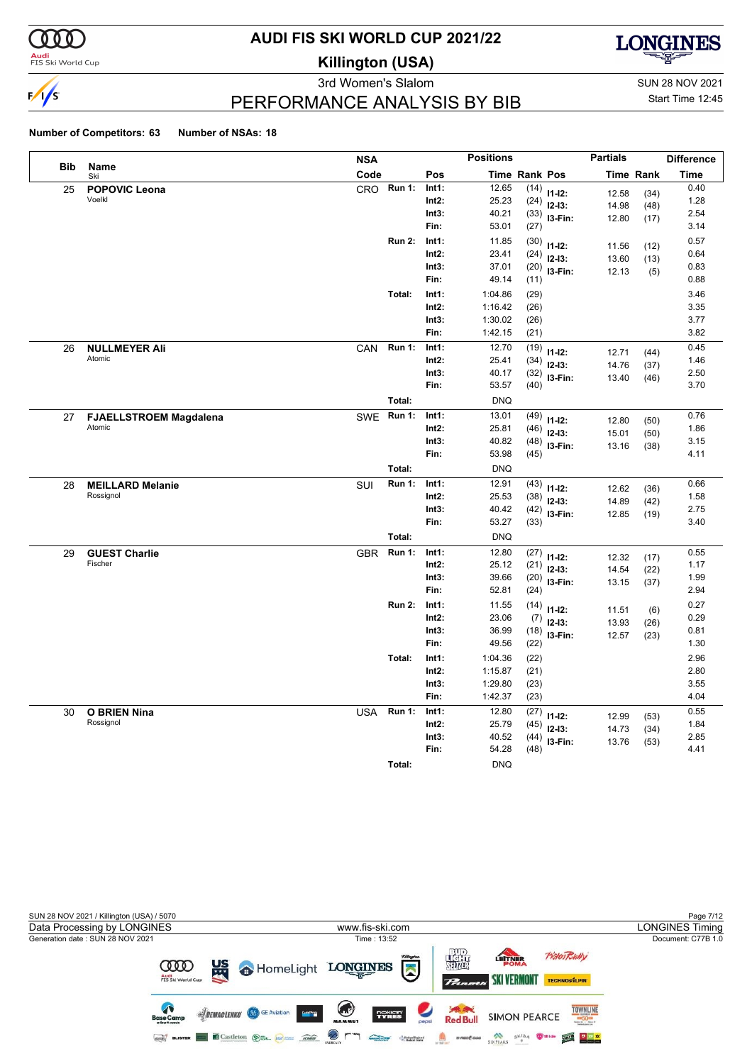

**Audi**<br>FIS Ski World Cup

# **AUDI FIS SKI WORLD CUP 2021/22**

**Killington (USA)**



3rd Women's Slalom Sun 28 NOV 2021

Start Time 12:45

### PERFORMANCE ANALYSIS BY BIB

|            |                               | <b>NSA</b> |               |               | <b>Positions</b> |                      |                         | <b>Partials</b> |                  | <b>Difference</b> |
|------------|-------------------------------|------------|---------------|---------------|------------------|----------------------|-------------------------|-----------------|------------------|-------------------|
| <b>Bib</b> | Name<br>Ski                   | Code       |               | Pos           |                  | <b>Time Rank Pos</b> |                         |                 | <b>Time Rank</b> | <b>Time</b>       |
| 25         | <b>POPOVIC Leona</b>          |            | CRO Run 1:    | Int1:         | 12.65            | (14)                 | $11 - 12$ :             | 12.58           | (34)             | 0.40              |
|            | Voelkl                        |            |               | $Int2$ :      | 25.23            | (24)                 | $12-13:$                | 14.98           | (48)             | 1.28              |
|            |                               |            |               | Int3:         | 40.21            | (33)                 | I3-Fin:                 | 12.80           | (17)             | 2.54              |
|            |                               |            |               | Fin:          | 53.01            | (27)                 |                         |                 |                  | 3.14              |
|            |                               |            | <b>Run 2:</b> | Int1:         | 11.85            | (30)                 | $11 - 12$ :             | 11.56           | (12)             | 0.57              |
|            |                               |            |               | $Int2$ :      | 23.41            | (24)                 | $12-13:$                | 13.60           | (13)             | 0.64              |
|            |                               |            |               | Int3:<br>Fin: | 37.01<br>49.14   | (20)                 | I3-Fin:                 | 12.13           | (5)              | 0.83<br>0.88      |
|            |                               |            | Total:        | Int1:         | 1:04.86          | (11)                 |                         |                 |                  | 3.46              |
|            |                               |            |               | Int2:         | 1:16.42          | (29)<br>(26)         |                         |                 |                  | 3.35              |
|            |                               |            |               | Int3:         | 1:30.02          | (26)                 |                         |                 |                  | 3.77              |
|            |                               |            |               | Fin:          | 1:42.15          | (21)                 |                         |                 |                  | 3.82              |
| 26         | <b>NULLMEYER Ali</b>          | <b>CAN</b> | <b>Run 1:</b> | Int1:         | 12.70            | (19)                 |                         |                 |                  | 0.45              |
|            | Atomic                        |            |               | $Int2$ :      | 25.41            | (34)                 | $11 - 12$ :<br>$12-13:$ | 12.71           | (44)             | 1.46              |
|            |                               |            |               | Int3:         | 40.17            | (32)                 | $13-Fin:$               | 14.76<br>13.40  | (37)<br>(46)     | 2.50              |
|            |                               |            |               | Fin:          | 53.57            | (40)                 |                         |                 |                  | 3.70              |
|            |                               |            | Total:        |               | <b>DNQ</b>       |                      |                         |                 |                  |                   |
| 27         | <b>FJAELLSTROEM Magdalena</b> |            | SWE Run 1:    | Int1:         | 13.01            | (49)                 | $11 - 12$ :             | 12.80           | (50)             | 0.76              |
|            | Atomic                        |            |               | $Int2$ :      | 25.81            | (46)                 | $12 - 13:$              | 15.01           | (50)             | 1.86              |
|            |                               |            |               | Int3:         | 40.82            | (48)                 | I3-Fin:                 | 13.16           | (38)             | 3.15              |
|            |                               |            |               | Fin:          | 53.98            | (45)                 |                         |                 |                  | 4.11              |
|            |                               |            | Total:        |               | <b>DNQ</b>       |                      |                         |                 |                  |                   |
| 28         | <b>MEILLARD Melanie</b>       | SUI        | <b>Run 1:</b> | Int1:         | 12.91            | (43)                 | $11 - 12$ :             | 12.62           | (36)             | 0.66              |
|            | Rossignol                     |            |               | Int2:         | 25.53            | (38)                 | $12-13:$                | 14.89           | (42)             | 1.58              |
|            |                               |            |               | Int3:         | 40.42            | (42)                 | I3-Fin:                 | 12.85           | (19)             | 2.75              |
|            |                               |            |               | Fin:          | 53.27            | (33)                 |                         |                 |                  | 3.40              |
|            |                               |            | Total:        |               | <b>DNQ</b>       |                      |                         |                 |                  |                   |
| 29         | <b>GUEST Charlie</b>          | <b>GBR</b> | <b>Run 1:</b> | Int1:         | 12.80            | (27)                 | $11 - 12$ :             | 12.32           | (17)             | 0.55              |
|            | Fischer                       |            |               | $Int2$ :      | 25.12            | (21)                 | $12-13:$                | 14.54           | (22)             | 1.17              |
|            |                               |            |               | Int3:<br>Fin: | 39.66<br>52.81   | (20)                 | I3-Fin:                 | 13.15           | (37)             | 1.99<br>2.94      |
|            |                               |            | <b>Run 2:</b> | Int1:         | 11.55            | (24)                 |                         |                 |                  | 0.27              |
|            |                               |            |               | $Int2$ :      | 23.06            | (14)<br>(7)          | $11 - 12$ :             | 11.51           | (6)              | 0.29              |
|            |                               |            |               | Int3:         | 36.99            | (18)                 | $12-13:$                | 13.93           | (26)             | 0.81              |
|            |                               |            |               | Fin:          | 49.56            | (22)                 | I3-Fin:                 | 12.57           | (23)             | 1.30              |
|            |                               |            | Total:        | Int1:         | 1:04.36          | (22)                 |                         |                 |                  | 2.96              |
|            |                               |            |               | Int2:         | 1:15.87          | (21)                 |                         |                 |                  | 2.80              |
|            |                               |            |               | Int3:         | 1:29.80          | (23)                 |                         |                 |                  | 3.55              |
|            |                               |            |               | Fin:          | 1:42.37          | (23)                 |                         |                 |                  | 4.04              |
| 30         | <b>O BRIEN Nina</b>           | USA        | <b>Run 1:</b> | Int1:         | 12.80            | (27)                 | $11 - 12$ :             | 12.99           | (53)             | 0.55              |
|            | Rossignol                     |            |               | $Int2$ :      | 25.79            | (45)                 | $12-13:$                | 14.73           | (34)             | 1.84              |
|            |                               |            |               | Int3:         | 40.52            | (44)                 | I3-Fin:                 | 13.76           | (53)             | 2.85              |
|            |                               |            |               | Fin:          | 54.28            | (48)                 |                         |                 |                  | 4.41              |
|            |                               |            | Total:        |               | <b>DNQ</b>       |                      |                         |                 |                  |                   |

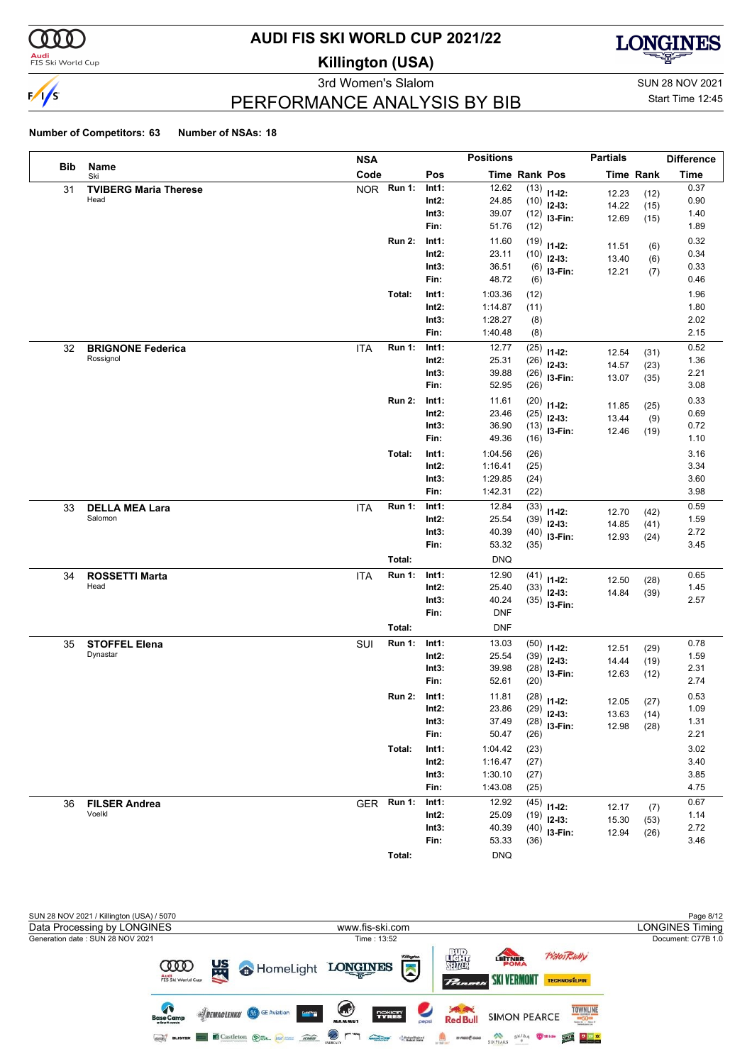

**Audi**<br>FIS Ski World Cup

# **AUDI FIS SKI WORLD CUP 2021/22**

**Killington (USA)**



3rd Women's Slalom Sun 28 NOV 2021 PERFORMANCE ANALYSIS BY BIB

Start Time 12:45

|     |                                  | <b>NSA</b> |               |                | <b>Positions</b>    |               |                     | <b>Partials</b>  |             | <b>Difference</b> |
|-----|----------------------------------|------------|---------------|----------------|---------------------|---------------|---------------------|------------------|-------------|-------------------|
| Bib | Name<br>Ski                      | Code       |               | Pos            |                     | Time Rank Pos |                     | <b>Time Rank</b> |             | <b>Time</b>       |
| 31  | <b>TVIBERG Maria Therese</b>     |            | NOR Run 1:    | Int1:          | 12.62               | (13)          | $11 - 12$ :         | 12.23            | (12)        | 0.37              |
|     | Head                             |            |               | Int2:          | 24.85               | (10)          | $12-13:$            | 14.22            | (15)        | 0.90              |
|     |                                  |            |               | Int3:          | 39.07               | (12)          | I3-Fin:             | 12.69            | (15)        | 1.40              |
|     |                                  |            |               | Fin:           | 51.76               | (12)          |                     |                  |             | 1.89              |
|     |                                  |            | <b>Run 2:</b> | Int1:          | 11.60               | (19)          | $11 - 12$ :         | 11.51            | (6)         | 0.32              |
|     |                                  |            |               | $Int2$ :       | 23.11               | (10)          | $12-13:$            | 13.40            | (6)         | 0.34              |
|     |                                  |            |               | Int3:<br>Fin:  | 36.51<br>48.72      | (6)           | I3-Fin:             | 12.21            | (7)         | 0.33<br>0.46      |
|     |                                  |            |               |                |                     | (6)           |                     |                  |             |                   |
|     |                                  |            | Total:        | Int1:<br>Int2: | 1:03.36<br>1:14.87  | (12)<br>(11)  |                     |                  |             | 1.96<br>1.80      |
|     |                                  |            |               | Int3:          | 1:28.27             | (8)           |                     |                  |             | 2.02              |
|     |                                  |            |               | Fin:           | 1:40.48             | (8)           |                     |                  |             | 2.15              |
| 32  | <b>BRIGNONE Federica</b>         | <b>ITA</b> | <b>Run 1:</b> | Int1:          | 12.77               | (25)          |                     |                  |             | 0.52              |
|     | Rossignol                        |            |               | Int2:          | 25.31               | (26)          | $11 - 12$ :         | 12.54            | (31)        | 1.36              |
|     |                                  |            |               | Int3:          | 39.88               | (26)          | $12-13:$<br>I3-Fin: | 14.57            | (23)        | 2.21              |
|     |                                  |            |               | Fin:           | 52.95               | (26)          |                     | 13.07            | (35)        | 3.08              |
|     |                                  |            | <b>Run 2:</b> | Int1:          | 11.61               | (20)          | $11 - 12$ :         |                  |             | 0.33              |
|     |                                  |            |               | Int2:          | 23.46               | (25)          | $12-13:$            | 11.85<br>13.44   | (25)<br>(9) | 0.69              |
|     |                                  |            |               | Int3:          | 36.90               | (13)          | I3-Fin:             | 12.46            | (19)        | 0.72              |
|     |                                  |            |               | Fin:           | 49.36               | (16)          |                     |                  |             | 1.10              |
|     |                                  |            | Total:        | Int1:          | 1:04.56             | (26)          |                     |                  |             | 3.16              |
|     |                                  |            |               | $Int2$ :       | 1:16.41             | (25)          |                     |                  |             | 3.34              |
|     |                                  |            |               | Int3:          | 1:29.85             | (24)          |                     |                  |             | 3.60              |
|     |                                  |            |               | Fin:           | 1:42.31             | (22)          |                     |                  |             | 3.98              |
| 33  | <b>DELLA MEA Lara</b>            | <b>ITA</b> | <b>Run 1:</b> | Int1:          | 12.84               | (33)          | $11 - 12$ :         | 12.70            | (42)        | 0.59              |
|     | Salomon                          |            |               | Int2:          | 25.54               | (39)          | $12-13:$            | 14.85            | (41)        | 1.59              |
|     |                                  |            |               | Int3:          | 40.39               | (40)          | I3-Fin:             | 12.93            | (24)        | 2.72              |
|     |                                  |            |               | Fin:           | 53.32               | (35)          |                     |                  |             | 3.45              |
|     |                                  |            | Total:        |                | <b>DNQ</b>          |               |                     |                  |             |                   |
| 34  | <b>ROSSETTI Marta</b>            | <b>ITA</b> | <b>Run 1:</b> | Int1:          | 12.90               | (41)          | $11 - 12$ :         | 12.50            | (28)        | 0.65              |
|     | Head                             |            |               | Int2:          | 25.40               | (33)          | $12-13:$            | 14.84            | (39)        | 1.45              |
|     |                                  |            |               | Int3:<br>Fin:  | 40.24<br><b>DNF</b> | (35)          | I3-Fin:             |                  |             | 2.57              |
|     |                                  |            |               |                |                     |               |                     |                  |             |                   |
|     |                                  |            | Total:        |                | <b>DNF</b>          |               |                     |                  |             |                   |
| 35  | <b>STOFFEL Elena</b><br>Dynastar | SUI        | <b>Run 1:</b> | Int1:<br>Int2: | 13.03<br>25.54      | (50)          | $11 - 12$ :         | 12.51            | (29)        | 0.78<br>1.59      |
|     |                                  |            |               | Int3:          | 39.98               | (39)<br>(28)  | $12-13:$            | 14.44            | (19)        | 2.31              |
|     |                                  |            |               | Fin:           | 52.61               | (20)          | I3-Fin:             | 12.63            | (12)        | 2.74              |
|     |                                  |            | <b>Run 2:</b> | Int1:          | 11.81               | (28)          |                     |                  |             | 0.53              |
|     |                                  |            |               | Int2:          | 23.86               |               | $11 - 12$ :         | 12.05            | (27)        | 1.09              |
|     |                                  |            |               | Int3:          | 37.49               | (28)          | $(29)$ 12-13:       | 13.63            | (14)        | 1.31              |
|     |                                  |            |               | Fin:           | 50.47               | (26)          | I3-Fin:             | 12.98            | (28)        | 2.21              |
|     |                                  |            | Total:        | Int1:          | 1:04.42             | (23)          |                     |                  |             | 3.02              |
|     |                                  |            |               | Int2:          | 1:16.47             | (27)          |                     |                  |             | 3.40              |
|     |                                  |            |               | Int3:          | 1:30.10             | (27)          |                     |                  |             | 3.85              |
|     |                                  |            |               | Fin:           | 1:43.08             | (25)          |                     |                  |             | 4.75              |
| 36  | <b>FILSER Andrea</b>             | <b>GER</b> | <b>Run 1:</b> | Int1:          | 12.92               | (45)          | $11 - 12$ :         | 12.17            | (7)         | 0.67              |
|     | Voelkl                           |            |               | $Int2$ :       | 25.09               | (19)          | $12-13:$            | 15.30            | (53)        | 1.14              |
|     |                                  |            |               | Int3:          | 40.39               | (40)          | I3-Fin:             | 12.94            | (26)        | 2.72              |
|     |                                  |            |               | Fin:           | 53.33               | (36)          |                     |                  |             | 3.46              |
|     |                                  |            | Total:        |                | <b>DNQ</b>          |               |                     |                  |             |                   |

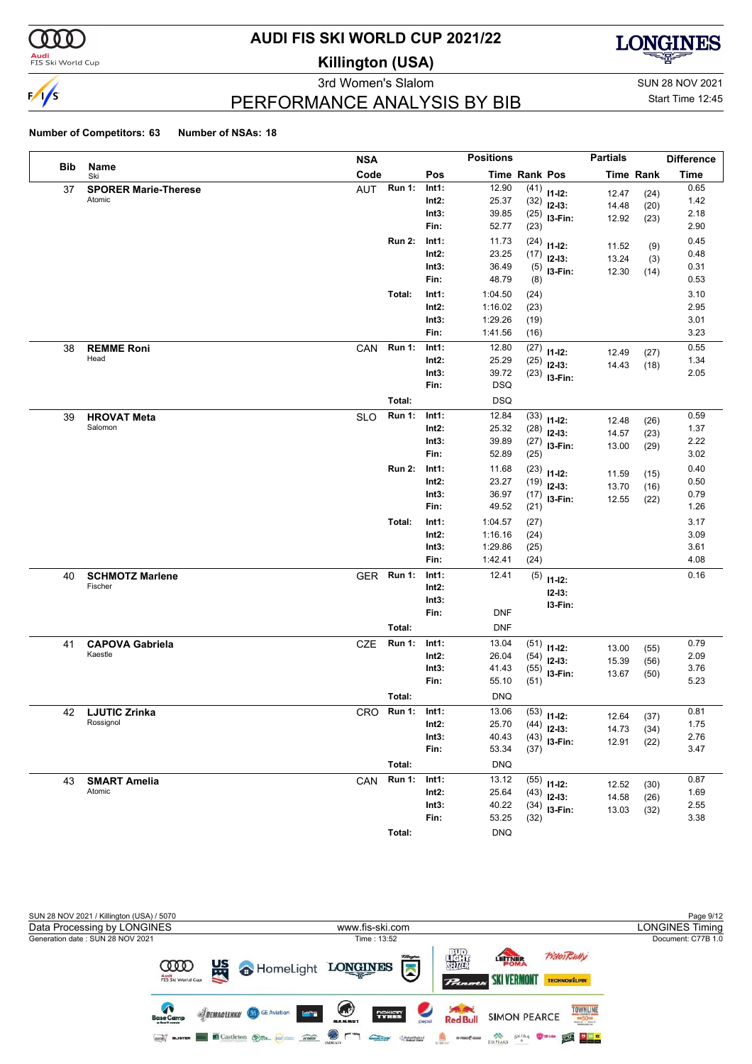

**Audi**<br>FIS Ski World Cup

# **AUDI FIS SKI WORLD CUP 2021/22**

**Killington (USA)**



3rd Women's Slalom Sun 28 NOV 2021

Start Time 12:45

### PERFORMANCE ANALYSIS BY BIB

#### **Number of Competitors: 63 Number of NSAs: 18**

|     |                               | <b>NSA</b> |               |          | <b>Positions</b>     |      |                | <b>Partials</b> |                  | <b>Difference</b> |
|-----|-------------------------------|------------|---------------|----------|----------------------|------|----------------|-----------------|------------------|-------------------|
| Bib | Name<br>Ski                   | Code       |               | Pos      | <b>Time Rank Pos</b> |      |                |                 | <b>Time Rank</b> | <b>Time</b>       |
| 37  | <b>SPORER Marie-Therese</b>   | AUT        | <b>Run 1:</b> | Int1:    | 12.90                |      | $(41)$ 11-12:  | 12.47           | (24)             | 0.65              |
|     | Atomic                        |            |               | $Int2$ : | 25.37                |      | $(32)$ 12-13:  | 14.48           | (20)             | 1.42              |
|     |                               |            |               | Int3:    | 39.85                |      | $(25)$ 13-Fin: | 12.92           | (23)             | 2.18              |
|     |                               |            |               | Fin:     | 52.77                | (23) |                |                 |                  | 2.90              |
|     |                               |            | <b>Run 2:</b> | Int1:    | 11.73                |      | $(24)$ 11-12:  | 11.52           | (9)              | 0.45              |
|     |                               |            |               | $Int2$ : | 23.25                |      | $(17)$ 12-13:  | 13.24           | (3)              | 0.48              |
|     |                               |            |               | Int3:    | 36.49                |      | $(5)$ 13-Fin:  | 12.30           | (14)             | 0.31              |
|     |                               |            |               | Fin:     | 48.79                | (8)  |                |                 |                  | 0.53              |
|     |                               |            | Total:        | Int1:    | 1:04.50              | (24) |                |                 |                  | 3.10              |
|     |                               |            |               | $Int2$ : | 1:16.02              | (23) |                |                 |                  | 2.95              |
|     |                               |            |               | Int3:    | 1:29.26              | (19) |                |                 |                  | 3.01              |
|     |                               |            |               | Fin:     | 1:41.56              | (16) |                |                 |                  | 3.23              |
| 38  | <b>REMME Roni</b>             | CAN        | <b>Run 1:</b> | Int1:    | 12.80                | (27) | $11 - 12$ :    | 12.49           | (27)             | 0.55              |
|     | Head                          |            |               | Int2:    | 25.29                | (25) | $12-13:$       | 14.43           | (18)             | 1.34              |
|     |                               |            |               | Int3:    | 39.72                |      | $(23)$ 13-Fin: |                 |                  | 2.05              |
|     |                               |            |               | Fin:     | <b>DSQ</b>           |      |                |                 |                  |                   |
|     |                               |            | Total:        |          | <b>DSQ</b>           |      |                |                 |                  |                   |
| 39  | <b>HROVAT Meta</b>            | <b>SLO</b> | Run 1:        | Int1:    | 12.84                |      | $(33)$ 11-12:  |                 |                  | 0.59              |
|     | Salomon                       |            |               | Int2:    | 25.32                |      | $(28)$ 12-13:  | 12.48           | (26)             | 1.37              |
|     |                               |            |               | Int3:    | 39.89                |      | $(27)$ 13-Fin: | 14.57<br>13.00  | (23)<br>(29)     | 2.22              |
|     |                               |            |               | Fin:     | 52.89                | (25) |                |                 |                  | 3.02              |
|     |                               |            | <b>Run 2:</b> | Int1:    | 11.68                |      | $(23)$ 11-12:  |                 |                  | 0.40              |
|     |                               |            |               | Int2:    | 23.27                |      | $(19)$ 12-13:  | 11.59           | (15)             | 0.50              |
|     |                               |            |               | Int3:    | 36.97                |      | $(17)$ 13-Fin: | 13.70<br>12.55  | (16)<br>(22)     | 0.79              |
|     |                               |            |               | Fin:     | 49.52                | (21) |                |                 |                  | 1.26              |
|     |                               |            | Total:        | Int1:    | 1:04.57              | (27) |                |                 |                  | 3.17              |
|     |                               |            |               | $Int2$ : | 1:16.16              | (24) |                |                 |                  | 3.09              |
|     |                               |            |               | Int3:    | 1:29.86              | (25) |                |                 |                  | 3.61              |
|     |                               |            |               | Fin:     | 1:42.41              | (24) |                |                 |                  | 4.08              |
| 40  | <b>SCHMOTZ Marlene</b>        | GER Run 1: |               | Int1:    | 12.41                | (5)  | $11 - 12$ :    |                 |                  | 0.16              |
|     | Fischer                       |            |               | Int2:    |                      |      | $12 - 13:$     |                 |                  |                   |
|     |                               |            |               | Int3:    |                      |      | I3-Fin:        |                 |                  |                   |
|     |                               |            |               | Fin:     | <b>DNF</b>           |      |                |                 |                  |                   |
|     |                               |            | Total:        |          | <b>DNF</b>           |      |                |                 |                  |                   |
| 41  | <b>CAPOVA Gabriela</b>        | <b>CZE</b> | <b>Run 1:</b> | Int1:    | 13.04                |      | $(51)$ 11-12:  |                 |                  | 0.79              |
|     | Kaestle                       |            |               | $Int2$ : | 26.04                |      | $(54)$ 12-13:  | 13.00           | (55)             | 2.09              |
|     |                               |            |               | Int3:    | 41.43                |      | $(55)$ 13-Fin: | 15.39           | (56)             | 3.76              |
|     |                               |            |               | Fin:     | 55.10                | (51) |                | 13.67           | (50)             | 5.23              |
|     |                               |            | Total:        |          | <b>DNQ</b>           |      |                |                 |                  |                   |
| 42  | <b>LJUTIC Zrinka</b>          | CRO        | Run 1:        | Int1:    | 13.06                |      |                |                 |                  | 0.81              |
|     | Rossignol                     |            |               | Int2:    | 25.70                |      | $(53)$ 11-12:  | 12.64           | (37)             | 1.75              |
|     |                               |            |               | Int3:    | 40.43                |      | $(44)$ 12-13:  | 14.73           | (34)             | 2.76              |
|     |                               |            |               | Fin:     | 53.34                | (37) | $(43)$ 13-Fin: | 12.91           | (22)             | 3.47              |
|     |                               |            | Total:        |          | <b>DNQ</b>           |      |                |                 |                  |                   |
|     |                               |            |               |          |                      |      |                |                 |                  |                   |
| 43  | <b>SMART Amelia</b><br>Atomic | CAN        | <b>Run 1:</b> | Int1:    | 13.12                |      | $(55)$ 11-12:  | 12.52           | (30)             | 0.87              |
|     |                               |            |               | Int2:    | 25.64                |      | $(43)$ 12-13:  | 14.58           | (26)             | 1.69<br>2.55      |
|     |                               |            |               | Int3:    | 40.22                |      | $(34)$ 13-Fin: | 13.03           | (32)             | 3.38              |
|     |                               |            |               | Fin:     | 53.25                | (32) |                |                 |                  |                   |

**Total:** DNQ

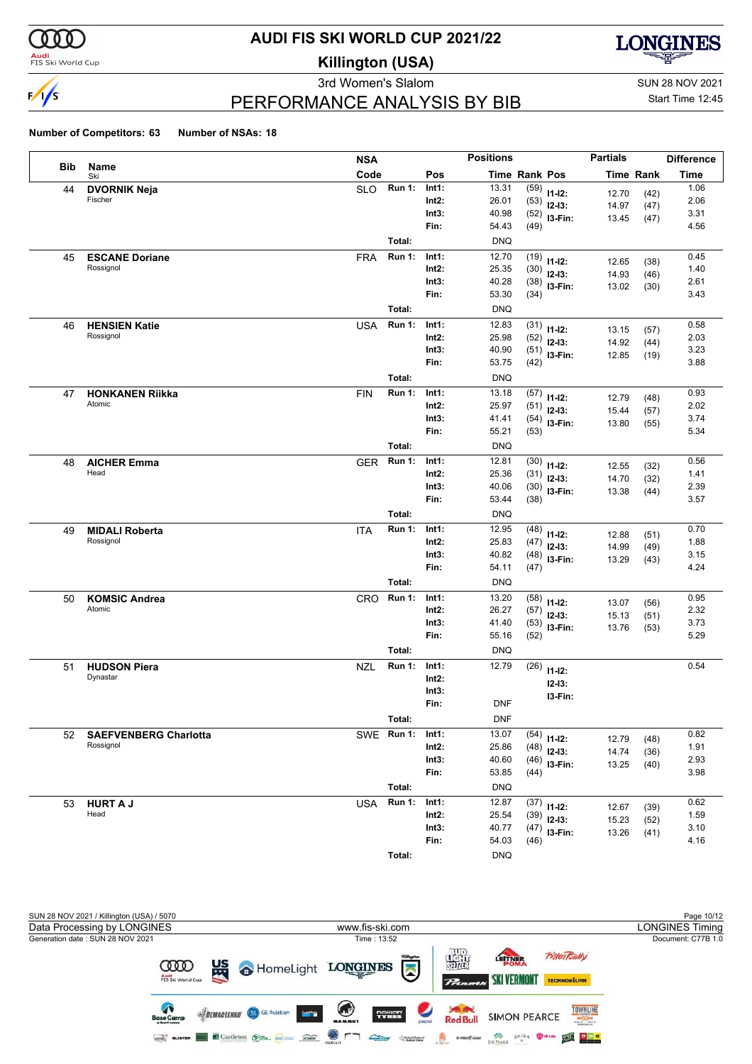

#### **Audi**<br>FIS Ski World Cup

# **AUDI FIS SKI WORLD CUP 2021/22**

**Killington (USA)**



3rd Women's Slalom Sun 28 NOV 2021

Start Time 12:45

### PERFORMANCE ANALYSIS BY BIB

#### **Number of Competitors: 63 Number of NSAs: 18**

|            |                                  | <b>NSA</b>                  |                | <b>Positions</b> |                      |                            | <b>Partials</b> |                  | <b>Difference</b> |
|------------|----------------------------------|-----------------------------|----------------|------------------|----------------------|----------------------------|-----------------|------------------|-------------------|
| <b>Bib</b> | Name<br>Ski                      | Code                        | Pos            |                  | <b>Time Rank Pos</b> |                            |                 | <b>Time Rank</b> | <b>Time</b>       |
| 44         | <b>DVORNIK Neja</b>              | <b>Run 1:</b><br><b>SLO</b> | Int1:          | 13.31            | (59)                 | $11 - 12$ :                | 12.70           | (42)             | 1.06              |
|            | Fischer                          |                             | $Int2$ :       | 26.01            | (53)                 | $12-13:$                   | 14.97           | (47)             | 2.06              |
|            |                                  |                             | Int3:          | 40.98            |                      | $(52)$ 13-Fin:             | 13.45           | (47)             | 3.31              |
|            |                                  |                             | Fin:           | 54.43            | (49)                 |                            |                 |                  | 4.56              |
|            |                                  | Total:                      |                | <b>DNQ</b>       |                      |                            |                 |                  |                   |
| 45         | <b>ESCANE Doriane</b>            | Run 1:<br><b>FRA</b>        | Int1:          | 12.70            | (19)                 | $11-12:$                   | 12.65           | (38)             | 0.45              |
|            | Rossignol                        |                             | Int2:          | 25.35            | (30)                 | $12 - 13:$                 | 14.93           | (46)             | 1.40              |
|            |                                  |                             | Int3:          | 40.28            | (38)                 | $13-Fin:$                  | 13.02           | (30)             | 2.61              |
|            |                                  |                             | Fin:           | 53.30            | (34)                 |                            |                 |                  | 3.43              |
|            |                                  | Total:                      |                | <b>DNQ</b>       |                      |                            |                 |                  |                   |
| 46         | <b>HENSIEN Katie</b>             | <b>Run 1:</b><br><b>USA</b> | Int1:          | 12.83            | (31)                 | $11-12:$                   | 13.15           | (57)             | 0.58              |
|            | Rossignol                        |                             | $Int2$ :       | 25.98            | (52)                 | $12 - 13$ :                | 14.92           | (44)             | 2.03              |
|            |                                  |                             | Int3:<br>Fin:  | 40.90<br>53.75   | (51)<br>(42)         | I3-Fin:                    | 12.85           | (19)             | 3.23<br>3.88      |
|            |                                  | Total:                      |                |                  |                      |                            |                 |                  |                   |
|            |                                  |                             |                | <b>DNQ</b>       |                      |                            |                 |                  |                   |
| 47         | <b>HONKANEN Riikka</b><br>Atomic | <b>Run 1:</b><br><b>FIN</b> | Int1:<br>Int2: | 13.18            | (57)                 | $11 - 12$ :                | 12.79           | (48)             | 0.93              |
|            |                                  |                             | Int3:          | 25.97<br>41.41   | (51)                 | $12 - 13:$                 | 15.44           | (57)             | 2.02<br>3.74      |
|            |                                  |                             | Fin:           | 55.21            | (54)<br>(53)         | $13-Fin:$                  | 13.80           | (55)             | 5.34              |
|            |                                  | Total:                      |                | <b>DNQ</b>       |                      |                            |                 |                  |                   |
|            |                                  | <b>Run 1:</b>               | Int1:          | 12.81            |                      |                            |                 |                  | 0.56              |
| 48         | <b>AICHER Emma</b><br>Head       | <b>GER</b>                  | Int2:          | 25.36            | (30)<br>(31)         | $11 - 12$ :                | 12.55           | (32)             | 1.41              |
|            |                                  |                             | Int3:          | 40.06            |                      | $12-13:$<br>$(30)$ 13-Fin: | 14.70           | (32)             | 2.39              |
|            |                                  |                             | Fin:           | 53.44            | (38)                 |                            | 13.38           | (44)             | 3.57              |
|            |                                  | Total:                      |                | <b>DNQ</b>       |                      |                            |                 |                  |                   |
| 49         | <b>MIDALI Roberta</b>            | <b>Run 1:</b><br><b>ITA</b> | Int1:          | 12.95            | (48)                 |                            |                 |                  | 0.70              |
|            | Rossignol                        |                             | Int2:          | 25.83            | (47)                 | $11 - 12$ :<br>$12 - 13$ : | 12.88           | (51)             | 1.88              |
|            |                                  |                             | Int3:          | 40.82            |                      | $(48)$ 13-Fin:             | 14.99           | (49)             | 3.15              |
|            |                                  |                             | Fin:           | 54.11            | (47)                 |                            | 13.29           | (43)             | 4.24              |
|            |                                  | Total:                      |                | <b>DNQ</b>       |                      |                            |                 |                  |                   |
| 50         | <b>KOMSIC Andrea</b>             | <b>Run 1:</b><br>CRO        | Int1:          | 13.20            | (58)                 | $11 - 12$ :                | 13.07           |                  | 0.95              |
|            | Atomic                           |                             | Int2:          | 26.27            | (57)                 | $12 - 13$ :                | 15.13           | (56)<br>(51)     | 2.32              |
|            |                                  |                             | Int3:          | 41.40            | (53)                 | I3-Fin:                    | 13.76           | (53)             | 3.73              |
|            |                                  |                             | Fin:           | 55.16            | (52)                 |                            |                 |                  | 5.29              |
|            |                                  | Total:                      |                | <b>DNQ</b>       |                      |                            |                 |                  |                   |
| 51         | <b>HUDSON Piera</b>              | <b>NZL</b><br><b>Run 1:</b> | Int1:          | 12.79            | (26)                 | $11 - 12$ :                |                 |                  | 0.54              |
|            | Dynastar                         |                             | Int2:          |                  |                      | $12 - 13:$                 |                 |                  |                   |
|            |                                  |                             | Int3:          |                  |                      | I3-Fin:                    |                 |                  |                   |
|            |                                  |                             | Fin:           | <b>DNF</b>       |                      |                            |                 |                  |                   |
|            |                                  | Total:                      |                | <b>DNF</b>       |                      |                            |                 |                  |                   |
| 52         | <b>SAEFVENBERG Charlotta</b>     | SWE Run 1:                  | Int1:          | 13.07            | (54)                 | $11 - 12$ :                | 12.79           | (48)             | 0.82              |
|            | Rossignol                        |                             | $Int2$ :       | 25.86            | (48)                 | $12-13:$                   | 14.74           | (36)             | 1.91              |
|            |                                  |                             | Int3:          | 40.60            | (46)                 | I3-Fin:                    | 13.25           | (40)             | 2.93              |
|            |                                  |                             | Fin:           | 53.85            | (44)                 |                            |                 |                  | 3.98              |
|            |                                  | Total:                      |                | <b>DNQ</b>       |                      |                            |                 |                  |                   |
| 53         | <b>HURT A J</b>                  | <b>Run 1:</b><br><b>USA</b> | Int1:          | 12.87            | (37)                 | $11 - 12$ :                | 12.67           | (39)             | 0.62              |
|            | Head                             |                             | $Int2$ :       | 25.54            | (39)                 | $12-13:$                   | 15.23           | (52)             | 1.59              |
|            |                                  |                             | Int3:          | 40.77            | (47)                 | I3-Fin:                    | 13.26           | (41)             | 3.10              |
|            |                                  |                             | Fin:           | 54.03            | (46)                 |                            |                 |                  | 4.16              |
|            |                                  | Total:                      |                | <b>DNQ</b>       |                      |                            |                 |                  |                   |

SUN 28 NOV 2021 / Killington (USA) / 5070 Page 10/12<br>
Data Processing by LONGINES CONSINES And Data Processing by LONGINES Timing Data Processing by LONGINES www.fis-ski.com Generation date : SUN 28 NOV 2021 Time : 13:52 Document: C77B 1.0 擺 PistenRully LETTNER 监 **COOD** HomeLight LONGINES  $\sum_{i=1}^{n}$ Audi<br>FIS Ski World Cup **SKI VERMONT** TECHNOSILPIN  $P_{\text{min}}$  $\bullet$  $\bigodot$ **Saved**<br>Red Bull **TOWNLINE** SUEMACLENKO & GE Aviation **Serie** TYRES **SIMON PEARCE Geof** BLISTER **Execution** Sex Action Castle 19 **Children**  $\begin{picture}(20,10) \put(0,0){\line(1,0){10}} \put(0,0){\line(1,0){10}} \put(0,0){\line(1,0){10}} \put(0,0){\line(1,0){10}} \put(0,0){\line(1,0){10}} \put(0,0){\line(1,0){10}} \put(0,0){\line(1,0){10}} \put(0,0){\line(1,0){10}} \put(0,0){\line(1,0){10}} \put(0,0){\line(1,0){10}} \put(0,0){\line(1,0){10}} \put(0,0){\line(1,0){10}} \put(0,$ SIXPLAKS SKIDA WHICH YOU REAL 7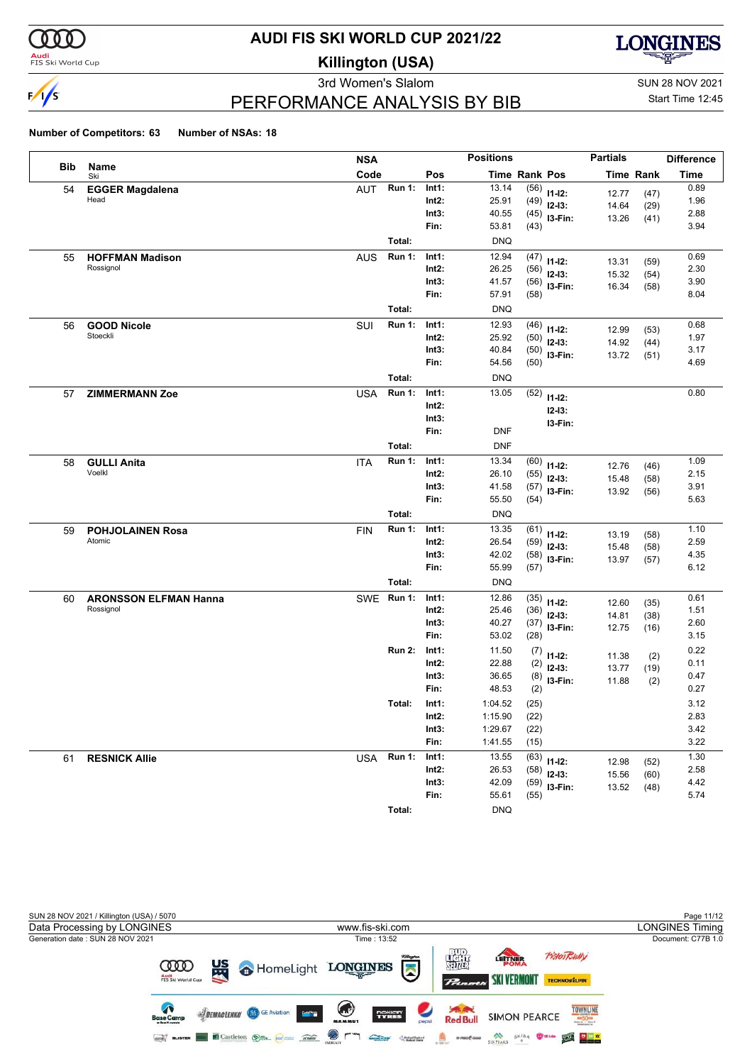

#### **Audi**<br>FIS Ski World Cup

# **AUDI FIS SKI WORLD CUP 2021/22**

**Killington (USA)**



3rd Women's Slalom Sun 28 NOV 2021 PERFORMANCE ANALYSIS BY BIB

Start Time 12:45

|            |                              | <b>NSA</b> |               |                | <b>Positions</b>   |               |                         | <b>Partials</b> |                  | <b>Difference</b> |
|------------|------------------------------|------------|---------------|----------------|--------------------|---------------|-------------------------|-----------------|------------------|-------------------|
| <b>Bib</b> | Name<br>Ski                  | Code       |               | Pos            |                    | Time Rank Pos |                         |                 | <b>Time Rank</b> | <b>Time</b>       |
| 54         | <b>EGGER Magdalena</b>       | <b>AUT</b> | <b>Run 1:</b> | Int1:          | 13.14              | (56)          | $11 - 12$ :             | 12.77           | (47)             | 0.89              |
|            | Head                         |            |               | Int2:          | 25.91              | (49)          | $12-13:$                | 14.64           | (29)             | 1.96              |
|            |                              |            |               | Int3:          | 40.55              | (45)          | I3-Fin:                 | 13.26           | (41)             | 2.88              |
|            |                              |            |               | Fin:           | 53.81              | (43)          |                         |                 |                  | 3.94              |
|            |                              |            | Total:        |                | <b>DNQ</b>         |               |                         |                 |                  |                   |
| 55         | <b>HOFFMAN Madison</b>       | <b>AUS</b> | <b>Run 1:</b> | Int1:          | 12.94              | (47)          | $11 - 12$ :             | 13.31           | (59)             | 0.69              |
|            | Rossignol                    |            |               | Int2:          | 26.25              | (56)          | $12-13:$                | 15.32           | (54)             | 2.30              |
|            |                              |            |               | Int3:          | 41.57              | (56)          | I3-Fin:                 | 16.34           | (58)             | 3.90              |
|            |                              |            |               | Fin:           | 57.91              | (58)          |                         |                 |                  | 8.04              |
|            |                              |            | Total:        |                | <b>DNQ</b>         |               |                         |                 |                  |                   |
| 56         | <b>GOOD Nicole</b>           | SUI        | <b>Run 1:</b> | Int1:          | 12.93              | (46)          | $11 - 12$ :             | 12.99           | (53)             | 0.68              |
|            | Stoeckli                     |            |               | Int2:          | 25.92              | (50)          | $12-13:$                | 14.92           | (44)             | 1.97              |
|            |                              |            |               | Int3:<br>Fin:  | 40.84<br>54.56     | (50)          | I3-Fin:                 | 13.72           | (51)             | 3.17<br>4.69      |
|            |                              |            |               |                |                    | (50)          |                         |                 |                  |                   |
|            |                              |            | Total:        |                | <b>DNQ</b>         |               |                         |                 |                  |                   |
| 57         | <b>ZIMMERMANN Zoe</b>        | <b>USA</b> | <b>Run 1:</b> | Int1:          | 13.05              | (52)          | $11 - 12$ :             |                 |                  | 0.80              |
|            |                              |            |               | Int2:<br>Int3: |                    |               | $12 - 13:$              |                 |                  |                   |
|            |                              |            |               | Fin:           | <b>DNF</b>         |               | I3-Fin:                 |                 |                  |                   |
|            |                              |            | Total:        |                | <b>DNF</b>         |               |                         |                 |                  |                   |
|            |                              |            | <b>Run 1:</b> | Int1:          | 13.34              |               |                         |                 |                  | 1.09              |
| 58         | <b>GULLI Anita</b><br>Voelkl | <b>ITA</b> |               | Int2:          | 26.10              | (60)<br>(55)  | $11 - 12$ :             | 12.76           | (46)             | 2.15              |
|            |                              |            |               | Int3:          | 41.58              | (57)          | $12-13:$                | 15.48           | (58)             | 3.91              |
|            |                              |            |               | Fin:           | 55.50              | (54)          | I3-Fin:                 | 13.92           | (56)             | 5.63              |
|            |                              |            | Total:        |                | <b>DNQ</b>         |               |                         |                 |                  |                   |
| 59         | <b>POHJOLAINEN Rosa</b>      | <b>FIN</b> | <b>Run 1:</b> | Int1:          | 13.35              | (61)          |                         |                 |                  | 1.10              |
|            | Atomic                       |            |               | Int2:          | 26.54              | (59)          | $11 - 12$ :<br>$12-13:$ | 13.19           | (58)             | 2.59              |
|            |                              |            |               | Int3:          | 42.02              | (58)          | I3-Fin:                 | 15.48<br>13.97  | (58)<br>(57)     | 4.35              |
|            |                              |            |               | Fin:           | 55.99              | (57)          |                         |                 |                  | 6.12              |
|            |                              |            | Total:        |                | <b>DNQ</b>         |               |                         |                 |                  |                   |
| 60         | <b>ARONSSON ELFMAN Hanna</b> | <b>SWE</b> | <b>Run 1:</b> | Int1:          | 12.86              | (35)          | $11 - 12$ :             | 12.60           | (35)             | 0.61              |
|            | Rossignol                    |            |               | Int2:          | 25.46              | (36)          | $12-13:$                | 14.81           | (38)             | 1.51              |
|            |                              |            |               | Int3:          | 40.27              | (37)          | I3-Fin:                 | 12.75           | (16)             | 2.60              |
|            |                              |            |               | Fin:           | 53.02              | (28)          |                         |                 |                  | 3.15              |
|            |                              |            | <b>Run 2:</b> | Int1:          | 11.50              | (7)           | $11 - 12$ :             | 11.38           | (2)              | 0.22              |
|            |                              |            |               | Int2:          | 22.88              | (2)           | $12 - 13:$              | 13.77           | (19)             | 0.11              |
|            |                              |            |               | Int3:          | 36.65              | (8)           | I3-Fin:                 | 11.88           | (2)              | 0.47              |
|            |                              |            |               | Fin:           | 48.53              | (2)           |                         |                 |                  | 0.27              |
|            |                              |            | Total:        | Int1:          | 1:04.52            | (25)          |                         |                 |                  | 3.12              |
|            |                              |            |               | Int2:          | 1:15.90            | (22)          |                         |                 |                  | 2.83              |
|            |                              |            |               | Int3:<br>Fin:  | 1:29.67<br>1:41.55 | (22)<br>(15)  |                         |                 |                  | 3.42<br>3.22      |
|            |                              |            | Run 1:        | Int1:          | 13.55              |               |                         |                 |                  | 1.30              |
| 61         | <b>RESNICK Allie</b>         | USA        |               | Int2:          | 26.53              | (63)          | $11 - 12$ :             | 12.98           | (52)             | 2.58              |
|            |                              |            |               | Int3:          | 42.09              | (58)<br>(59)  | $12-13:$                | 15.56           | (60)             | 4.42              |
|            |                              |            |               | Fin:           | 55.61              | (55)          | I3-Fin:                 | 13.52           | (48)             | 5.74              |
|            |                              |            | Total:        |                | <b>DNQ</b>         |               |                         |                 |                  |                   |
|            |                              |            |               |                |                    |               |                         |                 |                  |                   |

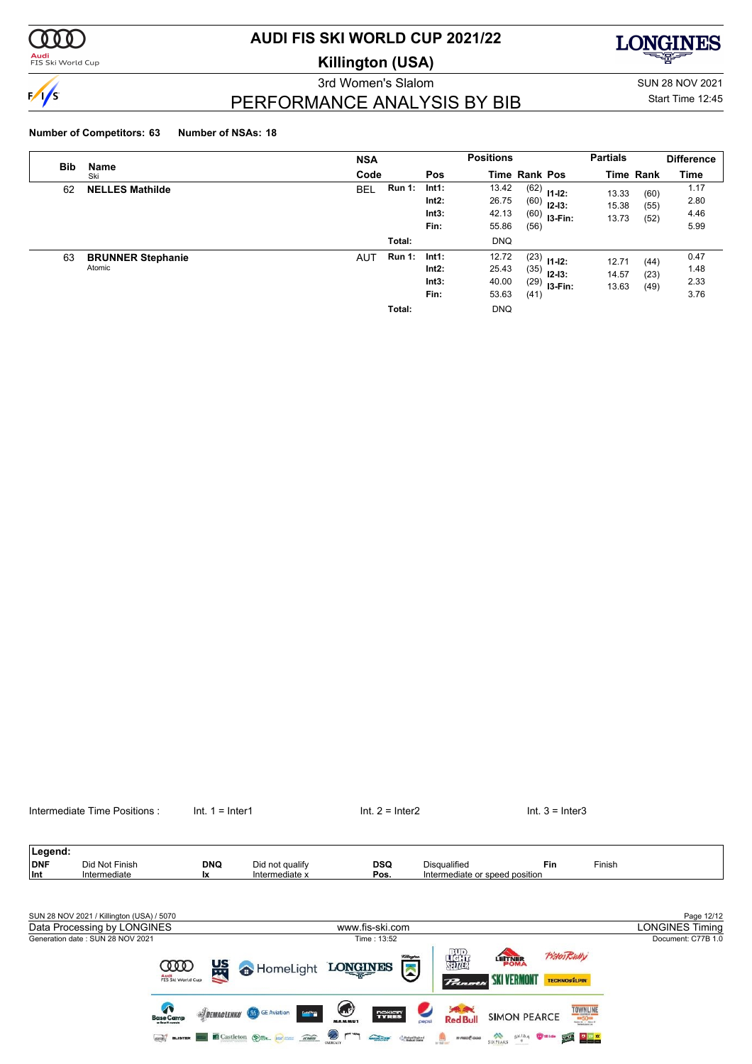

<mark>Audi</mark><br>FIS Ski World Cup

# **AUDI FIS SKI WORLD CUP 2021/22**

**Killington (USA)**



3rd Women's Slalom Sun 28 NOV 2021 PERFORMANCE ANALYSIS BY BIB

# Start Time 12:45

## **Number of Competitors: 63 Number of NSAs: 18**

| <b>Bib</b> | Name                               | <b>NSA</b>                  |                                 | <b>Positions</b>                 |                      |                                               | <b>Partials</b>         |                      | <b>Difference</b>            |
|------------|------------------------------------|-----------------------------|---------------------------------|----------------------------------|----------------------|-----------------------------------------------|-------------------------|----------------------|------------------------------|
|            | Ski                                | Code                        | <b>Pos</b>                      | <b>Time Rank Pos</b>             |                      |                                               |                         | <b>Time Rank</b>     | <b>Time</b>                  |
| 62         | <b>NELLES Mathilde</b>             | <b>Run 1:</b><br><b>BEL</b> | Int1:<br>Int2:<br>Int3:<br>Fin: | 13.42<br>26.75<br>42.13<br>55.86 | (60)<br>(56)         | $(62)$ 11-12:<br>$12 - 13:$<br>$(60)$ 13-Fin: | 13.33<br>15.38<br>13.73 | (60)<br>(55)<br>(52) | 1.17<br>2.80<br>4.46<br>5.99 |
|            |                                    | Total:                      |                                 | <b>DNQ</b>                       |                      |                                               |                         |                      |                              |
| 63         | <b>BRUNNER Stephanie</b><br>Atomic | <b>Run 1:</b><br><b>AUT</b> | Int1:<br>Int2:<br>Int3:<br>Fin: | 12.72<br>25.43<br>40.00<br>53.63 | (35)<br>(29)<br>(41) | $(23)$ 11-12:<br>$12 - 13:$<br>$13-Fin:$      | 12.71<br>14.57<br>13.63 | (44)<br>(23)<br>(49) | 0.47<br>1.48<br>2.33<br>3.76 |
|            |                                    | Total:                      |                                 | <b>DNQ</b>                       |                      |                                               |                         |                      |                              |



nokian'<br>TYRES

**Charles Charles** 

**SKI VERMONT** 

SIXPLAKS SKIDA WHICH YOU REAL

**SIMON PEARCE** 

**TOWNLINE** 

 $\mathcal{P}_{\text{in}}$ 

**Saved**<br>Red Bull

 $\begin{picture}(20,10) \put(0,0){\line(1,0){10}} \put(0,0){\line(1,0){10}} \put(0,0){\line(1,0){10}} \put(0,0){\line(1,0){10}} \put(0,0){\line(1,0){10}} \put(0,0){\line(1,0){10}} \put(0,0){\line(1,0){10}} \put(0,0){\line(1,0){10}} \put(0,0){\line(1,0){10}} \put(0,0){\line(1,0){10}} \put(0,0){\line(1,0){10}} \put(0,0){\line(1,0){10}} \put(0,$ 

Intermediate Time Positions : Int. 1 = Inter1 Internetiate Time Positions : Int. 1 = Inter1 Int. 2 = Inter2 Int. 3 = Inter3

**Septe** 

 $\odot$  r ጘ

Audi<br>FIS Ski World Cu

**SIDEMACLENKO & GE Aviation** 

**GEO BLISTER CASTLETON OF A ROCKET** 

 $\bullet$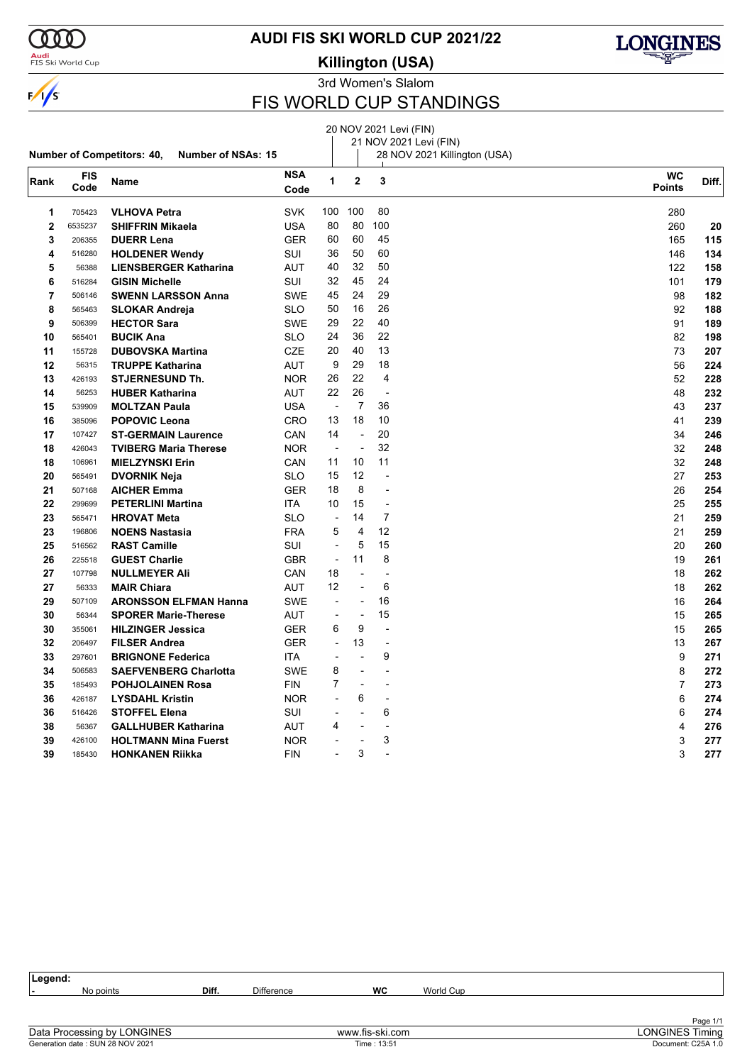

#### **Audi**<br>FIS Ski World Cup

**AUDI FIS SKI WORLD CUP 2021/22**

**Killington (USA)**



3rd Women's Slalom

### FIS WORLD CUP STANDINGS

20 NOV 2021 Levi (FIN)

#### **Number of Competitors: 40, Number of NSAs: 15** 21 NOV 2021 Levi (FIN) 28 NOV 2021 Killington (USA) **Rank FIS Code Name NSA Code WC** Diff. **Points <sup>2</sup> <sup>3</sup>** 705423 **VLHOVA Petra** SVK 100 100 80 280 6535237 **SHIFFRIN Mikaela** USA 80 80 100 260 **20** 206355 **DUERR Lena** GER 60 60 45 165 **115** 516280 **HOLDENER Wendy** SUI 36 50 60 146 **134** 56388 **LIENSBERGER Katharina** AUT 40 32 50 122 **158** 516284 **GISIN Michelle** SUI 32 45 24 101 **179** 506146 **SWENN LARSSON Anna** SWE 45 24 29 98 **182** 565463 **SLOKAR Andreja** SLO 50 16 26 92 **188** 506399 **HECTOR Sara** SWE 29 22 40 **189** 91 **189**  565401 **BUCIK Ana** SLO 24 36 22 82 **198** 155728 **DUBOVSKA Martina** CZE 20 40 13 73 **207** 56315 **TRUPPE Katharina** AUT 9 29 18 56 **224**  $426193$  **STJERNESUND Th.** NOR 26 22 4 52 **228**  56253 **HUBER Katharina** AUT 22 26 - 48 **232** 539909 **MOLTZAN Paula** USA - 7 36 43 **237** 385096 **POPOVIC Leona** CRO 13 18 10 41 **239** 107427 **ST-GERMAIN Laurence** CAN 14 - 20<br>**18** 426043 **TVIBERG Maria Therese** NOR - - 32 32 32 32 32 32 34 32 34 34 34 35 37 248 426043 **TVIBERG Maria Therese** NOR - - 32 32 **248** 106961 **MIELZYNSKI Erin** CAN 11 10 11 32 **248** 565491 **DVORNIK Neja** SLO 15 12 - 27 **253** 507168 **AICHER Emma** GER 18 8 - 26 **254** 299699 **PETERLINI Martina** ITA 10 15 - 25 **255** 565471 **HROVAT Meta** SLO - 14 7 21 **259** 196806 **NOENS Nastasia** FRA 5 4 12 21 **259** 516562 **RAST Camille** SUI - 5 15 20 **260** 225518 **GUEST Charlie** GBR - 11 8 19 **261** 107798 **NULLMEYER Ali** CAN 18 - - 18 **262** 56333 **MAIR Chiara** AUT 12 - 6 18 **262** 507109 **ARONSSON ELFMAN Hanna** SWE - - 16 16 **264** 56344 **SPORER Marie-Therese** AUT - - 15 15 **265** 355061 **HILZINGER Jessica** GER 6 9 - 15 **265** 206497 **FILSER Andrea** GER - 13 - 13 **267** 297601 **BRIGNONE Federica** ITA - - 9 9 **271** 506583 **SAEFVENBERG Charlotta** SWE 8 - - 8 **272** 185493 **POHJOLAINEN Rosa** FIN 7 - - 7 **273** 426187 **LYSDAHL Kristin** NOR - 6 - 6 **274** 516426 **STOFFEL Elena** SUI - - 6 6 **274** 56367 **GALLHUBER Katharina** AUT 4 - - 4 **276** 426100 **HOLTMANN Mina Fuerst** NOR - - 3 3 **277** 185430 **HONKANEN Riikka** FIN - 3 - 3 **277**

**Legend: -** No points **Diff.** Difference **WC** World Cup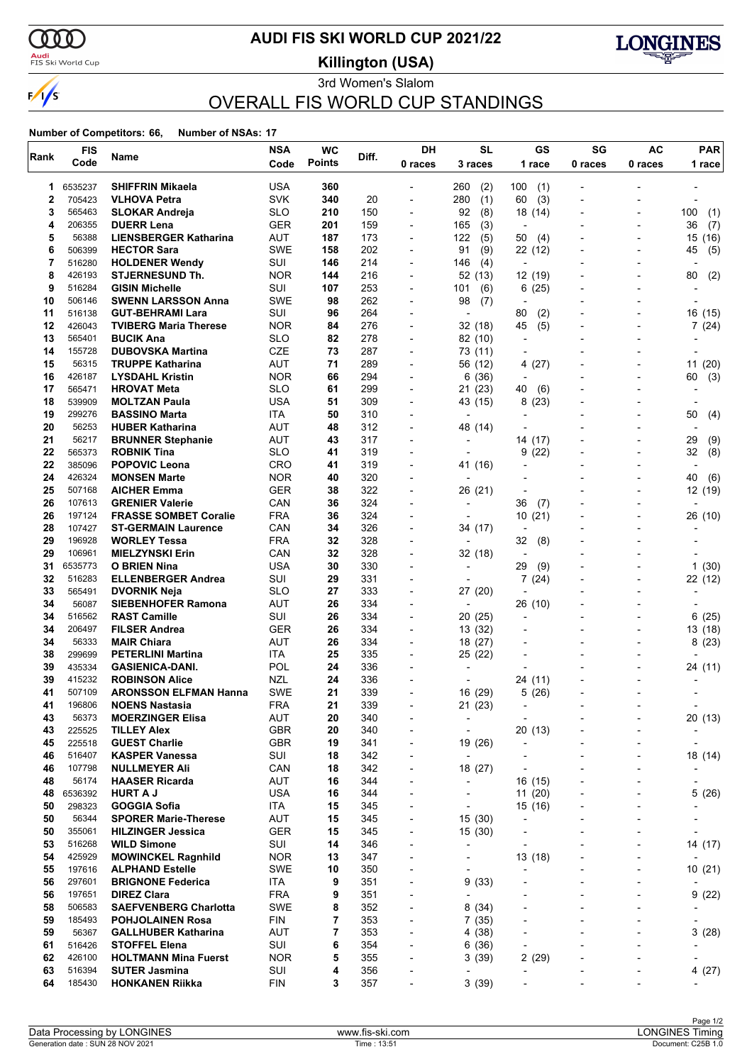

### <mark>Audi</mark><br>FIS Ski World Cup

# **AUDI FIS SKI WORLD CUP 2021/22**

**Killington (USA)**



### 3rd Women's Slalom OVERALL FIS WORLD CUP STANDINGS

| Rank     | <b>FIS</b>       | Name                                                  | <b>NSA</b>        | <b>WC</b>     | Diff.      | DH                                                   | <b>SL</b>                | GS                                    | SG                       | <b>AC</b>                | <b>PAR</b>                        |
|----------|------------------|-------------------------------------------------------|-------------------|---------------|------------|------------------------------------------------------|--------------------------|---------------------------------------|--------------------------|--------------------------|-----------------------------------|
|          | Code             |                                                       | Code              | <b>Points</b> |            | 0 races                                              | 3 races                  | 1 race                                | 0 races                  | 0 races                  | 1 race                            |
| 1        | 6535237          | <b>SHIFFRIN Mikaela</b>                               | <b>USA</b>        | 360           |            | $\overline{a}$                                       | (2)<br>260               | 100<br>(1)                            |                          |                          |                                   |
| 2        | 705423           | <b>VLHOVA Petra</b>                                   | <b>SVK</b>        | 340           | 20         | $\overline{\phantom{a}}$                             | 280<br>(1)               | (3)<br>60                             |                          |                          |                                   |
| 3        | 565463           | <b>SLOKAR Andreja</b>                                 | <b>SLO</b>        | 210           | 150        | $\overline{\phantom{0}}$                             | 92<br>(8)                | 18 (14)                               |                          |                          | 100<br>(1)                        |
| 4        | 206355           | <b>DUERR Lena</b>                                     | <b>GER</b>        | 201           | 159        | $\blacksquare$                                       | 165<br>(3)               | $\overline{\phantom{a}}$              |                          | $\overline{\phantom{0}}$ | 36<br>(7)                         |
| 5        | 56388            | <b>LIENSBERGER Katharina</b>                          | AUT<br><b>SWE</b> | 187           | 173        | $\overline{\phantom{a}}$                             | (5)<br>122               | 50<br>(4)                             |                          |                          | (16)<br>15                        |
| 6<br>7   | 506399<br>516280 | <b>HECTOR Sara</b>                                    | SUI               | 158<br>146    | 202<br>214 | $\overline{\phantom{a}}$<br>$\overline{\phantom{0}}$ | 91<br>(9)<br>146<br>(4)  | 22 (12)<br>$\overline{\phantom{a}}$   |                          |                          | (5)<br>45                         |
| 8        | 426193           | <b>HOLDENER Wendy</b><br><b>STJERNESUND Th.</b>       | <b>NOR</b>        | 144           | 216        | $\overline{\phantom{a}}$                             | 52 (13)                  | 12 (19)                               |                          |                          | 80<br>(2)                         |
| 9        | 516284           | <b>GISIN Michelle</b>                                 | SUI               | 107           | 253        | $\overline{\phantom{0}}$                             | 101<br>(6)               | (25)<br>6                             |                          |                          |                                   |
| 10       | 506146           | <b>SWENN LARSSON Anna</b>                             | <b>SWE</b>        | 98            | 262        | $\overline{\phantom{0}}$                             | 98<br>(7)                |                                       |                          |                          |                                   |
| 11       | 516138           | <b>GUT-BEHRAMI Lara</b>                               | SUI               | 96            | 264        | ٠                                                    | $\overline{\phantom{a}}$ | 80<br>(2)                             |                          |                          | 16<br>(15)                        |
| 12       | 426043           | <b>TVIBERG Maria Therese</b>                          | <b>NOR</b>        | 84            | 276        | $\overline{\phantom{a}}$                             | 32 (18)                  | (5)<br>45                             |                          |                          | 7(24)                             |
| 13       | 565401           | <b>BUCIK Ana</b>                                      | <b>SLO</b>        | 82            | 278        | $\overline{\phantom{a}}$                             | 82 (10)                  | $\overline{\phantom{a}}$              |                          |                          |                                   |
| 14       | 155728           | <b>DUBOVSKA Martina</b>                               | CZE               | 73            | 287        | $\overline{\phantom{a}}$                             | 73 (11)                  | $\overline{\phantom{a}}$              |                          |                          |                                   |
| 15       | 56315            | <b>TRUPPE Katharina</b>                               | <b>AUT</b>        | 71            | 289        | $\blacksquare$                                       | 56 (12)                  | (27)<br>4                             |                          |                          | 11(20)                            |
| 16       | 426187<br>565471 | <b>LYSDAHL Kristin</b>                                | <b>NOR</b>        | 66<br>61      | 294        | $\overline{\phantom{a}}$                             | 6(36)                    |                                       |                          | $\overline{a}$           | (3)<br>60                         |
| 17<br>18 | 539909           | <b>HROVAT Meta</b><br><b>MOLTZAN Paula</b>            | <b>SLO</b><br>USA | 51            | 299<br>309 | ٠<br>$\overline{\phantom{a}}$                        | 21 (23)<br>43 (15)       | 40<br>(6)<br>8<br>(23)                |                          |                          |                                   |
| 19       | 299276           | <b>BASSINO Marta</b>                                  | ITA               | 50            | 310        | $\overline{\phantom{0}}$                             |                          |                                       |                          |                          | 50<br>(4)                         |
| 20       | 56253            | <b>HUBER Katharina</b>                                | AUT               | 48            | 312        | $\overline{\phantom{a}}$                             | 48<br>(14)               | $\overline{a}$                        |                          |                          |                                   |
| 21       | 56217            | <b>BRUNNER Stephanie</b>                              | AUT               | 43            | 317        | $\blacksquare$                                       |                          | 14 (17)                               |                          |                          | 29<br>(9)                         |
| 22       | 565373           | <b>ROBNIK Tina</b>                                    | <b>SLO</b>        | 41            | 319        | $\blacksquare$                                       |                          | (22)<br>9                             |                          | $\overline{a}$           | 32<br>(8)                         |
| 22       | 385096           | <b>POPOVIC Leona</b>                                  | <b>CRO</b>        | 41            | 319        | $\overline{\phantom{a}}$                             | 41 (16)                  |                                       |                          |                          | $\overline{\phantom{a}}$          |
| 24       | 426324           | <b>MONSEN Marte</b>                                   | <b>NOR</b>        | 40            | 320        | $\overline{\phantom{a}}$                             |                          | -                                     |                          |                          | 40<br>(6)                         |
| 25       | 507168           | <b>AICHER Emma</b>                                    | <b>GER</b>        | 38            | 322        | $\overline{\phantom{0}}$                             | 26 (21)                  |                                       |                          |                          | 12 (19)                           |
| 26       | 107613           | <b>GRENIER Valerie</b>                                | CAN               | 36            | 324        | $\overline{\phantom{0}}$                             |                          | 36<br>(7)                             |                          |                          |                                   |
| 26       | 197124           | <b>FRASSE SOMBET Coralie</b>                          | <b>FRA</b>        | 36            | 324        | $\blacksquare$                                       |                          | 10(21)                                |                          |                          | 26 (10)                           |
| 28<br>29 | 107427<br>196928 | <b>ST-GERMAIN Laurence</b><br><b>WORLEY Tessa</b>     | CAN<br><b>FRA</b> | 34<br>32      | 326<br>328 | $\overline{\phantom{0}}$<br>$\overline{\phantom{a}}$ | 34 (17)                  | $\overline{\phantom{a}}$<br>32<br>(8) |                          |                          |                                   |
| 29       | 106961           | <b>MIELZYNSKI Erin</b>                                | CAN               | 32            | 328        | $\overline{\phantom{a}}$                             | 32 (18)                  | $\overline{\phantom{a}}$              |                          |                          |                                   |
| 31       | 6535773          | <b>O BRIEN Nina</b>                                   | <b>USA</b>        | 30            | 330        | $\overline{\phantom{0}}$                             | $\overline{\phantom{a}}$ | 29<br>(9)                             |                          |                          | 1(30)                             |
| 32       | 516283           | <b>ELLENBERGER Andrea</b>                             | SUI               | 29            | 331        |                                                      |                          | 7(24)                                 |                          |                          | 22 (12)                           |
| 33       | 565491           | <b>DVORNIK Neja</b>                                   | <b>SLO</b>        | 27            | 333        | $\overline{\phantom{a}}$                             | 27 (20)                  |                                       |                          |                          |                                   |
| 34       | 56087            | <b>SIEBENHOFER Ramona</b>                             | <b>AUT</b>        | 26            | 334        | $\overline{\phantom{0}}$                             | $\overline{\phantom{a}}$ | 26 (10)                               |                          |                          |                                   |
| 34       | 516562           | <b>RAST Camille</b>                                   | SUI               | 26            | 334        | $\overline{\phantom{a}}$                             | 20 (25)                  | $\overline{\phantom{0}}$              |                          |                          | 6<br>(25)                         |
| 34       | 206497           | <b>FILSER Andrea</b>                                  | GER               | 26            | 334        | $\overline{\phantom{a}}$                             | 13 (32)                  | -                                     |                          |                          | 13 (18)                           |
| 34       | 56333            | <b>MAIR Chiara</b>                                    | <b>AUT</b>        | 26            | 334        | $\overline{\phantom{0}}$                             | 18 (27)                  |                                       |                          |                          | 8(23)                             |
| 38<br>39 | 299699<br>435334 | <b>PETERLINI Martina</b><br><b>GASIENICA-DANI.</b>    | ITA<br>POL        | 25<br>24      | 335<br>336 | ٠                                                    | 25 (22)                  |                                       |                          |                          |                                   |
| 39       | 415232           | <b>ROBINSON Alice</b>                                 | NZL               | 24            | 336        | $\overline{a}$                                       |                          | 24 (11)                               |                          |                          | 24 (11)                           |
| 41       | 507109           | <b>ARONSSON ELFMAN Hanna</b>                          | <b>SWE</b>        | 21            | 339        | $\overline{\phantom{a}}$                             | 16 (29)                  | 5(26)                                 |                          |                          |                                   |
| 41       | 196806           | <b>NOENS Nastasia</b>                                 | <b>FRA</b>        | 21            | 339        | $\overline{a}$                                       | 21 (23)                  | $\blacksquare$                        |                          |                          |                                   |
| 43       | 56373            | <b>MOERZINGER Elisa</b>                               | AUT               | 20            | 340        | $\blacksquare$                                       | $\blacksquare$           | $\overline{\phantom{0}}$              |                          |                          | 20(13)                            |
| 43       | 225525           | <b>TILLEY Alex</b>                                    | <b>GBR</b>        | 20            | 340        | ٠                                                    |                          | 20(13)                                |                          |                          |                                   |
| 45       | 225518           | <b>GUEST Charlie</b>                                  | <b>GBR</b>        | 19            | 341        | $\overline{\phantom{0}}$                             | 19 (26)                  | -                                     |                          |                          | $\overline{\phantom{a}}$          |
| 46       | 516407           | <b>KASPER Vanessa</b>                                 | SUI               | 18            | 342        | $\qquad \qquad \blacksquare$                         | $\overline{\phantom{a}}$ |                                       |                          |                          | 18 (14)                           |
| 46       | 107798           | <b>NULLMEYER Ali</b>                                  | CAN               | 18            | 342        | $\overline{\phantom{0}}$                             | 18 (27)                  | $\overline{\phantom{0}}$              |                          | $\overline{a}$           |                                   |
| 48<br>48 | 56174<br>6536392 | <b>HAASER Ricarda</b><br><b>HURT A J</b>              | AUT<br><b>USA</b> | 16<br>16      | 344<br>344 | $\overline{\phantom{a}}$<br>$\overline{\phantom{0}}$ | $\overline{\phantom{0}}$ | 16 (15)<br>11(20)                     |                          | $\overline{\phantom{0}}$ | $\overline{\phantom{a}}$<br>5(26) |
| 50       | 298323           | <b>GOGGIA Sofia</b>                                   | ITA               | 15            | 345        | $\overline{\phantom{0}}$                             | $\overline{\phantom{0}}$ | 15 (16)                               |                          |                          |                                   |
| 50       | 56344            | <b>SPORER Marie-Therese</b>                           | AUT               | 15            | 345        | $\qquad \qquad \blacksquare$                         | 15 (30)                  | -                                     |                          |                          |                                   |
| 50       | 355061           | <b>HILZINGER Jessica</b>                              | <b>GER</b>        | 15            | 345        | $\overline{\phantom{a}}$                             | 15(30)                   |                                       |                          |                          |                                   |
| 53       | 516268           | <b>WILD Simone</b>                                    | SUI               | 14            | 346        | $\overline{\phantom{0}}$                             | $\overline{\phantom{0}}$ | $\overline{\phantom{0}}$              |                          |                          | 14 (17)                           |
| 54       | 425929           | <b>MOWINCKEL Ragnhild</b>                             | <b>NOR</b>        | 13            | 347        | $\overline{\phantom{a}}$                             | $\overline{\phantom{a}}$ | 13 (18)                               |                          |                          |                                   |
| 55       | 197616           | <b>ALPHAND Estelle</b>                                | <b>SWE</b>        | 10            | 350        | $\overline{\phantom{0}}$                             |                          | $\overline{a}$                        |                          | $\overline{\phantom{0}}$ | 10(21)                            |
| 56       | 297601           | <b>BRIGNONE Federica</b>                              | ITA               | 9             | 351        | $\overline{\phantom{0}}$                             | 9(33)                    |                                       |                          | $\overline{a}$           |                                   |
| 56       | 197651           | <b>DIREZ Clara</b>                                    | FRA               | 9             | 351        | $\qquad \qquad \blacksquare$                         | $\overline{\phantom{a}}$ | -                                     | $\overline{a}$           |                          | 9(22)                             |
| 58       | 506583           | <b>SAEFVENBERG Charlotta</b>                          | <b>SWE</b>        | 8<br>7        | 352        | $\overline{\phantom{0}}$                             | 8(34)                    |                                       |                          |                          |                                   |
| 59<br>59 | 185493<br>56367  | <b>POHJOLAINEN Rosa</b><br><b>GALLHUBER Katharina</b> | <b>FIN</b><br>AUT | 7             | 353<br>353 | $\overline{\phantom{0}}$<br>$\overline{\phantom{0}}$ | 7(35)<br>4 (38)          | -<br>-                                | $\overline{\phantom{0}}$ |                          | 3(28)                             |
| 61       | 516426           | <b>STOFFEL Elena</b>                                  | SUI               | 6             | 354        | $\overline{\phantom{0}}$                             | 6(36)                    | $\overline{\phantom{0}}$              |                          |                          |                                   |
| 62       | 426100           | <b>HOLTMANN Mina Fuerst</b>                           | <b>NOR</b>        | 5             | 355        | $\overline{\phantom{0}}$                             | 3(39)                    | (29)<br>2                             |                          |                          |                                   |
| 63       | 516394           | <b>SUTER Jasmina</b>                                  | SUI               | 4             | 356        | $\qquad \qquad \blacksquare$                         |                          | -                                     |                          |                          | 4(27)                             |
| 64       | 185430           | <b>HONKANEN Riikka</b>                                | <b>FIN</b>        | 3             | 357        | $\overline{\phantom{a}}$                             | 3(39)                    | -                                     |                          |                          |                                   |
|          |                  |                                                       |                   |               |            |                                                      |                          |                                       |                          |                          |                                   |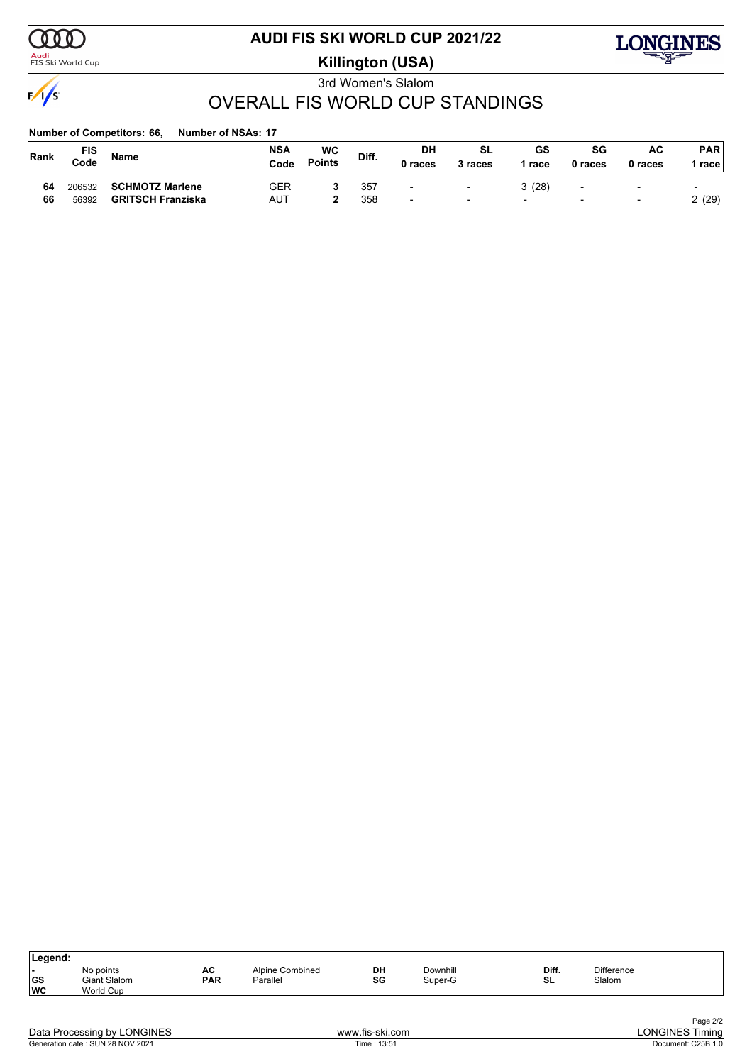

<mark>Audi</mark><br>FIS Ski World Cup

# **AUDI FIS SKI WORLD CUP 2021/22**

**Killington (USA)**



3rd Women's Slalom

# OVERALL FIS WORLD CUP STANDINGS

| Rank | FIS<br>Code | Name                     | <b>NSA</b><br>Code | <b>WC</b><br><b>Points</b> | Diff. | DH<br>0 races            | SL<br>3 races | GS<br>race               | SG<br>0 races            | AC<br>0 races            | <b>PAR</b><br>race l     |
|------|-------------|--------------------------|--------------------|----------------------------|-------|--------------------------|---------------|--------------------------|--------------------------|--------------------------|--------------------------|
| 64   | 206532      | <b>SCHMOTZ Marlene</b>   | GER                |                            | 357   | $\overline{\phantom{0}}$ | $\sim$        | 3(28)                    | $\overline{\phantom{0}}$ | $\overline{\phantom{0}}$ | $\overline{\phantom{0}}$ |
| 66   | 56392       | <b>GRITSCH Franziska</b> | <b>AUT</b>         |                            | 358   | $\overline{\phantom{a}}$ | $\sim$        | $\overline{\phantom{0}}$ | $\overline{\phantom{0}}$ | $\blacksquare$           | 2(29)                    |

| Legend:   |                     |            |                 |    |          |       |                   |  |
|-----------|---------------------|------------|-----------------|----|----------|-------|-------------------|--|
|           | No points           | AC         | Alpine Combined | DH | Downhill | Diff. | <b>Difference</b> |  |
| <b>GS</b> | <b>Giant Slalom</b> | <b>PAR</b> | Parallel        | SG | Super-G  | SL    | Slalom            |  |
| ∣wc       | World Cup           |            |                 |    |          |       |                   |  |
|           |                     |            |                 |    |          |       |                   |  |

| Data Processing by LONGINES      |  |
|----------------------------------|--|
| Generation date: SUN 28 NOV 2021 |  |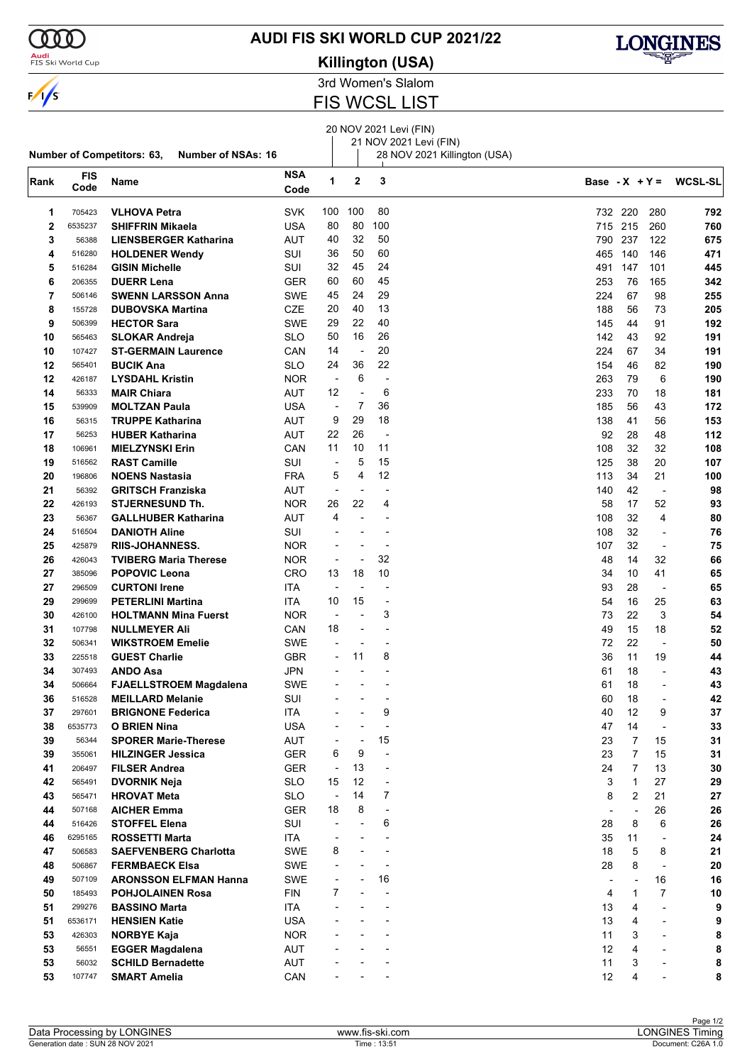

### **Audi**<br>FIS Ski World Cup

### **AUDI FIS SKI WORLD CUP 2021/22**





3rd Women's Slalom

FIS WCSL LIST

# 20 NOV 2021 Levi (FIN)

21 NOV 2021 Levi (FIN)  $\frac{28}{1}$  28 NOV 2021 Killington (USA)

|                |                    | <b>Number of Competitors: 63,</b><br>Number of NSAs: 16 |             |                          |                          | 28 NOV 2021 Killington (USA) |                  |                          |                          |                |
|----------------|--------------------|---------------------------------------------------------|-------------|--------------------------|--------------------------|------------------------------|------------------|--------------------------|--------------------------|----------------|
| Rank           | <b>FIS</b><br>Code | Name                                                    | NSA<br>Code | 1                        | 2                        | 3                            | Base - $X + Y =$ |                          |                          | <b>WCSL-SL</b> |
| 1              | 705423             | <b>VLHOVA Petra</b>                                     | <b>SVK</b>  | 100                      | 100                      | 80                           |                  | 732 220                  | 280                      | 792            |
| $\overline{2}$ | 6535237            | <b>SHIFFRIN Mikaela</b>                                 | USA         | 80                       | 80                       | 100                          |                  | 715 215                  | 260                      | 760            |
| 3              | 56388              | <b>LIENSBERGER Katharina</b>                            | <b>AUT</b>  | 40                       | 32                       | 50                           | 790              | 237                      | 122                      | 675            |
| 4              | 516280             | <b>HOLDENER Wendy</b>                                   | SUI         | 36                       | 50                       | 60                           | 465              | 140                      | 146                      | 471            |
| 5              | 516284             | <b>GISIN Michelle</b>                                   | SUI         | 32                       | 45                       | 24                           | 491              | 147                      | 101                      | 445            |
| 6              | 206355             | <b>DUERR Lena</b>                                       | <b>GER</b>  | 60                       | 60                       | 45                           | 253              | 76                       | 165                      | 342            |
| 7              | 506146             | <b>SWENN LARSSON Anna</b>                               | SWE         | 45                       | 24                       | 29                           | 224              | 67                       | 98                       | 255            |
| 8              | 155728             | <b>DUBOVSKA Martina</b>                                 | CZE         | 20                       | 40                       | 13                           | 188              | 56                       | 73                       | 205            |
| 9              | 506399             | <b>HECTOR Sara</b>                                      | SWE         | 29                       | 22                       | 40                           | 145              | 44                       | 91                       | 192            |
| 10             | 565463             | <b>SLOKAR Andreja</b>                                   | <b>SLO</b>  | 50                       | 16                       | 26                           | 142              | 43                       | 92                       | 191            |
| 10             | 107427             | <b>ST-GERMAIN Laurence</b>                              | CAN         | 14                       | $\overline{\phantom{a}}$ | 20                           | 224              | 67                       | 34                       | 191            |
| 12             | 565401             | <b>BUCIK Ana</b>                                        | SLO         | 24                       | 36                       | 22                           | 154              | 46                       | 82                       | 190            |
| 12             | 426187             | <b>LYSDAHL Kristin</b>                                  | <b>NOR</b>  | $\overline{\phantom{a}}$ | 6                        | $\overline{\phantom{a}}$     | 263              | 79                       | 6                        | 190            |
| 14             | 56333              | <b>MAIR Chiara</b>                                      | AUT         | 12                       |                          | 6                            | 233              | 70                       | 18                       | 181            |
|                |                    |                                                         |             | $\overline{\phantom{a}}$ | 7                        | 36                           |                  |                          |                          |                |
| 15             | 539909             | <b>MOLTZAN Paula</b>                                    | USA         | 9                        | 29                       | 18                           | 185<br>138       | 56<br>41                 | 43<br>56                 | 172            |
| 16             | 56315              | <b>TRUPPE Katharina</b>                                 | AUT         |                          |                          |                              |                  |                          |                          | 153            |
| 17             | 56253              | <b>HUBER Katharina</b>                                  | AUT         | 22                       | 26                       | $\overline{\phantom{a}}$     | 92               | 28                       | 48                       | 112            |
| 18             | 106961             | <b>MIELZYNSKI Erin</b>                                  | CAN         | 11                       | 10                       | 11                           | 108              | 32                       | 32                       | 108            |
| 19             | 516562             | <b>RAST Camille</b>                                     | SUI         | $\overline{a}$           | 5                        | 15                           | 125              | 38                       | 20                       | 107            |
| 20             | 196806             | <b>NOENS Nastasia</b>                                   | <b>FRA</b>  | 5                        | 4                        | 12                           | 113              | 34                       | 21                       | 100            |
| 21             | 56392              | <b>GRITSCH Franziska</b>                                | <b>AUT</b>  | $\overline{a}$           |                          | $\overline{\phantom{a}}$     | 140              | 42                       | $\overline{\phantom{a}}$ | 98             |
| 22             | 426193             | <b>STJERNESUND Th.</b>                                  | <b>NOR</b>  | 26                       | 22                       | 4                            | 58               | 17                       | 52                       | 93             |
| 23             | 56367              | <b>GALLHUBER Katharina</b>                              | AUT         | 4                        |                          | $\overline{a}$               | 108              | 32                       | 4                        | 80             |
| 24             | 516504             | <b>DANIOTH Aline</b>                                    | SUI         |                          |                          | $\overline{\phantom{a}}$     | 108              | 32                       | $\overline{\phantom{a}}$ | 76             |
| 25             | 425879             | <b>RIIS-JOHANNESS.</b>                                  | <b>NOR</b>  |                          |                          | $\overline{\phantom{a}}$     | 107              | 32                       | $\overline{\phantom{a}}$ | 75             |
| 26             | 426043             | <b>TVIBERG Maria Therese</b>                            | <b>NOR</b>  | $\overline{\phantom{a}}$ |                          | 32                           | 48               | 14                       | 32                       | 66             |
| 27             | 385096             | <b>POPOVIC Leona</b>                                    | CRO         | 13                       | 18                       | 10                           | 34               | 10                       | 41                       | 65             |
| 27             | 296509             | <b>CURTONI Irene</b>                                    | ITA         | ÷,                       |                          | $\overline{\phantom{a}}$     | 93               | 28                       | $\overline{\phantom{a}}$ | 65             |
| 29             | 299699             | <b>PETERLINI Martina</b>                                | ITA.        | 10                       | 15                       | $\overline{\phantom{a}}$     | 54               | 16                       | 25                       | 63             |
| 30             | 426100             | <b>HOLTMANN Mina Fuerst</b>                             | <b>NOR</b>  | $\overline{\phantom{a}}$ |                          | 3                            | 73               | 22                       | 3                        | 54             |
| 31             | 107798             | <b>NULLMEYER Ali</b>                                    | CAN         | 18                       | $\overline{\phantom{a}}$ | $\overline{\phantom{a}}$     | 49               | 15                       | 18                       | 52             |
| 32             | 506341             | <b>WIKSTROEM Emelie</b>                                 | SWE         |                          |                          |                              | 72               | 22                       | $\overline{a}$           | 50             |
| 33             | 225518             | <b>GUEST Charlie</b>                                    | <b>GBR</b>  |                          | 11                       | 8                            | 36               | 11                       | 19                       | 44             |
| 34             | 307493             | <b>ANDO Asa</b>                                         | <b>JPN</b>  |                          |                          |                              | 61               | 18                       | $\blacksquare$           | 43             |
| 34             | 506664             | <b>FJAELLSTROEM Magdalena</b>                           | SWE         |                          |                          |                              | 61               | 18                       | ÷                        | 43             |
| 36             | 516528             | <b>MEILLARD Melanie</b>                                 | SUI         |                          |                          |                              | 60               | 18                       | ÷,                       | 42             |
| 37             | 297601             | <b>BRIGNONE Federica</b>                                | ITA         |                          |                          | 9                            | 40               | 12                       | 9                        | 37             |
| 38             | 6535773            | <b>O BRIEN Nina</b>                                     | <b>USA</b>  |                          |                          | $\overline{\phantom{a}}$     | 47               | 14                       | $\overline{a}$           | 33             |
| 39             | 56344              | <b>SPORER Marie-Therese</b>                             | <b>AUT</b>  |                          |                          | 15                           | 23               | 7                        | 15                       | 31             |
| 39             | 355061             | <b>HILZINGER Jessica</b>                                | <b>GER</b>  | 6                        | 9                        | $\overline{a}$               | 23               | $\overline{7}$           | 15                       | 31             |
| 41             | 206497             | <b>FILSER Andrea</b>                                    | <b>GER</b>  | $\overline{\phantom{a}}$ | 13                       | $\overline{a}$               | 24               | $\overline{7}$           | 13                       | 30             |
| 42             | 565491             | <b>DVORNIK Neja</b>                                     | <b>SLO</b>  | 15                       | 12                       | $\overline{\phantom{a}}$     | 3                | $\mathbf{1}$             | 27                       | 29             |
| 43             | 565471             | <b>HROVAT Meta</b>                                      | <b>SLO</b>  | $\overline{a}$           | 14                       | 7                            | 8                | 2                        | 21                       | ${\bf 27}$     |
| 44             | 507168             | <b>AICHER Emma</b>                                      | <b>GER</b>  | 18                       | 8                        | $\blacksquare$               |                  | ÷,                       | 26                       | 26             |
| 44             | 516426             | <b>STOFFEL Elena</b>                                    | SUI         | ٠                        |                          | 6                            | 28               | 8                        | 6                        | 26             |
| 46             | 6295165            | <b>ROSSETTI Marta</b>                                   | <b>ITA</b>  |                          |                          |                              | 35               | 11                       | $\overline{\phantom{a}}$ | 24             |
| 47             | 506583             | <b>SAEFVENBERG Charlotta</b>                            | SWE         | 8                        |                          | $\blacksquare$               | 18               | 5                        | 8                        | 21             |
| 48             | 506867             | <b>FERMBAECK Elsa</b>                                   | <b>SWE</b>  |                          |                          | $\overline{\phantom{a}}$     | 28               | 8                        | $\overline{\phantom{a}}$ | 20             |
| 49             | 507109             | <b>ARONSSON ELFMAN Hanna</b>                            | SWE         |                          |                          | 16                           |                  | $\overline{\phantom{a}}$ | 16                       | 16             |
| 50             | 185493             | <b>POHJOLAINEN Rosa</b>                                 | <b>FIN</b>  | 7                        |                          |                              | 4                | 1                        | 7                        | 10             |
| 51             | 299276             | <b>BASSINO Marta</b>                                    | ITA         |                          |                          |                              | 13               | 4                        | $\overline{\phantom{0}}$ | 9              |
| 51             | 6536171            | <b>HENSIEN Katie</b>                                    | <b>USA</b>  |                          |                          |                              | 13               | 4                        | $\overline{\phantom{0}}$ | 9              |
| 53             | 426303             | <b>NORBYE Kaja</b>                                      | <b>NOR</b>  |                          |                          |                              | 11               | 3                        | $\overline{\phantom{a}}$ | 8              |
| 53             | 56551              | <b>EGGER Magdalena</b>                                  | <b>AUT</b>  |                          |                          |                              | 12               | 4                        | L,                       | 8              |
| 53             | 56032              | <b>SCHILD Bernadette</b>                                | <b>AUT</b>  |                          |                          |                              | 11               | 3                        | $\overline{a}$           | 8              |
| 53             | 107747             | <b>SMART Amelia</b>                                     | CAN         |                          |                          |                              | 12               | 4                        |                          | 8              |
|                |                    |                                                         |             |                          |                          |                              |                  |                          |                          |                |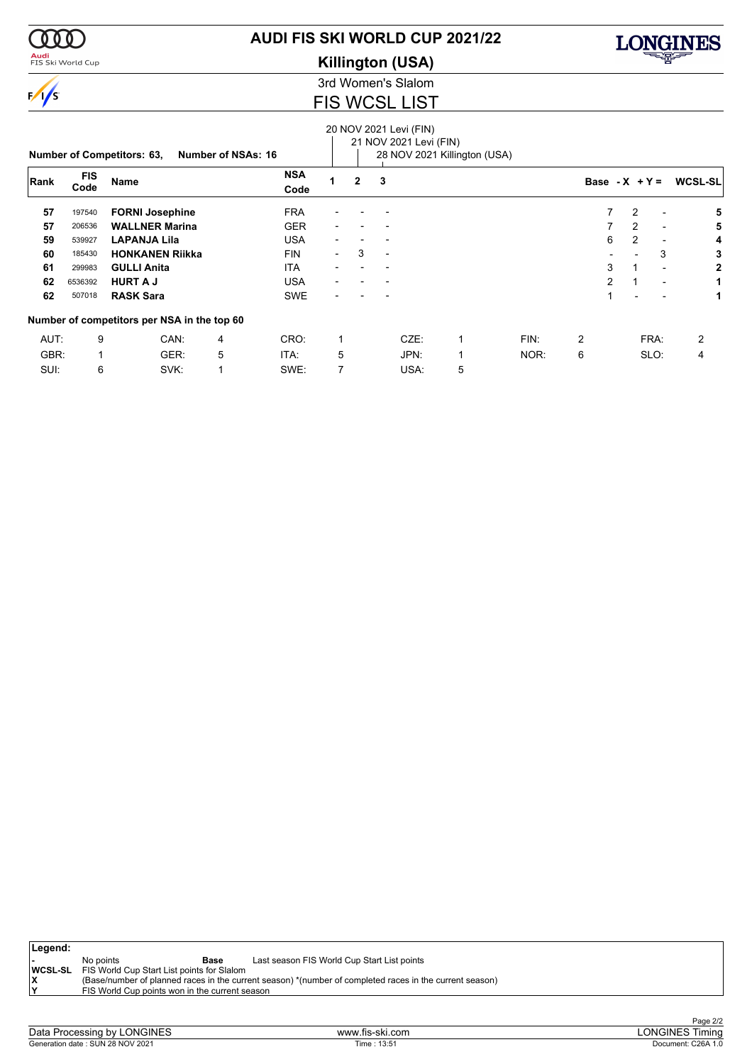

### <mark>Audi</mark><br>FIS Ski World Cup

## **AUDI FIS SKI WORLD CUP 2021/22**

**Killington (USA)**



3rd Women's Slalom

### FIS WCSL LIST

# 20 NOV 2021 Levi (FIN)

|      | <b>Number of NSAs: 16</b><br><b>Number of Competitors: 63,</b> |                                             |   |                    |                          |                | 21 NOV 2021 Levi (FIN) | 28 NOV 2021 Killington (USA) |      |                |                  |                          |                |
|------|----------------------------------------------------------------|---------------------------------------------|---|--------------------|--------------------------|----------------|------------------------|------------------------------|------|----------------|------------------|--------------------------|----------------|
| Rank | <b>FIS</b><br>Code                                             | <b>Name</b>                                 |   | <b>NSA</b><br>Code |                          | $\overline{2}$ | 3                      |                              |      |                | Base - $X + Y =$ |                          | <b>WCSL-SL</b> |
| 57   | 197540                                                         | <b>FORNI Josephine</b>                      |   | <b>FRA</b>         |                          |                |                        |                              |      | $\overline{7}$ | 2                | $\overline{\phantom{a}}$ | 5              |
| 57   | 206536                                                         | <b>WALLNER Marina</b>                       |   | <b>GER</b>         |                          |                |                        |                              |      |                | 2                | $\blacksquare$           | 5              |
| 59   | 539927                                                         | <b>LAPANJA Lila</b>                         |   | <b>USA</b>         |                          |                |                        |                              |      | 6              | 2                | $\overline{\phantom{a}}$ | 4              |
| 60   | 185430                                                         | <b>HONKANEN Riikka</b>                      |   | <b>FIN</b>         | $\overline{\phantom{a}}$ | 3              | $\blacksquare$         |                              |      |                |                  | 3                        | 3              |
| 61   | 299983                                                         | <b>GULLI Anita</b>                          |   | <b>ITA</b>         |                          |                |                        |                              |      | 3              |                  | $\overline{\phantom{a}}$ | $\mathbf{2}$   |
| 62   | 6536392                                                        | <b>HURT A J</b>                             |   | <b>USA</b>         | $\blacksquare$           |                |                        |                              |      | $\mathcal{P}$  |                  | ٠                        |                |
| 62   | 507018                                                         | <b>RASK Sara</b>                            |   | <b>SWE</b>         |                          |                |                        |                              |      |                | $\overline{a}$   | $\blacksquare$           | 1              |
|      |                                                                | Number of competitors per NSA in the top 60 |   |                    |                          |                |                        |                              |      |                |                  |                          |                |
| AUT: | 9                                                              | CAN:                                        | 4 | CRO:               |                          |                | CZE:                   | 1                            | FIN: | 2              |                  | FRA:                     | 2              |
| GBR: | $\mathbf{1}$                                                   | GER:                                        | 5 | ITA:               | 5                        |                | JPN:                   | 1                            | NOR: | 6              |                  | SLO:                     | 4              |
| SUI: | 6                                                              | SVK:                                        |   | SWE:               | 7                        |                | USA:                   | 5                            |      |                |                  |                          |                |

| ∣Legend:  |                                                                                                         |
|-----------|---------------------------------------------------------------------------------------------------------|
| No points | Last season FIS World Cup Start List points<br>Base                                                     |
|           | <b>WCSL-SL</b> FIS World Cup Start List points for Slalom                                               |
|           | (Base/number of planned races in the current season) *(number of completed races in the current season) |
| ١v        | FIS World Cup points won in the current season                                                          |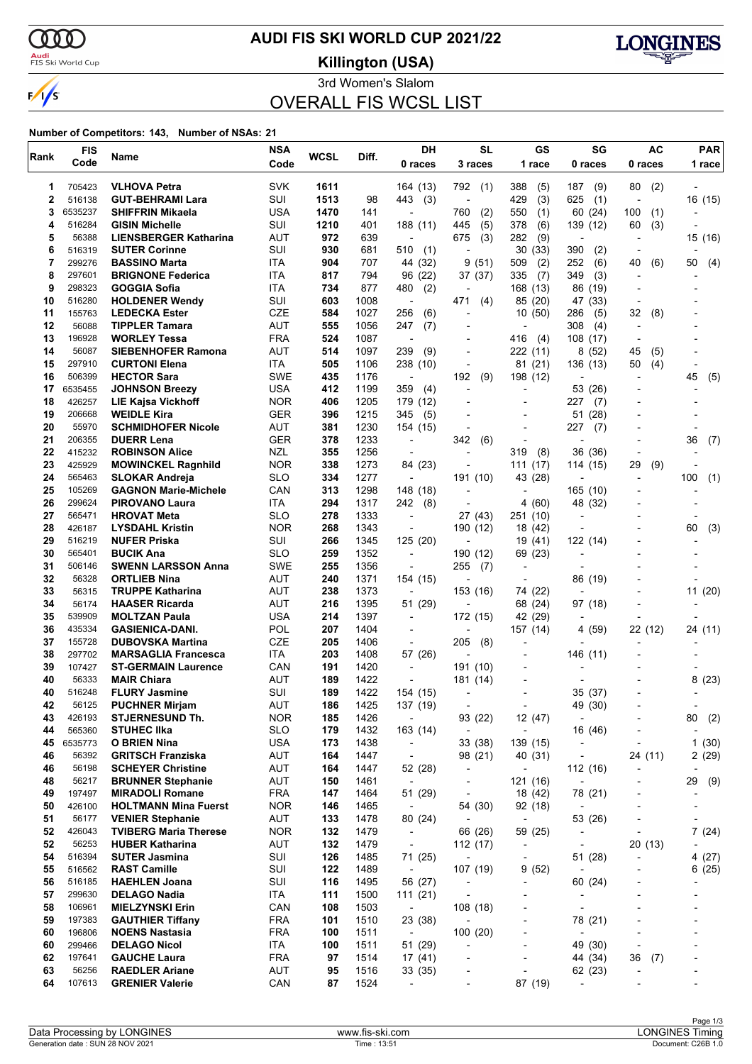$\alpha\alpha$ 

 $\sqrt{s}$ 

# **AUDI FIS SKI WORLD CUP 2021/22**

<mark>Audi</mark><br>FIS Ski World Cup

**Killington (USA)**



3rd Women's Slalom OVERALL FIS WCSL LIST

| Rank     | <b>FIS</b>       | Name                                             | <b>NSA</b>        | <b>WCSL</b> | Diff.        | DH                                     | <b>SL</b>                            | GS                       | SG                                  | <b>AC</b>                                      | <b>PAR</b>               |
|----------|------------------|--------------------------------------------------|-------------------|-------------|--------------|----------------------------------------|--------------------------------------|--------------------------|-------------------------------------|------------------------------------------------|--------------------------|
|          | Code             |                                                  | Code              |             |              | 0 races                                | 3 races                              | 1 race                   | 0 races                             | 0 races                                        | 1 race                   |
| 1        | 705423           | <b>VLHOVA Petra</b>                              | <b>SVK</b>        | 1611        |              | 164 (13)                               | 792<br>(1)                           | 388<br>(5)               | 187<br>(9)                          | 80<br>(2)                                      |                          |
| 2        | 516138           | <b>GUT-BEHRAMI Lara</b>                          | SUI               | 1513        | 98           | 443<br>(3)                             | ÷,                                   | 429<br>(3)               | 625<br>(1)                          | $\overline{\phantom{a}}$                       | 16 (15)                  |
| 3        | 6535237          | <b>SHIFFRIN Mikaela</b>                          | USA               | 1470        | 141          | $\overline{a}$                         | 760<br>(2)                           | 550<br>(1)               | 60 (24)                             | 100<br>(1)                                     |                          |
| 4        | 516284           | <b>GISIN Michelle</b>                            | SUI               | 1210        | 401          | 188(11)                                | 445<br>(5)                           | 378<br>(6)               | 139 (12)                            | (3)<br>60                                      |                          |
| 5        | 56388            | <b>LIENSBERGER Katharina</b>                     | <b>AUT</b>        | 972         | 639          | $\overline{\phantom{a}}$               | (3)<br>675                           | 282<br>(9)               | $\overline{\phantom{a}}$            |                                                | 15 (16)                  |
| 6        | 516319           | <b>SUTER Corinne</b>                             | SUI               | 930         | 681          | 510<br>(1)                             |                                      | 30<br>(33)               | 390<br>(2)                          |                                                |                          |
| 7        | 299276           | <b>BASSINO Marta</b>                             | ITA               | 904         | 707          | 44 (32)                                | (51)<br>9                            | 509<br>(2)               | 252<br>(6)                          | 40<br>(6)                                      | 50<br>(4)                |
| 8        | 297601           | <b>BRIGNONE Federica</b>                         | ITA               | 817         | 794          | 96 (22)                                | 37 (37)                              | 335<br>(7)               | (3)<br>349                          |                                                |                          |
| 9        | 298323           | GOGGIA Sofia                                     | <b>ITA</b>        | 734         | 877          | 480<br>(2)                             |                                      | 168 (13)                 | 86 (19)                             |                                                |                          |
| 10<br>11 | 516280<br>155763 | <b>HOLDENER Wendy</b>                            | SUI<br>CZE        | 603<br>584  | 1008<br>1027 | $\overline{\phantom{a}}$<br>256        | 471<br>(4)<br>$\overline{a}$         | 85 (20)                  | 47 (33)                             | 32                                             |                          |
| 12       | 56088            | <b>LEDECKA Ester</b><br><b>TIPPLER Tamara</b>    | AUT               | 555         | 1056         | (6)<br>247<br>(7)                      |                                      | 10(50)<br>$\overline{a}$ | 286<br>(5)<br>308<br>(4)            | (8)<br>$\overline{\phantom{a}}$                |                          |
| 13       | 196928           | <b>WORLEY Tessa</b>                              | <b>FRA</b>        | 524         | 1087         | $\overline{\phantom{a}}$               |                                      | 416<br>(4)               | 108 (17)                            |                                                |                          |
| 14       | 56087            | <b>SIEBENHOFER Ramona</b>                        | <b>AUT</b>        | 514         | 1097         | 239<br>(9)                             | $\overline{a}$                       | 222 (11)                 | 8(52)                               | 45<br>(5)                                      |                          |
| 15       | 297910           | <b>CURTONI Elena</b>                             | ITA               | 505         | 1106         | 238 (10)                               | $\overline{a}$                       | 81 (21)                  | 136 (13)                            | (4)<br>50                                      |                          |
| 16       | 506399           | <b>HECTOR Sara</b>                               | <b>SWE</b>        | 435         | 1176         | $\blacksquare$                         | (9)<br>192                           | 198 (12)                 |                                     |                                                | 45<br>(5)                |
| 17       | 6535455          | <b>JOHNSON Breezy</b>                            | <b>USA</b>        | 412         | 1199         | 359<br>(4)                             | $\overline{a}$                       |                          | 53 (26)                             |                                                |                          |
| 18       | 426257           | <b>LIE Kajsa Vickhoff</b>                        | <b>NOR</b>        | 406         | 1205         | 179 (12)                               |                                      | $\overline{a}$           | 227<br>(7)                          |                                                |                          |
| 19       | 206668           | <b>WEIDLE Kira</b>                               | <b>GER</b>        | 396         | 1215         | 345<br>(5)                             |                                      |                          | 51<br>(28)                          |                                                |                          |
| 20       | 55970            | <b>SCHMIDHOFER Nicole</b>                        | <b>AUT</b>        | 381         | 1230         | 154 (15)                               | $\overline{a}$                       | $\overline{\phantom{a}}$ | 227<br>(7)                          |                                                |                          |
| 21       | 206355           | <b>DUERR Lena</b>                                | <b>GER</b>        | 378         | 1233         | $\overline{\phantom{a}}$               | 342<br>(6)                           |                          |                                     |                                                | 36<br>(7)                |
| 22       | 415232           | <b>ROBINSON Alice</b>                            | <b>NZL</b>        | 355         | 1256         |                                        |                                      | 319<br>(8)               | 36 (36)                             |                                                |                          |
| 23       | 425929           | <b>MOWINCKEL Ragnhild</b>                        | <b>NOR</b>        | 338         | 1273         | 84 (23)                                |                                      | 111<br>(17)              | 114 (15)                            | 29<br>(9)                                      |                          |
| 24       | 565463           | <b>SLOKAR Andreja</b>                            | <b>SLO</b>        | 334         | 1277         | $\overline{\phantom{a}}$               | 191 (10)                             | 43 (28)                  |                                     | $\overline{\phantom{a}}$                       | 100<br>(1)               |
| 25       | 105269<br>299624 | <b>GAGNON Marie-Michele</b>                      | CAN               | 313         | 1298         | 148 (18)                               | $\overline{a}$                       |                          | 165 (10)                            |                                                |                          |
| 26<br>27 | 565471           | <b>PIROVANO Laura</b><br><b>HROVAT Meta</b>      | ITA<br><b>SLO</b> | 294<br>278  | 1317<br>1333 | 242<br>(8)<br>$\overline{\phantom{a}}$ | 27 (43)                              | 4(60)<br>251 (10)        | 48 (32)<br>$\overline{a}$           |                                                |                          |
| 28       | 426187           | <b>LYSDAHL Kristin</b>                           | <b>NOR</b>        | 268         | 1343         |                                        | 190 (12)                             | 18 (42)                  |                                     |                                                | 60<br>(3)                |
| 29       | 516219           | <b>NUFER Priska</b>                              | SUI               | 266         | 1345         | 125 (20)                               |                                      | 19 (41)                  | 122 (14)                            |                                                |                          |
| 30       | 565401           | <b>BUCIK Ana</b>                                 | <b>SLO</b>        | 259         | 1352         | $\overline{\phantom{a}}$               | 190 (12)                             | 69 (23)                  | -                                   |                                                |                          |
| 31       | 506146           | <b>SWENN LARSSON Anna</b>                        | <b>SWE</b>        | 255         | 1356         |                                        | 255<br>(7)                           |                          |                                     |                                                |                          |
| 32       | 56328            | <b>ORTLIEB Nina</b>                              | <b>AUT</b>        | 240         | 1371         | 154 (15)                               |                                      | $\overline{a}$           | 86 (19)                             |                                                |                          |
| 33       | 56315            | <b>TRUPPE Katharina</b>                          | AUT               | 238         | 1373         | $\overline{\phantom{a}}$               | 153 (16)                             | 74 (22)                  |                                     |                                                | 11 (20)                  |
| 34       | 56174            | <b>HAASER Ricarda</b>                            | AUT               | 216         | 1395         | 51 (29)                                |                                      | 68 (24)                  | 97 (18)                             |                                                |                          |
| 35       | 539909           | <b>MOLTZAN Paula</b>                             | <b>USA</b>        | 214         | 1397         | $\overline{\phantom{a}}$               | 172 (15)                             | 42 (29)                  |                                     |                                                |                          |
| 36       | 435334           | <b>GASIENICA-DANI.</b>                           | POL               | 207         | 1404         | $\overline{\phantom{a}}$               | ٠                                    | 157 (14)                 | 4 (59)                              | 22 (12)                                        | 24 (11)                  |
| 37       | 155728           | <b>DUBOVSKA Martina</b>                          | <b>CZE</b>        | 205         | 1406         | $\overline{a}$                         | 205<br>(8)                           |                          |                                     |                                                |                          |
| 38       | 297702           | <b>MARSAGLIA Francesca</b>                       | <b>ITA</b>        | 203         | 1408         | 57 (26)                                |                                      |                          | 146 (11)                            |                                                |                          |
| 39       | 107427           | <b>ST-GERMAIN Laurence</b>                       | CAN               | 191         | 1420         | $\overline{\phantom{a}}$               | 191 (10)                             | $\overline{\phantom{a}}$ |                                     |                                                |                          |
| 40       | 56333            | <b>MAIR Chiara</b>                               | <b>AUT</b>        | 189         | 1422         |                                        | 181 (14)                             |                          |                                     |                                                | 8(23)                    |
| 40<br>42 | 516248           | <b>FLURY Jasmine</b><br><b>PUCHNER Mirjam</b>    | SUI<br><b>AUT</b> | 189<br>186  | 1422<br>1425 | 154 (15)                               | -                                    | $\overline{\phantom{a}}$ | 35 (37)                             |                                                |                          |
| 43       | 56125<br>426193  | <b>STJERNESUND Th.</b>                           | <b>NOR</b>        | 185         | 1426         | 137 (19)<br>$\overline{\phantom{a}}$   | 93 (22)                              | 12 (47)                  | 49 (30)<br>$\overline{\phantom{a}}$ |                                                | 80<br>(2)                |
| 44       | 565360           | <b>STUHEC IIka</b>                               | <b>SLO</b>        | 179         | 1432         | 163 (14)                               | $\overline{\phantom{a}}$             | $\overline{\phantom{a}}$ | 16 (46)                             | $\overline{\phantom{a}}$                       | $\overline{\phantom{a}}$ |
| 45       | 6535773          | <b>O BRIEN Nina</b>                              | <b>USA</b>        | 173         | 1438         | $\blacksquare$                         | 33 (38)                              | 139 (15)                 | $\overline{\phantom{a}}$            | $\overline{\phantom{a}}$                       | 1(30)                    |
| 46       | 56392            | <b>GRITSCH Franziska</b>                         | <b>AUT</b>        | 164         | 1447         | $\overline{\phantom{a}}$               | 98 (21)                              | 40 (31)                  | $\overline{\phantom{a}}$            | 24 (11)                                        | 2(29)                    |
| 46       | 56198            | <b>SCHEYER Christine</b>                         | <b>AUT</b>        | 164         | 1447         | 52 (28)                                | $\overline{\phantom{a}}$             | $\blacksquare$           | 112 (16)                            |                                                |                          |
| 48       | 56217            | <b>BRUNNER Stephanie</b>                         | AUT               | 150         | 1461         | $\overline{\phantom{a}}$               | $\overline{\phantom{a}}$             | 121 (16)                 | $\overline{\phantom{a}}$            | $\overline{a}$                                 | 29<br>(9)                |
| 49       | 197497           | <b>MIRADOLI Romane</b>                           | <b>FRA</b>        | 147         | 1464         | 51 (29)                                | $\overline{\phantom{a}}$             | 18 (42)                  | 78 (21)                             |                                                |                          |
| 50       | 426100           | <b>HOLTMANN Mina Fuerst</b>                      | <b>NOR</b>        | 146         | 1465         | $\overline{\phantom{a}}$               | 54 (30)                              | 92 (18)                  | $\overline{\phantom{a}}$            | $\overline{\phantom{a}}$                       | -                        |
| 51       | 56177            | <b>VENIER Stephanie</b>                          | AUT               | 133         | 1478         | 80 (24)                                | $\overline{\phantom{a}}$             | $\overline{\phantom{a}}$ | 53 (26)                             | $\overline{a}$                                 | $\overline{\phantom{a}}$ |
| 52       | 426043           | <b>TVIBERG Maria Therese</b>                     | <b>NOR</b>        | 132         | 1479         | $\overline{\phantom{a}}$               | 66 (26)                              | 59 (25)                  | $\overline{\phantom{a}}$            |                                                | 7(24)                    |
| 52       | 56253            | <b>HUBER Katharina</b>                           | <b>AUT</b>        | 132         | 1479         | $\overline{\phantom{a}}$               | 112 (17)                             | -                        | $\overline{\phantom{a}}$            | 20 (13)                                        |                          |
| 54       | 516394           | <b>SUTER Jasmina</b>                             | SUI               | 126         | 1485         | 71 (25)                                | $\overline{\phantom{a}}$             | $\overline{\phantom{a}}$ | 51 (28)                             |                                                | 4(27)                    |
| 55       | 516562           | <b>RAST Camille</b>                              | SUI               | 122         | 1489         | $\overline{\phantom{a}}$               | 107 (19)                             | 9(52)                    | $\overline{\phantom{a}}$            |                                                | 6(25)                    |
| 56       | 516185           | <b>HAEHLEN Joana</b>                             | SUI               | 116         | 1495         | 56 (27)                                | $\overline{\phantom{a}}$             | $\overline{\phantom{a}}$ | 60 (24)                             | $\overline{a}$                                 |                          |
| 57       | 299630           | <b>DELAGO Nadia</b>                              | ITA               | 111         | 1500         | 111(21)                                | $\overline{\phantom{a}}$             | $\overline{a}$           | $\overline{\phantom{a}}$            | $\overline{a}$                                 |                          |
| 58<br>59 | 106961<br>197383 | <b>MIELZYNSKI Erin</b>                           | CAN<br><b>FRA</b> | 108         | 1503         | $\overline{\phantom{a}}$               | 108(18)                              |                          | $\overline{\phantom{a}}$            |                                                |                          |
| 60       | 196806           | <b>GAUTHIER Tiffany</b><br><b>NOENS Nastasia</b> | <b>FRA</b>        | 101<br>100  | 1510<br>1511 | 23 (38)<br>$\overline{\phantom{a}}$    | $\overline{\phantom{a}}$<br>100 (20) | $\overline{a}$<br>÷,     | 78 (21)<br>$\overline{\phantom{a}}$ | $\qquad \qquad \blacksquare$<br>$\blacksquare$ | -<br>-                   |
| 60       | 299466           | <b>DELAGO Nicol</b>                              | ITA               | 100         | 1511         | 51 (29)                                | $\overline{a}$                       | -                        | 49 (30)                             | $\overline{\phantom{a}}$                       |                          |
| 62       | 197641           | <b>GAUCHE Laura</b>                              | <b>FRA</b>        | 97          | 1514         | 17 (41)                                | -                                    | $\overline{a}$           | 44 (34)                             | (7)<br>36                                      | -                        |
| 63       | 56256            | <b>RAEDLER Ariane</b>                            | AUT               | 95          | 1516         | 33 (35)                                |                                      | $\overline{\phantom{0}}$ | 62 (23)                             | $\overline{\phantom{m}}$                       | -                        |
| 64       | 107613           | <b>GRENIER Valerie</b>                           | CAN               | 87          | 1524         | $\overline{\phantom{0}}$               |                                      | 87 (19)                  | $\overline{\phantom{a}}$            |                                                |                          |
|          |                  |                                                  |                   |             |              |                                        |                                      |                          |                                     |                                                |                          |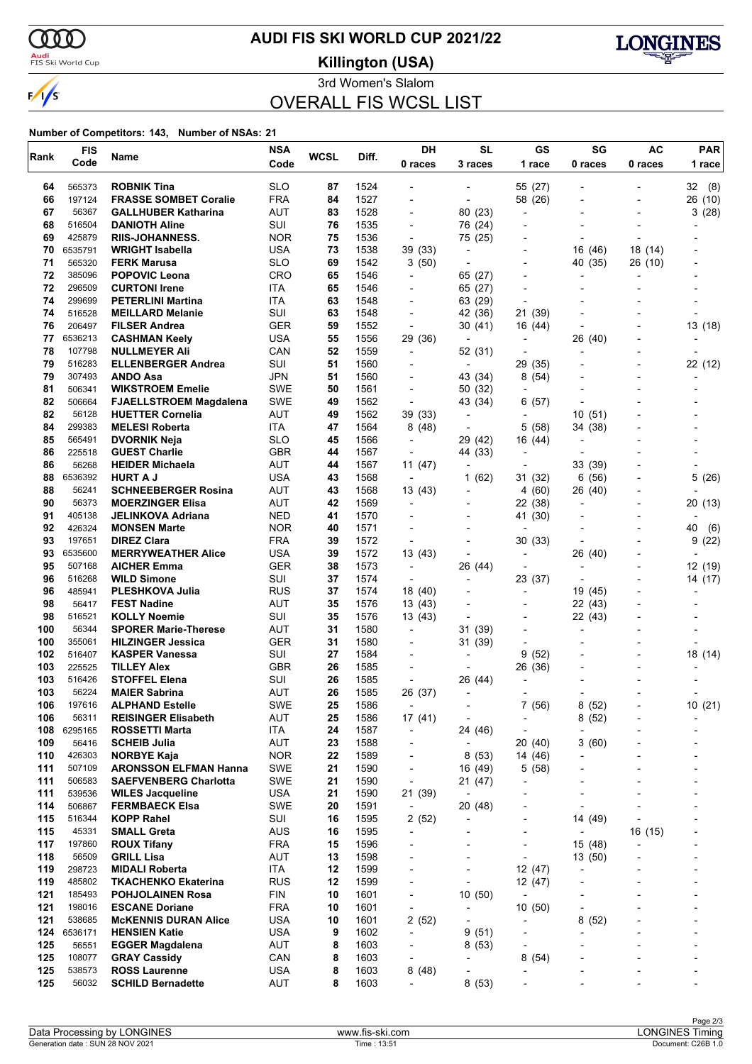

### <mark>Audi</mark><br>FIS Ski World Cup

# **AUDI FIS SKI WORLD CUP 2021/22**

**Killington (USA)**



3rd Women's Slalom

## OVERALL FIS WCSL LIST

| Rank       | <b>FIS</b>       |                                                 | <b>NSA</b>        | <b>WCSL</b> | Diff.        | DH                                         | <b>SL</b>                           | GS                                         | SG                                  | <b>AC</b>      | PAR            |
|------------|------------------|-------------------------------------------------|-------------------|-------------|--------------|--------------------------------------------|-------------------------------------|--------------------------------------------|-------------------------------------|----------------|----------------|
|            | Code             | Name                                            | Code              |             |              | 0 races                                    | 3 races                             | 1 race                                     | 0 races                             | 0 races        | 1 race         |
| 64         | 565373           | <b>ROBNIK Tina</b>                              | <b>SLO</b>        | 87          | 1524         |                                            |                                     | 55 (27)                                    |                                     |                | 32(8)          |
| 66         | 197124           | <b>FRASSE SOMBET Coralie</b>                    | <b>FRA</b>        | 84          | 1527         | $\blacksquare$                             |                                     | 58 (26)                                    |                                     |                | 26 (10)        |
| 67         | 56367            | <b>GALLHUBER Katharina</b>                      | AUT               | 83          | 1528         | $\overline{a}$                             | 80 (23)                             | $\overline{\phantom{a}}$                   |                                     |                | 3(28)          |
| 68         | 516504           | <b>DANIOTH Aline</b>                            | SUI               | 76          | 1535         | $\blacksquare$                             | 76 (24)                             |                                            |                                     |                |                |
| 69         | 425879           | <b>RIIS-JOHANNESS.</b>                          | <b>NOR</b>        | 75          | 1536         | ÷,                                         | 75 (25)                             | -                                          |                                     |                |                |
| 70         | 6535791          | WRIGHT Isabella                                 | USA               | 73          | 1538         | 39 (33)                                    | $\overline{a}$                      |                                            | 16 (46)                             | 18 (14)        |                |
| 71         | 565320           | <b>FERK Marusa</b>                              | <b>SLO</b>        | 69          | 1542         | 3(50)                                      |                                     |                                            | 40 (35)                             | 26 (10)        |                |
| 72         | 385096           | <b>POPOVIC Leona</b>                            | CRO               | 65          | 1546         | $\overline{\phantom{a}}$                   | 65 (27)                             | ٠                                          |                                     |                |                |
| 72         | 296509           | <b>CURTONI Irene</b>                            | <b>ITA</b>        | 65          | 1546         |                                            | 65 (27)                             | $\overline{a}$                             |                                     |                |                |
| 74<br>74   | 299699<br>516528 | <b>PETERLINI Martina</b>                        | ITA               | 63          | 1548         | $\blacksquare$                             | 63 (29)                             | $\blacksquare$                             |                                     |                |                |
| 76         | 206497           | <b>MEILLARD Melanie</b><br><b>FILSER Andrea</b> | SUI<br><b>GER</b> | 63<br>59    | 1548<br>1552 | $\overline{a}$<br>$\overline{\phantom{a}}$ | 42 (36)<br>30(41)                   | 21 (39)                                    |                                     |                | 13 (18)        |
| 77         | 6536213          | <b>CASHMAN Keely</b>                            | USA               | 55          | 1556         | 29 (36)                                    | $\overline{\phantom{a}}$            | 16 (44)<br>$\overline{\phantom{a}}$        | 26 (40)                             |                |                |
| 78         | 107798           | <b>NULLMEYER Ali</b>                            | CAN               | 52          | 1559         | $\overline{\phantom{a}}$                   | 52 (31)                             | $\overline{\phantom{0}}$                   |                                     |                |                |
| 79         | 516283           | <b>ELLENBERGER Andrea</b>                       | SUI               | 51          | 1560         |                                            | $\overline{a}$                      | 29<br>(35)                                 |                                     |                | 22 (12)        |
| 79         | 307493           | <b>ANDO Asa</b>                                 | JPN               | 51          | 1560         | $\overline{\phantom{0}}$                   | 43 (34)                             | 8 (54)                                     |                                     |                |                |
| 81         | 506341           | <b>WIKSTROEM Emelie</b>                         | <b>SWE</b>        | 50          | 1561         | $\overline{\phantom{a}}$                   | 50 (32)                             | $\overline{\phantom{0}}$                   |                                     |                |                |
| 82         | 506664           | <b>FJAELLSTROEM Magdalena</b>                   | <b>SWE</b>        | 49          | 1562         | $\overline{\phantom{a}}$                   | 43 (34)                             | 6(57)                                      |                                     |                |                |
| 82         | 56128            | <b>HUETTER Cornelia</b>                         | AUT               | 49          | 1562         | 39 (33)                                    | $\overline{\phantom{a}}$            | $\overline{\phantom{a}}$                   | 10(51)                              |                |                |
| 84         | 299383           | <b>MELESI Roberta</b>                           | ITA               | 47          | 1564         | 8(48)                                      | $\overline{a}$                      | 5(58)                                      | 34 (38)                             |                |                |
| 85         | 565491           | <b>DVORNIK Neja</b>                             | <b>SLO</b>        | 45          | 1566         | $\overline{\phantom{a}}$                   | 29 (42)                             | 16 (44)                                    |                                     |                |                |
| 86         | 225518           | <b>GUEST Charlie</b>                            | <b>GBR</b>        | 44          | 1567         | $\overline{\phantom{a}}$                   | 44 (33)                             | $\overline{a}$                             |                                     |                |                |
| 86         | 56268            | <b>HEIDER Michaela</b>                          | <b>AUT</b>        | 44          | 1567         | 11(47)                                     | $\overline{\phantom{a}}$            | $\blacksquare$                             | 33 (39)                             |                |                |
| 88         | 6536392          | <b>HURT A J</b>                                 | USA               | 43          | 1568         | $\overline{\phantom{a}}$                   | 1(62)                               | 31 (32)                                    | 6<br>(56)                           |                | 5(26)          |
| 88<br>90   | 56241<br>56373   | <b>SCHNEEBERGER Rosina</b>                      | AUT<br>AUT        | 43<br>42    | 1568<br>1569 | 13(43)                                     | $\blacksquare$                      | 4(60)                                      | 26 (40)                             |                |                |
| 91         | 405138           | <b>MOERZINGER Elisa</b><br>JELINKOVA Adriana    | NED               | 41          | 1570         | $\overline{\phantom{a}}$                   | $\overline{a}$                      | 22 (38)<br>41 (30)                         |                                     |                | 20(13)         |
| 92         | 426324           | <b>MONSEN Marte</b>                             | <b>NOR</b>        | 40          | 1571         | $\overline{\phantom{a}}$                   |                                     | $\overline{\phantom{0}}$                   |                                     | $\blacksquare$ | 40<br>(6)      |
| 93         | 197651           | <b>DIREZ Clara</b>                              | <b>FRA</b>        | 39          | 1572         | $\overline{\phantom{a}}$                   |                                     | 30(33)                                     |                                     |                | 9(22)          |
| 93         | 6535600          | <b>MERRYWEATHER Alice</b>                       | USA               | 39          | 1572         | 13 (43)                                    | $\overline{\phantom{a}}$            | $\overline{\phantom{a}}$                   | 26 (40)                             |                | $\overline{a}$ |
| 95         | 507168           | <b>AICHER Emma</b>                              | <b>GER</b>        | 38          | 1573         | $\overline{\phantom{a}}$                   | 26 (44)                             | $\blacksquare$                             | $\overline{\phantom{a}}$            |                | 12 (19)        |
| 96         | 516268           | <b>WILD Simone</b>                              | SUI               | 37          | 1574         | $\overline{\phantom{a}}$                   | $\overline{\phantom{a}}$            | 23 (37)                                    | $\overline{a}$                      |                | 14 (17)        |
| 96         | 485941           | <b>PLESHKOVA Julia</b>                          | <b>RUS</b>        | 37          | 1574         | 18 (40)                                    | ٠                                   | -                                          | 19 (45)                             |                |                |
| 98         | 56417            | <b>FEST Nadine</b>                              | AUT               | 35          | 1576         | 13 (43)                                    |                                     |                                            | 22 (43)                             |                |                |
| 98         | 516521           | <b>KOLLY Noemie</b>                             | SUI               | 35          | 1576         | 13 (43)                                    | $\overline{a}$                      | $\overline{\phantom{0}}$                   | 22 (43)                             |                |                |
| 100        | 56344            | <b>SPORER Marie-Therese</b>                     | AUT               | 31          | 1580         | $\overline{\phantom{a}}$                   | 31 (39)                             | $\overline{\phantom{0}}$                   | $\overline{a}$                      |                |                |
| 100        | 355061           | <b>HILZINGER Jessica</b>                        | <b>GER</b>        | 31          | 1580         |                                            | 31 (39)                             | $\overline{a}$                             |                                     |                |                |
| 102        | 516407           | <b>KASPER Vanessa</b>                           | SUI               | 27          | 1584         |                                            | $\overline{\phantom{a}}$            | 9<br>(52)                                  |                                     |                | 18 (14)        |
| 103<br>103 | 225525<br>516426 | <b>TILLEY Alex</b>                              | <b>GBR</b><br>SUI | 26<br>26    | 1585<br>1585 |                                            |                                     | 26 (36)                                    |                                     |                |                |
| 103        | 56224            | <b>STOFFEL Elena</b><br><b>MAIER Sabrina</b>    | AUT               | 26          | 1585         | $\overline{\phantom{a}}$<br>26 (37)        | 26 (44)<br>$\overline{\phantom{a}}$ | $\overline{a}$<br>$\overline{\phantom{a}}$ |                                     |                |                |
| 106        | 197616           | <b>ALPHAND Estelle</b>                          | <b>SWE</b>        | 25          | 1586         |                                            |                                     | 7(56)                                      | (52)<br>8                           |                | 10(21)         |
| 106        | 56311            | <b>REISINGER Elisabeth</b>                      | <b>AUT</b>        | 25          | 1586         | 17 (41)                                    | $\overline{\phantom{a}}$            | $\overline{\phantom{a}}$                   | 8(52)                               |                |                |
| 108        | 6295165          | ROSSETTI Marta                                  | ITA               | 24          | 1587         | $\overline{\phantom{a}}$                   | 24 (46)                             | $\overline{a}$                             | $\overline{a}$                      |                |                |
| 109        | 56416            | <b>SCHEIB Julia</b>                             | AUT               | 23          | 1588         | -                                          | $\overline{\phantom{a}}$            | 20(40)                                     | 3(60)                               |                |                |
| 110        | 426303           | <b>NORBYE Kaja</b>                              | <b>NOR</b>        | 22          | 1589         | $\qquad \qquad \blacksquare$               | 8(53)                               | 14 (46)                                    |                                     |                |                |
| 111        | 507109           | <b>ARONSSON ELFMAN Hanna</b>                    | SWE               | 21          | 1590         | $\overline{\phantom{a}}$                   | 16 (49)                             | 5(58)                                      |                                     |                |                |
| 111        | 506583           | <b>SAEFVENBERG Charlotta</b>                    | <b>SWE</b>        | 21          | 1590         | $\overline{\phantom{a}}$                   | 21 (47)                             | ٠                                          |                                     |                |                |
| 111        | 539536           | <b>WILES Jacqueline</b>                         | USA               | 21          | 1590         | 21 (39)                                    | $\overline{\phantom{a}}$            |                                            | $\overline{a}$                      |                |                |
| 114        | 506867           | <b>FERMBAECK Elsa</b>                           | SWE               | 20          | 1591         | $\overline{\phantom{a}}$                   | 20 (48)                             | $\overline{\phantom{0}}$                   | $\overline{\phantom{a}}$            |                |                |
| 115        | 516344           | <b>KOPP Rahel</b>                               | SUI               | 16          | 1595         | 2(52)                                      | ٠                                   | -                                          | 14 (49)                             |                |                |
| 115        | 45331            | <b>SMALL Greta</b>                              | <b>AUS</b>        | 16          | 1595         | $\overline{\phantom{a}}$                   |                                     | -                                          | $\overline{a}$                      | 16 (15)        |                |
| 117        | 197860           | <b>ROUX Tifany</b>                              | <b>FRA</b>        | 15          | 1596         | ٠                                          |                                     | -                                          | 15 (48)                             |                |                |
| 118<br>119 | 56509<br>298723  | <b>GRILL Lisa</b><br><b>MIDALI Roberta</b>      | AUT<br>ITA        | 13<br>12    | 1598<br>1599 | ٠<br>$\overline{\phantom{0}}$              | ٠                                   | $\overline{\phantom{0}}$<br>12 (47)        | 13 (50)<br>$\overline{\phantom{a}}$ |                |                |
| 119        | 485802           | <b>TKACHENKO Ekaterina</b>                      | <b>RUS</b>        | 12          | 1599         | L,                                         | $\overline{\phantom{a}}$            | 12 (47)                                    |                                     |                |                |
| 121        | 185493           | <b>POHJOLAINEN Rosa</b>                         | <b>FIN</b>        | 10          | 1601         | -                                          | 10(50)                              | $\overline{\phantom{a}}$                   |                                     |                |                |
| 121        | 198016           | <b>ESCANE Doriane</b>                           | <b>FRA</b>        | 10          | 1601         | $\overline{\phantom{a}}$                   | $\overline{\phantom{a}}$            | 10(50)                                     | -                                   |                |                |
| 121        | 538685           | <b>McKENNIS DURAN Alice</b>                     | <b>USA</b>        | 10          | 1601         | 2(52)                                      | $\overline{\phantom{a}}$            | $\overline{\phantom{0}}$                   | 8<br>(52)                           |                |                |
| 124        | 6536171          | <b>HENSIEN Katie</b>                            | USA               | 9           | 1602         | $\overline{\phantom{a}}$                   | 9(51)                               | -                                          | ٠                                   |                |                |
| 125        | 56551            | <b>EGGER Magdalena</b>                          | <b>AUT</b>        | 8           | 1603         | $\overline{\phantom{a}}$                   | 8(53)                               | -                                          |                                     |                |                |
| 125        | 108077           | <b>GRAY Cassidy</b>                             | CAN               | 8           | 1603         | $\overline{\phantom{a}}$                   | $\overline{\phantom{a}}$            | 8<br>(54)                                  |                                     |                |                |
| 125        | 538573           | <b>ROSS Laurenne</b>                            | USA               | 8           | 1603         | 8(48)                                      | $\overline{a}$                      | -                                          |                                     |                |                |
| 125        | 56032            | <b>SCHILD Bernadette</b>                        | AUT               | 8           | 1603         | $\overline{\phantom{a}}$                   | 8(53)                               |                                            |                                     |                |                |
|            |                  |                                                 |                   |             |              |                                            |                                     |                                            |                                     |                |                |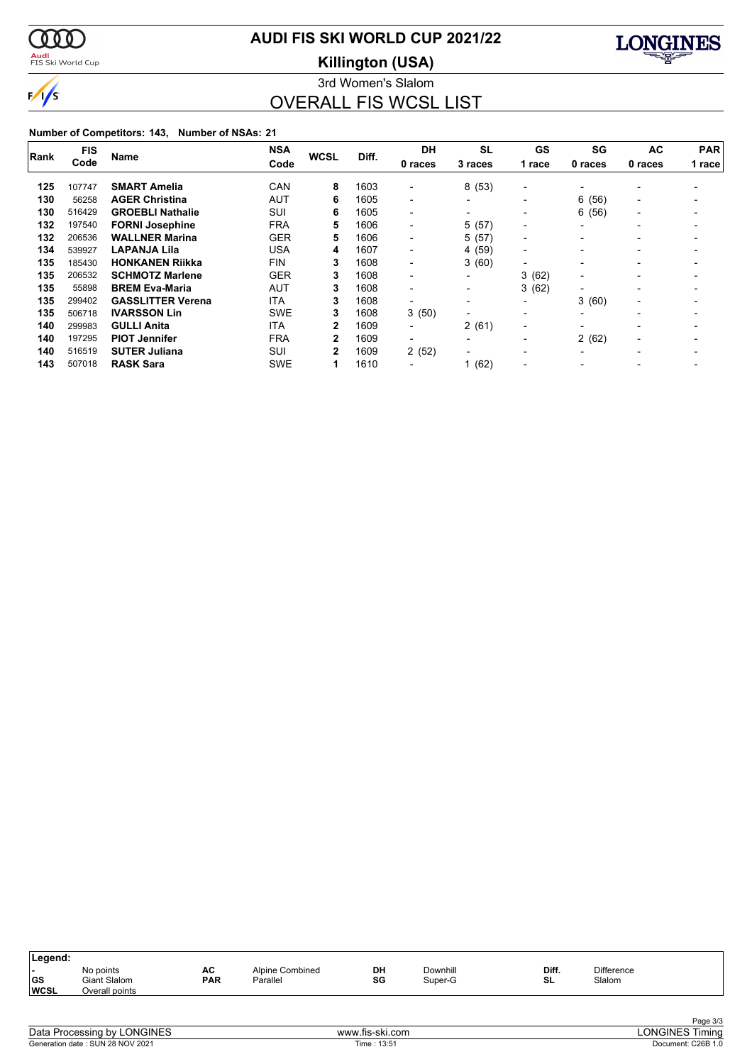

# **AUDI FIS SKI WORLD CUP 2021/22**

<mark>Audi</mark><br>FIS Ski World Cup

**Killington (USA)**



3rd Women's Slalom OVERALL FIS WCSL LIST

|      | <b>FIS</b> |                          | <b>NSA</b> |                |       | <b>DH</b>                | <b>SL</b>                | GS                       | SG                       | AC                       | <b>PAR</b> |
|------|------------|--------------------------|------------|----------------|-------|--------------------------|--------------------------|--------------------------|--------------------------|--------------------------|------------|
| Rank | Code       | <b>Name</b>              | Code       | <b>WCSL</b>    | Diff. | 0 races                  | 3 races                  | 1 race                   | 0 races                  | 0 races                  | 1 race     |
| 125  | 107747     | <b>SMART Amelia</b>      | CAN        | 8              | 1603  | $\blacksquare$           | 8(53)                    | $\blacksquare$           |                          |                          |            |
| 130  | 56258      | <b>AGER Christina</b>    | AUT        | 6              | 1605  | $\blacksquare$           | $\blacksquare$           | -                        | 6(56)                    | $\overline{\phantom{0}}$ |            |
| 130  | 516429     | <b>GROEBLI Nathalie</b>  | SUI        | 6              | 1605  | $\blacksquare$           | $\overline{\phantom{0}}$ | $\overline{\phantom{a}}$ | 6(56)                    | $\overline{\phantom{0}}$ |            |
| 132  | 197540     | <b>FORNI Josephine</b>   | <b>FRA</b> | 5              | 1606  | $\blacksquare$           | 5(57)                    | $\overline{\phantom{a}}$ | $\overline{\phantom{0}}$ |                          |            |
| 132  | 206536     | <b>WALLNER Marina</b>    | <b>GER</b> | 5              | 1606  | $\overline{\phantom{0}}$ | 5(57)                    | $\overline{\phantom{a}}$ |                          |                          |            |
| 134  | 539927     | <b>LAPANJA Lila</b>      | <b>USA</b> | 4              | 1607  | $\overline{\phantom{0}}$ | 4 (59)                   | $\blacksquare$           |                          |                          |            |
| 135  | 185430     | <b>HONKANEN Riikka</b>   | <b>FIN</b> | 3              | 1608  | $\blacksquare$           | 3(60)                    | $\overline{\phantom{0}}$ |                          |                          |            |
| 135  | 206532     | <b>SCHMOTZ Marlene</b>   | <b>GER</b> | 3              | 1608  | $\overline{\phantom{0}}$ | -                        | 3<br>(62)                | $\overline{\phantom{0}}$ |                          |            |
| 135  | 55898      | <b>BREM Eva-Maria</b>    | <b>AUT</b> | 3              | 1608  | $\blacksquare$           | $\overline{\phantom{a}}$ | (62)<br>3                | $\overline{\phantom{0}}$ | $\overline{\phantom{0}}$ |            |
| 135  | 299402     | <b>GASSLITTER Verena</b> | <b>ITA</b> | 3              | 1608  | $\overline{\phantom{0}}$ | $\overline{\phantom{0}}$ | -                        | 3(60)                    | $\overline{\phantom{0}}$ |            |
| 135  | 506718     | <b>IVARSSON Lin</b>      | <b>SWE</b> | 3              | 1608  | 3(50)                    | $\blacksquare$           | $\overline{\phantom{0}}$ | $\overline{\phantom{0}}$ |                          |            |
| 140  | 299983     | <b>GULLI Anita</b>       | <b>ITA</b> | 2              | 1609  | $\overline{\phantom{0}}$ | 2(61)                    | $\overline{\phantom{0}}$ | $\overline{\phantom{0}}$ |                          |            |
| 140  | 197295     | <b>PIOT Jennifer</b>     | <b>FRA</b> | 2              | 1609  | $\blacksquare$           | $\overline{\phantom{0}}$ | $\overline{\phantom{0}}$ | 2(62)                    | $\overline{\phantom{0}}$ |            |
| 140  | 516519     | <b>SUTER Juliana</b>     | SUI        | $\overline{2}$ | 1609  | 2(52)                    | $\overline{\phantom{0}}$ | $\overline{\phantom{0}}$ | $\overline{\phantom{0}}$ |                          |            |
| 143  | 507018     | <b>RASK Sara</b>         | <b>SWE</b> |                | 1610  |                          | (62)                     | $\overline{\phantom{0}}$ |                          |                          |            |

| Legend:           |                                             |                  |                             |          |                     |             |                             |  |
|-------------------|---------------------------------------------|------------------|-----------------------------|----------|---------------------|-------------|-----------------------------|--|
| GS<br><b>WCSL</b> | No points<br>Giant Slalom<br>Overall points | AC<br><b>PAR</b> | Alpine Combined<br>Parallel | DH<br>SG | Downhill<br>Super-G | Diff.<br>SL | <b>Difference</b><br>Slalom |  |
|                   |                                             |                  |                             |          |                     |             |                             |  |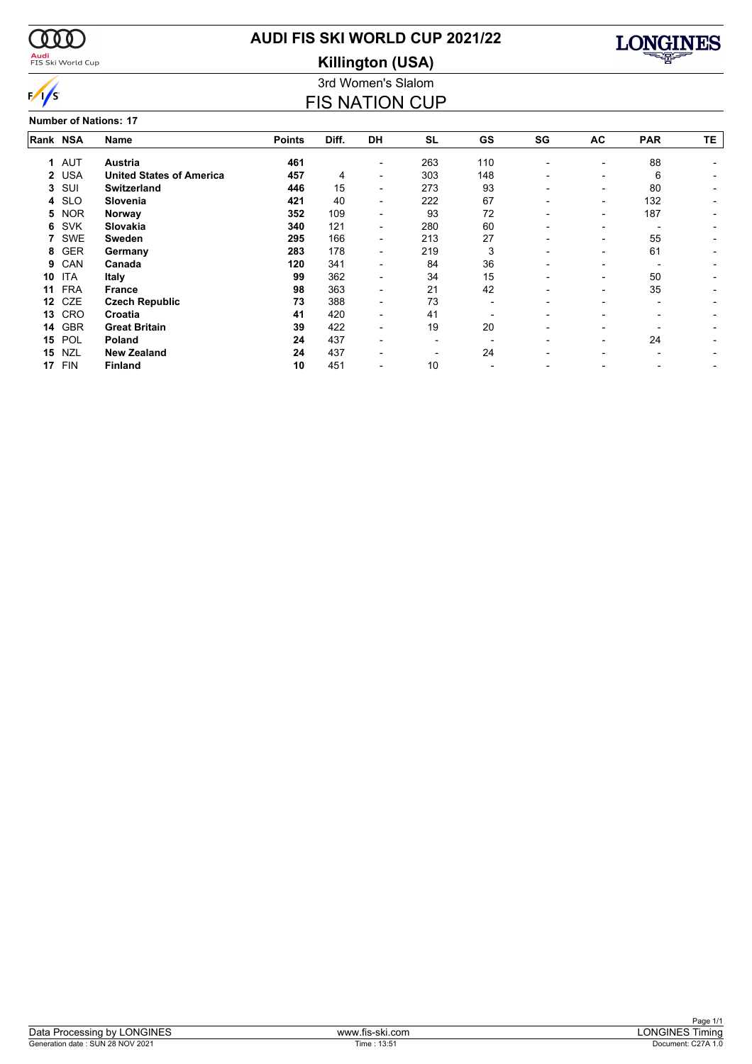

<mark>Audi</mark><br>FIS Ski World Cup

# **AUDI FIS SKI WORLD CUP 2021/22**

**Killington (USA)**



#### **Number of Nations: 17**

3rd Women's Slalom FIS NATION CUP

| Rank NSA |            | Name                            | <b>Points</b> | Diff. | <b>DH</b>                | <b>SL</b> | GS  | SG | AC                       | <b>PAR</b> | TE. |
|----------|------------|---------------------------------|---------------|-------|--------------------------|-----------|-----|----|--------------------------|------------|-----|
|          | 1 AUT      | Austria                         | 461           |       |                          | 263       | 110 |    |                          | 88         |     |
|          | 2 USA      | <b>United States of America</b> | 457           | 4     |                          | 303       | 148 |    |                          | 6          |     |
| 3        | SUI        | <b>Switzerland</b>              | 446           | 15    | $\overline{\phantom{0}}$ | 273       | 93  |    |                          | 80         |     |
| 4        | <b>SLO</b> | Slovenia                        | 421           | 40    | $\overline{\phantom{0}}$ | 222       | 67  |    | $\overline{\phantom{0}}$ | 132        |     |
| 5        | <b>NOR</b> | Norway                          | 352           | 109   |                          | 93        | 72  |    | $\overline{\phantom{0}}$ | 187        |     |
| 6        | <b>SVK</b> | Slovakia                        | 340           | 121   | $\overline{\phantom{0}}$ | 280       | 60  |    |                          |            |     |
|          | SWE        | Sweden                          | 295           | 166   | $\overline{\phantom{0}}$ | 213       | 27  |    |                          | 55         |     |
| 8        | <b>GER</b> | Germany                         | 283           | 178   | $\overline{\phantom{0}}$ | 219       | 3   |    |                          | 61         |     |
| 9        | CAN        | Canada                          | 120           | 341   |                          | 84        | 36  |    |                          |            |     |
| 10       | <b>ITA</b> | <b>Italy</b>                    | 99            | 362   |                          | 34        | 15  |    |                          | 50         |     |
| 11       | <b>FRA</b> | France                          | 98            | 363   |                          | 21        | 42  |    |                          | 35         |     |
| 12       | CZE        | <b>Czech Republic</b>           | 73            | 388   |                          | 73        |     |    |                          |            |     |
| 13       | CRO        | Croatia                         | 41            | 420   |                          | 41        |     |    |                          |            |     |
| 14       | <b>GBR</b> | <b>Great Britain</b>            | 39            | 422   |                          | 19        | 20  |    |                          |            |     |
| 15       | POL        | Poland                          | 24            | 437   |                          |           |     |    |                          | 24         |     |
| 15       | <b>NZL</b> | <b>New Zealand</b>              | 24            | 437   |                          |           | 24  |    |                          |            |     |
| 17       | <b>FIN</b> | <b>Finland</b>                  | 10            | 451   |                          | 10        |     |    |                          |            |     |
|          |            |                                 |               |       |                          |           |     |    |                          |            |     |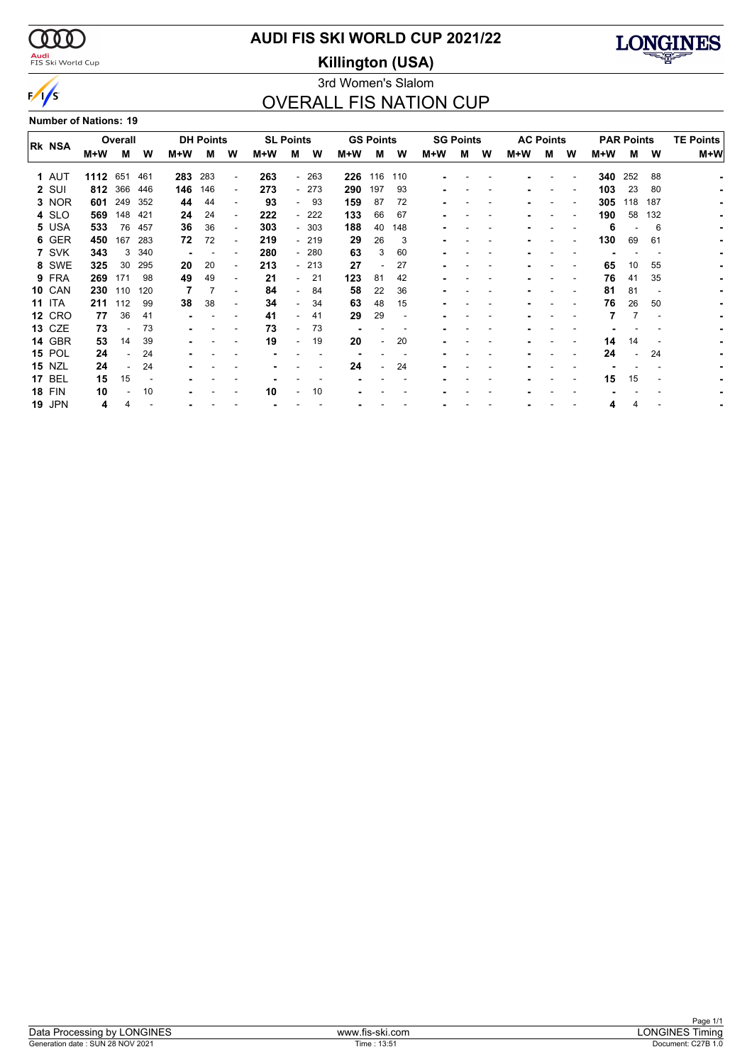$\alpha\alpha$ 

 $\sqrt{s}$ 

### <mark>Audi</mark><br>FIS Ski World Cup

# **AUDI FIS SKI WORLD CUP 2021/22**

**Killington (USA)**



### 3rd Women's Slalom OVERALL FIS NATION CUP

**Number of Nations: 19**

| <b>RK NSA</b> |      | Overall |     |     | <b>DH Points</b> |                          |     | <b>SL Points</b>         |        |     | <b>GS Points</b>         |     |     | <b>SG Points</b> |   |     | <b>AC Points</b> |   |     | <b>PAR Points</b> | <b>TE Points</b> |       |  |
|---------------|------|---------|-----|-----|------------------|--------------------------|-----|--------------------------|--------|-----|--------------------------|-----|-----|------------------|---|-----|------------------|---|-----|-------------------|------------------|-------|--|
|               | M+W  | M       | W   | M+W | м                | W                        | M+W | м                        | W      | M+W | м                        | W   | M+W | м                | w | M+W | м                | W | M+W | м                 | W                | $M+W$ |  |
| 1 AUT         | 1112 | 651     | 461 | 283 | 283              | $\overline{\phantom{a}}$ | 263 |                          | $-263$ | 226 | 116                      | 110 |     |                  |   |     |                  |   | 340 | 252               | 88               |       |  |
| 2 SUI         | 812  | 366     | 446 | 146 | 146              | $\overline{\phantom{a}}$ | 273 |                          | $-273$ | 290 | 197                      | 93  |     |                  |   |     |                  |   | 103 | 23                | 80               |       |  |
| 3 NOR         | 601  | 249     | 352 | 44  | 44               | $\overline{\phantom{a}}$ | 93  |                          | 93     | 159 | 87                       | 72  |     |                  |   |     |                  |   | 305 | 118               | 187              |       |  |
| 4 SLO         | 569  | 148     | 421 | 24  | 24               | $\overline{\phantom{a}}$ | 222 |                          | - 222  | 133 | 66                       | 67  |     |                  |   |     |                  |   | 190 | 58                | 132              |       |  |
| 5 USA         | 533  | 76      | 457 | 36  | 36               | $\overline{\phantom{a}}$ | 303 |                          | $-303$ | 188 | 40                       | 148 |     |                  |   |     |                  |   | 6   |                   | 6                |       |  |
| 6 GER         | 450  | 167     | 283 | 72  | 72               | $\blacksquare$           | 219 |                          | - 219  | 29  | 26                       | 3   |     |                  |   |     |                  |   | 130 | 69                | 61               |       |  |
| 7 SVK         | 343  | 3       | 340 |     |                  |                          | 280 |                          | $-280$ | 63  | 3                        | 60  |     |                  |   |     |                  |   |     |                   |                  |       |  |
| 8 SWE         | 325  | 30      | 295 | 20  | 20               | ٠                        | 213 |                          | $-213$ | 27  | $\overline{\phantom{a}}$ | 27  |     |                  |   |     |                  |   | 65  | 10                | 55               |       |  |
| 9 FRA         | 269  | 171     | 98  | 49  | 49               |                          | 21  | $\sim$                   | 21     | 123 | 81                       | 42  |     |                  |   |     |                  |   | 76  | 41                | 35               |       |  |
| <b>10 CAN</b> | 230  | 110     | 120 |     |                  | $\overline{\phantom{a}}$ | 84  | $\overline{\phantom{0}}$ | 84     | 58  | 22                       | 36  |     |                  |   |     |                  |   | 81  | 81                |                  |       |  |
| <b>11 ITA</b> | 211  | 112     | 99  | 38  | 38               | ۰                        | 34  | $\overline{\phantom{0}}$ | 34     | 63  | 48                       | 15  |     |                  |   |     |                  |   | 76  | 26                | 50               |       |  |
| <b>12 CRO</b> | 77   | 36      | 41  |     |                  |                          | 41  |                          | 41     | 29  | 29                       |     |     |                  |   |     |                  |   |     |                   |                  |       |  |
| <b>13 CZE</b> | 73   |         | 73  |     |                  |                          | 73  |                          | 73     |     |                          |     |     |                  |   |     |                  |   |     |                   |                  |       |  |
| <b>14 GBR</b> | 53   | 14      | 39  |     |                  |                          | 19  | $\overline{\phantom{0}}$ | 19     | 20  |                          | 20  |     |                  |   |     |                  |   | 14  | 14                |                  |       |  |
| <b>15 POL</b> | 24   |         | 24  |     |                  |                          |     |                          |        |     |                          |     |     |                  |   |     |                  |   | 24  | ٠                 | 24               |       |  |
| <b>15 NZL</b> | 24   |         | 24  |     |                  |                          |     |                          |        | 24  |                          | 24  |     |                  |   |     |                  |   |     |                   |                  |       |  |
| <b>17 BEL</b> | 15   | 15      |     |     |                  |                          |     |                          |        |     |                          |     |     |                  |   |     |                  |   | 15  | 15                |                  |       |  |
| <b>18 FIN</b> | 10   |         | 10  |     |                  |                          | 10  |                          | 10     |     |                          |     |     |                  |   |     |                  |   |     |                   |                  |       |  |
| <b>19 JPN</b> | 4    |         |     |     |                  |                          |     |                          |        |     |                          |     |     |                  |   |     |                  |   | 4   | 4                 |                  |       |  |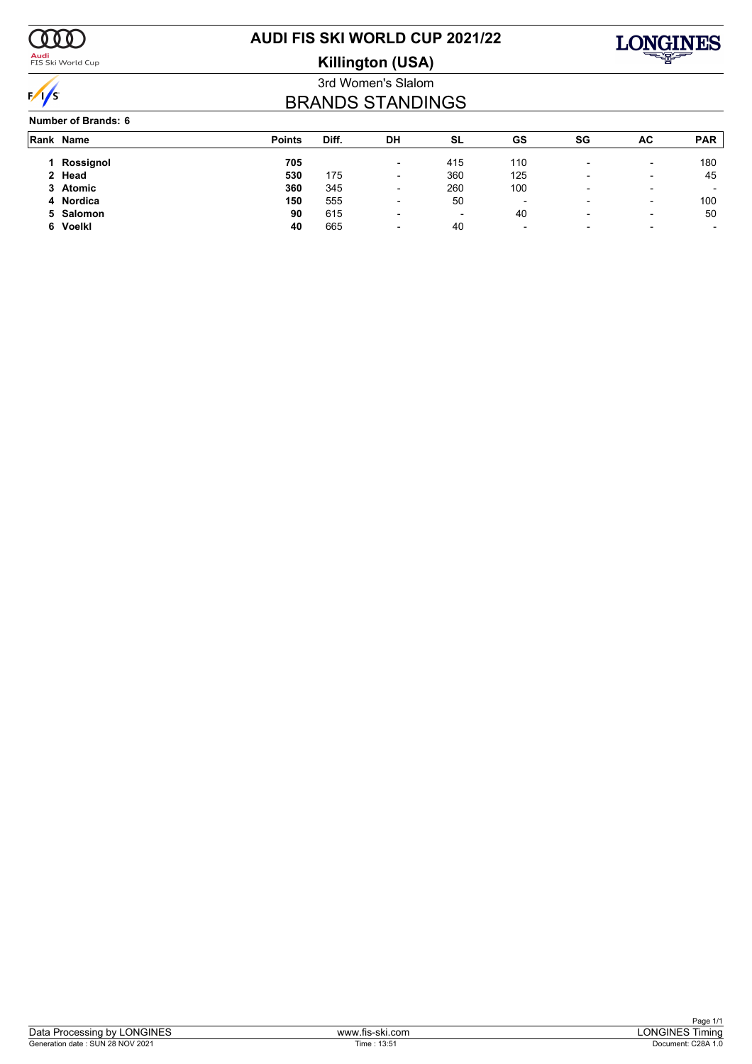

<mark>Audi</mark><br>FIS Ski World Cup

# **AUDI FIS SKI WORLD CUP 2021/22**





### 3rd Women's Slalom BRANDS STANDINGS

#### **Number of Brands: 6**

|    | Rank Name | <b>Points</b> | Diff. | DH                       | SL                       | GS  | SG                       | AC.                      | <b>PAR</b>               |
|----|-----------|---------------|-------|--------------------------|--------------------------|-----|--------------------------|--------------------------|--------------------------|
|    | Rossignol | 705           |       | $\overline{\phantom{0}}$ | 415                      | 110 |                          | $\overline{\phantom{0}}$ | 180                      |
|    | 2 Head    | 530           | 175   | $\overline{\phantom{0}}$ | 360                      | 125 | $\overline{\phantom{0}}$ | $\overline{\phantom{0}}$ | 45                       |
|    | 3 Atomic  | 360           | 345   | $\overline{\phantom{0}}$ | 260                      | 100 |                          |                          |                          |
|    | 4 Nordica | 150           | 555   | $\overline{\phantom{0}}$ | 50                       | -   | $\overline{\phantom{0}}$ | $\overline{\phantom{0}}$ | 100                      |
|    | 5 Salomon | 90            | 615   | $\overline{\phantom{a}}$ | $\overline{\phantom{a}}$ | 40  |                          | $\overline{\phantom{a}}$ | 50                       |
| 6. | Voelkl    | 40            | 665   | $\overline{\phantom{0}}$ | 40                       | -   | $\overline{\phantom{0}}$ |                          | $\overline{\phantom{0}}$ |